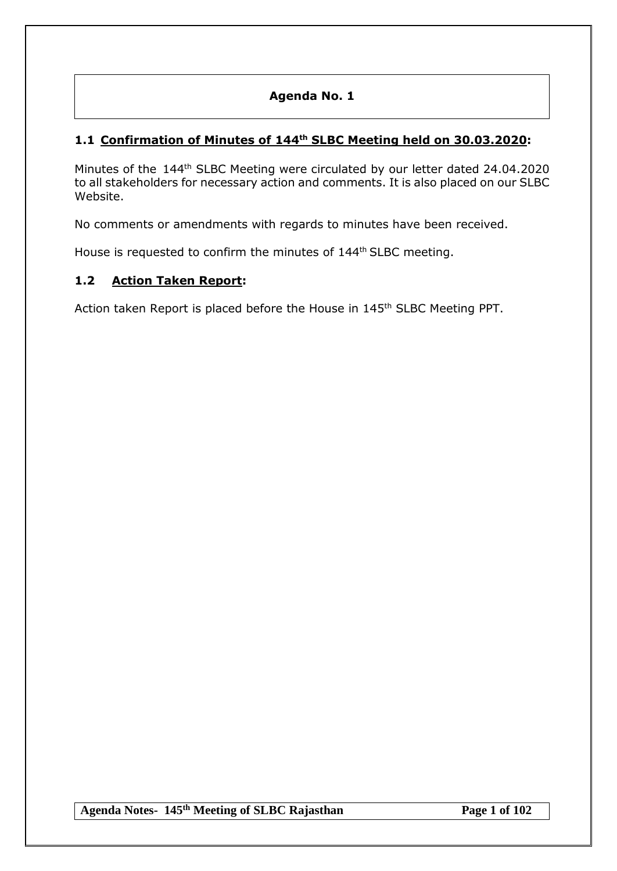# **Agenda No. 1**

# **1.1 Confirmation of Minutes of 144 th SLBC Meeting held on 30.03.2020:**

Minutes of the 144<sup>th</sup> SLBC Meeting were circulated by our letter dated 24.04.2020 to all stakeholders for necessary action and comments. It is also placed on our SLBC Website.

No comments or amendments with regards to minutes have been received.

House is requested to confirm the minutes of 144<sup>th</sup> SLBC meeting.

# **1.2 Action Taken Report:**

Action taken Report is placed before the House in 145<sup>th</sup> SLBC Meeting PPT.

**Agenda Notes- 145th Meeting of SLBC Rajasthan Page 1 of 102**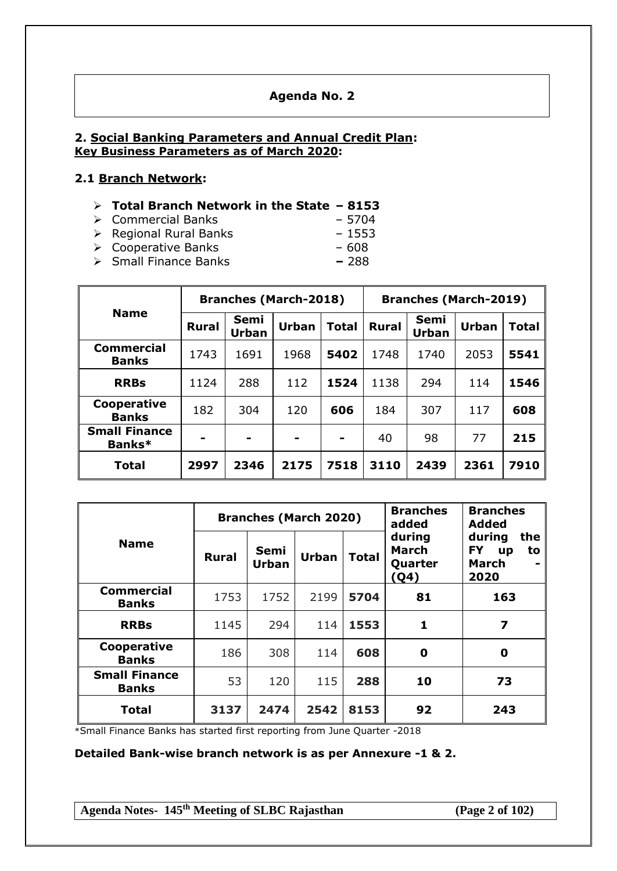## **Agenda No. 2**

## **2. Social Banking Parameters and Annual Credit Plan: Key Business Parameters as of March 2020:**

## **2.1 Branch Network:**

#### **Total Branch Network in the State – 8153**

- Commercial Banks 5704
- → Regional Rural Banks 1553
- Cooperative Banks 608
- Small Finance Banks **–** 288

|                                   | <b>Branches (March-2018)</b> |                      |       |              | <b>Branches (March-2019)</b> |               |              |              |
|-----------------------------------|------------------------------|----------------------|-------|--------------|------------------------------|---------------|--------------|--------------|
| <b>Name</b>                       | <b>Rural</b>                 | Semi<br><b>Urban</b> | Urban | <b>Total</b> | <b>Rural</b>                 | Semi<br>Urban | <b>Urban</b> | <b>Total</b> |
| <b>Commercial</b><br><b>Banks</b> | 1743                         | 1691                 | 1968  | 5402         | 1748                         | 1740          | 2053         | 5541         |
| <b>RRBs</b>                       | 1124                         | 288                  | 112   | 1524         | 1138                         | 294           | 114          | 1546         |
| Cooperative<br><b>Banks</b>       | 182                          | 304                  | 120   | 606          | 184                          | 307           | 117          | 608          |
| <b>Small Finance</b><br>Banks*    |                              | -                    |       | -            | 40                           | 98            | 77           | 215          |
| <b>Total</b>                      | 2997                         | 2346                 | 2175  | 7518         | 3110                         | 2439          | 2361         | 7910         |

|                                      | <b>Branches (March 2020)</b> |                      |              |              | <b>Branches</b><br>added                         | <b>Branches</b><br><b>Added</b>                              |
|--------------------------------------|------------------------------|----------------------|--------------|--------------|--------------------------------------------------|--------------------------------------------------------------|
| <b>Name</b>                          | <b>Rural</b>                 | Semi<br><b>Urban</b> | <b>Urban</b> | <b>Total</b> | during<br><b>March</b><br>Quarter<br><u>(Q4)</u> | during<br>the<br><b>FY</b><br>to<br>up<br>March<br>-<br>2020 |
| <b>Commercial</b><br><b>Banks</b>    | 1753                         | 1752                 | 2199         | 5704         | 81                                               | 163                                                          |
| <b>RRBs</b>                          | 1145                         | 294                  | 114          | 1553         | 1                                                | 7                                                            |
| Cooperative<br><b>Banks</b>          | 186                          | 308                  | 114          | 608          | 0                                                | 0                                                            |
| <b>Small Finance</b><br><b>Banks</b> | 53                           | 120                  | 115          | 288          | 10                                               | 73                                                           |
| <b>Total</b>                         | 3137                         | 2474                 | 2542         | 8153         | 92                                               | 243                                                          |

\*Small Finance Banks has started first reporting from June Quarter -2018

**Detailed Bank-wise branch network is as per Annexure -1 & 2.**

**Agenda Notes- 145th Meeting of SLBC Rajasthan (Page 2 of 102)**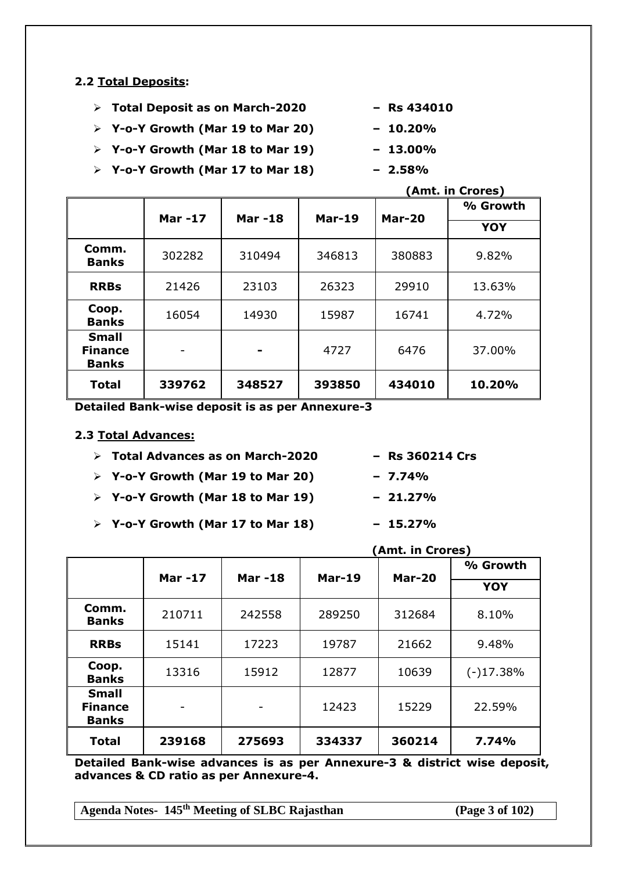## **2.2 Total Deposits:**

- **Total Deposit as on March-2020 – Rs 434010**
- **Y-o-Y Growth (Mar 19 to Mar 20) – 10.20%**
- **Y-o-Y Growth (Mar 18 to Mar 19) – 13.00%**
- **Y-o-Y Growth (Mar 17 to Mar 18) – 2.58%**

|                                                | <b>Mar-17</b> | <b>Mar-18</b> | <b>Mar-19</b> |        | % Growth   |
|------------------------------------------------|---------------|---------------|---------------|--------|------------|
|                                                |               |               |               | Mar-20 | <b>YOY</b> |
| Comm.<br><b>Banks</b>                          | 302282        | 310494        | 346813        | 380883 | 9.82%      |
| <b>RRBs</b>                                    | 21426         | 23103         | 26323         | 29910  | 13.63%     |
| Coop.<br><b>Banks</b>                          | 16054         | 14930         | 15987         | 16741  | 4.72%      |
| <b>Small</b><br><b>Finance</b><br><b>Banks</b> |               |               | 4727          | 6476   | 37.00%     |
| <b>Total</b>                                   | 339762        | 348527        | 393850        | 434010 | 10.20%     |

**Detailed Bank-wise deposit is as per Annexure-3**

### **2.3 Total Advances:**

|  |  |  |  | $\triangleright$ Total Advances as on March-2020 |  |
|--|--|--|--|--------------------------------------------------|--|
|--|--|--|--|--------------------------------------------------|--|

- **Y-o-Y Growth (Mar 19 to Mar 20) – 7.74%**
- **Y-o-Y Growth (Mar 18 to Mar 19) – 21.27%**
- **Y-o-Y Growth (Mar 17 to Mar 18) – 15.27%**
- **Mar -17 Mar -18 Mar-19 Mar-20 % Growth YOY Comm. Banks** 210711 242558 289250 312684 8.10% **RRBs** | 15141 | 17223 | 19787 | 21662 | 9.48% **Coop. Banks** 13316 15912 12877 10639 (-)17.38% **Small Finance Banks**  $12423$  | 15229 | 22.59%

**Detailed Bank-wise advances is as per Annexure-3 & district wise deposit, advances & CD ratio as per Annexure-4.**

**Total 239168 275693 334337 360214 7.74%**

**Agenda Notes- 145th Meeting of SLBC Rajasthan (Page 3 of 102)**

- 
- 
- **(Amt. in Crores)**
- **Total Advances as on March-2020 – Rs 360214 Crs**
- 
-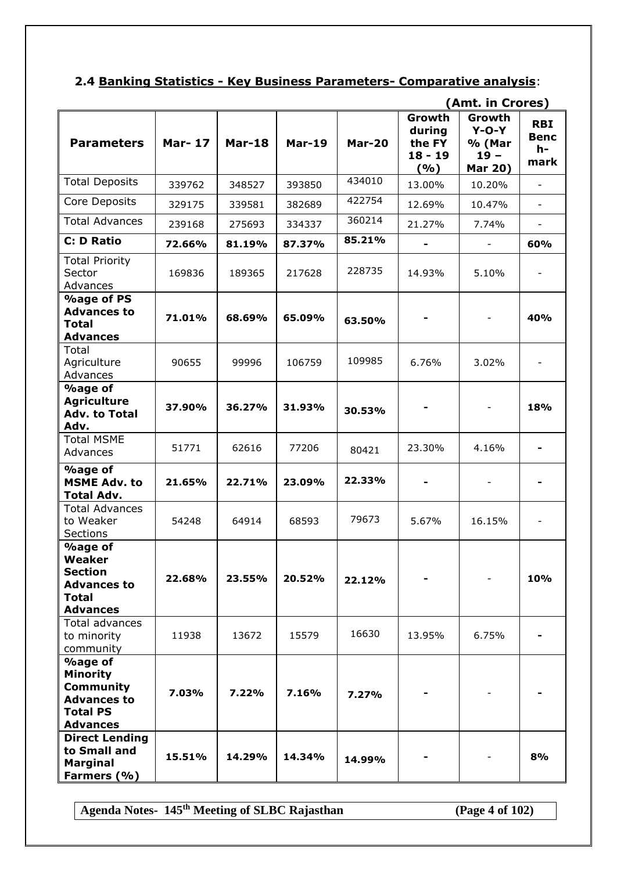# **2.4 Banking Statistics - Key Business Parameters- Comparative analysis**:

|                                                                                                                   |               |               |               |               |                                                | (Amt. in Crores)                                        |                                         |
|-------------------------------------------------------------------------------------------------------------------|---------------|---------------|---------------|---------------|------------------------------------------------|---------------------------------------------------------|-----------------------------------------|
| <b>Parameters</b>                                                                                                 | <b>Mar-17</b> | <b>Mar-18</b> | <b>Mar-19</b> | <b>Mar-20</b> | Growth<br>during<br>the FY<br>$18 - 19$<br>(%) | Growth<br>$Y-O-Y$<br>% (Mar<br>$19 -$<br><b>Mar 20)</b> | <b>RBI</b><br><b>Benc</b><br>h-<br>mark |
| <b>Total Deposits</b>                                                                                             | 339762        | 348527        | 393850        | 434010        | 13.00%                                         | 10.20%                                                  | $\overline{\phantom{a}}$                |
| Core Deposits                                                                                                     | 329175        | 339581        | 382689        | 422754        | 12.69%                                         | 10.47%                                                  | $\blacksquare$                          |
| <b>Total Advances</b>                                                                                             | 239168        | 275693        | 334337        | 360214        | 21.27%                                         | 7.74%                                                   | $\overline{\phantom{a}}$                |
| <b>C: D Ratio</b>                                                                                                 | 72.66%        | 81.19%        | 87.37%        | 85.21%        |                                                | $\overline{\phantom{a}}$                                | 60%                                     |
| <b>Total Priority</b><br>Sector<br>Advances                                                                       | 169836        | 189365        | 217628        | 228735        | 14.93%                                         | 5.10%                                                   |                                         |
| <b>%age of PS</b><br><b>Advances to</b><br><b>Total</b><br><b>Advances</b>                                        | 71.01%        | 68.69%        | 65.09%        | 63.50%        |                                                |                                                         | 40%                                     |
| Total<br>Agriculture<br>Advances                                                                                  | 90655         | 99996         | 106759        | 109985        | 6.76%                                          | 3.02%                                                   | $\overline{\phantom{a}}$                |
| <b>%age of</b><br><b>Agriculture</b><br><b>Adv. to Total</b><br>Adv.                                              | 37.90%        | 36.27%        | 31.93%        | 30.53%        |                                                |                                                         | 18%                                     |
| <b>Total MSME</b><br>Advances                                                                                     | 51771         | 62616         | 77206         | 80421         | 23.30%                                         | 4.16%                                                   |                                         |
| <b>%age of</b><br><b>MSME Adv. to</b><br><b>Total Adv.</b>                                                        | 21.65%        | 22.71%        | 23.09%        | 22.33%        |                                                |                                                         |                                         |
| <b>Total Advances</b><br>to Weaker<br>Sections                                                                    | 54248         | 64914         | 68593         | 79673         | 5.67%                                          | 16.15%                                                  |                                         |
| <b>%age of</b><br>Weaker<br><b>Section</b><br><b>Advances to</b><br><b>Total</b><br><b>Advances</b>               | 22.68%        | 23.55%        | 20.52%        | 22.12%        |                                                |                                                         | 10%                                     |
| Total advances<br>to minority<br>community                                                                        | 11938         | 13672         | 15579         | 16630         | 13.95%                                         | 6.75%                                                   |                                         |
| <b>%age of</b><br><b>Minority</b><br><b>Community</b><br><b>Advances to</b><br><b>Total PS</b><br><b>Advances</b> | 7.03%         | 7.22%         | 7.16%         | 7.27%         |                                                |                                                         |                                         |
| <b>Direct Lending</b><br>to Small and<br><b>Marginal</b><br>Farmers (%)                                           | 15.51%        | 14.29%        | 14.34%        | 14.99%        |                                                |                                                         | 8%                                      |

**Agenda Notes- 145th Meeting of SLBC Rajasthan (Page 4 of 102)**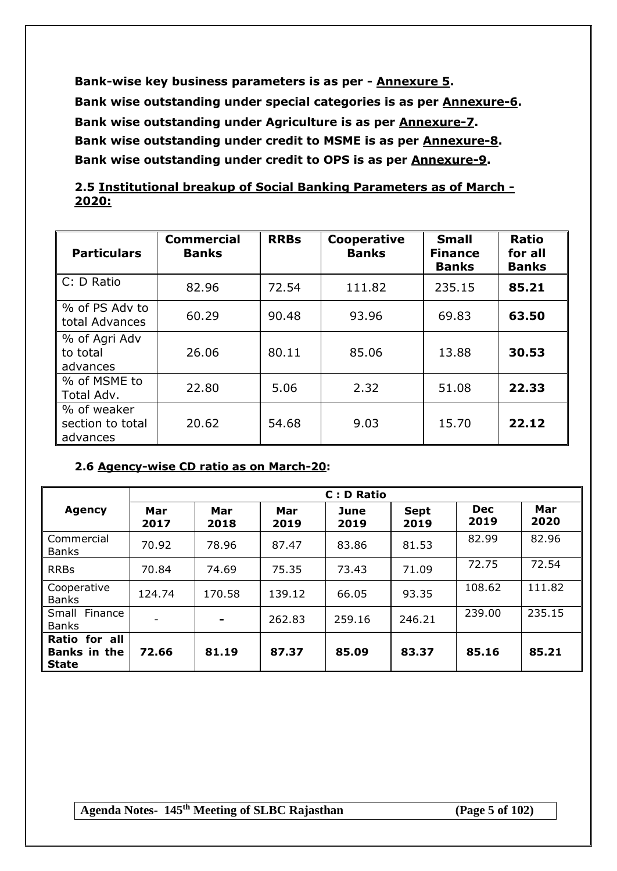**Bank-wise key business parameters is as per - Annexure 5. Bank wise outstanding under special categories is as per Annexure-6. Bank wise outstanding under Agriculture is as per Annexure-7. Bank wise outstanding under credit to MSME is as per Annexure-8. Bank wise outstanding under credit to OPS is as per Annexure-9.**

# **2.5 Institutional breakup of Social Banking Parameters as of March - 2020:**

| <b>Particulars</b>                          | <b>Commercial</b><br><b>Banks</b> | <b>RRBs</b> | <b>Cooperative</b><br><b>Banks</b> | <b>Small</b><br><b>Finance</b><br><b>Banks</b> | <b>Ratio</b><br>for all<br><b>Banks</b> |
|---------------------------------------------|-----------------------------------|-------------|------------------------------------|------------------------------------------------|-----------------------------------------|
| C: D Ratio                                  | 82.96                             | 72.54       | 111.82                             | 235.15                                         | 85.21                                   |
| % of PS Adv to<br>total Advances            | 60.29                             | 90.48       | 93.96                              | 69.83                                          | 63.50                                   |
| % of Agri Adv<br>to total<br>advances       | 26.06                             | 80.11       | 85.06                              | 13.88                                          | 30.53                                   |
| % of MSME to<br>Total Adv.                  | 22.80                             | 5.06        | 2.32                               | 51.08                                          | 22.33                                   |
| % of weaker<br>section to total<br>advances | 20.62                             | 54.68       | 9.03                               | 15.70                                          | 22.12                                   |

# **2.6 Agency-wise CD ratio as on March-20:**

|                                                      | C : D Ratio |             |             |              |                     |                    |             |  |  |
|------------------------------------------------------|-------------|-------------|-------------|--------------|---------------------|--------------------|-------------|--|--|
| <b>Agency</b>                                        | Mar<br>2017 | Mar<br>2018 | Mar<br>2019 | June<br>2019 | <b>Sept</b><br>2019 | <b>Dec</b><br>2019 | Mar<br>2020 |  |  |
| Commercial<br><b>Banks</b>                           | 70.92       | 78.96       | 87.47       | 83.86        | 81.53               | 82.99              | 82.96       |  |  |
| <b>RRBs</b>                                          | 70.84       | 74.69       | 75.35       | 73.43        | 71.09               | 72.75              | 72.54       |  |  |
| Cooperative<br><b>Banks</b>                          | 124.74      | 170.58      | 139.12      | 66.05        | 93.35               | 108.62             | 111.82      |  |  |
| Small Finance<br><b>Banks</b>                        |             |             | 262.83      | 259.16       | 246.21              | 239.00             | 235.15      |  |  |
| Ratio for all<br><b>Banks in the</b><br><b>State</b> | 72.66       | 81.19       | 87.37       | 85.09        | 83.37               | 85.16              | 85.21       |  |  |

**Agenda Notes- 145th Meeting of SLBC Rajasthan (Page 5 of 102)**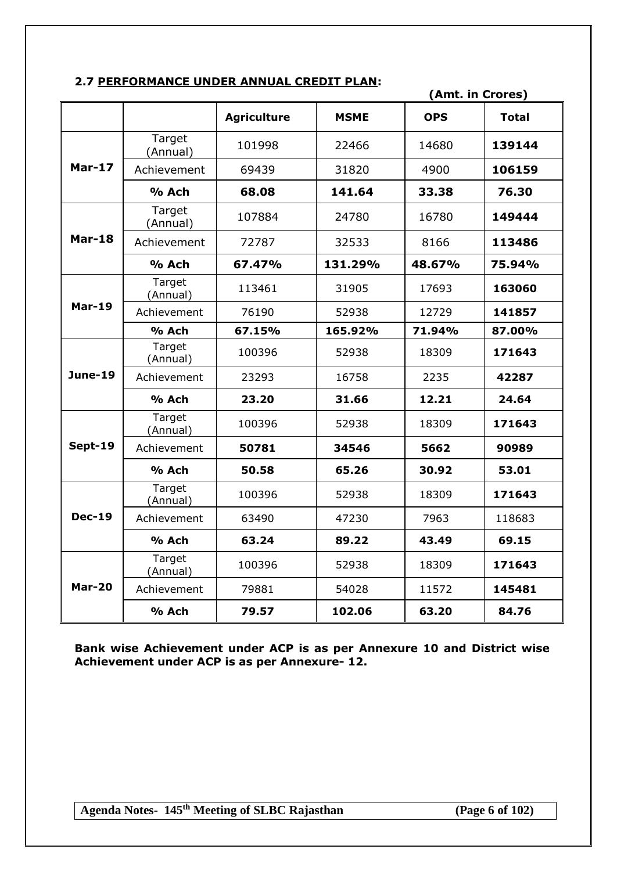## **2.7 PERFORMANCE UNDER ANNUAL CREDIT PLAN:**

|                |                    |                    |             | (Amt. in Crores) |              |
|----------------|--------------------|--------------------|-------------|------------------|--------------|
|                |                    | <b>Agriculture</b> | <b>MSME</b> | <b>OPS</b>       | <b>Total</b> |
|                | Target<br>(Annual) | 101998             | 22466       | 14680            | 139144       |
| $Mar-17$       | Achievement        | 69439              | 31820       | 4900             | 106159       |
|                | % Ach              | 68.08              | 141.64      | 33.38            | 76.30        |
|                | Target<br>(Annual) | 107884             | 24780       | 16780            | 149444       |
| Mar-18         | Achievement        | 72787              | 32533       | 8166             | 113486       |
|                | % Ach              | 67.47%             | 131.29%     | 48.67%           | 75.94%       |
|                | Target<br>(Annual) | 113461             | 31905       | 17693            | 163060       |
| $Mar-19$       | Achievement        | 76190              | 52938       | 12729            | 141857       |
|                | % Ach              | 67.15%             | 165.92%     | 71.94%           | 87.00%       |
|                | Target<br>(Annual) | 100396             | 52938       | 18309            | 171643       |
| <b>June-19</b> | Achievement        | 23293              | 16758       | 2235             | 42287        |
|                | % Ach              | 23.20              | 31.66       | 12.21            | 24.64        |
|                | Target<br>(Annual) | 100396             | 52938       | 18309            | 171643       |
| Sept-19        | Achievement        | 50781              | 34546       | 5662             | 90989        |
|                | % Ach              | 50.58              | 65.26       | 30.92            | 53.01        |
|                | Target<br>(Annual) | 100396             | 52938       | 18309            | 171643       |
| <b>Dec-19</b>  | Achievement        | 63490              | 47230       | 7963             | 118683       |
|                | % Ach              | 63.24              | 89.22       | 43.49            | 69.15        |
|                | Target<br>(Annual) | 100396             | 52938       | 18309            | 171643       |
| <b>Mar-20</b>  | Achievement        | 79881              | 54028       | 11572            | 145481       |
|                | % Ach              | 79.57              | 102.06      | 63.20            | 84.76        |

**Bank wise Achievement under ACP is as per Annexure 10 and District wise Achievement under ACP is as per Annexure- 12.**

**Agenda Notes- 145th Meeting of SLBC Rajasthan (Page 6 of 102)**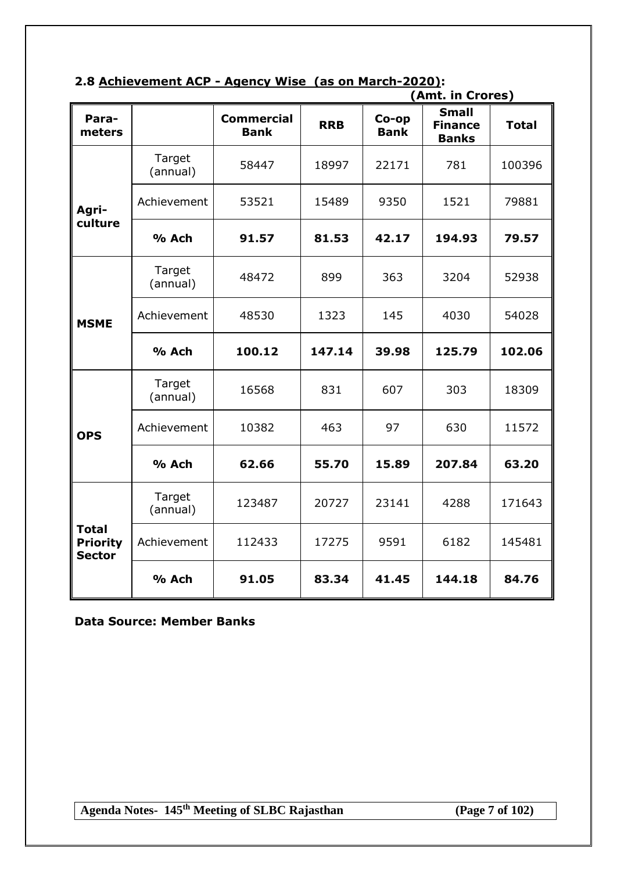| 2.8 Achievement ACP - Agency Wise (as on March-2020): |  |
|-------------------------------------------------------|--|
|-------------------------------------------------------|--|

|                                                  |                    |                                  |            |                      | (Amt. in Crores)                               |              |
|--------------------------------------------------|--------------------|----------------------------------|------------|----------------------|------------------------------------------------|--------------|
| Para-<br>meters                                  |                    | <b>Commercial</b><br><b>Bank</b> | <b>RRB</b> | Co-op<br><b>Bank</b> | <b>Small</b><br><b>Finance</b><br><b>Banks</b> | <b>Total</b> |
|                                                  | Target<br>(annual) | 58447                            | 18997      | 22171                | 781                                            | 100396       |
| Agri-                                            | Achievement        | 53521                            | 15489      | 9350                 | 1521                                           | 79881        |
| culture                                          | % Ach              | 91.57                            | 81.53      | 42.17                | 194.93                                         | 79.57        |
|                                                  | Target<br>(annual) | 48472                            | 899        | 363                  | 3204                                           | 52938        |
| <b>MSME</b>                                      | Achievement        | 48530                            | 1323       | 145                  | 4030                                           | 54028        |
|                                                  | % Ach              | 100.12                           | 147.14     | 39.98                | 125.79                                         | 102.06       |
|                                                  | Target<br>(annual) | 16568                            | 831        | 607                  | 303                                            | 18309        |
| <b>OPS</b>                                       | Achievement        | 10382                            | 463        | 97                   | 630                                            | 11572        |
|                                                  | % Ach              | 62.66                            | 55.70      | 15.89                | 207.84                                         | 63.20        |
|                                                  | Target<br>(annual) | 123487                           | 20727      | 23141                | 4288                                           | 171643       |
| <b>Total</b><br><b>Priority</b><br><b>Sector</b> | Achievement        | 112433                           | 17275      | 9591                 | 6182                                           | 145481       |
|                                                  | % Ach              | 91.05                            | 83.34      | 41.45                | 144.18                                         | 84.76        |

**Data Source: Member Banks**

**Agenda Notes- 145th Meeting of SLBC Rajasthan (Page 7 of 102)**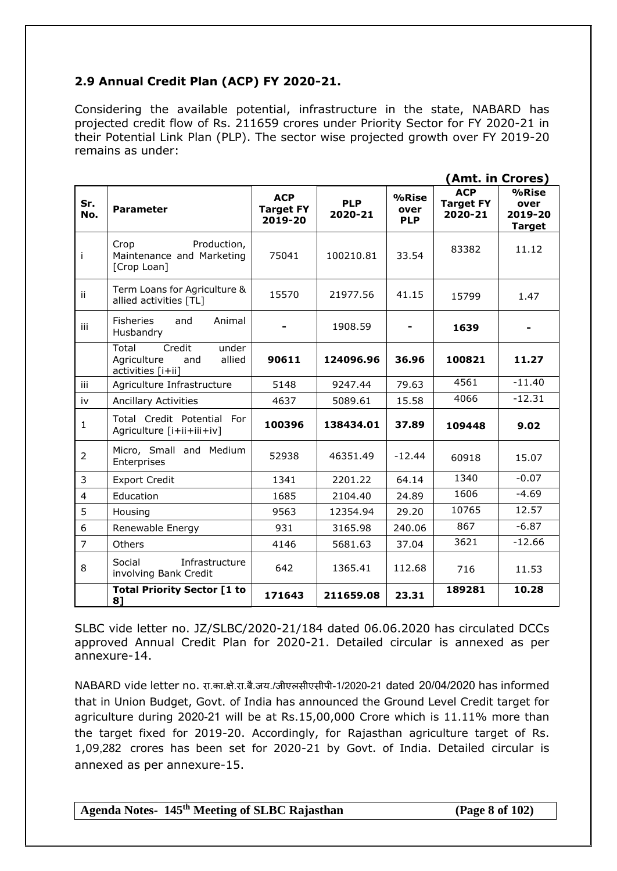# **2.9 Annual Credit Plan (ACP) FY 2020-21.**

Considering the available potential, infrastructure in the state, NABARD has projected credit flow of Rs. 211659 crores under Priority Sector for FY 2020-21 in their Potential Link Plan (PLP). The sector wise projected growth over FY 2019-20 remains as under:

|                |                                                                               |                                           |                       |                             | (Amt. in Crores)                          |                                              |
|----------------|-------------------------------------------------------------------------------|-------------------------------------------|-----------------------|-----------------------------|-------------------------------------------|----------------------------------------------|
| Sr.<br>No.     | <b>Parameter</b>                                                              | <b>ACP</b><br><b>Target FY</b><br>2019-20 | <b>PLP</b><br>2020-21 | %Rise<br>over<br><b>PLP</b> | <b>ACP</b><br><b>Target FY</b><br>2020-21 | $%$ Rise<br>over<br>2019-20<br><b>Target</b> |
| Ť              | Production,<br>Crop<br>Maintenance and Marketing<br>[Crop Loan]               | 75041                                     | 100210.81             | 33.54                       | 83382                                     | 11.12                                        |
| ii             | Term Loans for Agriculture &<br>allied activities [TL]                        | 15570                                     | 21977.56              | 41.15                       | 15799                                     | 1.47                                         |
| iii            | <b>Fisheries</b><br>and<br>Animal<br>Husbandry                                |                                           | 1908.59               |                             | 1639                                      |                                              |
|                | Total<br>Credit<br>under<br>Agriculture<br>and<br>allied<br>activities [i+ii] | 90611                                     | 124096.96             | 36.96                       | 100821                                    | 11.27                                        |
| iii            | Agriculture Infrastructure                                                    | 5148                                      | 9247.44               | 79.63                       | 4561                                      | $-11.40$                                     |
| iv             | <b>Ancillary Activities</b>                                                   | 4637                                      | 5089.61               | 15.58                       | 4066                                      | $-12.31$                                     |
| $\mathbf{1}$   | Total Credit Potential For<br>Agriculture [i+ii+iii+iv]                       | 100396                                    | 138434.01             | 37.89                       | 109448                                    | 9.02                                         |
| $\overline{2}$ | Micro, Small and Medium<br>Enterprises                                        | 52938                                     | 46351.49              | $-12.44$                    | 60918                                     | 15.07                                        |
| 3              | <b>Export Credit</b>                                                          | 1341                                      | 2201.22               | 64.14                       | 1340                                      | $-0.07$                                      |
| $\overline{4}$ | Education                                                                     | 1685                                      | 2104.40               | 24.89                       | 1606                                      | $-4.69$                                      |
| 5              | Housing                                                                       | 9563                                      | 12354.94              | 29.20                       | 10765                                     | 12.57                                        |
| 6              | Renewable Energy                                                              | 931                                       | 3165.98               | 240.06                      | 867                                       | $-6.87$                                      |
| $\overline{7}$ | Others                                                                        | 4146                                      | 5681.63               | 37.04                       | 3621                                      | $-12.66$                                     |
| 8              | Social<br>Infrastructure<br>involving Bank Credit                             | 642                                       | 1365.41               | 112.68                      | 716                                       | 11.53                                        |
|                | <b>Total Priority Sector [1 to</b><br>8]                                      | 171643                                    | 211659.08             | 23.31                       | 189281                                    | 10.28                                        |

SLBC vide letter no. JZ/SLBC/2020-21/184 dated 06.06.2020 has circulated DCCs approved Annual Credit Plan for 2020-21. Detailed circular is annexed as per annexure-14.

NABARD vide letter no. रा.का.क्षे.रा.बै.जय./जीएलसीएसीपी-1/2020-21 dated 20/04/2020 has informed that in Union Budget, Govt. of India has announced the Ground Level Credit target for agriculture during 2020-21 will be at Rs.15,00,000 Crore which is 11.11% more than the target fixed for 2019-20. Accordingly, for Rajasthan agriculture target of Rs. 1,09,282 crores has been set for 2020-21 by Govt. of India. Detailed circular is annexed as per annexure-15.

**Agenda Notes- 145th Meeting of SLBC Rajasthan (Page 8 of 102)**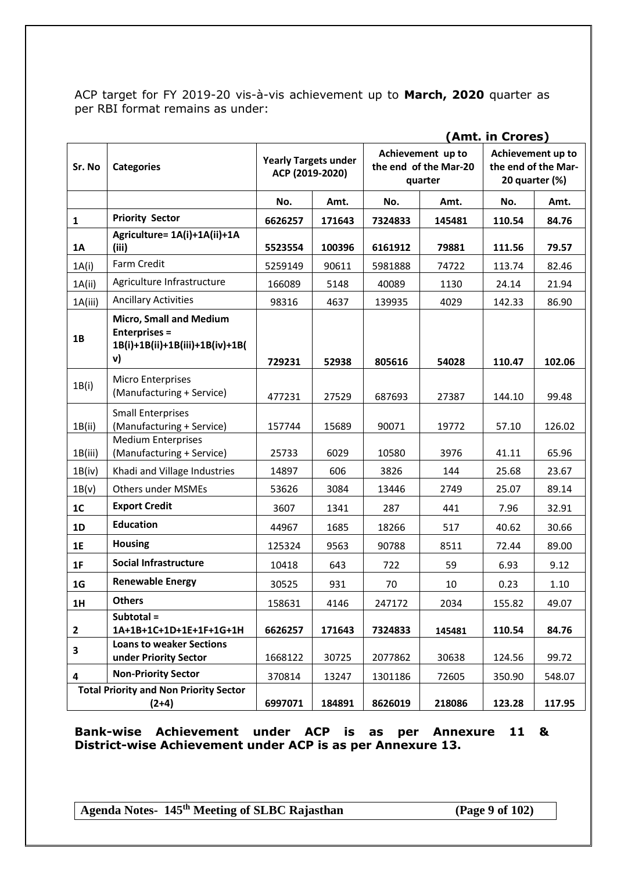ACP target for FY 2019-20 vis-à-vis achievement up to **March, 2020** quarter as per RBI format remains as under:

|                                                          |                                                                                                 |                                                |        | (Amt. in Crores)                                      |        |                                                            |        |
|----------------------------------------------------------|-------------------------------------------------------------------------------------------------|------------------------------------------------|--------|-------------------------------------------------------|--------|------------------------------------------------------------|--------|
| Sr. No                                                   | <b>Categories</b>                                                                               | <b>Yearly Targets under</b><br>ACP (2019-2020) |        | Achievement up to<br>the end of the Mar-20<br>quarter |        | Achievement up to<br>the end of the Mar-<br>20 quarter (%) |        |
|                                                          |                                                                                                 | No.                                            | Amt.   | No.                                                   | Amt.   | No.                                                        | Amt.   |
| $\mathbf{1}$                                             | <b>Priority Sector</b>                                                                          | 6626257                                        | 171643 | 7324833                                               | 145481 | 110.54                                                     | 84.76  |
| <b>1A</b>                                                | Agriculture= 1A(i)+1A(ii)+1A<br>(iii)                                                           | 5523554                                        | 100396 | 6161912                                               | 79881  | 111.56                                                     | 79.57  |
| 1A(i)                                                    | Farm Credit                                                                                     | 5259149                                        | 90611  | 5981888                                               | 74722  | 113.74                                                     | 82.46  |
| 1A(ii)                                                   | Agriculture Infrastructure                                                                      | 166089                                         | 5148   | 40089                                                 | 1130   | 24.14                                                      | 21.94  |
| 1A(iii)                                                  | <b>Ancillary Activities</b>                                                                     | 98316                                          | 4637   | 139935                                                | 4029   | 142.33                                                     | 86.90  |
| 1B                                                       | <b>Micro, Small and Medium</b><br><b>Enterprises =</b><br>1B(i)+1B(ii)+1B(iii)+1B(iv)+1B(<br>v) | 729231                                         | 52938  | 805616                                                | 54028  | 110.47                                                     | 102.06 |
| 1B(i)                                                    | Micro Enterprises<br>(Manufacturing + Service)                                                  | 477231                                         | 27529  | 687693                                                | 27387  | 144.10                                                     | 99.48  |
| 1B(ii)                                                   | <b>Small Enterprises</b><br>(Manufacturing + Service)                                           | 157744                                         | 15689  | 90071                                                 | 19772  | 57.10                                                      | 126.02 |
| 1B(iii)                                                  | <b>Medium Enterprises</b><br>(Manufacturing + Service)                                          | 25733                                          | 6029   | 10580                                                 | 3976   | 41.11                                                      | 65.96  |
| 1B(iv)                                                   | Khadi and Village Industries                                                                    | 14897                                          | 606    | 3826                                                  | 144    | 25.68                                                      | 23.67  |
| 1B(v)                                                    | Others under MSMEs                                                                              | 53626                                          | 3084   | 13446                                                 | 2749   | 25.07                                                      | 89.14  |
| 1 <sub>C</sub>                                           | <b>Export Credit</b>                                                                            | 3607                                           | 1341   | 287                                                   | 441    | 7.96                                                       | 32.91  |
| 1D                                                       | <b>Education</b>                                                                                | 44967                                          | 1685   | 18266                                                 | 517    | 40.62                                                      | 30.66  |
| 1E                                                       | <b>Housing</b>                                                                                  | 125324                                         | 9563   | 90788                                                 | 8511   | 72.44                                                      | 89.00  |
| 1F                                                       | <b>Social Infrastructure</b>                                                                    | 10418                                          | 643    | 722                                                   | 59     | 6.93                                                       | 9.12   |
| 1 <sub>G</sub>                                           | <b>Renewable Energy</b>                                                                         | 30525                                          | 931    | 70                                                    | 10     | 0.23                                                       | 1.10   |
| 1H                                                       | <b>Others</b>                                                                                   | 158631                                         | 4146   | 247172                                                | 2034   | 155.82                                                     | 49.07  |
| $\mathbf{2}$                                             | Subtotal =<br>1A+1B+1C+1D+1E+1F+1G+1H                                                           | 6626257                                        | 171643 | 7324833                                               | 145481 | 110.54                                                     | 84.76  |
| 3                                                        | <b>Loans to weaker Sections</b><br>under Priority Sector                                        | 1668122                                        | 30725  | 2077862                                               | 30638  | 124.56                                                     | 99.72  |
| 4                                                        | <b>Non-Priority Sector</b>                                                                      | 370814                                         | 13247  | 1301186                                               | 72605  | 350.90                                                     | 548.07 |
| <b>Total Priority and Non Priority Sector</b><br>$(2+4)$ |                                                                                                 | 6997071                                        | 184891 | 8626019                                               | 218086 | 123.28                                                     | 117.95 |

**Bank-wise Achievement under ACP is as per Annexure 11 & District-wise Achievement under ACP is as per Annexure 13.**

**Agenda Notes- 145th Meeting of SLBC Rajasthan (Page 9 of 102)**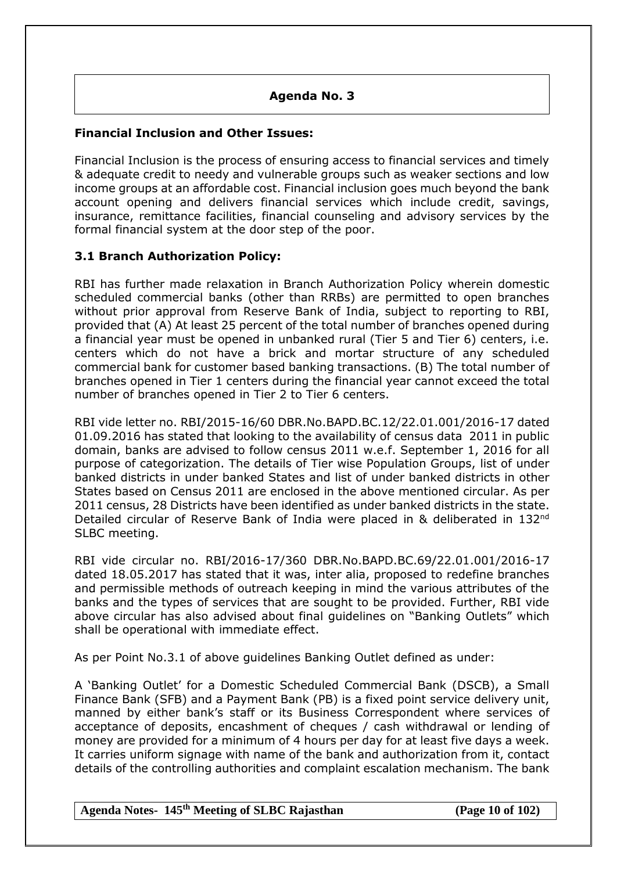## **Agenda No. 3**

## **Financial Inclusion and Other Issues:**

Financial Inclusion is the process of ensuring access to financial services and timely & adequate credit to needy and vulnerable groups such as weaker sections and low income groups at an affordable cost. Financial inclusion goes much beyond the bank account opening and delivers financial services which include credit, savings, insurance, remittance facilities, financial counseling and advisory services by the formal financial system at the door step of the poor.

## **3.1 Branch Authorization Policy:**

RBI has further made relaxation in Branch Authorization Policy wherein domestic scheduled commercial banks (other than RRBs) are permitted to open branches without prior approval from Reserve Bank of India, subject to reporting to RBI, provided that (A) At least 25 percent of the total number of branches opened during a financial year must be opened in unbanked rural (Tier 5 and Tier 6) centers, i.e. centers which do not have a brick and mortar structure of any scheduled commercial bank for customer based banking transactions. (B) The total number of branches opened in Tier 1 centers during the financial year cannot exceed the total number of branches opened in Tier 2 to Tier 6 centers.

RBI vide letter no. RBI/2015-16/60 DBR.No.BAPD.BC.12/22.01.001/2016-17 dated 01.09.2016 has stated that looking to the availability of census data 2011 in public domain, banks are advised to follow census 2011 w.e.f. September 1, 2016 for all purpose of categorization. The details of Tier wise Population Groups, list of under banked districts in under banked States and list of under banked districts in other States based on Census 2011 are enclosed in the above mentioned circular. As per 2011 census, 28 Districts have been identified as under banked districts in the state. Detailed circular of Reserve Bank of India were placed in & deliberated in 132<sup>nd</sup> SLBC meeting.

RBI vide circular no. RBI/2016-17/360 DBR.No.BAPD.BC.69/22.01.001/2016-17 dated 18.05.2017 has stated that it was, inter alia, proposed to redefine branches and permissible methods of outreach keeping in mind the various attributes of the banks and the types of services that are sought to be provided. Further, RBI vide above circular has also advised about final guidelines on "Banking Outlets" which shall be operational with immediate effect.

As per Point No.3.1 of above guidelines Banking Outlet defined as under:

A 'Banking Outlet' for a Domestic Scheduled Commercial Bank (DSCB), a Small Finance Bank (SFB) and a Payment Bank (PB) is a fixed point service delivery unit, manned by either bank's staff or its Business Correspondent where services of acceptance of deposits, encashment of cheques / cash withdrawal or lending of money are provided for a minimum of 4 hours per day for at least five days a week. It carries uniform signage with name of the bank and authorization from it, contact details of the controlling authorities and complaint escalation mechanism. The bank

**Agenda Notes- 145th Meeting of SLBC Rajasthan (Page 10 of 102)**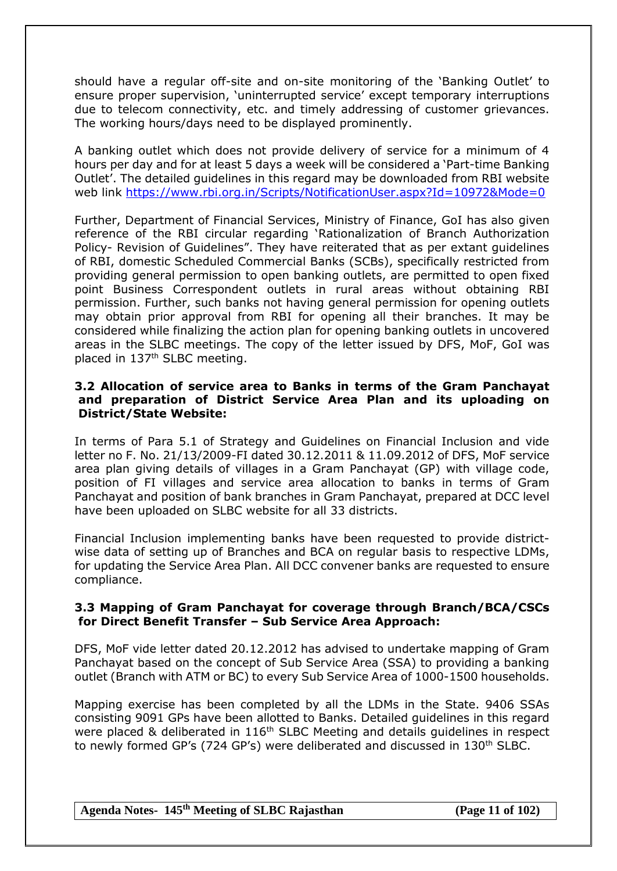should have a regular off-site and on-site monitoring of the 'Banking Outlet' to ensure proper supervision, 'uninterrupted service' except temporary interruptions due to telecom connectivity, etc. and timely addressing of customer grievances. The working hours/days need to be displayed prominently.

A banking outlet which does not provide delivery of service for a minimum of 4 hours per day and for at least 5 days a week will be considered a 'Part-time Banking Outlet'. The detailed guidelines in this regard may be downloaded from RBI website web link<https://www.rbi.org.in/Scripts/NotificationUser.aspx?Id=10972&Mode=0>

Further, Department of Financial Services, Ministry of Finance, GoI has also given reference of the RBI circular regarding 'Rationalization of Branch Authorization Policy- Revision of Guidelines". They have reiterated that as per extant guidelines of RBI, domestic Scheduled Commercial Banks (SCBs), specifically restricted from providing general permission to open banking outlets, are permitted to open fixed point Business Correspondent outlets in rural areas without obtaining RBI permission. Further, such banks not having general permission for opening outlets may obtain prior approval from RBI for opening all their branches. It may be considered while finalizing the action plan for opening banking outlets in uncovered areas in the SLBC meetings. The copy of the letter issued by DFS, MoF, GoI was placed in 137th SLBC meeting.

### **3.2 Allocation of service area to Banks in terms of the Gram Panchayat and preparation of District Service Area Plan and its uploading on District/State Website:**

In terms of Para 5.1 of Strategy and Guidelines on Financial Inclusion and vide letter no F. No. 21/13/2009-FI dated 30.12.2011 & 11.09.2012 of DFS, MoF service area plan giving details of villages in a Gram Panchayat (GP) with village code, position of FI villages and service area allocation to banks in terms of Gram Panchayat and position of bank branches in Gram Panchayat, prepared at DCC level have been uploaded on SLBC website for all 33 districts.

Financial Inclusion implementing banks have been requested to provide districtwise data of setting up of Branches and BCA on regular basis to respective LDMs, for updating the Service Area Plan. All DCC convener banks are requested to ensure compliance.

### **3.3 Mapping of Gram Panchayat for coverage through Branch/BCA/CSCs for Direct Benefit Transfer – Sub Service Area Approach:**

DFS, MoF vide letter dated 20.12.2012 has advised to undertake mapping of Gram Panchayat based on the concept of Sub Service Area (SSA) to providing a banking outlet (Branch with ATM or BC) to every Sub Service Area of 1000-1500 households.

Mapping exercise has been completed by all the LDMs in the State. 9406 SSAs consisting 9091 GPs have been allotted to Banks. Detailed guidelines in this regard were placed & deliberated in 116<sup>th</sup> SLBC Meeting and details guidelines in respect to newly formed GP's (724 GP's) were deliberated and discussed in 130th SLBC.

**Agenda Notes- 145th Meeting of SLBC Rajasthan (Page 11 of 102)**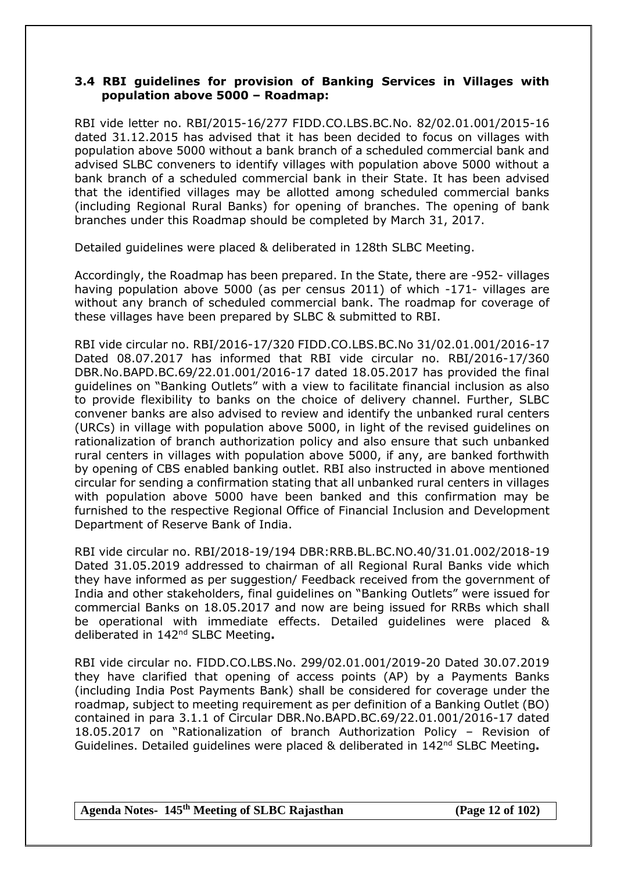### **3.4 RBI guidelines for provision of Banking Services in Villages with population above 5000 – Roadmap:**

RBI vide letter no. RBI/2015-16/277 FIDD.CO.LBS.BC.No. 82/02.01.001/2015-16 dated 31.12.2015 has advised that it has been decided to focus on villages with population above 5000 without a bank branch of a scheduled commercial bank and advised SLBC conveners to identify villages with population above 5000 without a bank branch of a scheduled commercial bank in their State. It has been advised that the identified villages may be allotted among scheduled commercial banks (including Regional Rural Banks) for opening of branches. The opening of bank branches under this Roadmap should be completed by March 31, 2017.

Detailed guidelines were placed & deliberated in 128th SLBC Meeting.

Accordingly, the Roadmap has been prepared. In the State, there are -952- villages having population above 5000 (as per census 2011) of which -171- villages are without any branch of scheduled commercial bank. The roadmap for coverage of these villages have been prepared by SLBC & submitted to RBI.

RBI vide circular no. RBI/2016-17/320 FIDD.CO.LBS.BC.No 31/02.01.001/2016-17 Dated 08.07.2017 has informed that RBI vide circular no. RBI/2016-17/360 DBR.No.BAPD.BC.69/22.01.001/2016-17 dated 18.05.2017 has provided the final guidelines on "Banking Outlets" with a view to facilitate financial inclusion as also to provide flexibility to banks on the choice of delivery channel. Further, SLBC convener banks are also advised to review and identify the unbanked rural centers (URCs) in village with population above 5000, in light of the revised guidelines on rationalization of branch authorization policy and also ensure that such unbanked rural centers in villages with population above 5000, if any, are banked forthwith by opening of CBS enabled banking outlet. RBI also instructed in above mentioned circular for sending a confirmation stating that all unbanked rural centers in villages with population above 5000 have been banked and this confirmation may be furnished to the respective Regional Office of Financial Inclusion and Development Department of Reserve Bank of India.

RBI vide circular no. RBI/2018-19/194 DBR:RRB.BL.BC.NO.40/31.01.002/2018-19 Dated 31.05.2019 addressed to chairman of all Regional Rural Banks vide which they have informed as per suggestion/ Feedback received from the government of India and other stakeholders, final guidelines on "Banking Outlets" were issued for commercial Banks on 18.05.2017 and now are being issued for RRBs which shall be operational with immediate effects. Detailed guidelines were placed & deliberated in 142nd SLBC Meeting**.**

RBI vide circular no. FIDD.CO.LBS.No. 299/02.01.001/2019-20 Dated 30.07.2019 they have clarified that opening of access points (AP) by a Payments Banks (including India Post Payments Bank) shall be considered for coverage under the roadmap, subject to meeting requirement as per definition of a Banking Outlet (BO) contained in para 3.1.1 of Circular DBR.No.BAPD.BC.69/22.01.001/2016-17 dated 18.05.2017 on "Rationalization of branch Authorization Policy – Revision of Guidelines. Detailed guidelines were placed & deliberated in 142nd SLBC Meeting**.**

**Agenda Notes- 145th Meeting of SLBC Rajasthan (Page 12 of 102)**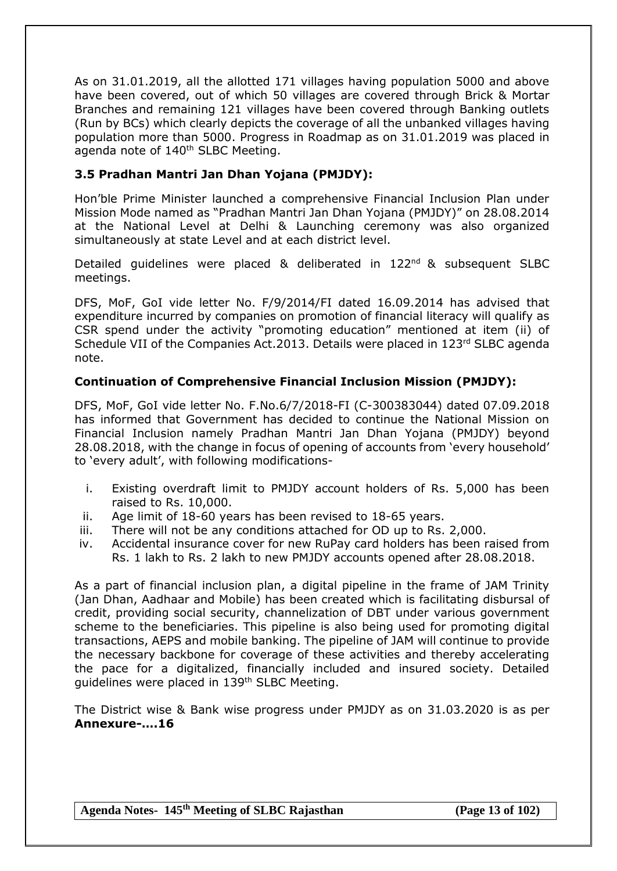As on 31.01.2019, all the allotted 171 villages having population 5000 and above have been covered, out of which 50 villages are covered through Brick & Mortar Branches and remaining 121 villages have been covered through Banking outlets (Run by BCs) which clearly depicts the coverage of all the unbanked villages having population more than 5000. Progress in Roadmap as on 31.01.2019 was placed in agenda note of 140<sup>th</sup> SLBC Meeting.

# **3.5 Pradhan Mantri Jan Dhan Yojana (PMJDY):**

Hon'ble Prime Minister launched a comprehensive Financial Inclusion Plan under Mission Mode named as "Pradhan Mantri Jan Dhan Yojana (PMJDY)" on 28.08.2014 at the National Level at Delhi & Launching ceremony was also organized simultaneously at state Level and at each district level.

Detailed guidelines were placed & deliberated in 122nd & subsequent SLBC meetings.

DFS, MoF, GoI vide letter No. F/9/2014/FI dated 16.09.2014 has advised that expenditure incurred by companies on promotion of financial literacy will qualify as CSR spend under the activity "promoting education" mentioned at item (ii) of Schedule VII of the Companies Act.2013. Details were placed in 123rd SLBC agenda note.

# **Continuation of Comprehensive Financial Inclusion Mission (PMJDY):**

DFS, MoF, GoI vide letter No. F.No.6/7/2018-FI (C-300383044) dated 07.09.2018 has informed that Government has decided to continue the National Mission on Financial Inclusion namely Pradhan Mantri Jan Dhan Yojana (PMJDY) beyond 28.08.2018, with the change in focus of opening of accounts from 'every household' to 'every adult', with following modifications-

- i. Existing overdraft limit to PMJDY account holders of Rs. 5,000 has been raised to Rs. 10,000.
- ii. Age limit of 18-60 years has been revised to 18-65 years.
- iii. There will not be any conditions attached for OD up to Rs. 2,000.
- iv. Accidental insurance cover for new RuPay card holders has been raised from Rs. 1 lakh to Rs. 2 lakh to new PMJDY accounts opened after 28.08.2018.

As a part of financial inclusion plan, a digital pipeline in the frame of JAM Trinity (Jan Dhan, Aadhaar and Mobile) has been created which is facilitating disbursal of credit, providing social security, channelization of DBT under various government scheme to the beneficiaries. This pipeline is also being used for promoting digital transactions, AEPS and mobile banking. The pipeline of JAM will continue to provide the necessary backbone for coverage of these activities and thereby accelerating the pace for a digitalized, financially included and insured society. Detailed guidelines were placed in 139<sup>th</sup> SLBC Meeting.

The District wise & Bank wise progress under PMJDY as on 31.03.2020 is as per **Annexure-….16**

**Agenda Notes- 145th Meeting of SLBC Rajasthan (Page 13 of 102)**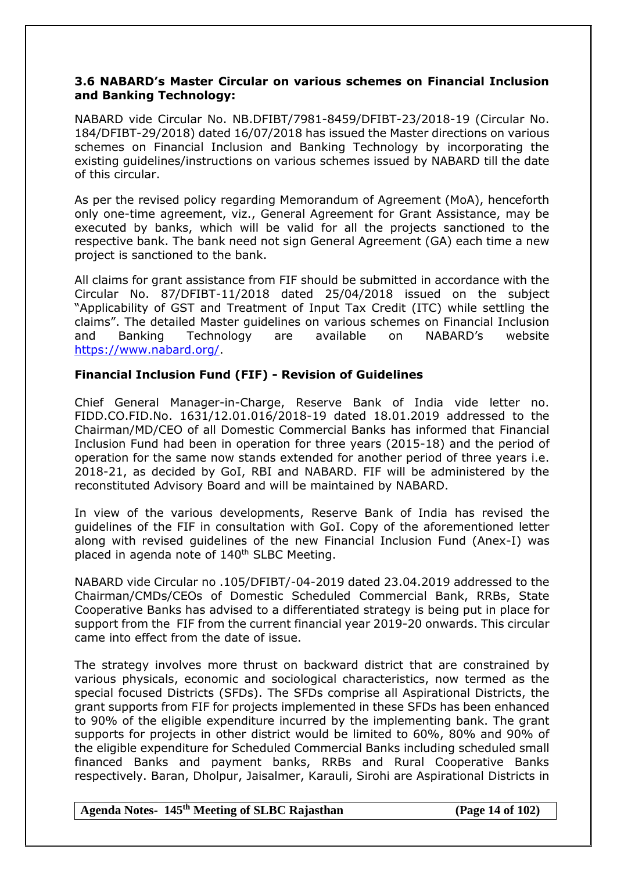## **3.6 NABARD's Master Circular on various schemes on Financial Inclusion and Banking Technology:**

NABARD vide Circular No. NB.DFIBT/7981-8459/DFIBT-23/2018-19 (Circular No. 184/DFIBT-29/2018) dated 16/07/2018 has issued the Master directions on various schemes on Financial Inclusion and Banking Technology by incorporating the existing guidelines/instructions on various schemes issued by NABARD till the date of this circular.

As per the revised policy regarding Memorandum of Agreement (MoA), henceforth only one-time agreement, viz., General Agreement for Grant Assistance, may be executed by banks, which will be valid for all the projects sanctioned to the respective bank. The bank need not sign General Agreement (GA) each time a new project is sanctioned to the bank.

All claims for grant assistance from FIF should be submitted in accordance with the Circular No. 87/DFIBT-11/2018 dated 25/04/2018 issued on the subject "Applicability of GST and Treatment of Input Tax Credit (ITC) while settling the claims". The detailed Master guidelines on various schemes on Financial Inclusion and Banking Technology are available on NABARD's website [https://www.nabard.org/.](https://www.nabard.org/)

### **Financial Inclusion Fund (FIF) - Revision of Guidelines**

Chief General Manager-in-Charge, Reserve Bank of India vide letter no. FIDD.CO.FID.No. 1631/12.01.016/2018-19 dated 18.01.2019 addressed to the Chairman/MD/CEO of all Domestic Commercial Banks has informed that Financial Inclusion Fund had been in operation for three years (2015-18) and the period of operation for the same now stands extended for another period of three years i.e. 2018-21, as decided by GoI, RBI and NABARD. FIF will be administered by the reconstituted Advisory Board and will be maintained by NABARD.

In view of the various developments, Reserve Bank of India has revised the guidelines of the FIF in consultation with GoI. Copy of the aforementioned letter along with revised guidelines of the new Financial Inclusion Fund (Anex-I) was placed in agenda note of  $140<sup>th</sup>$  SLBC Meeting.

NABARD vide Circular no .105/DFIBT/-04-2019 dated 23.04.2019 addressed to the Chairman/CMDs/CEOs of Domestic Scheduled Commercial Bank, RRBs, State Cooperative Banks has advised to a differentiated strategy is being put in place for support from the FIF from the current financial year 2019-20 onwards. This circular came into effect from the date of issue.

The strategy involves more thrust on backward district that are constrained by various physicals, economic and sociological characteristics, now termed as the special focused Districts (SFDs). The SFDs comprise all Aspirational Districts, the grant supports from FIF for projects implemented in these SFDs has been enhanced to 90% of the eligible expenditure incurred by the implementing bank. The grant supports for projects in other district would be limited to 60%, 80% and 90% of the eligible expenditure for Scheduled Commercial Banks including scheduled small financed Banks and payment banks, RRBs and Rural Cooperative Banks respectively. Baran, Dholpur, Jaisalmer, Karauli, Sirohi are Aspirational Districts in

#### **Agenda Notes- 145th Meeting of SLBC Rajasthan (Page 14 of 102)**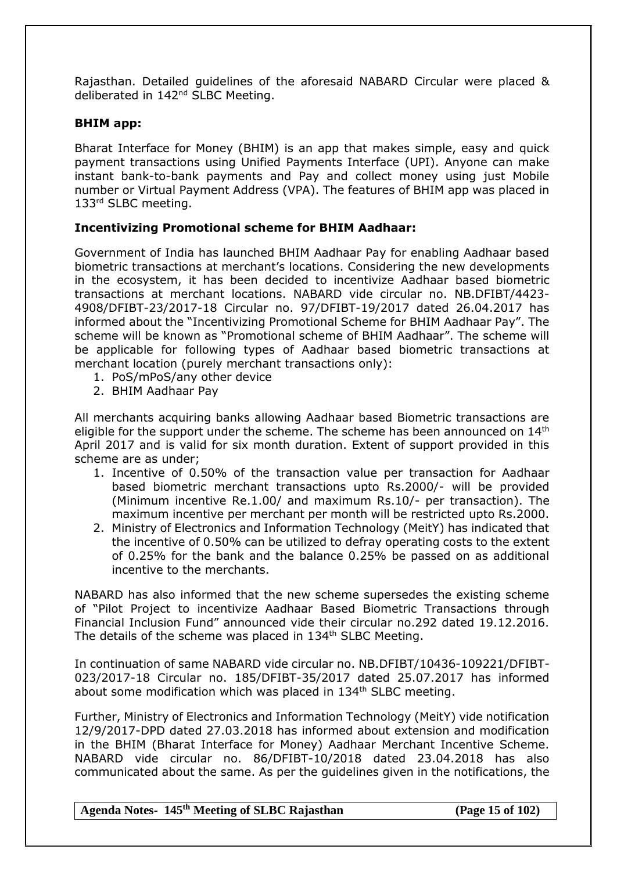Rajasthan. Detailed guidelines of the aforesaid NABARD Circular were placed & deliberated in 142<sup>nd</sup> SLBC Meeting.

#### **BHIM app:**

Bharat Interface for Money (BHIM) is an app that makes simple, easy and quick payment transactions using Unified Payments Interface (UPI). Anyone can make instant bank-to-bank payments and Pay and collect money using just Mobile number or Virtual Payment Address (VPA). The features of BHIM app was placed in 133rd SLBC meeting.

## **Incentivizing Promotional scheme for BHIM Aadhaar:**

Government of India has launched BHIM Aadhaar Pay for enabling Aadhaar based biometric transactions at merchant's locations. Considering the new developments in the ecosystem, it has been decided to incentivize Aadhaar based biometric transactions at merchant locations. NABARD vide circular no. NB.DFIBT/4423- 4908/DFIBT-23/2017-18 Circular no. 97/DFIBT-19/2017 dated 26.04.2017 has informed about the "Incentivizing Promotional Scheme for BHIM Aadhaar Pay". The scheme will be known as "Promotional scheme of BHIM Aadhaar". The scheme will be applicable for following types of Aadhaar based biometric transactions at merchant location (purely merchant transactions only):

- 1. PoS/mPoS/any other device
- 2. BHIM Aadhaar Pay

All merchants acquiring banks allowing Aadhaar based Biometric transactions are eligible for the support under the scheme. The scheme has been announced on 14<sup>th</sup> April 2017 and is valid for six month duration. Extent of support provided in this scheme are as under;

- 1. Incentive of 0.50% of the transaction value per transaction for Aadhaar based biometric merchant transactions upto Rs.2000/- will be provided (Minimum incentive Re.1.00/ and maximum Rs.10/- per transaction). The maximum incentive per merchant per month will be restricted upto Rs.2000.
- 2. Ministry of Electronics and Information Technology (MeitY) has indicated that the incentive of 0.50% can be utilized to defray operating costs to the extent of 0.25% for the bank and the balance 0.25% be passed on as additional incentive to the merchants.

NABARD has also informed that the new scheme supersedes the existing scheme of "Pilot Project to incentivize Aadhaar Based Biometric Transactions through Financial Inclusion Fund" announced vide their circular no.292 dated 19.12.2016. The details of the scheme was placed in 134<sup>th</sup> SLBC Meeting.

In continuation of same NABARD vide circular no. NB.DFIBT/10436-109221/DFIBT-023/2017-18 Circular no. 185/DFIBT-35/2017 dated 25.07.2017 has informed about some modification which was placed in 134<sup>th</sup> SLBC meeting.

Further, Ministry of Electronics and Information Technology (MeitY) vide notification 12/9/2017-DPD dated 27.03.2018 has informed about extension and modification in the BHIM (Bharat Interface for Money) Aadhaar Merchant Incentive Scheme. NABARD vide circular no. 86/DFIBT-10/2018 dated 23.04.2018 has also communicated about the same. As per the guidelines given in the notifications, the

#### **Agenda Notes- 145th Meeting of SLBC Rajasthan (Page 15 of 102)**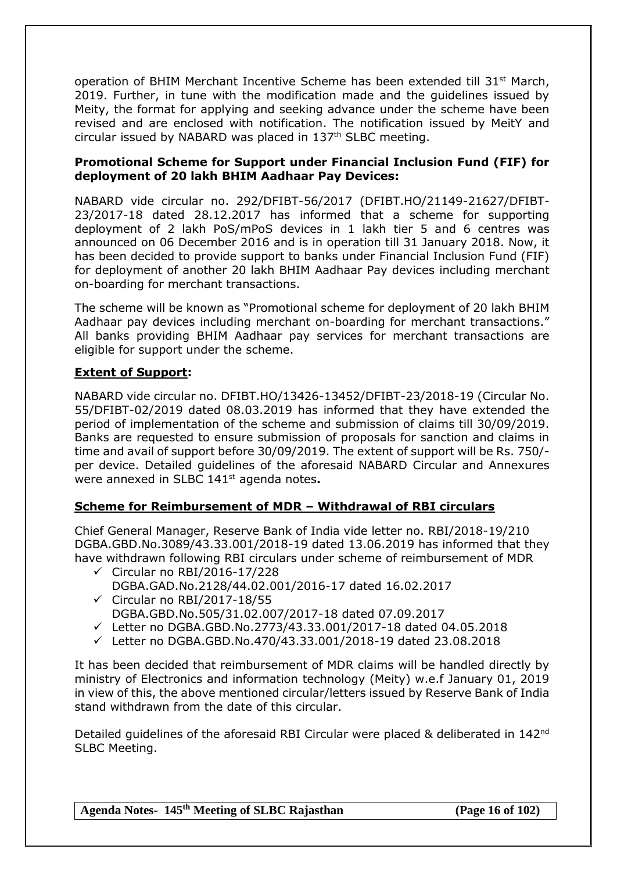operation of BHIM Merchant Incentive Scheme has been extended till 31<sup>st</sup> March, 2019. Further, in tune with the modification made and the guidelines issued by Meity, the format for applying and seeking advance under the scheme have been revised and are enclosed with notification. The notification issued by MeitY and circular issued by NABARD was placed in 137th SLBC meeting.

## **Promotional Scheme for Support under Financial Inclusion Fund (FIF) for deployment of 20 lakh BHIM Aadhaar Pay Devices:**

NABARD vide circular no. 292/DFIBT-56/2017 (DFIBT.HO/21149-21627/DFIBT-23/2017-18 dated 28.12.2017 has informed that a scheme for supporting deployment of 2 lakh PoS/mPoS devices in 1 lakh tier 5 and 6 centres was announced on 06 December 2016 and is in operation till 31 January 2018. Now, it has been decided to provide support to banks under Financial Inclusion Fund (FIF) for deployment of another 20 lakh BHIM Aadhaar Pay devices including merchant on-boarding for merchant transactions.

The scheme will be known as "Promotional scheme for deployment of 20 lakh BHIM Aadhaar pay devices including merchant on-boarding for merchant transactions." All banks providing BHIM Aadhaar pay services for merchant transactions are eligible for support under the scheme.

# **Extent of Support:**

NABARD vide circular no. DFIBT.HO/13426-13452/DFIBT-23/2018-19 (Circular No. 55/DFIBT-02/2019 dated 08.03.2019 has informed that they have extended the period of implementation of the scheme and submission of claims till 30/09/2019. Banks are requested to ensure submission of proposals for sanction and claims in time and avail of support before 30/09/2019. The extent of support will be Rs. 750/ per device. Detailed guidelines of the aforesaid NABARD Circular and Annexures were annexed in SLBC 141st agenda notes**.**

# **Scheme for Reimbursement of MDR – Withdrawal of RBI circulars**

Chief General Manager, Reserve Bank of India vide letter no. RBI/2018-19/210 DGBA.GBD.No.3089/43.33.001/2018-19 dated 13.06.2019 has informed that they have withdrawn following RBI circulars under scheme of reimbursement of MDR

- $\checkmark$  Circular no RBI/2016-17/228 DGBA.GAD.No.2128/44.02.001/2016-17 dated 16.02.2017
- $\checkmark$  Circular no RBI/2017-18/55
- DGBA.GBD.No.505/31.02.007/2017-18 dated 07.09.2017
- Letter no DGBA.GBD.No.2773/43.33.001/2017-18 dated 04.05.2018
- $\checkmark$  Letter no DGBA.GBD.No.470/43.33.001/2018-19 dated 23.08.2018

It has been decided that reimbursement of MDR claims will be handled directly by ministry of Electronics and information technology (Meity) w.e.f January 01, 2019 in view of this, the above mentioned circular/letters issued by Reserve Bank of India stand withdrawn from the date of this circular.

Detailed guidelines of the aforesaid RBI Circular were placed & deliberated in 142<sup>nd</sup> SLBC Meeting.

**Agenda Notes- 145th Meeting of SLBC Rajasthan (Page 16 of 102)**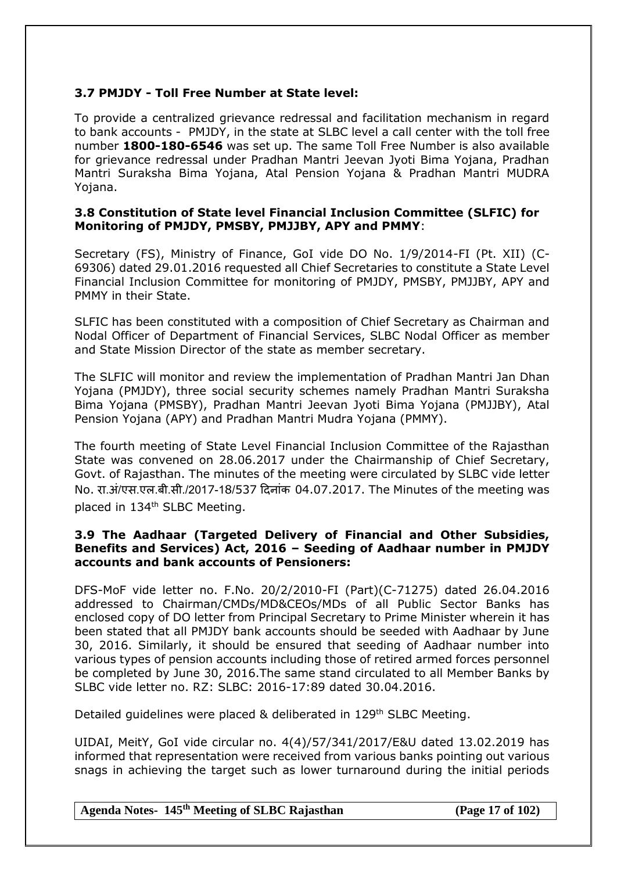# **3.7 PMJDY - Toll Free Number at State level:**

To provide a centralized grievance redressal and facilitation mechanism in regard to bank accounts - PMJDY, in the state at SLBC level a call center with the toll free number **1800-180-6546** was set up. The same Toll Free Number is also available for grievance redressal under Pradhan Mantri Jeevan Jyoti Bima Yojana, Pradhan Mantri Suraksha Bima Yojana, Atal Pension Yojana & Pradhan Mantri MUDRA Yojana.

## **3.8 Constitution of State level Financial Inclusion Committee (SLFIC) for Monitoring of PMJDY, PMSBY, PMJJBY, APY and PMMY**:

Secretary (FS), Ministry of Finance, GoI vide DO No. 1/9/2014-FI (Pt. XII) (C-69306) dated 29.01.2016 requested all Chief Secretaries to constitute a State Level Financial Inclusion Committee for monitoring of PMJDY, PMSBY, PMJJBY, APY and PMMY in their State.

SLFIC has been constituted with a composition of Chief Secretary as Chairman and Nodal Officer of Department of Financial Services, SLBC Nodal Officer as member and State Mission Director of the state as member secretary.

The SLFIC will monitor and review the implementation of Pradhan Mantri Jan Dhan Yojana (PMJDY), three social security schemes namely Pradhan Mantri Suraksha Bima Yojana (PMSBY), Pradhan Mantri Jeevan Jyoti Bima Yojana (PMJJBY), Atal Pension Yojana (APY) and Pradhan Mantri Mudra Yojana (PMMY).

The fourth meeting of State Level Financial Inclusion Committee of the Rajasthan State was convened on 28.06.2017 under the Chairmanship of Chief Secretary, Govt. of Rajasthan. The minutes of the meeting were circulated by SLBC vide letter No. रा.अं/एस.एल.बी.सी./2017-18/537 दिनांक 04.07.2017. The Minutes of the meeting was placed in 134<sup>th</sup> SLBC Meeting.

## **3.9 The Aadhaar (Targeted Delivery of Financial and Other Subsidies, Benefits and Services) Act, 2016 – Seeding of Aadhaar number in PMJDY accounts and bank accounts of Pensioners:**

DFS-MoF vide letter no. F.No. 20/2/2010-FI (Part)(C-71275) dated 26.04.2016 addressed to Chairman/CMDs/MD&CEOs/MDs of all Public Sector Banks has enclosed copy of DO letter from Principal Secretary to Prime Minister wherein it has been stated that all PMJDY bank accounts should be seeded with Aadhaar by June 30, 2016. Similarly, it should be ensured that seeding of Aadhaar number into various types of pension accounts including those of retired armed forces personnel be completed by June 30, 2016.The same stand circulated to all Member Banks by SLBC vide letter no. RZ: SLBC: 2016-17:89 dated 30.04.2016.

Detailed guidelines were placed & deliberated in 129<sup>th</sup> SLBC Meeting.

UIDAI, MeitY, GoI vide circular no. 4(4)/57/341/2017/E&U dated 13.02.2019 has informed that representation were received from various banks pointing out various snags in achieving the target such as lower turnaround during the initial periods

**Agenda Notes- 145th Meeting of SLBC Rajasthan (Page 17 of 102)**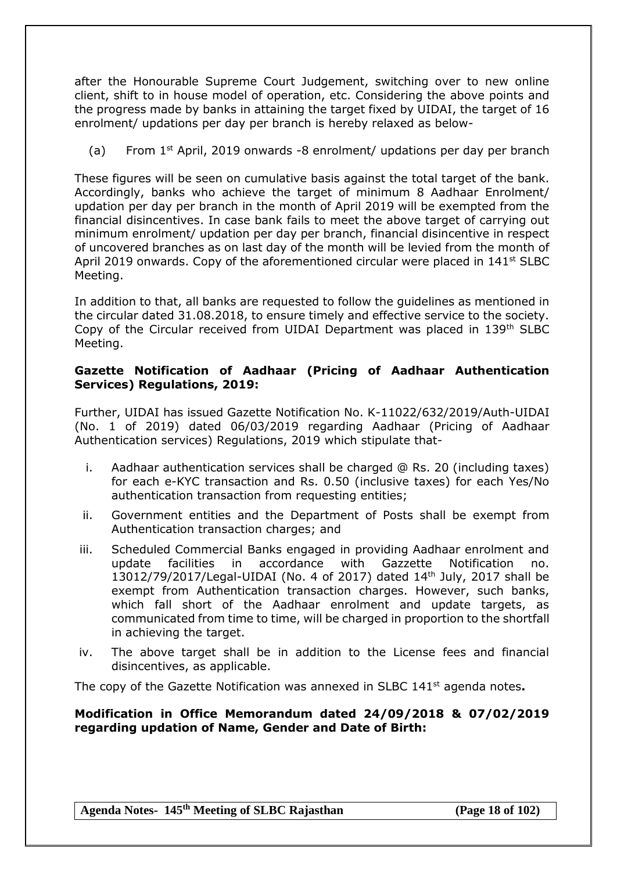after the Honourable Supreme Court Judgement, switching over to new online client, shift to in house model of operation, etc. Considering the above points and the progress made by banks in attaining the target fixed by UIDAI, the target of 16 enrolment/ updations per day per branch is hereby relaxed as below-

(a) From  $1<sup>st</sup>$  April, 2019 onwards -8 enrolment/ updations per day per branch

These figures will be seen on cumulative basis against the total target of the bank. Accordingly, banks who achieve the target of minimum 8 Aadhaar Enrolment/ updation per day per branch in the month of April 2019 will be exempted from the financial disincentives. In case bank fails to meet the above target of carrying out minimum enrolment/ updation per day per branch, financial disincentive in respect of uncovered branches as on last day of the month will be levied from the month of April 2019 onwards. Copy of the aforementioned circular were placed in  $141<sup>st</sup>$  SLBC Meeting.

In addition to that, all banks are requested to follow the guidelines as mentioned in the circular dated 31.08.2018, to ensure timely and effective service to the society. Copy of the Circular received from UIDAI Department was placed in 139th SLBC Meeting.

## **Gazette Notification of Aadhaar (Pricing of Aadhaar Authentication Services) Regulations, 2019:**

Further, UIDAI has issued Gazette Notification No. K-11022/632/2019/Auth-UIDAI (No. 1 of 2019) dated 06/03/2019 regarding Aadhaar (Pricing of Aadhaar Authentication services) Regulations, 2019 which stipulate that-

- i. Aadhaar authentication services shall be charged @ Rs. 20 (including taxes) for each e-KYC transaction and Rs. 0.50 (inclusive taxes) for each Yes/No authentication transaction from requesting entities;
- ii. Government entities and the Department of Posts shall be exempt from Authentication transaction charges; and
- iii. Scheduled Commercial Banks engaged in providing Aadhaar enrolment and update facilities in accordance with Gazzette Notification no. 13012/79/2017/Legal-UIDAI (No. 4 of 2017) dated 14th July, 2017 shall be exempt from Authentication transaction charges. However, such banks, which fall short of the Aadhaar enrolment and update targets, as communicated from time to time, will be charged in proportion to the shortfall in achieving the target.
- iv. The above target shall be in addition to the License fees and financial disincentives, as applicable.

The copy of the Gazette Notification was annexed in SLBC 141st agenda notes**.**

## **Modification in Office Memorandum dated 24/09/2018 & 07/02/2019 regarding updation of Name, Gender and Date of Birth:**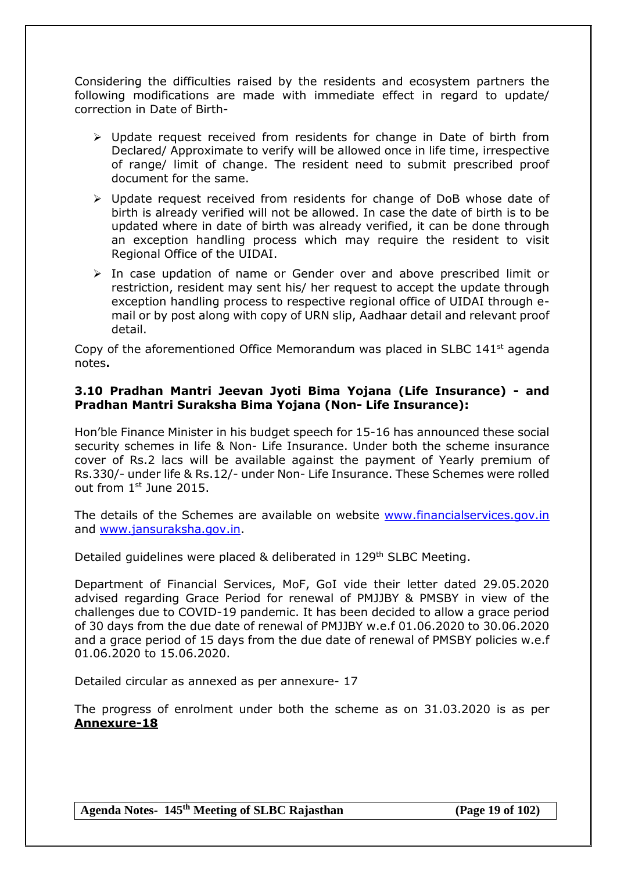Considering the difficulties raised by the residents and ecosystem partners the following modifications are made with immediate effect in regard to update/ correction in Date of Birth-

- $\triangleright$  Update request received from residents for change in Date of birth from Declared/ Approximate to verify will be allowed once in life time, irrespective of range/ limit of change. The resident need to submit prescribed proof document for the same.
- $\triangleright$  Update request received from residents for change of DoB whose date of birth is already verified will not be allowed. In case the date of birth is to be updated where in date of birth was already verified, it can be done through an exception handling process which may require the resident to visit Regional Office of the UIDAI.
- $\triangleright$  In case updation of name or Gender over and above prescribed limit or restriction, resident may sent his/ her request to accept the update through exception handling process to respective regional office of UIDAI through email or by post along with copy of URN slip, Aadhaar detail and relevant proof detail.

Copy of the aforementioned Office Memorandum was placed in SLBC 141st agenda notes**.**

## **3.10 Pradhan Mantri Jeevan Jyoti Bima Yojana (Life Insurance) - and Pradhan Mantri Suraksha Bima Yojana (Non- Life Insurance):**

Hon'ble Finance Minister in his budget speech for 15-16 has announced these social security schemes in life & Non- Life Insurance. Under both the scheme insurance cover of Rs.2 lacs will be available against the payment of Yearly premium of Rs.330/- under life & Rs.12/- under Non- Life Insurance. These Schemes were rolled out from 1<sup>st</sup> June 2015.

The details of the Schemes are available on website www.financialservices.gov.in and [www.jansuraksha.gov.in.](http://www.jansuraksha.gov.in/)

Detailed quidelines were placed & deliberated in 129<sup>th</sup> SLBC Meeting.

Department of Financial Services, MoF, GoI vide their letter dated 29.05.2020 advised regarding Grace Period for renewal of PMJJBY & PMSBY in view of the challenges due to COVID-19 pandemic. It has been decided to allow a grace period of 30 days from the due date of renewal of PMJJBY w.e.f 01.06.2020 to 30.06.2020 and a grace period of 15 days from the due date of renewal of PMSBY policies w.e.f 01.06.2020 to 15.06.2020.

Detailed circular as annexed as per annexure- 17

The progress of enrolment under both the scheme as on 31.03.2020 is as per **Annexure-18**

**Agenda Notes- 145th Meeting of SLBC Rajasthan (Page 19 of 102)**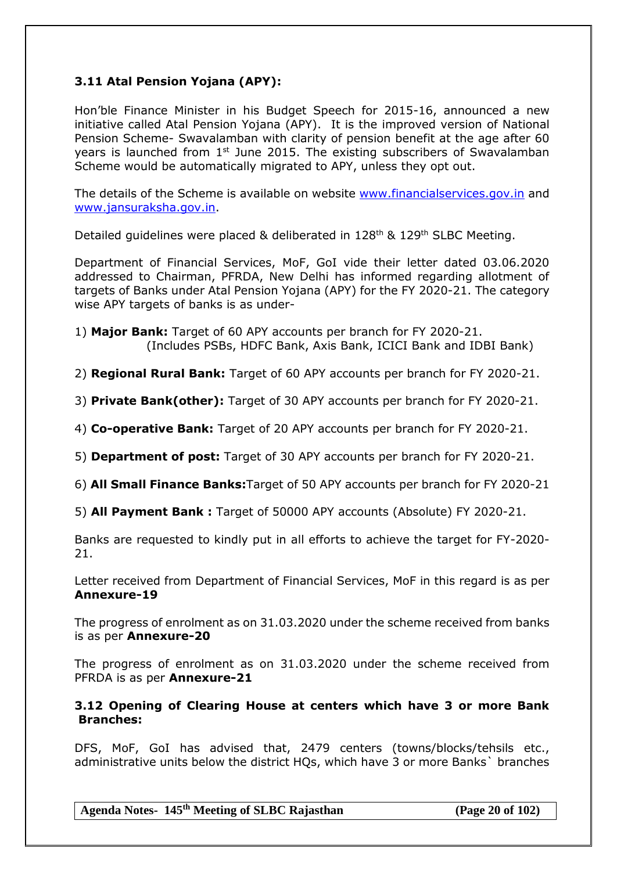# **3.11 Atal Pension Yojana (APY):**

Hon'ble Finance Minister in his Budget Speech for 2015-16, announced a new initiative called Atal Pension Yojana (APY). It is the improved version of National Pension Scheme- Swavalamban with clarity of pension benefit at the age after 60 years is launched from 1<sup>st</sup> June 2015. The existing subscribers of Swavalamban Scheme would be automatically migrated to APY, unless they opt out.

The details of the Scheme is available on website [www.financialservices.gov.in](http://www.financialservices.gov.in/) and [www.jansuraksha.gov.in.](http://www.jansuraksha.gov.in/)

Detailed guidelines were placed & deliberated in 128<sup>th</sup> & 129<sup>th</sup> SLBC Meeting.

Department of Financial Services, MoF, GoI vide their letter dated 03.06.2020 addressed to Chairman, PFRDA, New Delhi has informed regarding allotment of targets of Banks under Atal Pension Yojana (APY) for the FY 2020-21. The category wise APY targets of banks is as under-

1) **Major Bank:** Target of 60 APY accounts per branch for FY 2020-21. (Includes PSBs, HDFC Bank, Axis Bank, ICICI Bank and IDBI Bank)

2) **Regional Rural Bank:** Target of 60 APY accounts per branch for FY 2020-21.

3) **Private Bank(other):** Target of 30 APY accounts per branch for FY 2020-21.

4) **Co-operative Bank:** Target of 20 APY accounts per branch for FY 2020-21.

5) **Department of post:** Target of 30 APY accounts per branch for FY 2020-21.

6) **All Small Finance Banks:**Target of 50 APY accounts per branch for FY 2020-21

5) **All Payment Bank :** Target of 50000 APY accounts (Absolute) FY 2020-21.

Banks are requested to kindly put in all efforts to achieve the target for FY-2020- 21.

Letter received from Department of Financial Services, MoF in this regard is as per **Annexure-19**

The progress of enrolment as on 31.03.2020 under the scheme received from banks is as per **Annexure-20**

The progress of enrolment as on 31.03.2020 under the scheme received from PFRDA is as per **Annexure-21**

## **3.12 Opening of Clearing House at centers which have 3 or more Bank Branches:**

DFS, MoF, GoI has advised that, 2479 centers (towns/blocks/tehsils etc., administrative units below the district HQs, which have 3 or more Banks` branches

**Agenda Notes- 145th Meeting of SLBC Rajasthan (Page 20 of 102)**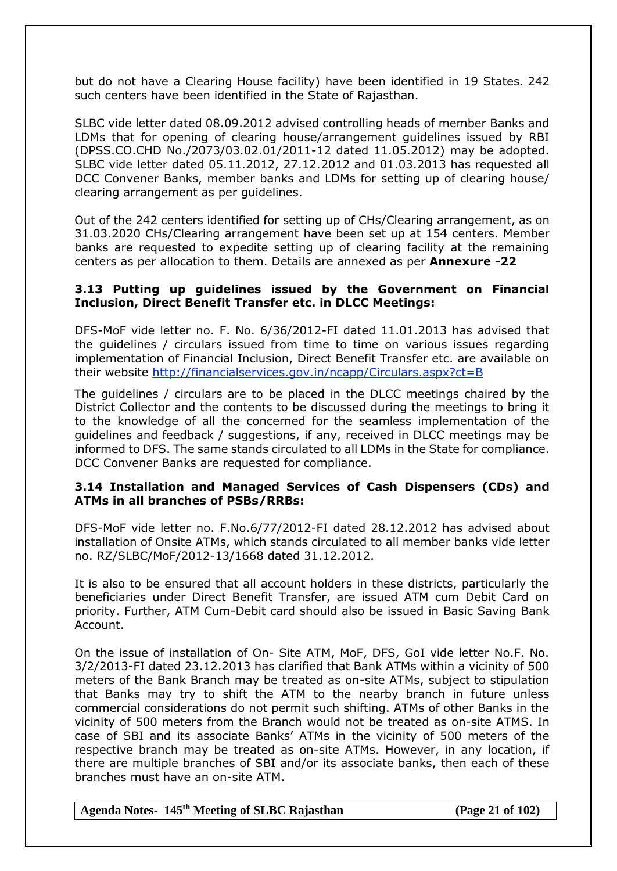but do not have a Clearing House facility) have been identified in 19 States. 242 such centers have been identified in the State of Rajasthan.

SLBC vide letter dated 08.09.2012 advised controlling heads of member Banks and LDMs that for opening of clearing house/arrangement guidelines issued by RBI (DPSS.CO.CHD No./2073/03.02.01/2011-12 dated 11.05.2012) may be adopted. SLBC vide letter dated 05.11.2012, 27.12.2012 and 01.03.2013 has requested all DCC Convener Banks, member banks and LDMs for setting up of clearing house/ clearing arrangement as per guidelines.

Out of the 242 centers identified for setting up of CHs/Clearing arrangement, as on 31.03.2020 CHs/Clearing arrangement have been set up at 154 centers. Member banks are requested to expedite setting up of clearing facility at the remaining centers as per allocation to them. Details are annexed as per **Annexure -22**

#### **3.13 Putting up guidelines issued by the Government on Financial Inclusion, Direct Benefit Transfer etc. in DLCC Meetings:**

DFS-MoF vide letter no. F. No. 6/36/2012-FI dated 11.01.2013 has advised that the guidelines / circulars issued from time to time on various issues regarding implementation of Financial Inclusion, Direct Benefit Transfer etc. are available on their website<http://financialservices.gov.in/ncapp/Circulars.aspx?ct=B>

The guidelines / circulars are to be placed in the DLCC meetings chaired by the District Collector and the contents to be discussed during the meetings to bring it to the knowledge of all the concerned for the seamless implementation of the guidelines and feedback / suggestions, if any, received in DLCC meetings may be informed to DFS. The same stands circulated to all LDMs in the State for compliance. DCC Convener Banks are requested for compliance.

### **3.14 Installation and Managed Services of Cash Dispensers (CDs) and ATMs in all branches of PSBs/RRBs:**

DFS-MoF vide letter no. F.No.6/77/2012-FI dated 28.12.2012 has advised about installation of Onsite ATMs, which stands circulated to all member banks vide letter no. RZ/SLBC/MoF/2012-13/1668 dated 31.12.2012.

It is also to be ensured that all account holders in these districts, particularly the beneficiaries under Direct Benefit Transfer, are issued ATM cum Debit Card on priority. Further, ATM Cum-Debit card should also be issued in Basic Saving Bank Account.

On the issue of installation of On- Site ATM, MoF, DFS, GoI vide letter No.F. No. 3/2/2013-FI dated 23.12.2013 has clarified that Bank ATMs within a vicinity of 500 meters of the Bank Branch may be treated as on-site ATMs, subject to stipulation that Banks may try to shift the ATM to the nearby branch in future unless commercial considerations do not permit such shifting. ATMs of other Banks in the vicinity of 500 meters from the Branch would not be treated as on-site ATMS. In case of SBI and its associate Banks' ATMs in the vicinity of 500 meters of the respective branch may be treated as on-site ATMs. However, in any location, if there are multiple branches of SBI and/or its associate banks, then each of these branches must have an on-site ATM.

**Agenda Notes- 145th Meeting of SLBC Rajasthan (Page 21 of 102)**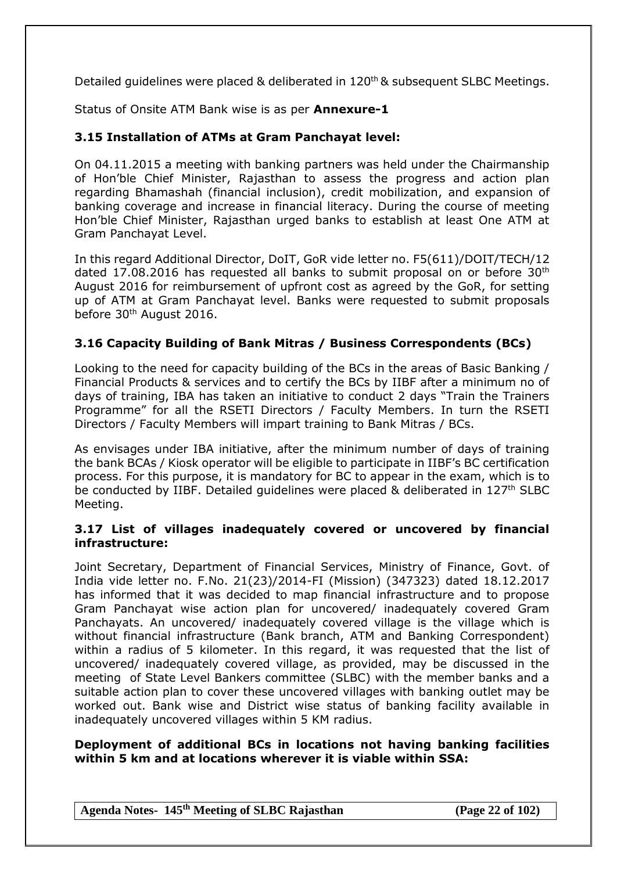Detailed guidelines were placed & deliberated in 120<sup>th</sup> & subsequent SLBC Meetings.

Status of Onsite ATM Bank wise is as per **Annexure-1**

# **3.15 Installation of ATMs at Gram Panchayat level:**

On 04.11.2015 a meeting with banking partners was held under the Chairmanship of Hon'ble Chief Minister, Rajasthan to assess the progress and action plan regarding Bhamashah (financial inclusion), credit mobilization, and expansion of banking coverage and increase in financial literacy. During the course of meeting Hon'ble Chief Minister, Rajasthan urged banks to establish at least One ATM at Gram Panchayat Level.

In this regard Additional Director, DoIT, GoR vide letter no. F5(611)/DOIT/TECH/12 dated 17.08.2016 has requested all banks to submit proposal on or before  $30<sup>th</sup>$ August 2016 for reimbursement of upfront cost as agreed by the GoR, for setting up of ATM at Gram Panchayat level. Banks were requested to submit proposals before 30th August 2016.

## **3.16 Capacity Building of Bank Mitras / Business Correspondents (BCs)**

Looking to the need for capacity building of the BCs in the areas of Basic Banking / Financial Products & services and to certify the BCs by IIBF after a minimum no of days of training, IBA has taken an initiative to conduct 2 days "Train the Trainers Programme" for all the RSETI Directors / Faculty Members. In turn the RSETI Directors / Faculty Members will impart training to Bank Mitras / BCs.

As envisages under IBA initiative, after the minimum number of days of training the bank BCAs / Kiosk operator will be eligible to participate in IIBF's BC certification process. For this purpose, it is mandatory for BC to appear in the exam, which is to be conducted by IIBF. Detailed guidelines were placed & deliberated in 127<sup>th</sup> SLBC Meeting.

### **3.17 List of villages inadequately covered or uncovered by financial infrastructure:**

Joint Secretary, Department of Financial Services, Ministry of Finance, Govt. of India vide letter no. F.No. 21(23)/2014-FI (Mission) (347323) dated 18.12.2017 has informed that it was decided to map financial infrastructure and to propose Gram Panchayat wise action plan for uncovered/ inadequately covered Gram Panchayats. An uncovered/ inadequately covered village is the village which is without financial infrastructure (Bank branch, ATM and Banking Correspondent) within a radius of 5 kilometer. In this regard, it was requested that the list of uncovered/ inadequately covered village, as provided, may be discussed in the meeting of State Level Bankers committee (SLBC) with the member banks and a suitable action plan to cover these uncovered villages with banking outlet may be worked out. Bank wise and District wise status of banking facility available in inadequately uncovered villages within 5 KM radius.

### **Deployment of additional BCs in locations not having banking facilities within 5 km and at locations wherever it is viable within SSA:**

**Agenda Notes- 145th Meeting of SLBC Rajasthan (Page 22 of 102)**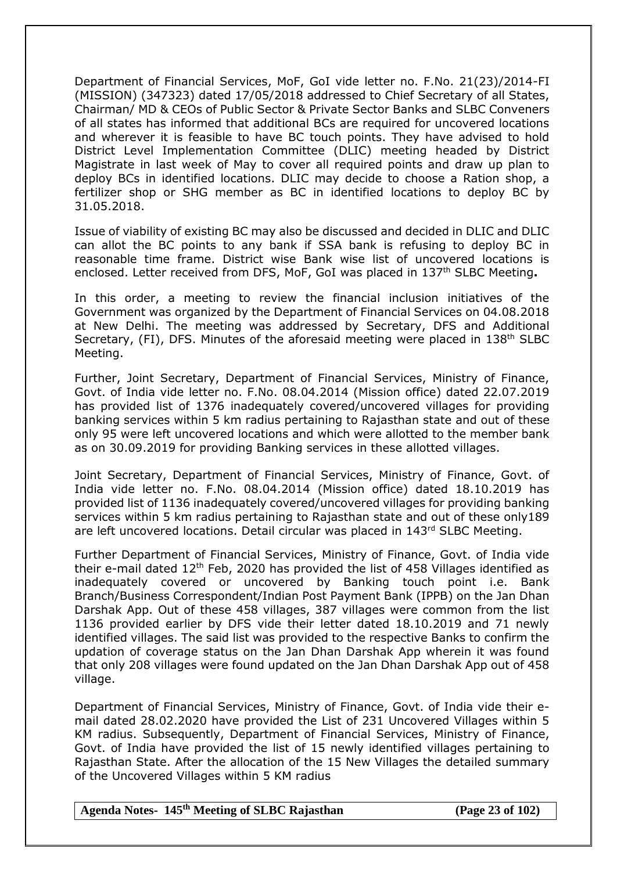Department of Financial Services, MoF, GoI vide letter no. F.No. 21(23)/2014-FI (MISSION) (347323) dated 17/05/2018 addressed to Chief Secretary of all States, Chairman/ MD & CEOs of Public Sector & Private Sector Banks and SLBC Conveners of all states has informed that additional BCs are required for uncovered locations and wherever it is feasible to have BC touch points. They have advised to hold District Level Implementation Committee (DLIC) meeting headed by District Magistrate in last week of May to cover all required points and draw up plan to deploy BCs in identified locations. DLIC may decide to choose a Ration shop, a fertilizer shop or SHG member as BC in identified locations to deploy BC by 31.05.2018.

Issue of viability of existing BC may also be discussed and decided in DLIC and DLIC can allot the BC points to any bank if SSA bank is refusing to deploy BC in reasonable time frame. District wise Bank wise list of uncovered locations is enclosed. Letter received from DFS, MoF, GoI was placed in 137th SLBC Meeting**.**

In this order, a meeting to review the financial inclusion initiatives of the Government was organized by the Department of Financial Services on 04.08.2018 at New Delhi. The meeting was addressed by Secretary, DFS and Additional Secretary, (FI), DFS. Minutes of the aforesaid meeting were placed in  $138<sup>th</sup>$  SLBC Meeting.

Further, Joint Secretary, Department of Financial Services, Ministry of Finance, Govt. of India vide letter no. F.No. 08.04.2014 (Mission office) dated 22.07.2019 has provided list of 1376 inadequately covered/uncovered villages for providing banking services within 5 km radius pertaining to Rajasthan state and out of these only 95 were left uncovered locations and which were allotted to the member bank as on 30.09.2019 for providing Banking services in these allotted villages.

Joint Secretary, Department of Financial Services, Ministry of Finance, Govt. of India vide letter no. F.No. 08.04.2014 (Mission office) dated 18.10.2019 has provided list of 1136 inadequately covered/uncovered villages for providing banking services within 5 km radius pertaining to Rajasthan state and out of these only189 are left uncovered locations. Detail circular was placed in 143<sup>rd</sup> SLBC Meeting.

Further Department of Financial Services, Ministry of Finance, Govt. of India vide their e-mail dated  $12<sup>th</sup>$  Feb, 2020 has provided the list of 458 Villages identified as inadequately covered or uncovered by Banking touch point i.e. Bank Branch/Business Correspondent/Indian Post Payment Bank (IPPB) on the Jan Dhan Darshak App. Out of these 458 villages, 387 villages were common from the list 1136 provided earlier by DFS vide their letter dated 18.10.2019 and 71 newly identified villages. The said list was provided to the respective Banks to confirm the updation of coverage status on the Jan Dhan Darshak App wherein it was found that only 208 villages were found updated on the Jan Dhan Darshak App out of 458 village.

Department of Financial Services, Ministry of Finance, Govt. of India vide their email dated 28.02.2020 have provided the List of 231 Uncovered Villages within 5 KM radius. Subsequently, Department of Financial Services, Ministry of Finance, Govt. of India have provided the list of 15 newly identified villages pertaining to Rajasthan State. After the allocation of the 15 New Villages the detailed summary of the Uncovered Villages within 5 KM radius

**Agenda Notes- 145th Meeting of SLBC Rajasthan (Page 23 of 102)**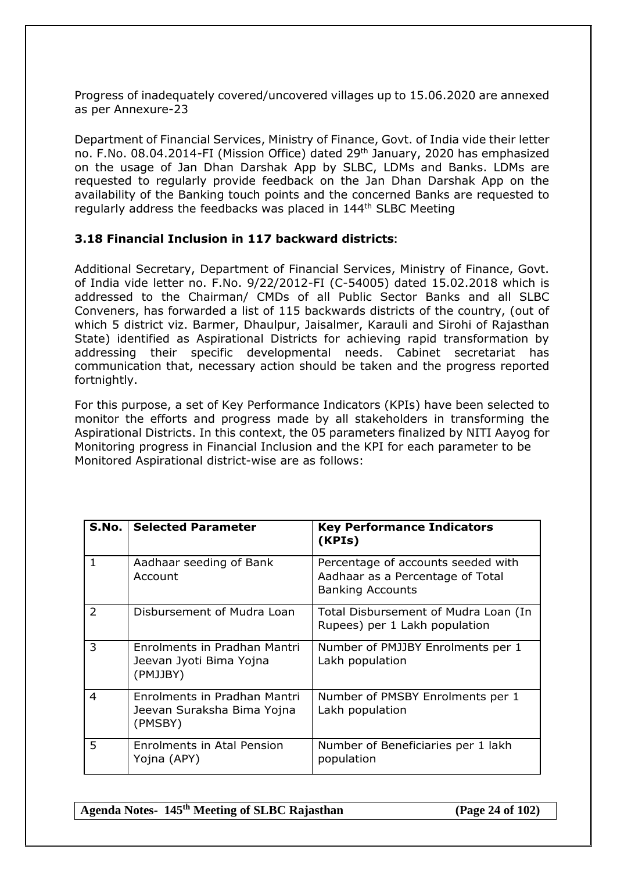Progress of inadequately covered/uncovered villages up to 15.06.2020 are annexed as per Annexure-23

Department of Financial Services, Ministry of Finance, Govt. of India vide their letter no. F.No. 08.04.2014-FI (Mission Office) dated 29th January, 2020 has emphasized on the usage of Jan Dhan Darshak App by SLBC, LDMs and Banks. LDMs are requested to regularly provide feedback on the Jan Dhan Darshak App on the availability of the Banking touch points and the concerned Banks are requested to regularly address the feedbacks was placed in 144<sup>th</sup> SLBC Meeting

## **3.18 Financial Inclusion in 117 backward districts:**

Additional Secretary, Department of Financial Services, Ministry of Finance, Govt. of India vide letter no. F.No. 9/22/2012-FI (C-54005) dated 15.02.2018 which is addressed to the Chairman/ CMDs of all Public Sector Banks and all SLBC Conveners, has forwarded a list of 115 backwards districts of the country, (out of which 5 district viz. Barmer, Dhaulpur, Jaisalmer, Karauli and Sirohi of Rajasthan State) identified as Aspirational Districts for achieving rapid transformation by addressing their specific developmental needs. Cabinet secretariat has communication that, necessary action should be taken and the progress reported fortnightly.

For this purpose, a set of Key Performance Indicators (KPIs) have been selected to monitor the efforts and progress made by all stakeholders in transforming the Aspirational Districts. In this context, the 05 parameters finalized by NITI Aayog for Monitoring progress in Financial Inclusion and the KPI for each parameter to be Monitored Aspirational district-wise are as follows:

|                | <b>S.No.   Selected Parameter</b>                                     | <b>Key Performance Indicators</b><br>(KPIs)                                                       |
|----------------|-----------------------------------------------------------------------|---------------------------------------------------------------------------------------------------|
| $\mathbf{1}$   | Aadhaar seeding of Bank<br>Account                                    | Percentage of accounts seeded with<br>Aadhaar as a Percentage of Total<br><b>Banking Accounts</b> |
| $\mathcal{L}$  | Disbursement of Mudra Loan                                            | Total Disbursement of Mudra Loan (In<br>Rupees) per 1 Lakh population                             |
| 3              | Enrolments in Pradhan Mantri<br>Jeevan Jyoti Bima Yojna<br>(PMJJBY)   | Number of PMJJBY Enrolments per 1<br>Lakh population                                              |
| $\overline{4}$ | Enrolments in Pradhan Mantri<br>Jeevan Suraksha Bima Yojna<br>(PMSBY) | Number of PMSBY Enrolments per 1<br>Lakh population                                               |
| 5.             | Enrolments in Atal Pension<br>Yojna (APY)                             | Number of Beneficiaries per 1 lakh<br>population                                                  |

**Agenda Notes- 145th Meeting of SLBC Rajasthan (Page 24 of 102)**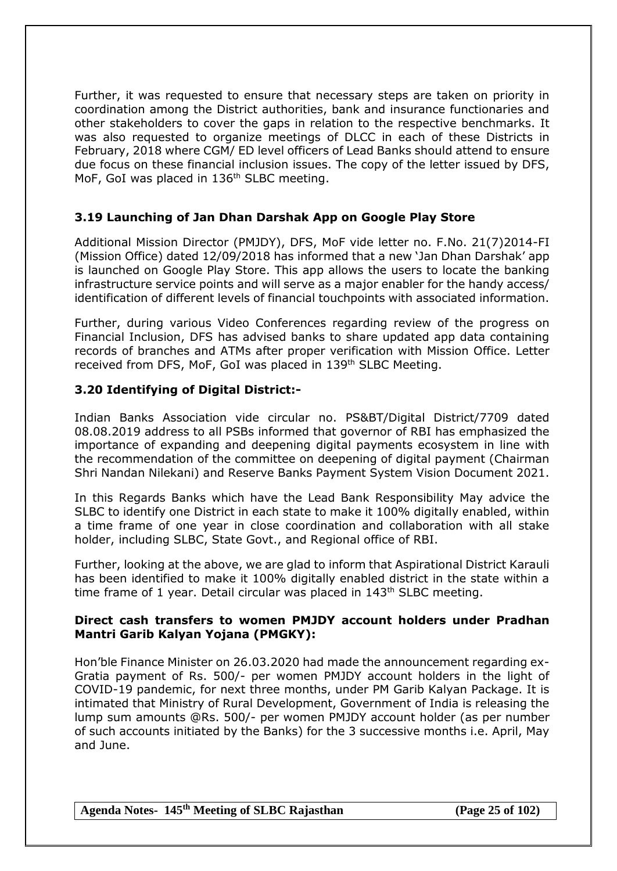Further, it was requested to ensure that necessary steps are taken on priority in coordination among the District authorities, bank and insurance functionaries and other stakeholders to cover the gaps in relation to the respective benchmarks. It was also requested to organize meetings of DLCC in each of these Districts in February, 2018 where CGM/ ED level officers of Lead Banks should attend to ensure due focus on these financial inclusion issues. The copy of the letter issued by DFS, MoF, GoI was placed in 136<sup>th</sup> SLBC meeting.

# **3.19 Launching of Jan Dhan Darshak App on Google Play Store**

Additional Mission Director (PMJDY), DFS, MoF vide letter no. F.No. 21(7)2014-FI (Mission Office) dated 12/09/2018 has informed that a new 'Jan Dhan Darshak' app is launched on Google Play Store. This app allows the users to locate the banking infrastructure service points and will serve as a major enabler for the handy access/ identification of different levels of financial touchpoints with associated information.

Further, during various Video Conferences regarding review of the progress on Financial Inclusion, DFS has advised banks to share updated app data containing records of branches and ATMs after proper verification with Mission Office. Letter received from DFS, MoF, GoI was placed in 139<sup>th</sup> SLBC Meeting.

# **3.20 Identifying of Digital District:-**

Indian Banks Association vide circular no. PS&BT/Digital District/7709 dated 08.08.2019 address to all PSBs informed that governor of RBI has emphasized the importance of expanding and deepening digital payments ecosystem in line with the recommendation of the committee on deepening of digital payment (Chairman Shri Nandan Nilekani) and Reserve Banks Payment System Vision Document 2021.

In this Regards Banks which have the Lead Bank Responsibility May advice the SLBC to identify one District in each state to make it 100% digitally enabled, within a time frame of one year in close coordination and collaboration with all stake holder, including SLBC, State Govt., and Regional office of RBI.

Further, looking at the above, we are glad to inform that Aspirational District Karauli has been identified to make it 100% digitally enabled district in the state within a time frame of 1 year. Detail circular was placed in  $143<sup>th</sup>$  SLBC meeting.

## **Direct cash transfers to women PMJDY account holders under Pradhan Mantri Garib Kalyan Yojana (PMGKY):**

Hon'ble Finance Minister on 26.03.2020 had made the announcement regarding ex-Gratia payment of Rs. 500/- per women PMJDY account holders in the light of COVID-19 pandemic, for next three months, under PM Garib Kalyan Package. It is intimated that Ministry of Rural Development, Government of India is releasing the lump sum amounts @Rs. 500/- per women PMJDY account holder (as per number of such accounts initiated by the Banks) for the 3 successive months i.e. April, May and June.

**Agenda Notes- 145th Meeting of SLBC Rajasthan (Page 25 of 102)**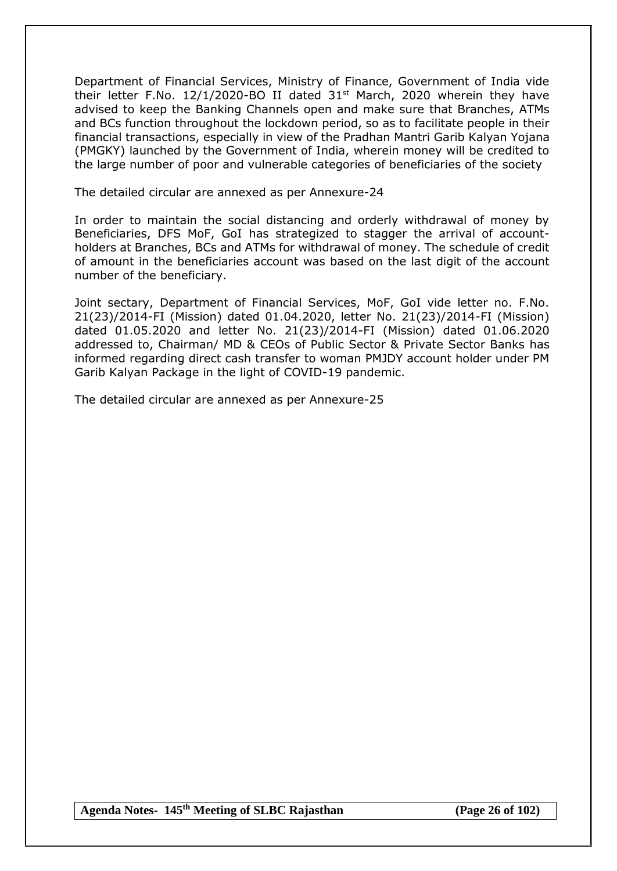Department of Financial Services, Ministry of Finance, Government of India vide their letter F.No.  $12/1/2020$ -BO II dated  $31<sup>st</sup>$  March, 2020 wherein they have advised to keep the Banking Channels open and make sure that Branches, ATMs and BCs function throughout the lockdown period, so as to facilitate people in their financial transactions, especially in view of the Pradhan Mantri Garib Kalyan Yojana (PMGKY) launched by the Government of India, wherein money will be credited to the large number of poor and vulnerable categories of beneficiaries of the society

The detailed circular are annexed as per Annexure-24

In order to maintain the social distancing and orderly withdrawal of money by Beneficiaries, DFS MoF, GoI has strategized to stagger the arrival of accountholders at Branches, BCs and ATMs for withdrawal of money. The schedule of credit of amount in the beneficiaries account was based on the last digit of the account number of the beneficiary.

Joint sectary, Department of Financial Services, MoF, GoI vide letter no. F.No. 21(23)/2014-FI (Mission) dated 01.04.2020, letter No. 21(23)/2014-FI (Mission) dated 01.05.2020 and letter No. 21(23)/2014-FI (Mission) dated 01.06.2020 addressed to, Chairman/ MD & CEOs of Public Sector & Private Sector Banks has informed regarding direct cash transfer to woman PMJDY account holder under PM Garib Kalyan Package in the light of COVID-19 pandemic.

The detailed circular are annexed as per Annexure-25

**Agenda Notes- 145th Meeting of SLBC Rajasthan (Page 26 of 102)**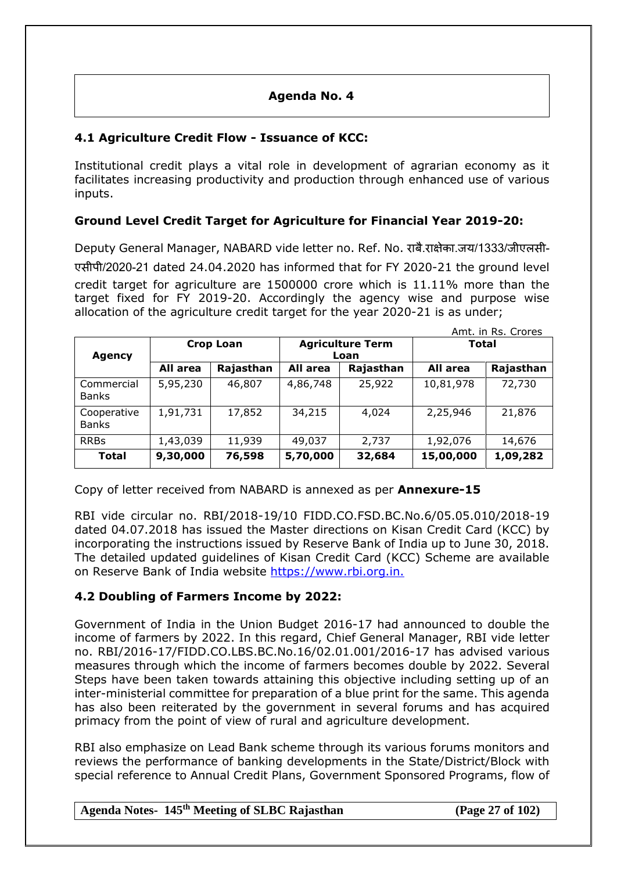# **Agenda No. 4**

# **4.1 Agriculture Credit Flow - Issuance of KCC:**

Institutional credit plays a vital role in development of agrarian economy as it facilitates increasing productivity and production through enhanced use of various inputs.

# **Ground Level Credit Target for Agriculture for Financial Year 2019-20:**

Deputy General Manager, NABARD vide letter no. Ref. No. राबै.राक्षेका.जय/1333/जीएलसी-

एसीपी/2020-21 dated 24.04.2020 has informed that for FY 2020-21 the ground level credit target for agriculture are 1500000 crore which is 11.11% more than the target fixed for FY 2019-20. Accordingly the agency wise and purpose wise allocation of the agriculture credit target for the year 2020-21 is as under;

|                             |                  |           |                                 |           |           | Amt. in Rs. Crores |
|-----------------------------|------------------|-----------|---------------------------------|-----------|-----------|--------------------|
| <b>Agency</b>               | <b>Crop Loan</b> |           | <b>Agriculture Term</b><br>Loan |           | Total     |                    |
|                             | All area         | Rajasthan | All area                        | Rajasthan | All area  | Rajasthan          |
| Commercial<br><b>Banks</b>  | 5,95,230         | 46,807    | 4,86,748                        | 25,922    | 10,81,978 | 72,730             |
| Cooperative<br><b>Banks</b> | 1,91,731         | 17,852    | 34,215                          | 4,024     | 2,25,946  | 21,876             |
| <b>RRBs</b>                 | 1,43,039         | 11,939    | 49,037                          | 2,737     | 1,92,076  | 14,676             |
| <b>Total</b>                | 9,30,000         | 76,598    | 5,70,000                        | 32,684    | 15,00,000 | 1,09,282           |

Copy of letter received from NABARD is annexed as per **Annexure-15**

RBI vide circular no. RBI/2018-19/10 FIDD.CO.FSD.BC.No.6/05.05.010/2018-19 dated 04.07.2018 has issued the Master directions on Kisan Credit Card (KCC) by incorporating the instructions issued by Reserve Bank of India up to June 30, 2018. The detailed updated guidelines of Kisan Credit Card (KCC) Scheme are available on Reserve Bank of India website [https://www.rbi.org.in.](https://www.rbi.org.in./)

## **4.2 Doubling of Farmers Income by 2022:**

Government of India in the Union Budget 2016-17 had announced to double the income of farmers by 2022. In this regard, Chief General Manager, RBI vide letter no. RBI/2016-17/FIDD.CO.LBS.BC.No.16/02.01.001/2016-17 has advised various measures through which the income of farmers becomes double by 2022. Several Steps have been taken towards attaining this objective including setting up of an inter-ministerial committee for preparation of a blue print for the same. This agenda has also been reiterated by the government in several forums and has acquired primacy from the point of view of rural and agriculture development.

RBI also emphasize on Lead Bank scheme through its various forums monitors and reviews the performance of banking developments in the State/District/Block with special reference to Annual Credit Plans, Government Sponsored Programs, flow of

# **Agenda Notes- 145th Meeting of SLBC Rajasthan (Page 27 of 102)**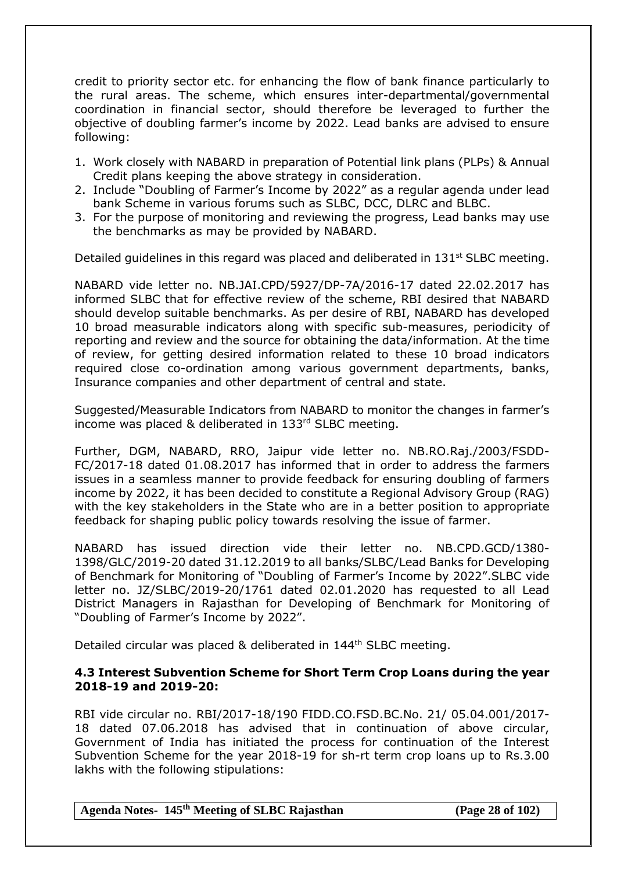credit to priority sector etc. for enhancing the flow of bank finance particularly to the rural areas. The scheme, which ensures inter-departmental/governmental coordination in financial sector, should therefore be leveraged to further the objective of doubling farmer's income by 2022. Lead banks are advised to ensure following:

- 1. Work closely with NABARD in preparation of Potential link plans (PLPs) & Annual Credit plans keeping the above strategy in consideration.
- 2. Include "Doubling of Farmer's Income by 2022" as a regular agenda under lead bank Scheme in various forums such as SLBC, DCC, DLRC and BLBC.
- 3. For the purpose of monitoring and reviewing the progress, Lead banks may use the benchmarks as may be provided by NABARD.

Detailed guidelines in this regard was placed and deliberated in  $131<sup>st</sup>$  SLBC meeting.

NABARD vide letter no. NB.JAI.CPD/5927/DP-7A/2016-17 dated 22.02.2017 has informed SLBC that for effective review of the scheme, RBI desired that NABARD should develop suitable benchmarks. As per desire of RBI, NABARD has developed 10 broad measurable indicators along with specific sub-measures, periodicity of reporting and review and the source for obtaining the data/information. At the time of review, for getting desired information related to these 10 broad indicators required close co-ordination among various government departments, banks, Insurance companies and other department of central and state.

Suggested/Measurable Indicators from NABARD to monitor the changes in farmer's income was placed & deliberated in 133rd SLBC meeting.

Further, DGM, NABARD, RRO, Jaipur vide letter no. NB.RO.Raj./2003/FSDD-FC/2017-18 dated 01.08.2017 has informed that in order to address the farmers issues in a seamless manner to provide feedback for ensuring doubling of farmers income by 2022, it has been decided to constitute a Regional Advisory Group (RAG) with the key stakeholders in the State who are in a better position to appropriate feedback for shaping public policy towards resolving the issue of farmer.

NABARD has issued direction vide their letter no. NB.CPD.GCD/1380- 1398/GLC/2019-20 dated 31.12.2019 to all banks/SLBC/Lead Banks for Developing of Benchmark for Monitoring of "Doubling of Farmer's Income by 2022".SLBC vide letter no. JZ/SLBC/2019-20/1761 dated 02.01.2020 has requested to all Lead District Managers in Rajasthan for Developing of Benchmark for Monitoring of "Doubling of Farmer's Income by 2022".

Detailed circular was placed & deliberated in 144<sup>th</sup> SLBC meeting.

#### **4.3 Interest Subvention Scheme for Short Term Crop Loans during the year 2018-19 and 2019-20:**

RBI vide circular no. RBI/2017-18/190 FIDD.CO.FSD.BC.No. 21/ 05.04.001/2017- 18 dated 07.06.2018 has advised that in continuation of above circular, Government of India has initiated the process for continuation of the Interest Subvention Scheme for the year 2018-19 for sh-rt term crop loans up to Rs.3.00 lakhs with the following stipulations:

**Agenda Notes- 145th Meeting of SLBC Rajasthan (Page 28 of 102)**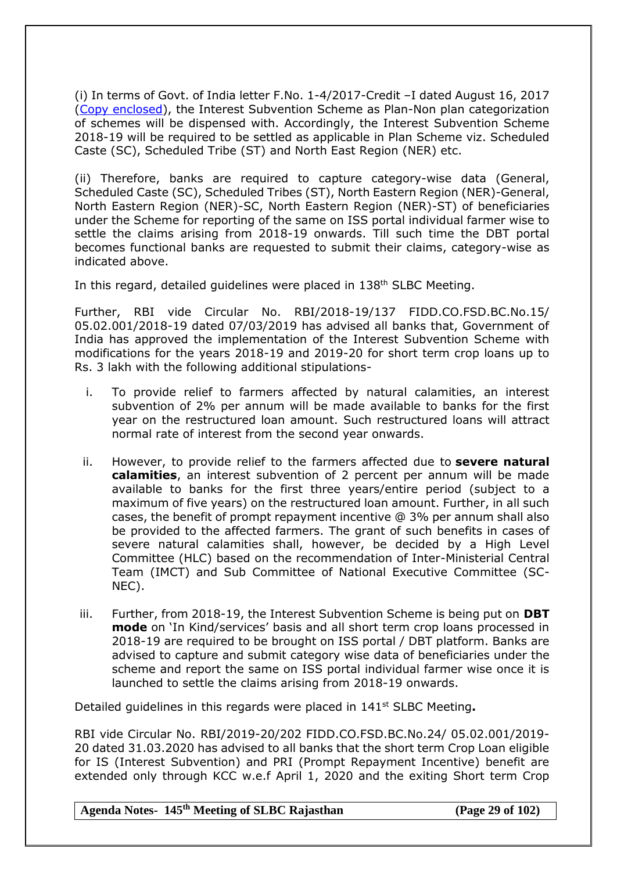(i) In terms of Govt. of India letter F.No. 1-4/2017-Credit –I dated August 16, 2017 [\(Copy enclosed\)](http://rbidocs.rbi.org.in/rdocs/content/pdfs/BA16082017.pdf), the Interest Subvention Scheme as Plan-Non plan categorization of schemes will be dispensed with. Accordingly, the Interest Subvention Scheme 2018-19 will be required to be settled as applicable in Plan Scheme viz. Scheduled Caste (SC), Scheduled Tribe (ST) and North East Region (NER) etc.

(ii) Therefore, banks are required to capture category-wise data (General, Scheduled Caste (SC), Scheduled Tribes (ST), North Eastern Region (NER)-General, North Eastern Region (NER)-SC, North Eastern Region (NER)-ST) of beneficiaries under the Scheme for reporting of the same on ISS portal individual farmer wise to settle the claims arising from 2018-19 onwards. Till such time the DBT portal becomes functional banks are requested to submit their claims, category-wise as indicated above.

In this regard, detailed guidelines were placed in 138<sup>th</sup> SLBC Meeting.

Further, RBI vide Circular No. RBI/2018-19/137 FIDD.CO.FSD.BC.No.15/ 05.02.001/2018-19 dated 07/03/2019 has advised all banks that, Government of India has approved the implementation of the Interest Subvention Scheme with modifications for the years 2018-19 and 2019-20 for short term crop loans up to Rs. 3 lakh with the following additional stipulations-

- i. To provide relief to farmers affected by natural calamities, an interest subvention of 2% per annum will be made available to banks for the first year on the restructured loan amount. Such restructured loans will attract normal rate of interest from the second year onwards.
- ii. However, to provide relief to the farmers affected due to **severe natural calamities**, an interest subvention of 2 percent per annum will be made available to banks for the first three years/entire period (subject to a maximum of five years) on the restructured loan amount. Further, in all such cases, the benefit of prompt repayment incentive @ 3% per annum shall also be provided to the affected farmers. The grant of such benefits in cases of severe natural calamities shall, however, be decided by a High Level Committee (HLC) based on the recommendation of Inter-Ministerial Central Team (IMCT) and Sub Committee of National Executive Committee (SC-NEC).
- iii. Further, from 2018-19, the Interest Subvention Scheme is being put on **DBT mode** on 'In Kind/services' basis and all short term crop loans processed in 2018-19 are required to be brought on ISS portal / DBT platform. Banks are advised to capture and submit category wise data of beneficiaries under the scheme and report the same on ISS portal individual farmer wise once it is launched to settle the claims arising from 2018-19 onwards.

Detailed guidelines in this regards were placed in 141st SLBC Meeting**.**

RBI vide Circular No. RBI/2019-20/202 FIDD.CO.FSD.BC.No.24/ 05.02.001/2019- 20 dated 31.03.2020 has advised to all banks that the short term Crop Loan eligible for IS (Interest Subvention) and PRI (Prompt Repayment Incentive) benefit are extended only through KCC w.e.f April 1, 2020 and the exiting Short term Crop

**Agenda Notes- 145th Meeting of SLBC Rajasthan (Page 29 of 102)**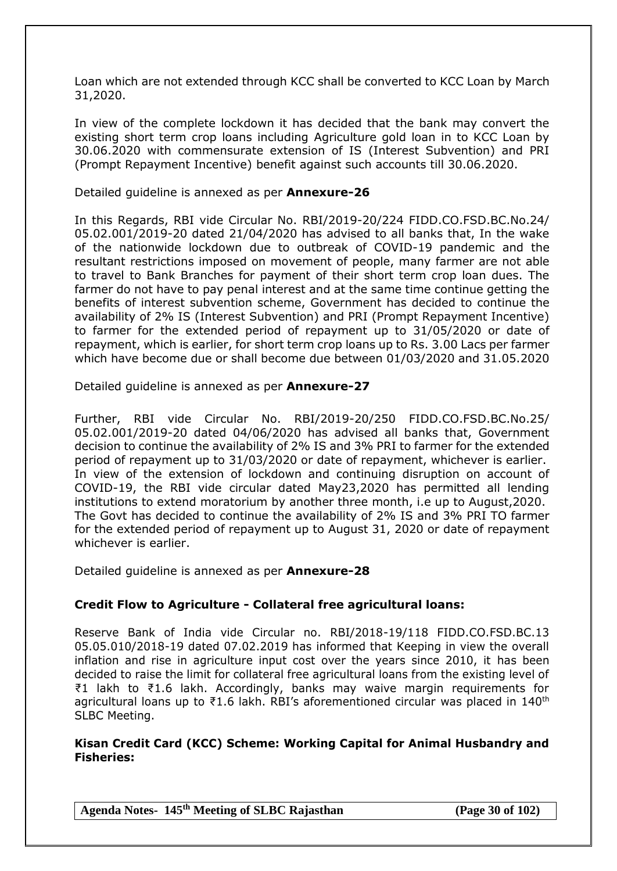Loan which are not extended through KCC shall be converted to KCC Loan by March 31,2020.

In view of the complete lockdown it has decided that the bank may convert the existing short term crop loans including Agriculture gold loan in to KCC Loan by 30.06.2020 with commensurate extension of IS (Interest Subvention) and PRI (Prompt Repayment Incentive) benefit against such accounts till 30.06.2020.

#### Detailed guideline is annexed as per **Annexure-26**

In this Regards, RBI vide Circular No. RBI/2019-20/224 FIDD.CO.FSD.BC.No.24/ 05.02.001/2019-20 dated 21/04/2020 has advised to all banks that, In the wake of the nationwide lockdown due to outbreak of COVID-19 pandemic and the resultant restrictions imposed on movement of people, many farmer are not able to travel to Bank Branches for payment of their short term crop loan dues. The farmer do not have to pay penal interest and at the same time continue getting the benefits of interest subvention scheme, Government has decided to continue the availability of 2% IS (Interest Subvention) and PRI (Prompt Repayment Incentive) to farmer for the extended period of repayment up to 31/05/2020 or date of repayment, which is earlier, for short term crop loans up to Rs. 3.00 Lacs per farmer which have become due or shall become due between 01/03/2020 and 31.05.2020

Detailed guideline is annexed as per **Annexure-27**

Further, RBI vide Circular No. RBI/2019-20/250 FIDD.CO.FSD.BC.No.25/ 05.02.001/2019-20 dated 04/06/2020 has advised all banks that, Government decision to continue the availability of 2% IS and 3% PRI to farmer for the extended period of repayment up to 31/03/2020 or date of repayment, whichever is earlier. In view of the extension of lockdown and continuing disruption on account of COVID-19, the RBI vide circular dated May23,2020 has permitted all lending institutions to extend moratorium by another three month, i.e up to August,2020. The Govt has decided to continue the availability of 2% IS and 3% PRI TO farmer for the extended period of repayment up to August 31, 2020 or date of repayment whichever is earlier.

Detailed guideline is annexed as per **Annexure-28**

#### **Credit Flow to Agriculture - Collateral free agricultural loans:**

Reserve Bank of India vide Circular no. RBI/2018-19/118 FIDD.CO.FSD.BC.13 05.05.010/2018-19 dated 07.02.2019 has informed that Keeping in view the overall inflation and rise in agriculture input cost over the years since 2010, it has been decided to raise the limit for collateral free agricultural loans from the existing level of ₹1 lakh to ₹1.6 lakh. Accordingly, banks may waive margin requirements for agricultural loans up to  $\overline{21.6}$  lakh. RBI's aforementioned circular was placed in 140<sup>th</sup> SLBC Meeting.

#### **Kisan Credit Card (KCC) Scheme: Working Capital for Animal Husbandry and Fisheries:**

**Agenda Notes- 145th Meeting of SLBC Rajasthan (Page 30 of 102)**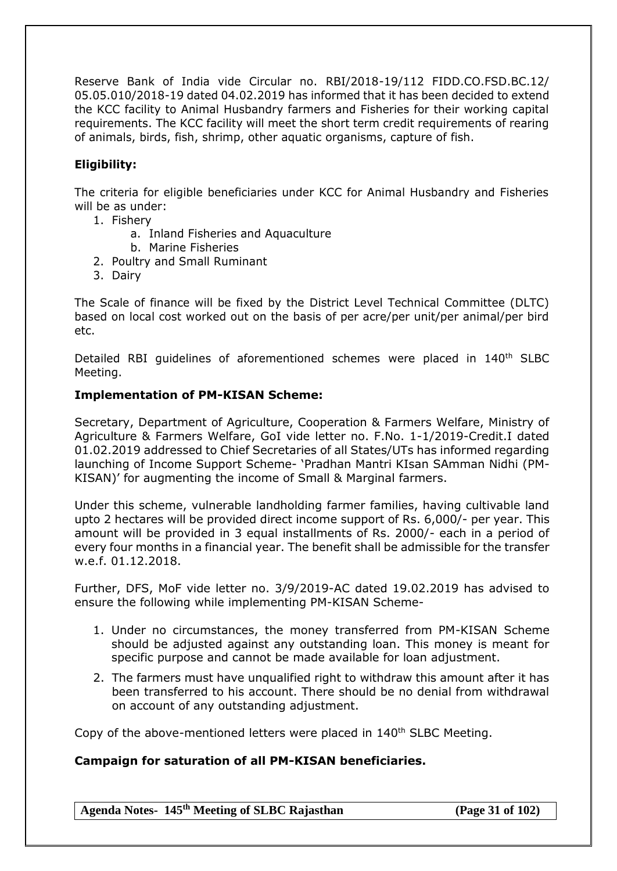Reserve Bank of India vide Circular no. RBI/2018-19/112 FIDD.CO.FSD.BC.12/ 05.05.010/2018-19 dated 04.02.2019 has informed that it has been decided to extend the KCC facility to Animal Husbandry farmers and Fisheries for their working capital requirements. The KCC facility will meet the short term credit requirements of rearing of animals, birds, fish, shrimp, other aquatic organisms, capture of fish.

## **Eligibility:**

The criteria for eligible beneficiaries under KCC for Animal Husbandry and Fisheries will be as under:

- 1. Fishery
	- a. Inland Fisheries and Aquaculture
	- b. Marine Fisheries
- 2. Poultry and Small Ruminant
- 3. Dairy

The Scale of finance will be fixed by the District Level Technical Committee (DLTC) based on local cost worked out on the basis of per acre/per unit/per animal/per bird etc.

Detailed RBI quidelines of aforementioned schemes were placed in 140<sup>th</sup> SLBC Meeting.

### **Implementation of PM-KISAN Scheme:**

Secretary, Department of Agriculture, Cooperation & Farmers Welfare, Ministry of Agriculture & Farmers Welfare, GoI vide letter no. F.No. 1-1/2019-Credit.I dated 01.02.2019 addressed to Chief Secretaries of all States/UTs has informed regarding launching of Income Support Scheme- 'Pradhan Mantri KIsan SAmman Nidhi (PM-KISAN)' for augmenting the income of Small & Marginal farmers.

Under this scheme, vulnerable landholding farmer families, having cultivable land upto 2 hectares will be provided direct income support of Rs. 6,000/- per year. This amount will be provided in 3 equal installments of Rs. 2000/- each in a period of every four months in a financial year. The benefit shall be admissible for the transfer w.e.f. 01.12.2018.

Further, DFS, MoF vide letter no. 3/9/2019-AC dated 19.02.2019 has advised to ensure the following while implementing PM-KISAN Scheme-

- 1. Under no circumstances, the money transferred from PM-KISAN Scheme should be adjusted against any outstanding loan. This money is meant for specific purpose and cannot be made available for loan adjustment.
- 2. The farmers must have unqualified right to withdraw this amount after it has been transferred to his account. There should be no denial from withdrawal on account of any outstanding adjustment.

Copy of the above-mentioned letters were placed in 140<sup>th</sup> SLBC Meeting.

## **Campaign for saturation of all PM-KISAN beneficiaries.**

**Agenda Notes- 145th Meeting of SLBC Rajasthan (Page 31 of 102)**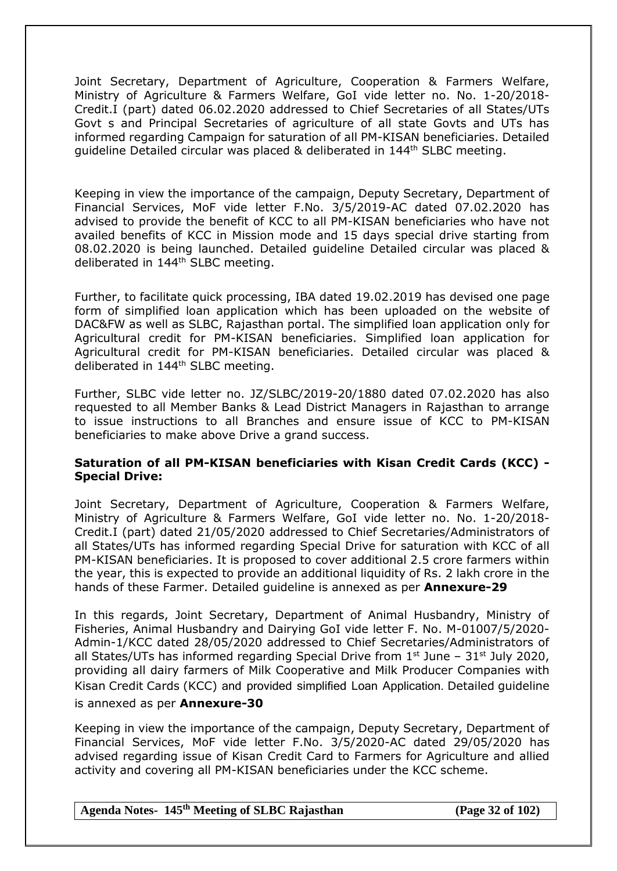Joint Secretary, Department of Agriculture, Cooperation & Farmers Welfare, Ministry of Agriculture & Farmers Welfare, GoI vide letter no. No. 1-20/2018- Credit.I (part) dated 06.02.2020 addressed to Chief Secretaries of all States/UTs Govt s and Principal Secretaries of agriculture of all state Govts and UTs has informed regarding Campaign for saturation of all PM-KISAN beneficiaries. Detailed guideline Detailed circular was placed & deliberated in 144th SLBC meeting.

Keeping in view the importance of the campaign, Deputy Secretary, Department of Financial Services, MoF vide letter F.No. 3/5/2019-AC dated 07.02.2020 has advised to provide the benefit of KCC to all PM-KISAN beneficiaries who have not availed benefits of KCC in Mission mode and 15 days special drive starting from 08.02.2020 is being launched. Detailed guideline Detailed circular was placed & deliberated in 144<sup>th</sup> SLBC meeting.

Further, to facilitate quick processing, IBA dated 19.02.2019 has devised one page form of simplified loan application which has been uploaded on the website of DAC&FW as well as SLBC, Rajasthan portal. The simplified loan application only for Agricultural credit for PM-KISAN beneficiaries. Simplified loan application for Agricultural credit for PM-KISAN beneficiaries. Detailed circular was placed & deliberated in 144<sup>th</sup> SLBC meeting.

Further, SLBC vide letter no. JZ/SLBC/2019-20/1880 dated 07.02.2020 has also requested to all Member Banks & Lead District Managers in Rajasthan to arrange to issue instructions to all Branches and ensure issue of KCC to PM-KISAN beneficiaries to make above Drive a grand success.

## **Saturation of all PM-KISAN beneficiaries with Kisan Credit Cards (KCC) - Special Drive:**

Joint Secretary, Department of Agriculture, Cooperation & Farmers Welfare, Ministry of Agriculture & Farmers Welfare, GoI vide letter no. No. 1-20/2018- Credit.I (part) dated 21/05/2020 addressed to Chief Secretaries/Administrators of all States/UTs has informed regarding Special Drive for saturation with KCC of all PM-KISAN beneficiaries. It is proposed to cover additional 2.5 crore farmers within the year, this is expected to provide an additional liquidity of Rs. 2 lakh crore in the hands of these Farmer. Detailed guideline is annexed as per **Annexure-29**

In this regards, Joint Secretary, Department of Animal Husbandry, Ministry of Fisheries, Animal Husbandry and Dairying GoI vide letter F. No. M-01007/5/2020- Admin-1/KCC dated 28/05/2020 addressed to Chief Secretaries/Administrators of all States/UTs has informed regarding Special Drive from  $1<sup>st</sup>$  June –  $31<sup>st</sup>$  July 2020, providing all dairy farmers of Milk Cooperative and Milk Producer Companies with Kisan Credit Cards (KCC) and provided simplified Loan Application. Detailed guideline is annexed as per **Annexure-30**

Keeping in view the importance of the campaign, Deputy Secretary, Department of Financial Services, MoF vide letter F.No. 3/5/2020-AC dated 29/05/2020 has advised regarding issue of Kisan Credit Card to Farmers for Agriculture and allied activity and covering all PM-KISAN beneficiaries under the KCC scheme.

**Agenda Notes- 145th Meeting of SLBC Rajasthan (Page 32 of 102)**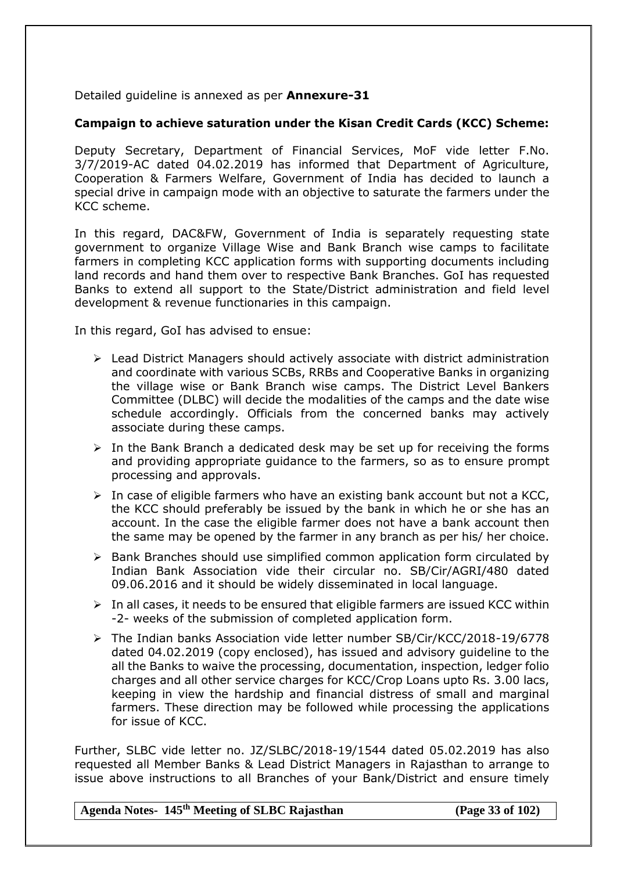Detailed guideline is annexed as per **Annexure-31**

## **Campaign to achieve saturation under the Kisan Credit Cards (KCC) Scheme:**

Deputy Secretary, Department of Financial Services, MoF vide letter F.No. 3/7/2019-AC dated 04.02.2019 has informed that Department of Agriculture, Cooperation & Farmers Welfare, Government of India has decided to launch a special drive in campaign mode with an objective to saturate the farmers under the KCC scheme.

In this regard, DAC&FW, Government of India is separately requesting state government to organize Village Wise and Bank Branch wise camps to facilitate farmers in completing KCC application forms with supporting documents including land records and hand them over to respective Bank Branches. GoI has requested Banks to extend all support to the State/District administration and field level development & revenue functionaries in this campaign.

In this regard, GoI has advised to ensue:

- $\triangleright$  Lead District Managers should actively associate with district administration and coordinate with various SCBs, RRBs and Cooperative Banks in organizing the village wise or Bank Branch wise camps. The District Level Bankers Committee (DLBC) will decide the modalities of the camps and the date wise schedule accordingly. Officials from the concerned banks may actively associate during these camps.
- $\triangleright$  In the Bank Branch a dedicated desk may be set up for receiving the forms and providing appropriate guidance to the farmers, so as to ensure prompt processing and approvals.
- $\triangleright$  In case of eligible farmers who have an existing bank account but not a KCC, the KCC should preferably be issued by the bank in which he or she has an account. In the case the eligible farmer does not have a bank account then the same may be opened by the farmer in any branch as per his/ her choice.
- $\triangleright$  Bank Branches should use simplified common application form circulated by Indian Bank Association vide their circular no. SB/Cir/AGRI/480 dated 09.06.2016 and it should be widely disseminated in local language.
- $\triangleright$  In all cases, it needs to be ensured that eligible farmers are issued KCC within -2- weeks of the submission of completed application form.
- The Indian banks Association vide letter number SB/Cir/KCC/2018-19/6778 dated 04.02.2019 (copy enclosed), has issued and advisory guideline to the all the Banks to waive the processing, documentation, inspection, ledger folio charges and all other service charges for KCC/Crop Loans upto Rs. 3.00 lacs, keeping in view the hardship and financial distress of small and marginal farmers. These direction may be followed while processing the applications for issue of KCC.

Further, SLBC vide letter no. JZ/SLBC/2018-19/1544 dated 05.02.2019 has also requested all Member Banks & Lead District Managers in Rajasthan to arrange to issue above instructions to all Branches of your Bank/District and ensure timely

**Agenda Notes- 145th Meeting of SLBC Rajasthan (Page 33 of 102)**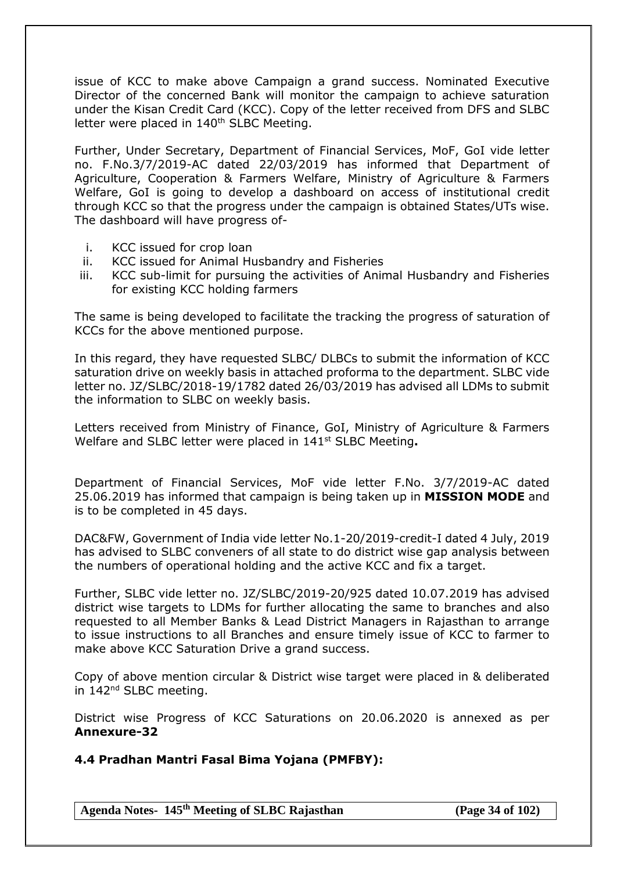issue of KCC to make above Campaign a grand success. Nominated Executive Director of the concerned Bank will monitor the campaign to achieve saturation under the Kisan Credit Card (KCC). Copy of the letter received from DFS and SLBC letter were placed in 140<sup>th</sup> SLBC Meeting.

Further, Under Secretary, Department of Financial Services, MoF, GoI vide letter no. F.No.3/7/2019-AC dated 22/03/2019 has informed that Department of Agriculture, Cooperation & Farmers Welfare, Ministry of Agriculture & Farmers Welfare, GoI is going to develop a dashboard on access of institutional credit through KCC so that the progress under the campaign is obtained States/UTs wise. The dashboard will have progress of-

- i. KCC issued for crop loan
- ii. KCC issued for Animal Husbandry and Fisheries
- iii. KCC sub-limit for pursuing the activities of Animal Husbandry and Fisheries for existing KCC holding farmers

The same is being developed to facilitate the tracking the progress of saturation of KCCs for the above mentioned purpose.

In this regard, they have requested SLBC/ DLBCs to submit the information of KCC saturation drive on weekly basis in attached proforma to the department. SLBC vide letter no. JZ/SLBC/2018-19/1782 dated 26/03/2019 has advised all LDMs to submit the information to SLBC on weekly basis.

Letters received from Ministry of Finance, GoI, Ministry of Agriculture & Farmers Welfare and SLBC letter were placed in 141st SLBC Meeting**.**

Department of Financial Services, MoF vide letter F.No. 3/7/2019-AC dated 25.06.2019 has informed that campaign is being taken up in **MISSION MODE** and is to be completed in 45 days.

DAC&FW, Government of India vide letter No.1-20/2019-credit-I dated 4 July, 2019 has advised to SLBC conveners of all state to do district wise gap analysis between the numbers of operational holding and the active KCC and fix a target.

Further, SLBC vide letter no. JZ/SLBC/2019-20/925 dated 10.07.2019 has advised district wise targets to LDMs for further allocating the same to branches and also requested to all Member Banks & Lead District Managers in Rajasthan to arrange to issue instructions to all Branches and ensure timely issue of KCC to farmer to make above KCC Saturation Drive a grand success.

Copy of above mention circular & District wise target were placed in & deliberated in 142<sup>nd</sup> SLBC meeting.

District wise Progress of KCC Saturations on 20.06.2020 is annexed as per **Annexure-32**

**4.4 Pradhan Mantri Fasal Bima Yojana (PMFBY):**

**Agenda Notes- 145th Meeting of SLBC Rajasthan (Page 34 of 102)**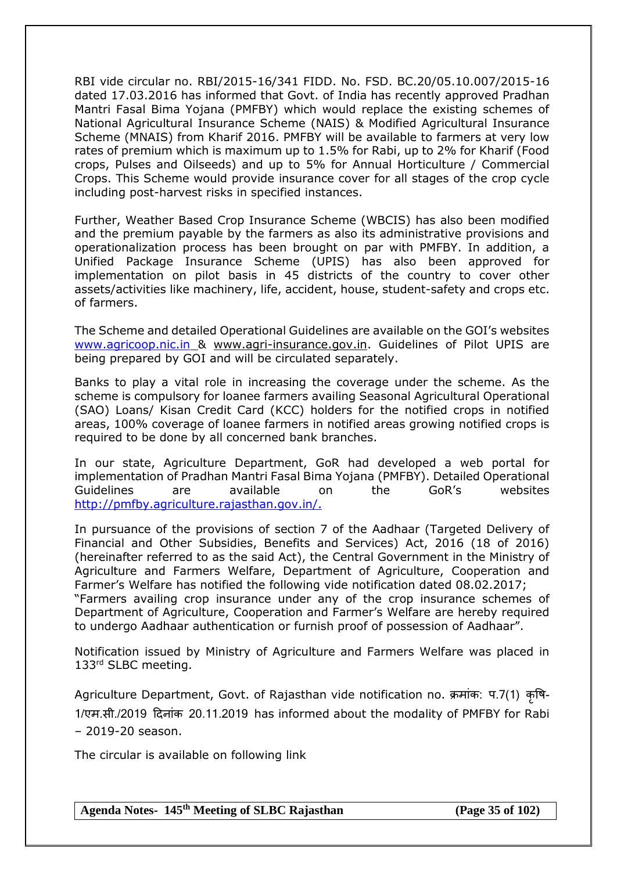RBI vide circular no. RBI/2015-16/341 FIDD. No. FSD. BC.20/05.10.007/2015-16 dated 17.03.2016 has informed that Govt. of India has recently approved Pradhan Mantri Fasal Bima Yojana (PMFBY) which would replace the existing schemes of National Agricultural Insurance Scheme (NAIS) & Modified Agricultural Insurance Scheme (MNAIS) from Kharif 2016. PMFBY will be available to farmers at very low rates of premium which is maximum up to 1.5% for Rabi, up to 2% for Kharif (Food crops, Pulses and Oilseeds) and up to 5% for Annual Horticulture / Commercial Crops. This Scheme would provide insurance cover for all stages of the crop cycle including post-harvest risks in specified instances.

Further, Weather Based Crop Insurance Scheme (WBCIS) has also been modified and the premium payable by the farmers as also its administrative provisions and operationalization process has been brought on par with PMFBY. In addition, a Unified Package Insurance Scheme (UPIS) has also been approved for implementation on pilot basis in 45 districts of the country to cover other assets/activities like machinery, life, accident, house, student-safety and crops etc. of farmers.

The Scheme and detailed Operational Guidelines are available on the GOI's websites [www.agricoop.nic.in](http://www.agricoop.nic.in/) & [www.agri-insurance.gov.in.](http://www.agri-insurance.gov.in/) Guidelines of Pilot UPIS are being prepared by GOI and will be circulated separately.

Banks to play a vital role in increasing the coverage under the scheme. As the scheme is compulsory for loanee farmers availing Seasonal Agricultural Operational (SAO) Loans/ Kisan Credit Card (KCC) holders for the notified crops in notified areas, 100% coverage of loanee farmers in notified areas growing notified crops is required to be done by all concerned bank branches.

In our state, Agriculture Department, GoR had developed a web portal for implementation of Pradhan Mantri Fasal Bima Yojana (PMFBY). Detailed Operational Guidelines are available on the GoR's websites http://pmfby.agriculture.rajasthan.gov.in/.

In pursuance of the provisions of section 7 of the Aadhaar (Targeted Delivery of Financial and Other Subsidies, Benefits and Services) Act, 2016 (18 of 2016) (hereinafter referred to as the said Act), the Central Government in the Ministry of Agriculture and Farmers Welfare, Department of Agriculture, Cooperation and Farmer's Welfare has notified the following vide notification dated 08.02.2017; "Farmers availing crop insurance under any of the crop insurance schemes of Department of Agriculture, Cooperation and Farmer's Welfare are hereby required to undergo Aadhaar authentication or furnish proof of possession of Aadhaar".

Notification issued by Ministry of Agriculture and Farmers Welfare was placed in 133rd SLBC meeting.

Agriculture Department, Govt. of Rajasthan vide notification no. क्रमांक: प.7(1) कृषि- 1/एम.सी./2019 दिनांक 20.11.2019 has informed about the modality of PMFBY for Rabi – 2019-20 season.

The circular is available on following link

**Agenda Notes- 145th Meeting of SLBC Rajasthan (Page 35 of 102)**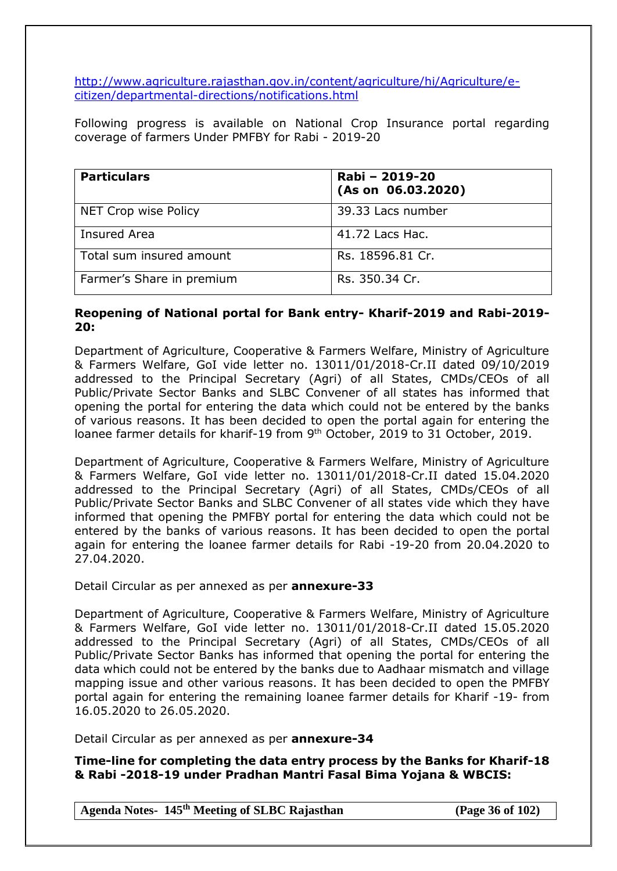[http://www.agriculture.rajasthan.gov.in/content/agriculture/hi/Agriculture/e](http://www.agriculture.rajasthan.gov.in/content/agriculture/hi/Agriculture/e-citizen/departmental-directions/notifications.html)[citizen/departmental-directions/notifications.html](http://www.agriculture.rajasthan.gov.in/content/agriculture/hi/Agriculture/e-citizen/departmental-directions/notifications.html)

Following progress is available on National Crop Insurance portal regarding coverage of farmers Under PMFBY for Rabi - 2019-20

| <b>Particulars</b>        | Rabi - 2019-20<br>(As on 06.03.2020) |
|---------------------------|--------------------------------------|
| NET Crop wise Policy      | 39.33 Lacs number                    |
| <b>Insured Area</b>       | 41.72 Lacs Hac.                      |
| Total sum insured amount  | Rs. 18596.81 Cr.                     |
| Farmer's Share in premium | Rs. 350.34 Cr.                       |

### **Reopening of National portal for Bank entry- Kharif-2019 and Rabi-2019- 20:**

Department of Agriculture, Cooperative & Farmers Welfare, Ministry of Agriculture & Farmers Welfare, GoI vide letter no. 13011/01/2018-Cr.II dated 09/10/2019 addressed to the Principal Secretary (Agri) of all States, CMDs/CEOs of all Public/Private Sector Banks and SLBC Convener of all states has informed that opening the portal for entering the data which could not be entered by the banks of various reasons. It has been decided to open the portal again for entering the loanee farmer details for kharif-19 from 9<sup>th</sup> October, 2019 to 31 October, 2019.

Department of Agriculture, Cooperative & Farmers Welfare, Ministry of Agriculture & Farmers Welfare, GoI vide letter no. 13011/01/2018-Cr.II dated 15.04.2020 addressed to the Principal Secretary (Agri) of all States, CMDs/CEOs of all Public/Private Sector Banks and SLBC Convener of all states vide which they have informed that opening the PMFBY portal for entering the data which could not be entered by the banks of various reasons. It has been decided to open the portal again for entering the loanee farmer details for Rabi -19-20 from 20.04.2020 to 27.04.2020.

Detail Circular as per annexed as per **annexure-33**

Department of Agriculture, Cooperative & Farmers Welfare, Ministry of Agriculture & Farmers Welfare, GoI vide letter no. 13011/01/2018-Cr.II dated 15.05.2020 addressed to the Principal Secretary (Agri) of all States, CMDs/CEOs of all Public/Private Sector Banks has informed that opening the portal for entering the data which could not be entered by the banks due to Aadhaar mismatch and village mapping issue and other various reasons. It has been decided to open the PMFBY portal again for entering the remaining loanee farmer details for Kharif -19- from 16.05.2020 to 26.05.2020.

Detail Circular as per annexed as per **annexure-34**

**Time-line for completing the data entry process by the Banks for Kharif-18 & Rabi -2018-19 under Pradhan Mantri Fasal Bima Yojana & WBCIS:**

**Agenda Notes- 145th Meeting of SLBC Rajasthan (Page 36 of 102)**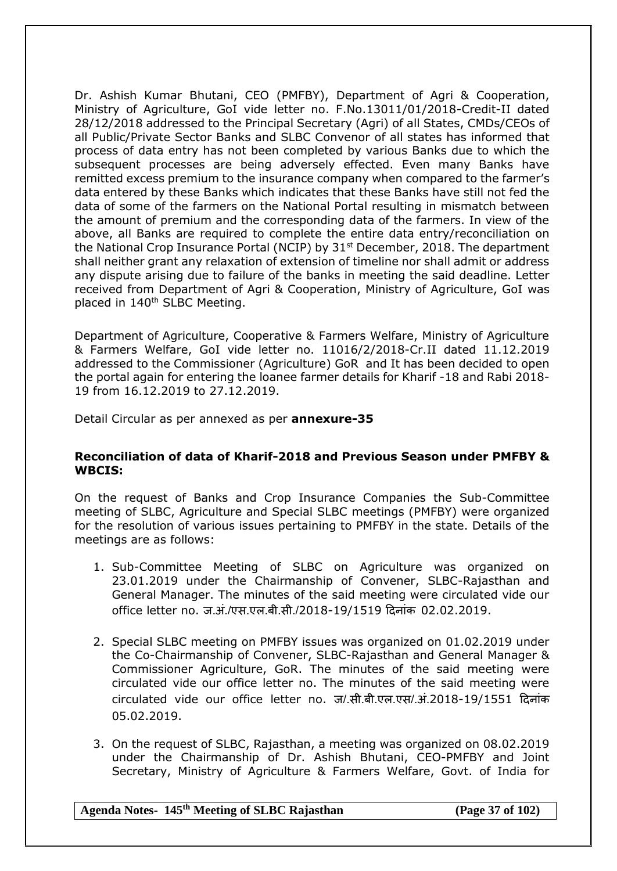Dr. Ashish Kumar Bhutani, CEO (PMFBY), Department of Agri & Cooperation, Ministry of Agriculture, GoI vide letter no. F.No.13011/01/2018-Credit-II dated 28/12/2018 addressed to the Principal Secretary (Agri) of all States, CMDs/CEOs of all Public/Private Sector Banks and SLBC Convenor of all states has informed that process of data entry has not been completed by various Banks due to which the subsequent processes are being adversely effected. Even many Banks have remitted excess premium to the insurance company when compared to the farmer's data entered by these Banks which indicates that these Banks have still not fed the data of some of the farmers on the National Portal resulting in mismatch between the amount of premium and the corresponding data of the farmers. In view of the above, all Banks are required to complete the entire data entry/reconciliation on the National Crop Insurance Portal (NCIP) by 31<sup>st</sup> December, 2018. The department shall neither grant any relaxation of extension of timeline nor shall admit or address any dispute arising due to failure of the banks in meeting the said deadline. Letter received from Department of Agri & Cooperation, Ministry of Agriculture, GoI was placed in 140<sup>th</sup> SLBC Meeting.

Department of Agriculture, Cooperative & Farmers Welfare, Ministry of Agriculture & Farmers Welfare, GoI vide letter no. 11016/2/2018-Cr.II dated 11.12.2019 addressed to the Commissioner (Agriculture) GoR and It has been decided to open the portal again for entering the loanee farmer details for Kharif -18 and Rabi 2018- 19 from 16.12.2019 to 27.12.2019.

Detail Circular as per annexed as per **annexure-35**

#### **Reconciliation of data of Kharif-2018 and Previous Season under PMFBY & WBCIS:**

On the request of Banks and Crop Insurance Companies the Sub-Committee meeting of SLBC, Agriculture and Special SLBC meetings (PMFBY) were organized for the resolution of various issues pertaining to PMFBY in the state. Details of the meetings are as follows:

- 1. Sub-Committee Meeting of SLBC on Agriculture was organized on 23.01.2019 under the Chairmanship of Convener, SLBC-Rajasthan and General Manager. The minutes of the said meeting were circulated vide our office letter no. ज.अं./एस.एल.बी.सी./2018-19/1519 दिनांक 02.02.2019.
- 2. Special SLBC meeting on PMFBY issues was organized on 01.02.2019 under the Co-Chairmanship of Convener, SLBC-Rajasthan and General Manager & Commissioner Agriculture, GoR. The minutes of the said meeting were circulated vide our office letter no. The minutes of the said meeting were circulated vide our office letter no. ज/.सी.बी.एल.एस/.अं.2018-19/1551 दिनांक 05.02.2019.
- 3. On the request of SLBC, Rajasthan, a meeting was organized on 08.02.2019 under the Chairmanship of Dr. Ashish Bhutani, CEO-PMFBY and Joint Secretary, Ministry of Agriculture & Farmers Welfare, Govt. of India for

### **Agenda Notes- 145th Meeting of SLBC Rajasthan (Page 37 of 102)**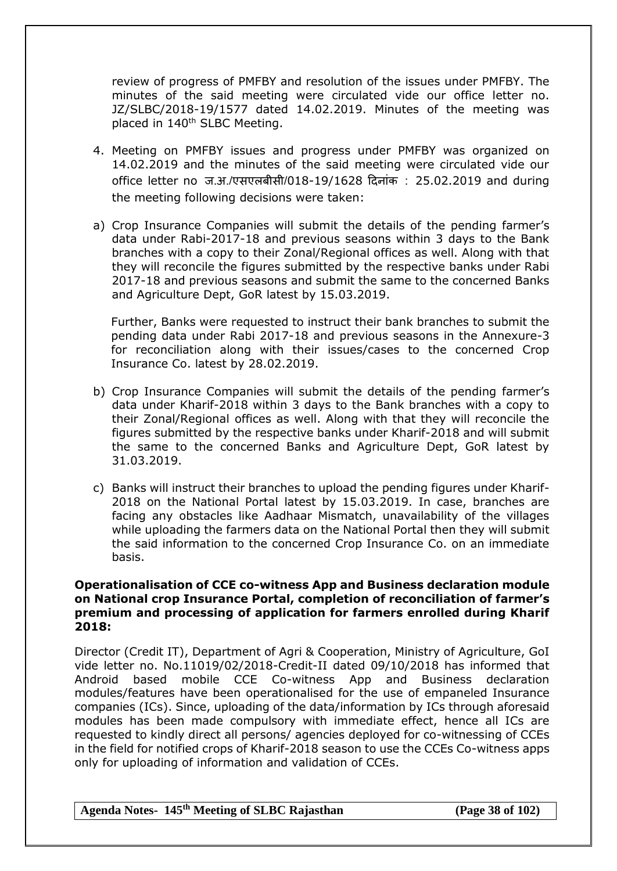review of progress of PMFBY and resolution of the issues under PMFBY. The minutes of the said meeting were circulated vide our office letter no. JZ/SLBC/2018-19/1577 dated 14.02.2019. Minutes of the meeting was placed in 140<sup>th</sup> SLBC Meeting.

- 4. Meeting on PMFBY issues and progress under PMFBY was organized on 14.02.2019 and the minutes of the said meeting were circulated vide our office letter no ज.अ./एसएलबीसी/018-19/1628 दिनांक : 25.02.2019 and during the meeting following decisions were taken:
- a) Crop Insurance Companies will submit the details of the pending farmer's data under Rabi-2017-18 and previous seasons within 3 days to the Bank branches with a copy to their Zonal/Regional offices as well. Along with that they will reconcile the figures submitted by the respective banks under Rabi 2017-18 and previous seasons and submit the same to the concerned Banks and Agriculture Dept, GoR latest by 15.03.2019.

Further, Banks were requested to instruct their bank branches to submit the pending data under Rabi 2017-18 and previous seasons in the Annexure-3 for reconciliation along with their issues/cases to the concerned Crop Insurance Co. latest by 28.02.2019.

- b) Crop Insurance Companies will submit the details of the pending farmer's data under Kharif-2018 within 3 days to the Bank branches with a copy to their Zonal/Regional offices as well. Along with that they will reconcile the figures submitted by the respective banks under Kharif-2018 and will submit the same to the concerned Banks and Agriculture Dept, GoR latest by 31.03.2019.
- c) Banks will instruct their branches to upload the pending figures under Kharif-2018 on the National Portal latest by 15.03.2019. In case, branches are facing any obstacles like Aadhaar Mismatch, unavailability of the villages while uploading the farmers data on the National Portal then they will submit the said information to the concerned Crop Insurance Co. on an immediate basis.

#### **Operationalisation of CCE co-witness App and Business declaration module on National crop Insurance Portal, completion of reconciliation of farmer's premium and processing of application for farmers enrolled during Kharif 2018:**

Director (Credit IT), Department of Agri & Cooperation, Ministry of Agriculture, GoI vide letter no. No.11019/02/2018-Credit-II dated 09/10/2018 has informed that Android based mobile CCE Co-witness App and Business declaration modules/features have been operationalised for the use of empaneled Insurance companies (ICs). Since, uploading of the data/information by ICs through aforesaid modules has been made compulsory with immediate effect, hence all ICs are requested to kindly direct all persons/ agencies deployed for co-witnessing of CCEs in the field for notified crops of Kharif-2018 season to use the CCEs Co-witness apps only for uploading of information and validation of CCEs.

**Agenda Notes- 145th Meeting of SLBC Rajasthan (Page 38 of 102)**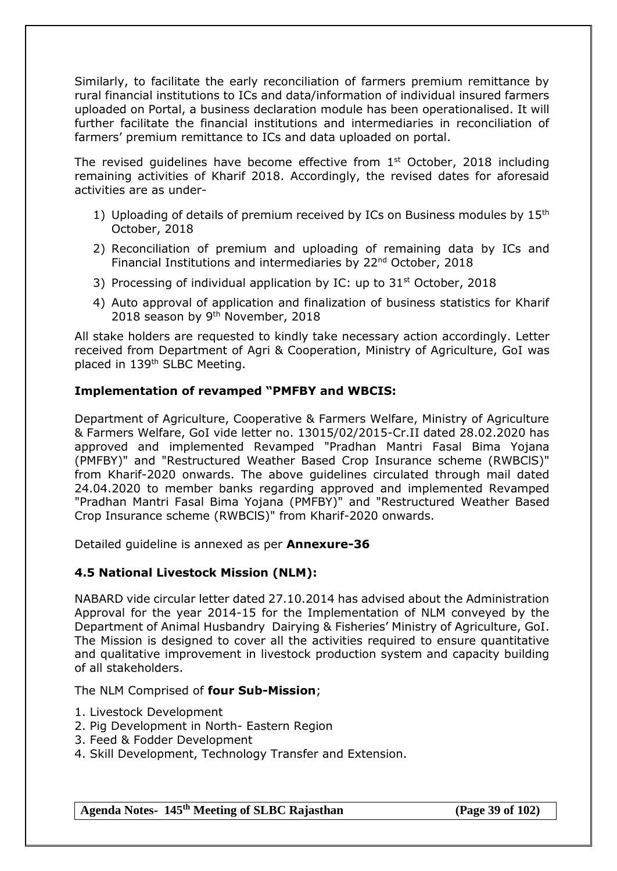Similarly, to facilitate the early reconciliation of farmers premium remittance by rural financial institutions to ICs and data/information of individual insured farmers uploaded on Portal, a business declaration module has been operationalised. It will further facilitate the financial institutions and intermediaries in reconciliation of farmers' premium remittance to ICs and data uploaded on portal.

The revised quidelines have become effective from  $1<sup>st</sup>$  October, 2018 including remaining activities of Kharif 2018. Accordingly, the revised dates for aforesaid activities are as under-

- 1) Uploading of details of premium received by ICs on Business modules by  $15<sup>th</sup>$ October, 2018
- 2) Reconciliation of premium and uploading of remaining data by ICs and Financial Institutions and intermediaries by 22<sup>nd</sup> October, 2018
- 3) Processing of individual application by IC: up to  $31<sup>st</sup>$  October, 2018
- 4) Auto approval of application and finalization of business statistics for Kharif 2018 season by 9<sup>th</sup> November, 2018

All stake holders are requested to kindly take necessary action accordingly. Letter received from Department of Agri & Cooperation, Ministry of Agriculture, GoI was placed in 139th SLBC Meeting.

## **Implementation of revamped "PMFBY and WBCIS:**

Department of Agriculture, Cooperative & Farmers Welfare, Ministry of Agriculture & Farmers Welfare, GoI vide letter no. 13015/02/2015-Cr.II dated 28.02.2020 has approved and implemented Revamped "Pradhan Mantri Fasal Bima Yojana (PMFBY)" and "Restructured Weather Based Crop Insurance scheme (RWBClS)" from Kharif-2020 onwards. The above guidelines circulated through mail dated 24.04.2020 to member banks regarding approved and implemented Revamped "Pradhan Mantri Fasal Bima Yojana (PMFBY)" and "Restructured Weather Based Crop Insurance scheme (RWBClS)" from Kharif-2020 onwards.

Detailed guideline is annexed as per **Annexure-36**

## **4.5 National Livestock Mission (NLM):**

NABARD vide circular letter dated 27.10.2014 has advised about the Administration Approval for the year 2014-15 for the Implementation of NLM conveyed by the Department of Animal Husbandry Dairying & Fisheries' Ministry of Agriculture, GoI. The Mission is designed to cover all the activities required to ensure quantitative and qualitative improvement in livestock production system and capacity building of all stakeholders.

#### The NLM Comprised of **four Sub-Mission**;

- 1. Livestock Development
- 2. Pig Development in North- Eastern Region
- 3. Feed & Fodder Development
- 4. Skill Development, Technology Transfer and Extension.

**Agenda Notes- 145th Meeting of SLBC Rajasthan (Page 39 of 102)**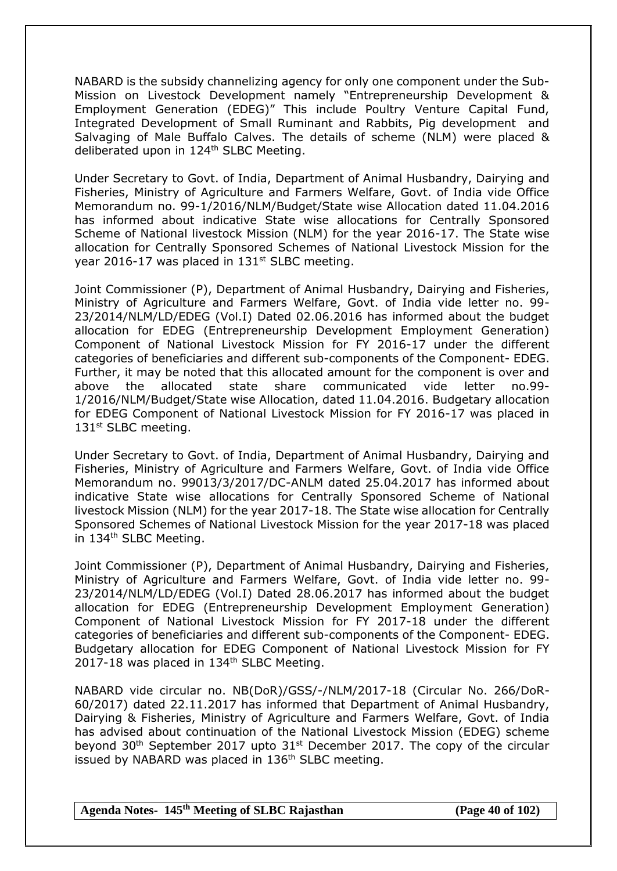NABARD is the subsidy channelizing agency for only one component under the Sub-Mission on Livestock Development namely "Entrepreneurship Development & Employment Generation (EDEG)" This include Poultry Venture Capital Fund, Integrated Development of Small Ruminant and Rabbits, Pig development and Salvaging of Male Buffalo Calves. The details of scheme (NLM) were placed & deliberated upon in 124<sup>th</sup> SLBC Meeting.

Under Secretary to Govt. of India, Department of Animal Husbandry, Dairying and Fisheries, Ministry of Agriculture and Farmers Welfare, Govt. of India vide Office Memorandum no. 99-1/2016/NLM/Budget/State wise Allocation dated 11.04.2016 has informed about indicative State wise allocations for Centrally Sponsored Scheme of National livestock Mission (NLM) for the year 2016-17. The State wise allocation for Centrally Sponsored Schemes of National Livestock Mission for the year 2016-17 was placed in  $131<sup>st</sup>$  SLBC meeting.

Joint Commissioner (P), Department of Animal Husbandry, Dairying and Fisheries, Ministry of Agriculture and Farmers Welfare, Govt. of India vide letter no. 99- 23/2014/NLM/LD/EDEG (Vol.I) Dated 02.06.2016 has informed about the budget allocation for EDEG (Entrepreneurship Development Employment Generation) Component of National Livestock Mission for FY 2016-17 under the different categories of beneficiaries and different sub-components of the Component- EDEG. Further, it may be noted that this allocated amount for the component is over and above the allocated state share communicated vide letter no.99- 1/2016/NLM/Budget/State wise Allocation, dated 11.04.2016. Budgetary allocation for EDEG Component of National Livestock Mission for FY 2016-17 was placed in 131<sup>st</sup> SLBC meeting.

Under Secretary to Govt. of India, Department of Animal Husbandry, Dairying and Fisheries, Ministry of Agriculture and Farmers Welfare, Govt. of India vide Office Memorandum no. 99013/3/2017/DC-ANLM dated 25.04.2017 has informed about indicative State wise allocations for Centrally Sponsored Scheme of National livestock Mission (NLM) for the year 2017-18. The State wise allocation for Centrally Sponsored Schemes of National Livestock Mission for the year 2017-18 was placed in 134<sup>th</sup> SLBC Meeting.

Joint Commissioner (P), Department of Animal Husbandry, Dairying and Fisheries, Ministry of Agriculture and Farmers Welfare, Govt. of India vide letter no. 99- 23/2014/NLM/LD/EDEG (Vol.I) Dated 28.06.2017 has informed about the budget allocation for EDEG (Entrepreneurship Development Employment Generation) Component of National Livestock Mission for FY 2017-18 under the different categories of beneficiaries and different sub-components of the Component- EDEG. Budgetary allocation for EDEG Component of National Livestock Mission for FY 2017-18 was placed in 134<sup>th</sup> SLBC Meeting.

NABARD vide circular no. NB(DoR)/GSS/-/NLM/2017-18 (Circular No. 266/DoR-60/2017) dated 22.11.2017 has informed that Department of Animal Husbandry, Dairying & Fisheries, Ministry of Agriculture and Farmers Welfare, Govt. of India has advised about continuation of the National Livestock Mission (EDEG) scheme beyond  $30<sup>th</sup>$  September 2017 upto  $31<sup>st</sup>$  December 2017. The copy of the circular issued by NABARD was placed in  $136<sup>th</sup>$  SLBC meeting.

**Agenda Notes- 145th Meeting of SLBC Rajasthan (Page 40 of 102)**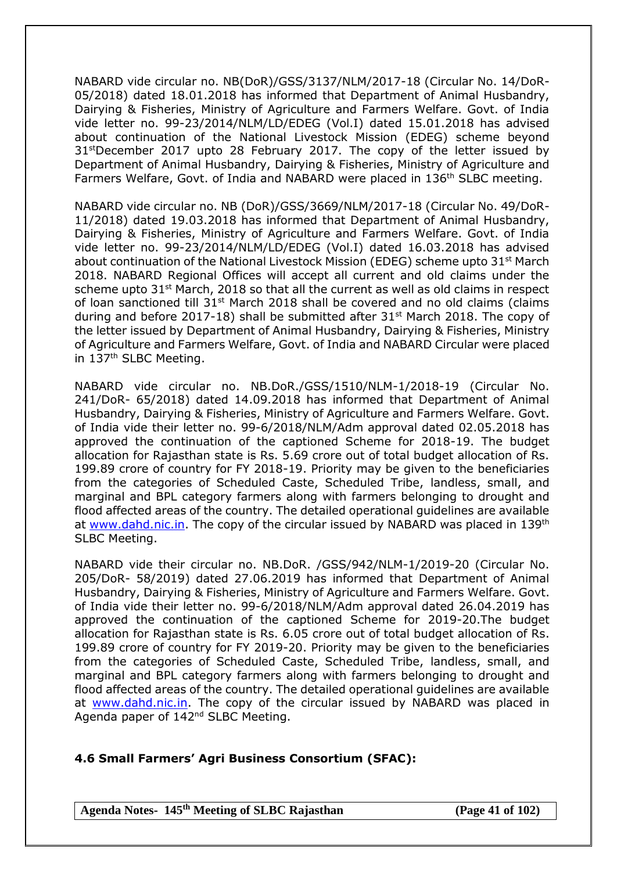NABARD vide circular no. NB(DoR)/GSS/3137/NLM/2017-18 (Circular No. 14/DoR-05/2018) dated 18.01.2018 has informed that Department of Animal Husbandry, Dairying & Fisheries, Ministry of Agriculture and Farmers Welfare. Govt. of India vide letter no. 99-23/2014/NLM/LD/EDEG (Vol.I) dated 15.01.2018 has advised about continuation of the National Livestock Mission (EDEG) scheme beyond 31<sup>st</sup>December 2017 upto 28 February 2017. The copy of the letter issued by Department of Animal Husbandry, Dairying & Fisheries, Ministry of Agriculture and Farmers Welfare, Govt. of India and NABARD were placed in 136<sup>th</sup> SLBC meeting.

NABARD vide circular no. NB (DoR)/GSS/3669/NLM/2017-18 (Circular No. 49/DoR-11/2018) dated 19.03.2018 has informed that Department of Animal Husbandry, Dairying & Fisheries, Ministry of Agriculture and Farmers Welfare. Govt. of India vide letter no. 99-23/2014/NLM/LD/EDEG (Vol.I) dated 16.03.2018 has advised about continuation of the National Livestock Mission (EDEG) scheme upto 31<sup>st</sup> March 2018. NABARD Regional Offices will accept all current and old claims under the scheme upto  $31^{st}$  March, 2018 so that all the current as well as old claims in respect of loan sanctioned till  $31^{st}$  March 2018 shall be covered and no old claims (claims during and before 2017-18) shall be submitted after  $31<sup>st</sup>$  March 2018. The copy of the letter issued by Department of Animal Husbandry, Dairying & Fisheries, Ministry of Agriculture and Farmers Welfare, Govt. of India and NABARD Circular were placed in 137<sup>th</sup> SLBC Meeting.

NABARD vide circular no. NB.DoR./GSS/1510/NLM-1/2018-19 (Circular No. 241/DoR- 65/2018) dated 14.09.2018 has informed that Department of Animal Husbandry, Dairying & Fisheries, Ministry of Agriculture and Farmers Welfare. Govt. of India vide their letter no. 99-6/2018/NLM/Adm approval dated 02.05.2018 has approved the continuation of the captioned Scheme for 2018-19. The budget allocation for Rajasthan state is Rs. 5.69 crore out of total budget allocation of Rs. 199.89 crore of country for FY 2018-19. Priority may be given to the beneficiaries from the categories of Scheduled Caste, Scheduled Tribe, landless, small, and marginal and BPL category farmers along with farmers belonging to drought and flood affected areas of the country. The detailed operational guidelines are available at [www.dahd.nic.in.](http://www.dahd.nic.in/) The copy of the circular issued by NABARD was placed in 139<sup>th</sup> SLBC Meeting.

NABARD vide their circular no. NB.DoR. /GSS/942/NLM-1/2019-20 (Circular No. 205/DoR- 58/2019) dated 27.06.2019 has informed that Department of Animal Husbandry, Dairying & Fisheries, Ministry of Agriculture and Farmers Welfare. Govt. of India vide their letter no. 99-6/2018/NLM/Adm approval dated 26.04.2019 has approved the continuation of the captioned Scheme for 2019-20.The budget allocation for Rajasthan state is Rs. 6.05 crore out of total budget allocation of Rs. 199.89 crore of country for FY 2019-20. Priority may be given to the beneficiaries from the categories of Scheduled Caste, Scheduled Tribe, landless, small, and marginal and BPL category farmers along with farmers belonging to drought and flood affected areas of the country. The detailed operational guidelines are available at [www.dahd.nic.in.](http://www.dahd.nic.in/) The copy of the circular issued by NABARD was placed in Agenda paper of 142<sup>nd</sup> SLBC Meeting.

## **4.6 Small Farmers' Agri Business Consortium (SFAC):**

**Agenda Notes- 145th Meeting of SLBC Rajasthan (Page 41 of 102)**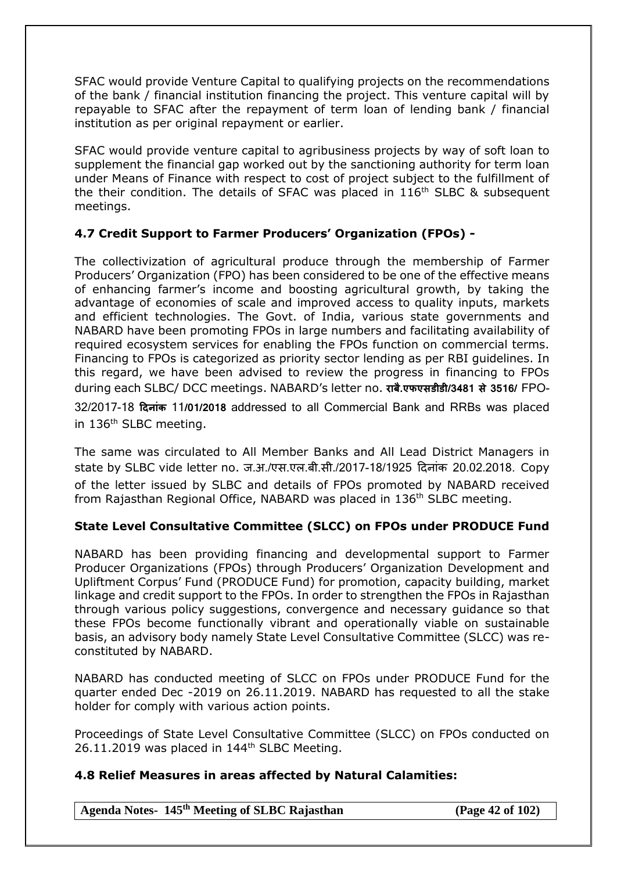SFAC would provide Venture Capital to qualifying projects on the recommendations of the bank / financial institution financing the project. This venture capital will by repayable to SFAC after the repayment of term loan of lending bank / financial institution as per original repayment or earlier.

SFAC would provide venture capital to agribusiness projects by way of soft loan to supplement the financial gap worked out by the sanctioning authority for term loan under Means of Finance with respect to cost of project subject to the fulfillment of the their condition. The details of SFAC was placed in 116<sup>th</sup> SLBC & subsequent meetings.

# **4.7 Credit Support to Farmer Producers' Organization (FPOs) -**

The collectivization of agricultural produce through the membership of Farmer Producers' Organization (FPO) has been considered to be one of the effective means of enhancing farmer's income and boosting agricultural growth, by taking the advantage of economies of scale and improved access to quality inputs, markets and efficient technologies. The Govt. of India, various state governments and NABARD have been promoting FPOs in large numbers and facilitating availability of required ecosystem services for enabling the FPOs function on commercial terms. Financing to FPOs is categorized as priority sector lending as per RBI guidelines. In this regard, we have been advised to review the progress in financing to FPOs during each SLBC/ DCC meetings. NABARD's letter no. **राबै.एफएसडीडी/3481 से 3516/** FPO-32/2017-18 **दिनाांक** 11**/01/2018** addressed to all Commercial Bank and RRBs was placed in 136<sup>th</sup> SLBC meeting.

The same was circulated to All Member Banks and All Lead District Managers in state by SLBC vide letter no. ज.अ./एस.एल.बी.सी./2017-18/1925 दिनांक 20.02.2018. Copy of the letter issued by SLBC and details of FPOs promoted by NABARD received from Rajasthan Regional Office, NABARD was placed in 136<sup>th</sup> SLBC meeting.

# **State Level Consultative Committee (SLCC) on FPOs under PRODUCE Fund**

NABARD has been providing financing and developmental support to Farmer Producer Organizations (FPOs) through Producers' Organization Development and Upliftment Corpus' Fund (PRODUCE Fund) for promotion, capacity building, market linkage and credit support to the FPOs. In order to strengthen the FPOs in Rajasthan through various policy suggestions, convergence and necessary guidance so that these FPOs become functionally vibrant and operationally viable on sustainable basis, an advisory body namely State Level Consultative Committee (SLCC) was reconstituted by NABARD.

NABARD has conducted meeting of SLCC on FPOs under PRODUCE Fund for the quarter ended Dec -2019 on 26.11.2019. NABARD has requested to all the stake holder for comply with various action points.

Proceedings of State Level Consultative Committee (SLCC) on FPOs conducted on 26.11.2019 was placed in 144<sup>th</sup> SLBC Meeting.

# **4.8 Relief Measures in areas affected by Natural Calamities:**

**Agenda Notes- 145th Meeting of SLBC Rajasthan (Page 42 of 102)**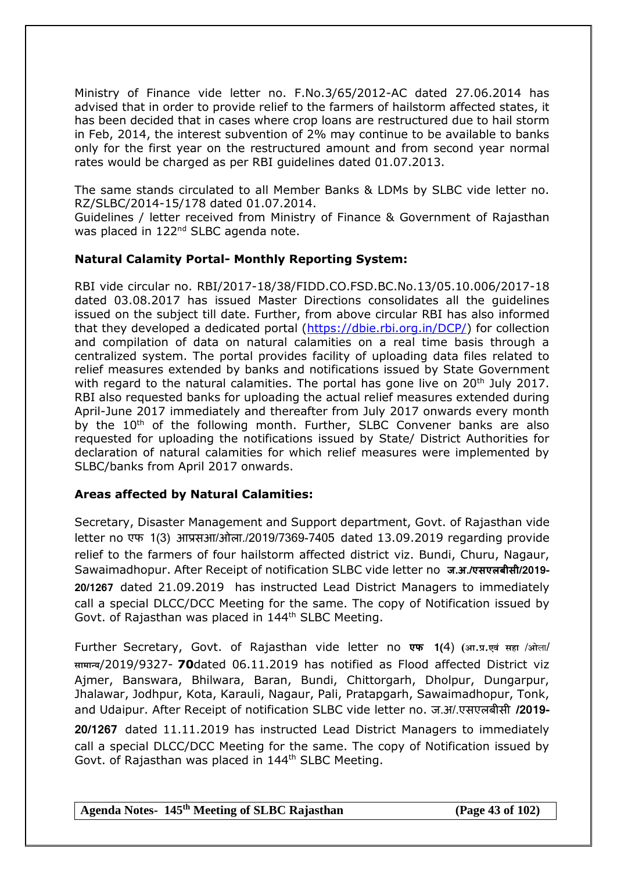Ministry of Finance vide letter no. F.No.3/65/2012-AC dated 27.06.2014 has advised that in order to provide relief to the farmers of hailstorm affected states, it has been decided that in cases where crop loans are restructured due to hail storm in Feb, 2014, the interest subvention of 2% may continue to be available to banks only for the first year on the restructured amount and from second year normal rates would be charged as per RBI guidelines dated 01.07.2013.

The same stands circulated to all Member Banks & LDMs by SLBC vide letter no. RZ/SLBC/2014-15/178 dated 01.07.2014.

Guidelines / letter received from Ministry of Finance & Government of Rajasthan was placed in 122<sup>nd</sup> SLBC agenda note.

#### **Natural Calamity Portal- Monthly Reporting System:**

RBI vide circular no. RBI/2017-18/38/FIDD.CO.FSD.BC.No.13/05.10.006/2017-18 dated 03.08.2017 has issued Master Directions consolidates all the guidelines issued on the subject till date. Further, from above circular RBI has also informed that they developed a dedicated portal [\(https://dbie.rbi.org.in/DCP/\)](https://dbie.rbi.org.in/DCP/) for collection and compilation of data on natural calamities on a real time basis through a centralized system. The portal provides facility of uploading data files related to relief measures extended by banks and notifications issued by State Government with regard to the natural calamities. The portal has gone live on 20<sup>th</sup> July 2017. RBI also requested banks for uploading the actual relief measures extended during April-June 2017 immediately and thereafter from July 2017 onwards every month by the 10<sup>th</sup> of the following month. Further, SLBC Convener banks are also requested for uploading the notifications issued by State/ District Authorities for declaration of natural calamities for which relief measures were implemented by SLBC/banks from April 2017 onwards.

#### **Areas affected by Natural Calamities:**

Secretary, Disaster Management and Support department, Govt. of Rajasthan vide letter no एफ 1(3) आप्रसआ/ओला./2019/7369-7405 dated 13.09.2019 regarding provide relief to the farmers of four hailstorm affected district viz. Bundi, Churu, Nagaur, Sawaimadhopur. After Receipt of notification SLBC vide letter no **ज.अ./एसएलबीसी/2019- 20/1267** dated 21.09.2019 has instructed Lead District Managers to immediately call a special DLCC/DCC Meeting for the same. The copy of Notification issued by Govt. of Rajasthan was placed in 144<sup>th</sup> SLBC Meeting.

Further Secretary, Govt. of Rajasthan vide letter no **एफ 1(**4) **)आ**.**प्र**.**एवं सहा /ओ**ला/ **सामान्य**/2019/9327- **70**dated 06.11.2019 has notified as Flood affected District viz Ajmer, Banswara, Bhilwara, Baran, Bundi, Chittorgarh, Dholpur, Dungarpur, Jhalawar, Jodhpur, Kota, Karauli, Nagaur, Pali, Pratapgarh, Sawaimadhopur, Tonk, and Udaipur. After Receipt of notification SLBC vide letter no. ज.अ/.एसएलबीसी **/2019- 20/1267** dated 11.11.2019 has instructed Lead District Managers to immediately

call a special DLCC/DCC Meeting for the same. The copy of Notification issued by Govt. of Rajasthan was placed in 144<sup>th</sup> SLBC Meeting.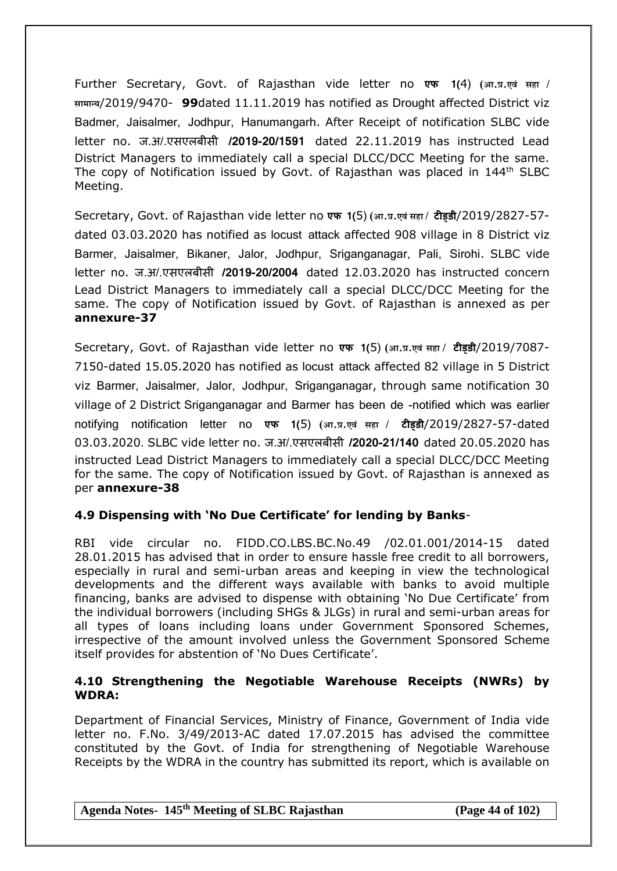Further Secretary, Govt. of Rajasthan vide letter no **एफ 1(**4) **)आ**.**प्र**.**एवं सहा / सामान्य**/2019/9470- **99**dated 11.11.2019 has notified as Drought affected District viz Badmer, Jaisalmer, Jodhpur, Hanumangarh. After Receipt of notification SLBC vide letter no. ज.अ/.एसएलबीसी **/2019-20/1591** dated 22.11.2019 has instructed Lead District Managers to immediately call a special DLCC/DCC Meeting for the same. The copy of Notification issued by Govt. of Rajasthan was placed in 144<sup>th</sup> SLBC Meeting.

Secretary, Govt. of Rajasthan vide letter no **एफ 1(**5) **)आ**.**प्र**.**एवंसहा / टीड्डी**/2019/2827-57 dated 03.03.2020 has notified as locust attack affected 908 village in 8 District viz Barmer, Jaisalmer, Bikaner, Jalor, Jodhpur, Sriganganagar, Pali, Sirohi. SLBC vide letter no. ज.अ/.एसएलबीसी **/2019-20/2004** dated 12.03.2020 has instructed concern Lead District Managers to immediately call a special DLCC/DCC Meeting for the same. The copy of Notification issued by Govt. of Rajasthan is annexed as per **annexure-37**

Secretary, Govt. of Rajasthan vide letter no **एफ 1(**5) **)आ**.**प्र**.**एवं सहा / टीड्डी**/2019/7087- 7150-dated 15.05.2020 has notified as locust attack affected 82 village in 5 District viz Barmer, Jaisalmer, Jalor, Jodhpur, Sriganganagar, through same notification 30 village of 2 District Sriganganagar and Barmer has been de -notified which was earlier notifying notification letter no **एफ 1(**5) **)आ**.**प्र**.**एवं सहा / टीड्डी**/2019/2827-57-dated 03.03.2020. SLBC vide letter no. ज.अ/.एसएलबीसी **/2020-21/140** dated 20.05.2020 has instructed Lead District Managers to immediately call a special DLCC/DCC Meeting for the same. The copy of Notification issued by Govt. of Rajasthan is annexed as per **annexure-38**

## **4.9 Dispensing with 'No Due Certificate' for lending by Banks**-

RBI vide circular no. FIDD.CO.LBS.BC.No.49 /02.01.001/2014-15 dated 28.01.2015 has advised that in order to ensure hassle free credit to all borrowers, especially in rural and semi-urban areas and keeping in view the technological developments and the different ways available with banks to avoid multiple financing, banks are advised to dispense with obtaining 'No Due Certificate' from the individual borrowers (including SHGs & JLGs) in rural and semi-urban areas for all types of loans including loans under Government Sponsored Schemes, irrespective of the amount involved unless the Government Sponsored Scheme itself provides for abstention of 'No Dues Certificate'.

## **4.10 Strengthening the Negotiable Warehouse Receipts (NWRs) by WDRA:**

Department of Financial Services, Ministry of Finance, Government of India vide letter no. F.No. 3/49/2013-AC dated 17.07.2015 has advised the committee constituted by the Govt. of India for strengthening of Negotiable Warehouse Receipts by the WDRA in the country has submitted its report, which is available on

**Agenda Notes- 145th Meeting of SLBC Rajasthan (Page 44 of 102)**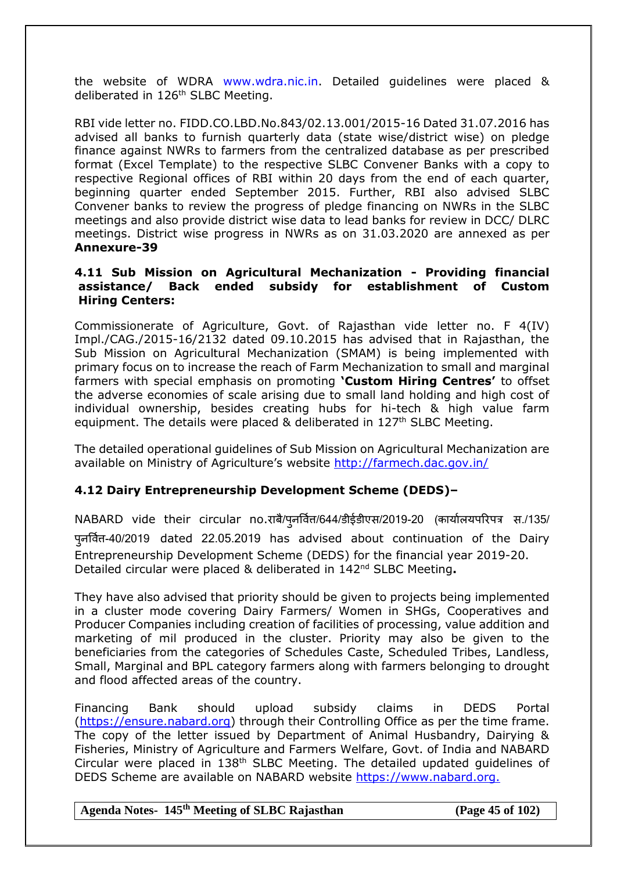the website of WDRA [www.wdra.nic.in.](http://www.wdra.nic.in/) Detailed guidelines were placed & deliberated in 126<sup>th</sup> SLBC Meeting.

RBI vide letter no. FIDD.CO.LBD.No.843/02.13.001/2015-16 Dated 31.07.2016 has advised all banks to furnish quarterly data (state wise/district wise) on pledge finance against NWRs to farmers from the centralized database as per prescribed format (Excel Template) to the respective SLBC Convener Banks with a copy to respective Regional offices of RBI within 20 days from the end of each quarter, beginning quarter ended September 2015. Further, RBI also advised SLBC Convener banks to review the progress of pledge financing on NWRs in the SLBC meetings and also provide district wise data to lead banks for review in DCC/ DLRC meetings. District wise progress in NWRs as on 31.03.2020 are annexed as per **Annexure-39**

#### **4.11 Sub Mission on Agricultural Mechanization - Providing financial assistance/ Back ended subsidy for establishment of Custom Hiring Centers:**

Commissionerate of Agriculture, Govt. of Rajasthan vide letter no. F 4(IV) Impl./CAG./2015-16/2132 dated 09.10.2015 has advised that in Rajasthan, the Sub Mission on Agricultural Mechanization (SMAM) is being implemented with primary focus on to increase the reach of Farm Mechanization to small and marginal farmers with special emphasis on promoting **'Custom Hiring Centres'** to offset the adverse economies of scale arising due to small land holding and high cost of individual ownership, besides creating hubs for hi-tech & high value farm equipment. The details were placed & deliberated in 127<sup>th</sup> SLBC Meeting.

The detailed operational guidelines of Sub Mission on Agricultural Mechanization are available on Ministry of Agriculture's website <http://farmech.dac.gov.in/>

## **4.12 Dairy Entrepreneurship Development Scheme (DEDS)–**

NABARD vide their circular no.राबै/पूनर्वित/644/डीईडीएस/2019-20 (कार्यालयपरिपत्र स./135/ पुनषवत्ति -40/2019 dated 22.05.2019 has advised about continuation of the Dairy Entrepreneurship Development Scheme (DEDS) for the financial year 2019-20. Detailed circular were placed & deliberated in 142nd SLBC Meeting**.**

They have also advised that priority should be given to projects being implemented in a cluster mode covering Dairy Farmers/ Women in SHGs, Cooperatives and Producer Companies including creation of facilities of processing, value addition and marketing of mil produced in the cluster. Priority may also be given to the beneficiaries from the categories of Schedules Caste, Scheduled Tribes, Landless, Small, Marginal and BPL category farmers along with farmers belonging to drought and flood affected areas of the country.

Financing Bank should upload subsidy claims in DEDS Portal [\(https://ensure.nabard.org\)](https://ensure.nabard.org/) through their Controlling Office as per the time frame. The copy of the letter issued by Department of Animal Husbandry, Dairying & Fisheries, Ministry of Agriculture and Farmers Welfare, Govt. of India and NABARD Circular were placed in 138th SLBC Meeting. The detailed updated guidelines of DEDS Scheme are available on NABARD website [https://www.nabard.org.](https://www.nabard.org/)

#### **Agenda Notes- 145th Meeting of SLBC Rajasthan (Page 45 of 102)**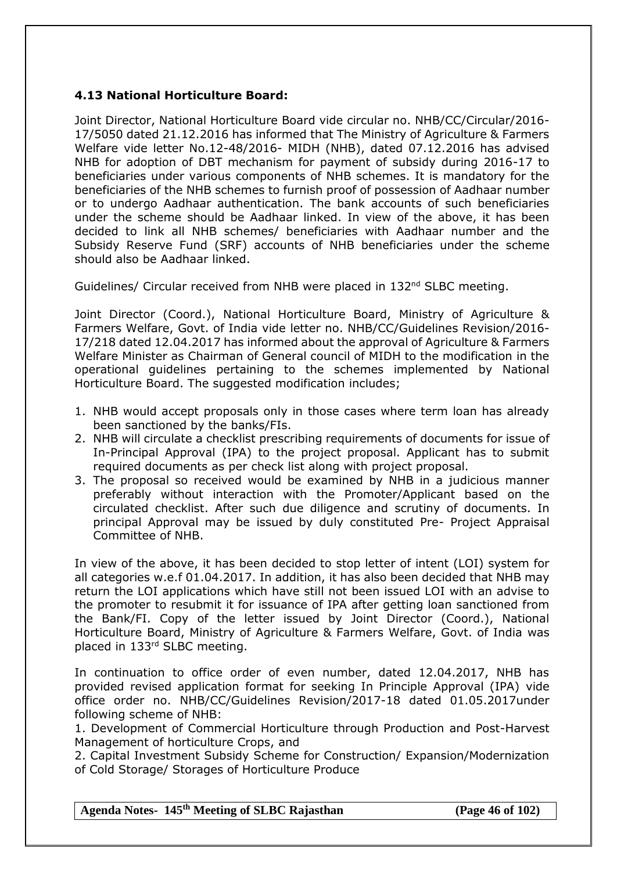## **4.13 National Horticulture Board:**

Joint Director, National Horticulture Board vide circular no. NHB/CC/Circular/2016- 17/5050 dated 21.12.2016 has informed that The Ministry of Agriculture & Farmers Welfare vide letter No.12-48/2016- MIDH (NHB), dated 07.12.2016 has advised NHB for adoption of DBT mechanism for payment of subsidy during 2016-17 to beneficiaries under various components of NHB schemes. It is mandatory for the beneficiaries of the NHB schemes to furnish proof of possession of Aadhaar number or to undergo Aadhaar authentication. The bank accounts of such beneficiaries under the scheme should be Aadhaar linked. In view of the above, it has been decided to link all NHB schemes/ beneficiaries with Aadhaar number and the Subsidy Reserve Fund (SRF) accounts of NHB beneficiaries under the scheme should also be Aadhaar linked.

Guidelines/ Circular received from NHB were placed in 132<sup>nd</sup> SLBC meeting.

Joint Director (Coord.), National Horticulture Board, Ministry of Agriculture & Farmers Welfare, Govt. of India vide letter no. NHB/CC/Guidelines Revision/2016- 17/218 dated 12.04.2017 has informed about the approval of Agriculture & Farmers Welfare Minister as Chairman of General council of MIDH to the modification in the operational guidelines pertaining to the schemes implemented by National Horticulture Board. The suggested modification includes;

- 1. NHB would accept proposals only in those cases where term loan has already been sanctioned by the banks/FIs.
- 2. NHB will circulate a checklist prescribing requirements of documents for issue of In-Principal Approval (IPA) to the project proposal. Applicant has to submit required documents as per check list along with project proposal.
- 3. The proposal so received would be examined by NHB in a judicious manner preferably without interaction with the Promoter/Applicant based on the circulated checklist. After such due diligence and scrutiny of documents. In principal Approval may be issued by duly constituted Pre- Project Appraisal Committee of NHB.

In view of the above, it has been decided to stop letter of intent (LOI) system for all categories w.e.f 01.04.2017. In addition, it has also been decided that NHB may return the LOI applications which have still not been issued LOI with an advise to the promoter to resubmit it for issuance of IPA after getting loan sanctioned from the Bank/FI. Copy of the letter issued by Joint Director (Coord.), National Horticulture Board, Ministry of Agriculture & Farmers Welfare, Govt. of India was placed in 133rd SLBC meeting.

In continuation to office order of even number, dated 12.04.2017, NHB has provided revised application format for seeking In Principle Approval (IPA) vide office order no. NHB/CC/Guidelines Revision/2017-18 dated 01.05.2017under following scheme of NHB:

1. Development of Commercial Horticulture through Production and Post-Harvest Management of horticulture Crops, and

2. Capital Investment Subsidy Scheme for Construction/ Expansion/Modernization of Cold Storage/ Storages of Horticulture Produce

**Agenda Notes- 145th Meeting of SLBC Rajasthan (Page 46 of 102)**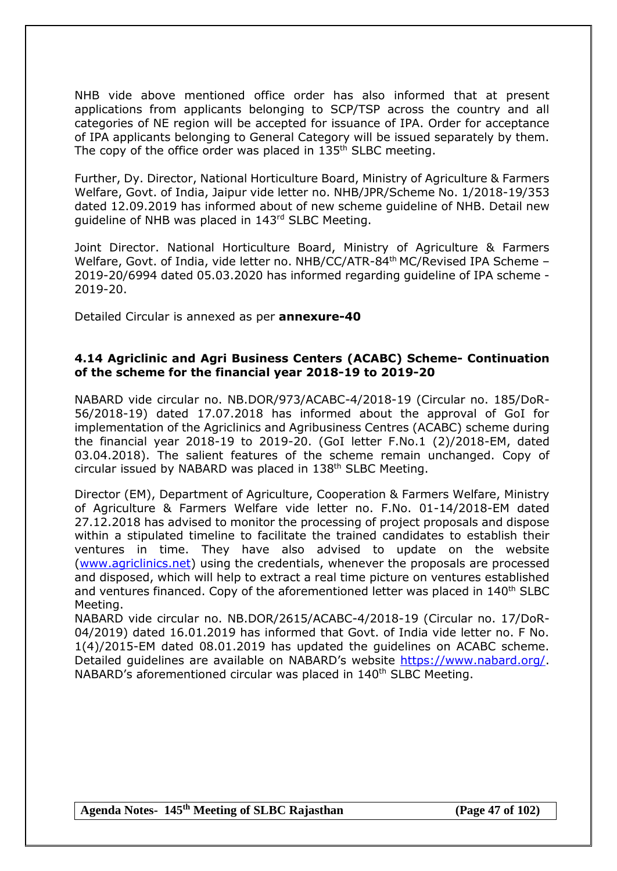NHB vide above mentioned office order has also informed that at present applications from applicants belonging to SCP/TSP across the country and all categories of NE region will be accepted for issuance of IPA. Order for acceptance of IPA applicants belonging to General Category will be issued separately by them. The copy of the office order was placed in 135<sup>th</sup> SLBC meeting.

Further, Dy. Director, National Horticulture Board, Ministry of Agriculture & Farmers Welfare, Govt. of India, Jaipur vide letter no. NHB/JPR/Scheme No. 1/2018-19/353 dated 12.09.2019 has informed about of new scheme guideline of NHB. Detail new guideline of NHB was placed in 143rd SLBC Meeting.

Joint Director. National Horticulture Board, Ministry of Agriculture & Farmers Welfare, Govt. of India, vide letter no. NHB/CC/ATR-84<sup>th</sup> MC/Revised IPA Scheme -2019-20/6994 dated 05.03.2020 has informed regarding guideline of IPA scheme - 2019-20.

Detailed Circular is annexed as per **annexure-40**

#### **4.14 Agriclinic and Agri Business Centers (ACABC) Scheme- Continuation of the scheme for the financial year 2018-19 to 2019-20**

NABARD vide circular no. NB.DOR/973/ACABC-4/2018-19 (Circular no. 185/DoR-56/2018-19) dated 17.07.2018 has informed about the approval of GoI for implementation of the Agriclinics and Agribusiness Centres (ACABC) scheme during the financial year 2018-19 to 2019-20. (GoI letter F.No.1 (2)/2018-EM, dated 03.04.2018). The salient features of the scheme remain unchanged. Copy of circular issued by NABARD was placed in 138<sup>th</sup> SLBC Meeting.

Director (EM), Department of Agriculture, Cooperation & Farmers Welfare, Ministry of Agriculture & Farmers Welfare vide letter no. F.No. 01-14/2018-EM dated 27.12.2018 has advised to monitor the processing of project proposals and dispose within a stipulated timeline to facilitate the trained candidates to establish their ventures in time. They have also advised to update on the website [\(www.agriclinics.net\)](http://www.agriclinics.net/) using the credentials, whenever the proposals are processed and disposed, which will help to extract a real time picture on ventures established and ventures financed. Copy of the aforementioned letter was placed in 140<sup>th</sup> SLBC Meeting.

NABARD vide circular no. NB.DOR/2615/ACABC-4/2018-19 (Circular no. 17/DoR-04/2019) dated 16.01.2019 has informed that Govt. of India vide letter no. F No. 1(4)/2015-EM dated 08.01.2019 has updated the guidelines on ACABC scheme. Detailed guidelines are available on NABARD's website [https://www.nabard.org/.](https://www.nabard.org/) NABARD's aforementioned circular was placed in 140<sup>th</sup> SLBC Meeting.

**Agenda Notes- 145th Meeting of SLBC Rajasthan (Page 47 of 102)**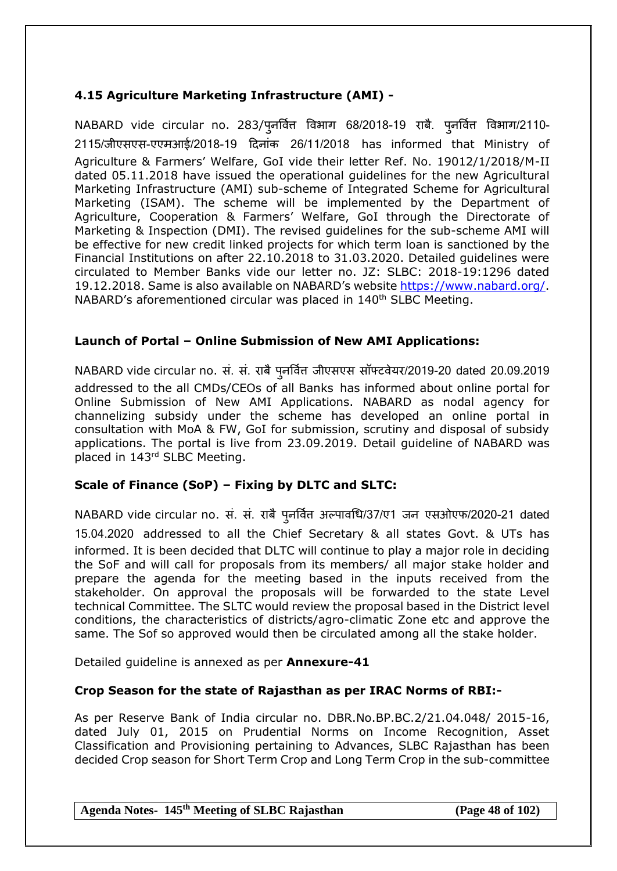# **4.15 Agriculture Marketing Infrastructure (AMI) -**

NABARD vide circular no. 283/प्*नर्वित्त विभाग 68/2018-19 राबै. प्*नर्वित विभाग/2110-2115/जीएसएस-एएमआई/2018-19 दिनांक 26/11/2018 has informed that Ministry of Agriculture & Farmers' Welfare, GoI vide their letter Ref. No. 19012/1/2018/M-II dated 05.11.2018 have issued the operational guidelines for the new Agricultural Marketing Infrastructure (AMI) sub-scheme of Integrated Scheme for Agricultural Marketing (ISAM). The scheme will be implemented by the Department of Agriculture, Cooperation & Farmers' Welfare, GoI through the Directorate of Marketing & Inspection (DMI). The revised guidelines for the sub-scheme AMI will be effective for new credit linked projects for which term loan is sanctioned by the Financial Institutions on after 22.10.2018 to 31.03.2020. Detailed guidelines were circulated to Member Banks vide our letter no. JZ: SLBC: 2018-19:1296 dated 19.12.2018. Same is also available on NABARD's website [https://www.nabard.org/.](https://www.nabard.org/) NABARD's aforementioned circular was placed in 140<sup>th</sup> SLBC Meeting.

## **Launch of Portal – Online Submission of New AMI Applications:**

NABARD vide circular no. सं. सं. राबै पुनर्वित जीएसएस सॉफ्टवेयर/2019-20 dated 20.09.2019 addressed to the all CMDs/CEOs of all Banks has informed about online portal for Online Submission of New AMI Applications. NABARD as nodal agency for channelizing subsidy under the scheme has developed an online portal in consultation with MoA & FW, GoI for submission, scrutiny and disposal of subsidy applications. The portal is live from 23.09.2019. Detail guideline of NABARD was placed in 143rd SLBC Meeting.

# **Scale of Finance (SoP) – Fixing by DLTC and SLTC:**

NABARD vide circular no. सं. सं. राबै पुनर्वित अल्पावधि/37/ए1 जन एसओएफ/2020-21 dated 15.04.2020 addressed to all the Chief Secretary & all states Govt. & UTs has informed. It is been decided that DLTC will continue to play a major role in deciding the SoF and will call for proposals from its members/ all major stake holder and prepare the agenda for the meeting based in the inputs received from the stakeholder. On approval the proposals will be forwarded to the state Level technical Committee. The SLTC would review the proposal based in the District level conditions, the characteristics of districts/agro-climatic Zone etc and approve the same. The Sof so approved would then be circulated among all the stake holder.

Detailed guideline is annexed as per **Annexure-41**

## **Crop Season for the state of Rajasthan as per IRAC Norms of RBI:-**

As per Reserve Bank of India circular no. DBR.No.BP.BC.2/21.04.048/ 2015-16, dated July 01, 2015 on Prudential Norms on Income Recognition, Asset Classification and Provisioning pertaining to Advances, SLBC Rajasthan has been decided Crop season for Short Term Crop and Long Term Crop in the sub-committee

**Agenda Notes- 145th Meeting of SLBC Rajasthan (Page 48 of 102)**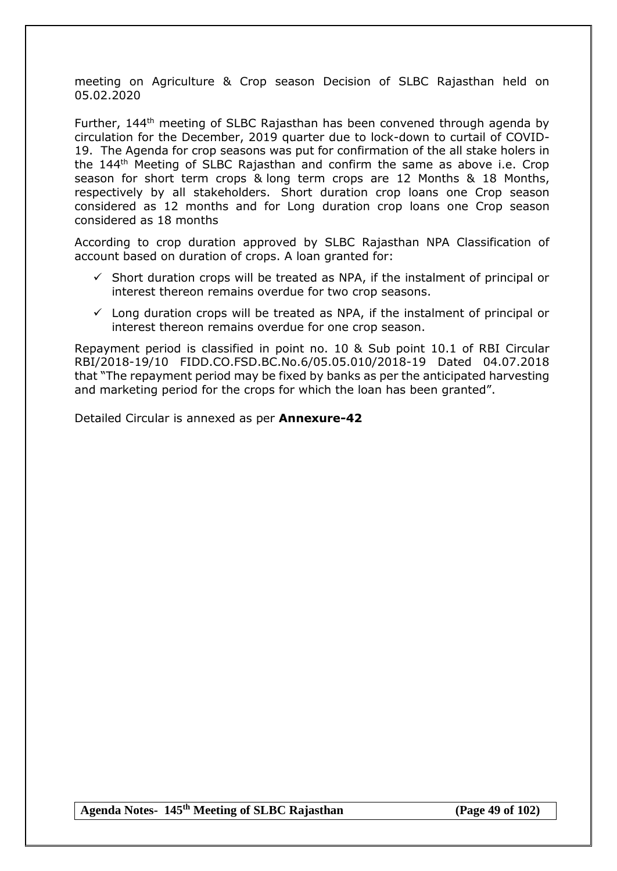meeting on Agriculture & Crop season Decision of SLBC Rajasthan held on 05.02.2020

Further, 144th meeting of SLBC Rajasthan has been convened through agenda by circulation for the December, 2019 quarter due to lock-down to curtail of COVID-19. The Agenda for crop seasons was put for confirmation of the all stake holers in the 144th Meeting of SLBC Rajasthan and confirm the same as above i.e. Crop season for short term crops & long term crops are 12 Months & 18 Months, respectively by all stakeholders. Short duration crop loans one Crop season considered as 12 months and for Long duration crop loans one Crop season considered as 18 months

According to crop duration approved by SLBC Rajasthan NPA Classification of account based on duration of crops. A loan granted for:

- $\checkmark$  Short duration crops will be treated as NPA, if the instalment of principal or interest thereon remains overdue for two crop seasons.
- $\checkmark$  Long duration crops will be treated as NPA, if the instalment of principal or interest thereon remains overdue for one crop season.

Repayment period is classified in point no. 10 & Sub point 10.1 of RBI Circular RBI/2018-19/10 FIDD.CO.FSD.BC.No.6/05.05.010/2018-19 Dated 04.07.2018 that "The repayment period may be fixed by banks as per the anticipated harvesting and marketing period for the crops for which the loan has been granted".

Detailed Circular is annexed as per **Annexure-42**

**Agenda Notes- 145th Meeting of SLBC Rajasthan (Page 49 of 102)**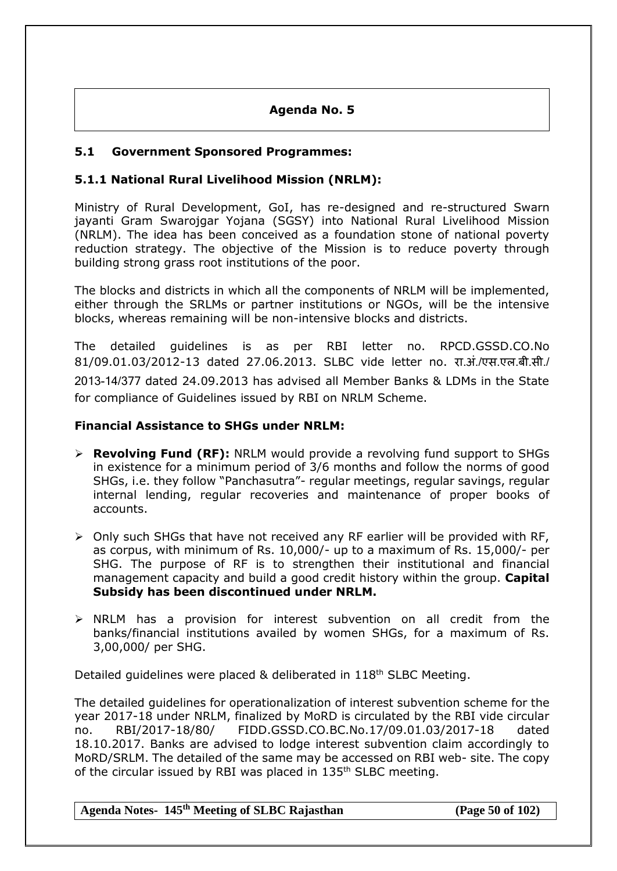# **Agenda No. 5**

## **5.1 Government Sponsored Programmes:**

## **5.1.1 National Rural Livelihood Mission (NRLM):**

Ministry of Rural Development, GoI, has re-designed and re-structured Swarn jayanti Gram Swarojgar Yojana (SGSY) into National Rural Livelihood Mission (NRLM). The idea has been conceived as a foundation stone of national poverty reduction strategy. The objective of the Mission is to reduce poverty through building strong grass root institutions of the poor.

The blocks and districts in which all the components of NRLM will be implemented, either through the SRLMs or partner institutions or NGOs, will be the intensive blocks, whereas remaining will be non-intensive blocks and districts.

The detailed guidelines is as per RBI letter no. RPCD.GSSD.CO.No 81/09.01.03/2012-13 dated 27.06.2013. SLBC vide letter no. रा.अं./एस.एल.बी.सी./ 2013-14/377 dated 24.09.2013 has advised all Member Banks & LDMs in the State for compliance of Guidelines issued by RBI on NRLM Scheme.

## **Financial Assistance to SHGs under NRLM:**

- **Revolving Fund (RF):** NRLM would provide a revolving fund support to SHGs in existence for a minimum period of 3/6 months and follow the norms of good SHGs, i.e. they follow "Panchasutra"- regular meetings, regular savings, regular internal lending, regular recoveries and maintenance of proper books of accounts.
- $\triangleright$  Only such SHGs that have not received any RF earlier will be provided with RF, as corpus, with minimum of Rs. 10,000/- up to a maximum of Rs. 15,000/- per SHG. The purpose of RF is to strengthen their institutional and financial management capacity and build a good credit history within the group. **Capital Subsidy has been discontinued under NRLM.**
- $\triangleright$  NRLM has a provision for interest subvention on all credit from the banks/financial institutions availed by women SHGs, for a maximum of Rs. 3,00,000/ per SHG.

Detailed quidelines were placed & deliberated in 118<sup>th</sup> SLBC Meeting.

The detailed guidelines for operationalization of interest subvention scheme for the year 2017-18 under NRLM, finalized by MoRD is circulated by the RBI vide circular no. RBI/2017-18/80/ FIDD.GSSD.CO.BC.No.17/09.01.03/2017-18 dated 18.10.2017. Banks are advised to lodge interest subvention claim accordingly to MoRD/SRLM. The detailed of the same may be accessed on RBI web- site. The copy of the circular issued by RBI was placed in 135<sup>th</sup> SLBC meeting.

**Agenda Notes- 145th Meeting of SLBC Rajasthan (Page 50 of 102)**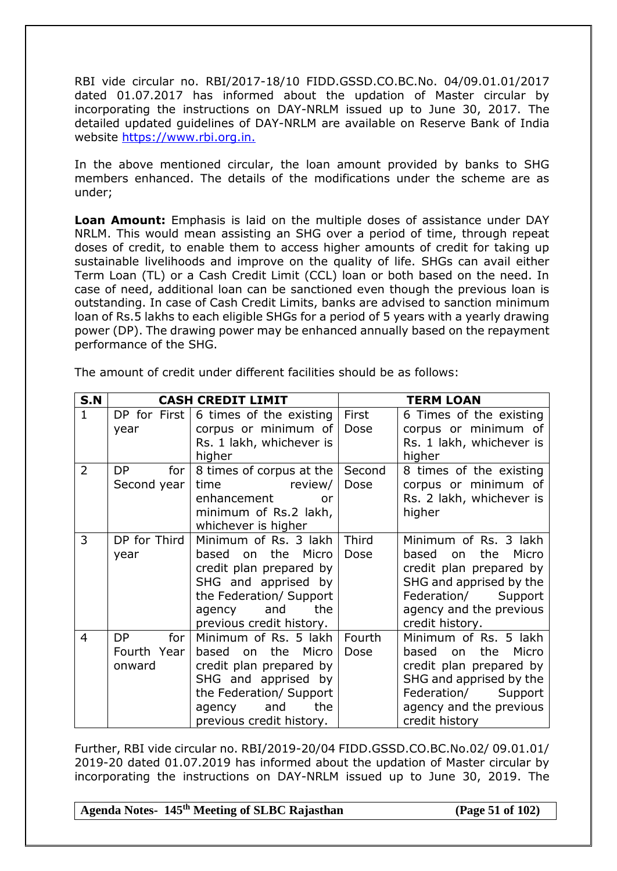RBI vide circular no. RBI/2017-18/10 FIDD.GSSD.CO.BC.No. 04/09.01.01/2017 dated 01.07.2017 has informed about the updation of Master circular by incorporating the instructions on DAY-NRLM issued up to June 30, 2017. The detailed updated guidelines of DAY-NRLM are available on Reserve Bank of India website [https://www.rbi.org.in.](https://www.rbi.org.in./)

In the above mentioned circular, the loan amount provided by banks to SHG members enhanced. The details of the modifications under the scheme are as under;

**Loan Amount:** Emphasis is laid on the multiple doses of assistance under DAY NRLM. This would mean assisting an SHG over a period of time, through repeat doses of credit, to enable them to access higher amounts of credit for taking up sustainable livelihoods and improve on the quality of life. SHGs can avail either Term Loan (TL) or a Cash Credit Limit (CCL) loan or both based on the need. In case of need, additional loan can be sanctioned even though the previous loan is outstanding. In case of Cash Credit Limits, banks are advised to sanction minimum loan of Rs.5 lakhs to each eligible SHGs for a period of 5 years with a yearly drawing power (DP). The drawing power may be enhanced annually based on the repayment performance of the SHG.

| S.N            |                                           | <b>CASH CREDIT LIMIT</b>                                                                                                                                                                                                  | <b>TERM LOAN</b> |                                                                                                                                                                                 |  |  |
|----------------|-------------------------------------------|---------------------------------------------------------------------------------------------------------------------------------------------------------------------------------------------------------------------------|------------------|---------------------------------------------------------------------------------------------------------------------------------------------------------------------------------|--|--|
| $\mathbf{1}$   | year                                      | DP for First $\vert$ 6 times of the existing<br>corpus or minimum of<br>Rs. 1 lakh, whichever is<br>higher                                                                                                                | First<br>Dose    | 6 Times of the existing<br>corpus or minimum of<br>Rs. 1 lakh, whichever is<br>higher                                                                                           |  |  |
| $\overline{2}$ | DP<br>for<br>Second year                  | 8 times of corpus at the<br>time and the state of the state of the state of the state of the state of the state of the state of the state<br>review/<br>enhancement<br>or<br>minimum of Rs.2 lakh,<br>whichever is higher | Second<br>Dose   | 8 times of the existing<br>corpus or minimum of<br>Rs. 2 lakh, whichever is<br>higher                                                                                           |  |  |
| 3              | DP for Third<br>year                      | Minimum of Rs. 3 lakh<br>based on the Micro<br>credit plan prepared by<br>SHG and apprised by<br>the Federation/ Support<br>the<br>agency and<br>previous credit history.                                                 | Third<br>Dose    | Minimum of Rs. 3 lakh<br>the<br>based<br>Micro<br>on<br>credit plan prepared by<br>SHG and apprised by the<br>Federation/ Support<br>agency and the previous<br>credit history. |  |  |
| 4              | <b>DP</b><br>for<br>Fourth Year<br>onward | Minimum of Rs. 5 lakh<br>based on the Micro<br>credit plan prepared by<br>SHG and apprised by<br>the Federation/ Support<br>and<br>the<br>agency<br>previous credit history.                                              | Fourth<br>Dose   | Minimum of Rs. 5 lakh<br>based on<br>the<br>Micro<br>credit plan prepared by<br>SHG and apprised by the<br>Federation/ Support<br>agency and the previous<br>credit history     |  |  |

The amount of credit under different facilities should be as follows:

Further, RBI vide circular no. RBI/2019-20/04 FIDD.GSSD.CO.BC.No.02/ 09.01.01/ 2019-20 dated 01.07.2019 has informed about the updation of Master circular by incorporating the instructions on DAY-NRLM issued up to June 30, 2019. The

**Agenda Notes- 145th Meeting of SLBC Rajasthan (Page 51 of 102)**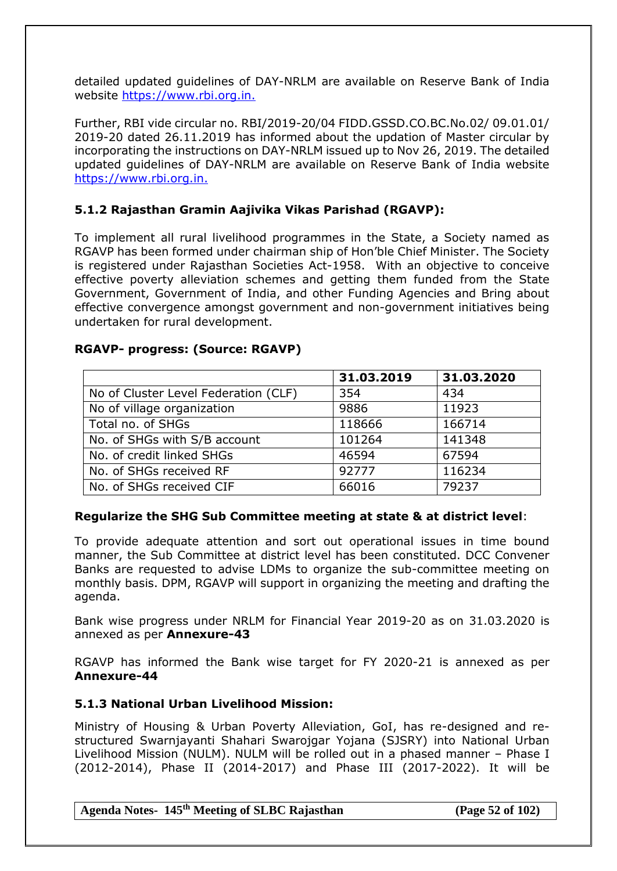detailed updated guidelines of DAY-NRLM are available on Reserve Bank of India website [https://www.rbi.org.in.](https://www.rbi.org.in./)

Further, RBI vide circular no. RBI/2019-20/04 FIDD.GSSD.CO.BC.No.02/ 09.01.01/ 2019-20 dated 26.11.2019 has informed about the updation of Master circular by incorporating the instructions on DAY-NRLM issued up to Nov 26, 2019. The detailed updated guidelines of DAY-NRLM are available on Reserve Bank of India website [https://www.rbi.org.in.](https://www.rbi.org.in./)

## **5.1.2 Rajasthan Gramin Aajivika Vikas Parishad (RGAVP):**

To implement all rural livelihood programmes in the State, a Society named as RGAVP has been formed under chairman ship of Hon'ble Chief Minister. The Society is registered under Rajasthan Societies Act-1958. With an objective to conceive effective poverty alleviation schemes and getting them funded from the State Government, Government of India, and other Funding Agencies and Bring about effective convergence amongst government and non-government initiatives being undertaken for rural development.

#### **RGAVP- progress: (Source: RGAVP)**

|                                      | 31.03.2019 | 31.03.2020 |
|--------------------------------------|------------|------------|
| No of Cluster Level Federation (CLF) | 354        | 434        |
| No of village organization           | 9886       | 11923      |
| Total no. of SHGs                    | 118666     | 166714     |
| No. of SHGs with S/B account         | 101264     | 141348     |
| No. of credit linked SHGs            | 46594      | 67594      |
| No. of SHGs received RF              | 92777      | 116234     |
| No. of SHGs received CIF             | 66016      | 79237      |

#### **Regularize the SHG Sub Committee meeting at state & at district level**:

To provide adequate attention and sort out operational issues in time bound manner, the Sub Committee at district level has been constituted. DCC Convener Banks are requested to advise LDMs to organize the sub-committee meeting on monthly basis. DPM, RGAVP will support in organizing the meeting and drafting the agenda.

Bank wise progress under NRLM for Financial Year 2019-20 as on 31.03.2020 is annexed as per **Annexure-43**

RGAVP has informed the Bank wise target for FY 2020-21 is annexed as per **Annexure-44**

#### **5.1.3 National Urban Livelihood Mission:**

Ministry of Housing & Urban Poverty Alleviation, GoI, has re-designed and restructured Swarnjayanti Shahari Swarojgar Yojana (SJSRY) into National Urban Livelihood Mission (NULM). NULM will be rolled out in a phased manner – Phase I (2012-2014), Phase II (2014-2017) and Phase III (2017-2022). It will be

**Agenda Notes- 145th Meeting of SLBC Rajasthan (Page 52 of 102)**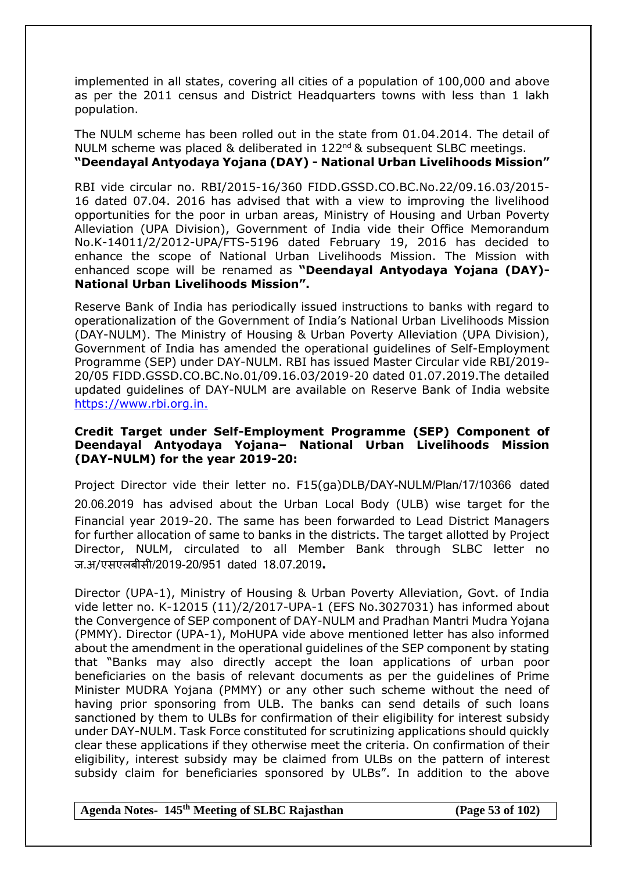implemented in all states, covering all cities of a population of 100,000 and above as per the 2011 census and District Headquarters towns with less than 1 lakh population.

The NULM scheme has been rolled out in the state from 01.04.2014. The detail of NULM scheme was placed & deliberated in 122<sup>nd</sup> & subsequent SLBC meetings. **"Deendayal Antyodaya Yojana (DAY) - National Urban Livelihoods Mission"**

RBI vide circular no. RBI/2015-16/360 FIDD.GSSD.CO.BC.No.22/09.16.03/2015- 16 dated 07.04. 2016 has advised that with a view to improving the livelihood opportunities for the poor in urban areas, Ministry of Housing and Urban Poverty Alleviation (UPA Division), Government of India vide their Office Memorandum No.K-14011/2/2012-UPA/FTS-5196 dated February 19, 2016 has decided to enhance the scope of National Urban Livelihoods Mission. The Mission with enhanced scope will be renamed as **"Deendayal Antyodaya Yojana (DAY)- National Urban Livelihoods Mission".**

Reserve Bank of India has periodically issued instructions to banks with regard to operationalization of the Government of India's National Urban Livelihoods Mission (DAY-NULM). The Ministry of Housing & Urban Poverty Alleviation (UPA Division), Government of India has amended the operational guidelines of Self-Employment Programme (SEP) under DAY-NULM. RBI has issued Master Circular vide RBI/2019- 20/05 FIDD.GSSD.CO.BC.No.01/09.16.03/2019-20 dated 01.07.2019.The detailed updated guidelines of DAY-NULM are available on Reserve Bank of India website [https://www.rbi.org.in.](https://www.rbi.org.in./)

#### **Credit Target under Self-Employment Programme (SEP) Component of Deendayal Antyodaya Yojana– National Urban Livelihoods Mission (DAY-NULM) for the year 2019-20:**

Project Director vide their letter no. F15(ga)DLB/DAY-NULM/Plan/17/10366 dated 20.06.2019 has advised about the Urban Local Body (ULB) wise target for the Financial year 2019-20. The same has been forwarded to Lead District Managers for further allocation of same to banks in the districts. The target allotted by Project Director, NULM, circulated to all Member Bank through SLBC letter no ज.अ/एसएलबीसी/2019-20/951 dated 18.07.2019**.**

Director (UPA-1), Ministry of Housing & Urban Poverty Alleviation, Govt. of India vide letter no. K-12015 (11)/2/2017-UPA-1 (EFS No.3027031) has informed about the Convergence of SEP component of DAY-NULM and Pradhan Mantri Mudra Yojana (PMMY). Director (UPA-1), MoHUPA vide above mentioned letter has also informed about the amendment in the operational guidelines of the SEP component by stating that "Banks may also directly accept the loan applications of urban poor beneficiaries on the basis of relevant documents as per the guidelines of Prime Minister MUDRA Yojana (PMMY) or any other such scheme without the need of having prior sponsoring from ULB. The banks can send details of such loans sanctioned by them to ULBs for confirmation of their eligibility for interest subsidy under DAY-NULM. Task Force constituted for scrutinizing applications should quickly clear these applications if they otherwise meet the criteria. On confirmation of their eligibility, interest subsidy may be claimed from ULBs on the pattern of interest subsidy claim for beneficiaries sponsored by ULBs". In addition to the above

**Agenda Notes- 145th Meeting of SLBC Rajasthan (Page 53 of 102)**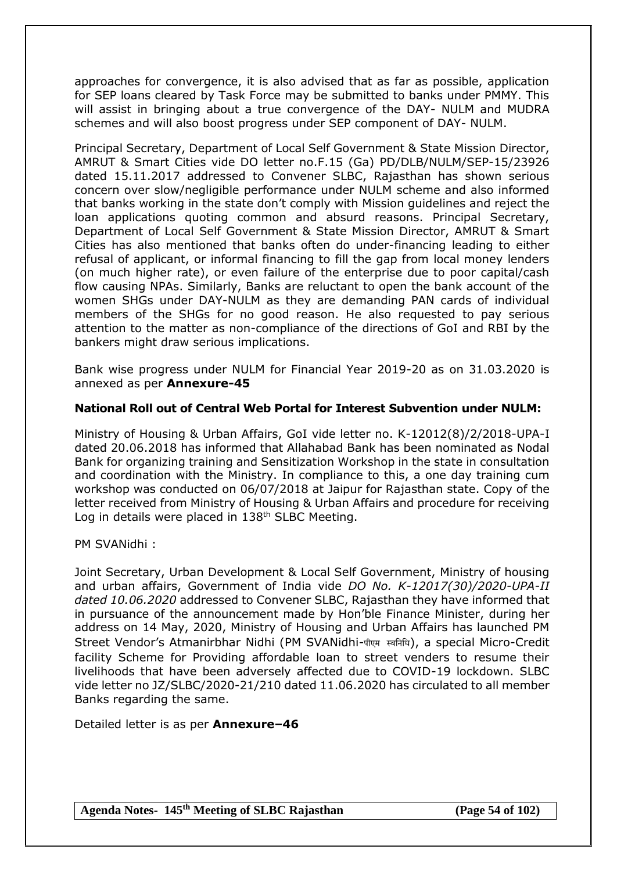approaches for convergence, it is also advised that as far as possible, application for SEP loans cleared by Task Force may be submitted to banks under PMMY. This will assist in bringing about a true convergence of the DAY- NULM and MUDRA schemes and will also boost progress under SEP component of DAY- NULM.

Principal Secretary, Department of Local Self Government & State Mission Director, AMRUT & Smart Cities vide DO letter no.F.15 (Ga) PD/DLB/NULM/SEP-15/23926 dated 15.11.2017 addressed to Convener SLBC, Rajasthan has shown serious concern over slow/negligible performance under NULM scheme and also informed that banks working in the state don't comply with Mission guidelines and reject the loan applications quoting common and absurd reasons. Principal Secretary, Department of Local Self Government & State Mission Director, AMRUT & Smart Cities has also mentioned that banks often do under-financing leading to either refusal of applicant, or informal financing to fill the gap from local money lenders (on much higher rate), or even failure of the enterprise due to poor capital/cash flow causing NPAs. Similarly, Banks are reluctant to open the bank account of the women SHGs under DAY-NULM as they are demanding PAN cards of individual members of the SHGs for no good reason. He also requested to pay serious attention to the matter as non-compliance of the directions of GoI and RBI by the bankers might draw serious implications.

Bank wise progress under NULM for Financial Year 2019-20 as on 31.03.2020 is annexed as per **Annexure-45**

#### **National Roll out of Central Web Portal for Interest Subvention under NULM:**

Ministry of Housing & Urban Affairs, GoI vide letter no. K-12012(8)/2/2018-UPA-I dated 20.06.2018 has informed that Allahabad Bank has been nominated as Nodal Bank for organizing training and Sensitization Workshop in the state in consultation and coordination with the Ministry. In compliance to this, a one day training cum workshop was conducted on 06/07/2018 at Jaipur for Rajasthan state. Copy of the letter received from Ministry of Housing & Urban Affairs and procedure for receiving Log in details were placed in 138<sup>th</sup> SLBC Meeting.

PM SVANidhi :

Joint Secretary, Urban Development & Local Self Government, Ministry of housing and urban affairs, Government of India vide *DO No. K-12017(30)/2020-UPA-II dated 10.06.2020* addressed to Convener SLBC, Rajasthan they have informed that in pursuance of the announcement made by Hon'ble Finance Minister, during her address on 14 May, 2020, Ministry of Housing and Urban Affairs has launched PM Street Vendor's Atmanirbhar Nidhi (PM SVANidhi-पीएम स्वनिनि), a special Micro-Credit facility Scheme for Providing affordable loan to street venders to resume their livelihoods that have been adversely affected due to COVID-19 lockdown. SLBC vide letter no JZ/SLBC/2020-21/210 dated 11.06.2020 has circulated to all member Banks regarding the same.

Detailed letter is as per **Annexure–46**

**Agenda Notes- 145th Meeting of SLBC Rajasthan (Page 54 of 102)**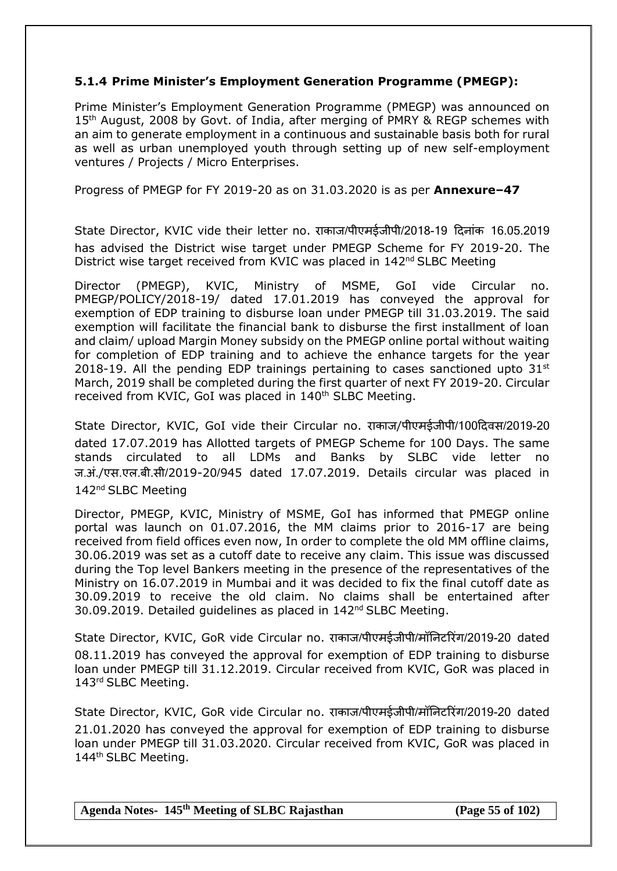## **5.1.4 Prime Minister's Employment Generation Programme (PMEGP):**

Prime Minister's Employment Generation Programme (PMEGP) was announced on 15<sup>th</sup> August, 2008 by Govt. of India, after merging of PMRY & REGP schemes with an aim to generate employment in a continuous and sustainable basis both for rural as well as urban unemployed youth through setting up of new self-employment ventures / Projects / Micro Enterprises.

Progress of PMEGP for FY 2019-20 as on 31.03.2020 is as per **Annexure–47**

State Director, KVIC vide their letter no. राकाज/पीएमईजीपी/2018-19 दिनांक 16.05.2019 has advised the District wise target under PMEGP Scheme for FY 2019-20. The District wise target received from KVIC was placed in  $142<sup>nd</sup>$  SLBC Meeting

Director (PMEGP), KVIC, Ministry of MSME, GoI vide Circular no. PMEGP/POLICY/2018-19/ dated 17.01.2019 has conveyed the approval for exemption of EDP training to disburse loan under PMEGP till 31.03.2019. The said exemption will facilitate the financial bank to disburse the first installment of loan and claim/ upload Margin Money subsidy on the PMEGP online portal without waiting for completion of EDP training and to achieve the enhance targets for the year 2018-19. All the pending EDP trainings pertaining to cases sanctioned upto  $31<sup>st</sup>$ March, 2019 shall be completed during the first quarter of next FY 2019-20. Circular received from KVIC, GoI was placed in 140<sup>th</sup> SLBC Meeting.

State Director, KVIC, GoI vide their Circular no. राकाज/पीएमईजीपी/100दिवस/2019-20 dated 17.07.2019 has Allotted targets of PMEGP Scheme for 100 Days. The same stands circulated to all LDMs and Banks by SLBC vide letter no ज.अं./एस.एल.बी.सी/2019-20/945 dated 17.07.2019. Details circular was placed in 142<sup>nd</sup> SLBC Meeting

Director, PMEGP, KVIC, Ministry of MSME, GoI has informed that PMEGP online portal was launch on 01.07.2016, the MM claims prior to 2016-17 are being received from field offices even now, In order to complete the old MM offline claims, 30.06.2019 was set as a cutoff date to receive any claim. This issue was discussed during the Top level Bankers meeting in the presence of the representatives of the Ministry on 16.07.2019 in Mumbai and it was decided to fix the final cutoff date as 30.09.2019 to receive the old claim. No claims shall be entertained after 30.09.2019. Detailed guidelines as placed in 142nd SLBC Meeting.

State Director, KVIC, GoR vide Circular no. राकाज/पीएमईजीपी/मॉननटररंग/2019-20 dated 08.11.2019 has conveyed the approval for exemption of EDP training to disburse loan under PMEGP till 31.12.2019. Circular received from KVIC, GoR was placed in 143 rd SLBC Meeting.

State Director, KVIC, GoR vide Circular no. राकाज/पीएमईजीपी/मॉननटररंग/2019-20 dated 21.01.2020 has conveyed the approval for exemption of EDP training to disburse loan under PMEGP till 31.03.2020. Circular received from KVIC, GoR was placed in 144<sup>th</sup> SLBC Meeting.

**Agenda Notes- 145th Meeting of SLBC Rajasthan (Page 55 of 102)**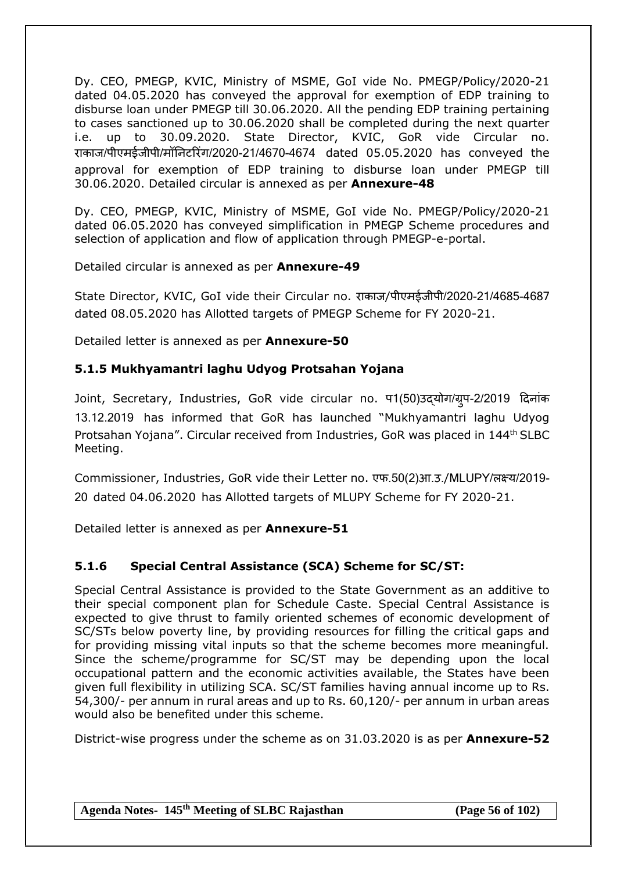Dy. CEO, PMEGP, KVIC, Ministry of MSME, GoI vide No. PMEGP/Policy/2020-21 dated 04.05.2020 has conveyed the approval for exemption of EDP training to disburse loan under PMEGP till 30.06.2020. All the pending EDP training pertaining to cases sanctioned up to 30.06.2020 shall be completed during the next quarter i.e. up to 30.09.2020. State Director, KVIC, GoR vide Circular no. राकाज/पीएमईजीपी/मॉननटररंग/2020-21/4670-4674 dated 05.05.2020 has conveyed the approval for exemption of EDP training to disburse loan under PMEGP till 30.06.2020. Detailed circular is annexed as per **Annexure-48**

Dy. CEO, PMEGP, KVIC, Ministry of MSME, GoI vide No. PMEGP/Policy/2020-21 dated 06.05.2020 has conveyed simplification in PMEGP Scheme procedures and selection of application and flow of application through PMEGP-e-portal.

Detailed circular is annexed as per **Annexure-49**

State Director, KVIC, GoI vide their Circular no. राकाज/पीएमईजीपी/2020-21/4685-4687 dated 08.05.2020 has Allotted targets of PMEGP Scheme for FY 2020-21.

Detailed letter is annexed as per **Annexure-50**

# **5.1.5 Mukhyamantri laghu Udyog Protsahan Yojana**

Joint, Secretary, Industries, GoR vide circular no. प1(50)उद्योग/ग्रपु -2/2019 दिनांक 13.12.2019 has informed that GoR has launched "Mukhyamantri laghu Udyog Protsahan Yojana". Circular received from Industries, GoR was placed in 144<sup>th</sup> SLBC Meeting.

Commissioner, Industries, GoR vide their Letter no. एफ.50(2)आ.उ./MLUPY/लक्ष्य/2019- 20 dated 04.06.2020 has Allotted targets of MLUPY Scheme for FY 2020-21.

Detailed letter is annexed as per **Annexure-51**

# **5.1.6 Special Central Assistance (SCA) Scheme for SC/ST:**

Special Central Assistance is provided to the State Government as an additive to their special component plan for Schedule Caste. Special Central Assistance is expected to give thrust to family oriented schemes of economic development of SC/STs below poverty line, by providing resources for filling the critical gaps and for providing missing vital inputs so that the scheme becomes more meaningful. Since the scheme/programme for SC/ST may be depending upon the local occupational pattern and the economic activities available, the States have been given full flexibility in utilizing SCA. SC/ST families having annual income up to Rs. 54,300/- per annum in rural areas and up to Rs. 60,120/- per annum in urban areas would also be benefited under this scheme.

District-wise progress under the scheme as on 31.03.2020 is as per **Annexure-52**

**Agenda Notes- 145th Meeting of SLBC Rajasthan (Page 56 of 102)**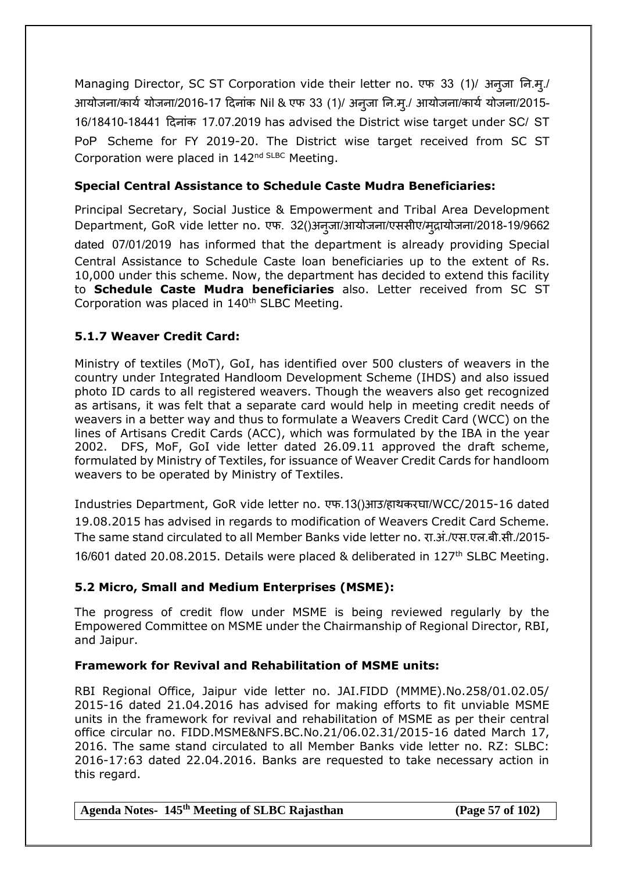Managing Director, SC ST Corporation vide their letter no. एफ 33 (1)/ अनजा नि.म./ आयोजना/कार्य योजना/2016-17 दिनांक Nil & एफ 33 (1)/ अनुजा नि.मृ./ आयोजना/कार्य योजना/2015-16/18410-18441 दिनांक 17.07.2019 has advised the District wise target under SC/ ST PoP Scheme for FY 2019-20. The District wise target received from SC ST Corporation were placed in 142nd SLBC Meeting.

## **Special Central Assistance to Schedule Caste Mudra Beneficiaries:**

Principal Secretary, Social Justice & Empowerment and Tribal Area Development Department, GoR vide letter no. एफ. 32()अन्जा/आयोजना/एससीए/मद्रायोजना/2018-19/9662 dated 07/01/2019 has informed that the department is already providing Special Central Assistance to Schedule Caste loan beneficiaries up to the extent of Rs. 10,000 under this scheme. Now, the department has decided to extend this facility to **Schedule Caste Mudra beneficiaries** also. Letter received from SC ST Corporation was placed in 140<sup>th</sup> SLBC Meeting.

## **5.1.7 Weaver Credit Card:**

Ministry of textiles (MoT), GoI, has identified over 500 clusters of weavers in the country under Integrated Handloom Development Scheme (IHDS) and also issued photo ID cards to all registered weavers. Though the weavers also get recognized as artisans, it was felt that a separate card would help in meeting credit needs of weavers in a better way and thus to formulate a Weavers Credit Card (WCC) on the lines of Artisans Credit Cards (ACC), which was formulated by the IBA in the year 2002. DFS, MoF, GoI vide letter dated 26.09.11 approved the draft scheme, formulated by Ministry of Textiles, for issuance of Weaver Credit Cards for handloom weavers to be operated by Ministry of Textiles.

Industries Department, GoR vide letter no. एफ.13()आउ/हाथकरघा/WCC/2015-16 dated 19.08.2015 has advised in regards to modification of Weavers Credit Card Scheme. The same stand circulated to all Member Banks vide letter no. रा.अं./एस.एल.बी.सी./2015- 16/601 dated 20.08.2015. Details were placed & deliberated in 127<sup>th</sup> SLBC Meeting.

# **5.2 Micro, Small and Medium Enterprises (MSME):**

The progress of credit flow under MSME is being reviewed regularly by the Empowered Committee on MSME under the Chairmanship of Regional Director, RBI, and Jaipur.

## **Framework for Revival and Rehabilitation of MSME units:**

RBI Regional Office, Jaipur vide letter no. JAI.FIDD (MMME).No.258/01.02.05/ 2015-16 dated 21.04.2016 has advised for making efforts to fit unviable MSME units in the framework for revival and rehabilitation of MSME as per their central office circular no. FIDD.MSME&NFS.BC.No.21/06.02.31/2015-16 dated March 17, 2016. The same stand circulated to all Member Banks vide letter no. RZ: SLBC: 2016-17:63 dated 22.04.2016. Banks are requested to take necessary action in this regard.

**Agenda Notes- 145th Meeting of SLBC Rajasthan (Page 57 of 102)**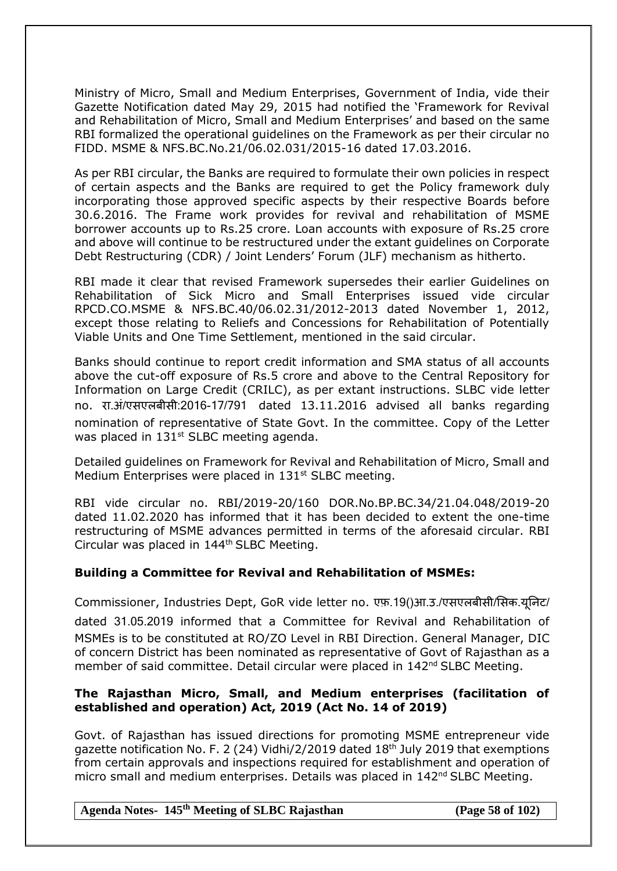Ministry of Micro, Small and Medium Enterprises, Government of India, vide their Gazette Notification dated May 29, 2015 had notified the 'Framework for Revival and Rehabilitation of Micro, Small and Medium Enterprises' and based on the same RBI formalized the operational guidelines on the Framework as per their circular no FIDD. MSME & NFS.BC.No.21/06.02.031/2015-16 dated 17.03.2016.

As per RBI circular, the Banks are required to formulate their own policies in respect of certain aspects and the Banks are required to get the Policy framework duly incorporating those approved specific aspects by their respective Boards before 30.6.2016. The Frame work provides for revival and rehabilitation of MSME borrower accounts up to Rs.25 crore. Loan accounts with exposure of Rs.25 crore and above will continue to be restructured under the extant guidelines on Corporate Debt Restructuring (CDR) / Joint Lenders' Forum (JLF) mechanism as hitherto.

RBI made it clear that revised Framework supersedes their earlier Guidelines on Rehabilitation of Sick Micro and Small Enterprises issued vide circular RPCD.CO.MSME & NFS.BC.40/06.02.31/2012-2013 dated November 1, 2012, except those relating to Reliefs and Concessions for Rehabilitation of Potentially Viable Units and One Time Settlement, mentioned in the said circular.

Banks should continue to report credit information and SMA status of all accounts above the cut-off exposure of Rs.5 crore and above to the Central Repository for Information on Large Credit (CRILC), as per extant instructions. SLBC vide letter no. रा.अं/एसएलबीसी:2016-17/791 dated 13.11.2016 advised all banks regarding nomination of representative of State Govt. In the committee. Copy of the Letter was placed in 131<sup>st</sup> SLBC meeting agenda.

Detailed guidelines on Framework for Revival and Rehabilitation of Micro, Small and Medium Enterprises were placed in  $131<sup>st</sup>$  SLBC meeting.

RBI vide circular no. RBI/2019-20/160 DOR.No.BP.BC.34/21.04.048/2019-20 dated 11.02.2020 has informed that it has been decided to extent the one-time restructuring of MSME advances permitted in terms of the aforesaid circular. RBI Circular was placed in 144<sup>th</sup> SLBC Meeting.

## **Building a Committee for Revival and Rehabilitation of MSMEs:**

Commissioner, Industries Dept, GoR vide letter no. एफ़.19()आ.उ./एसएलबीसी/ससक.यनूनट/ dated 31.05.2019 informed that a Committee for Revival and Rehabilitation of MSMEs is to be constituted at RO/ZO Level in RBI Direction. General Manager, DIC of concern District has been nominated as representative of Govt of Rajasthan as a member of said committee. Detail circular were placed in 142<sup>nd</sup> SLBC Meeting.

## **The Rajasthan Micro, Small, and Medium enterprises (facilitation of established and operation) Act, 2019 (Act No. 14 of 2019)**

Govt. of Rajasthan has issued directions for promoting MSME entrepreneur vide gazette notification No. F. 2 (24) Vidhi/2/2019 dated  $18<sup>th</sup>$  July 2019 that exemptions from certain approvals and inspections required for establishment and operation of micro small and medium enterprises. Details was placed in 142<sup>nd</sup> SLBC Meeting.

**Agenda Notes- 145th Meeting of SLBC Rajasthan (Page 58 of 102)**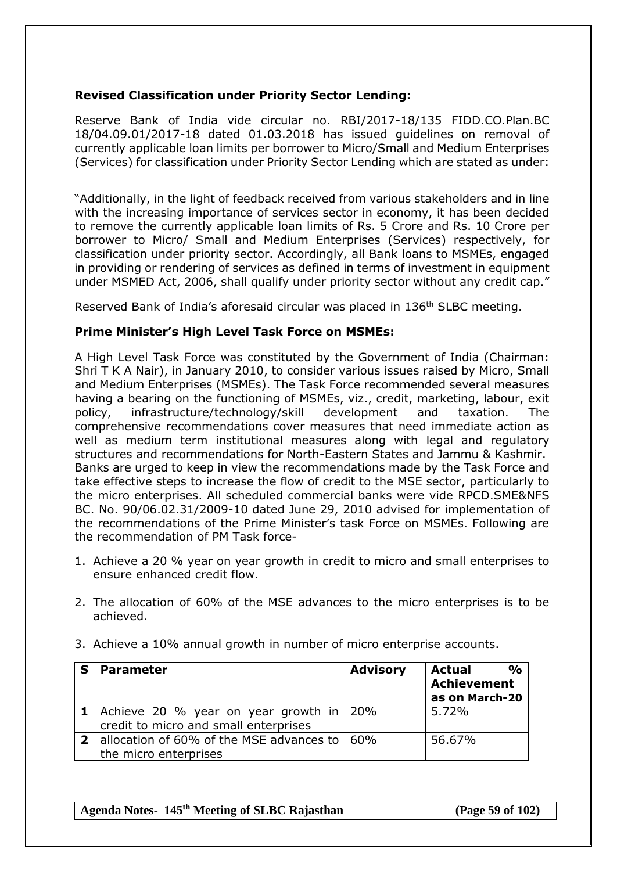## **Revised Classification under Priority Sector Lending:**

Reserve Bank of India vide circular no. RBI/2017-18/135 FIDD.CO.Plan.BC 18/04.09.01/2017-18 dated 01.03.2018 has issued guidelines on removal of currently applicable loan limits per borrower to Micro/Small and Medium Enterprises (Services) for classification under Priority Sector Lending which are stated as under:

"Additionally, in the light of feedback received from various stakeholders and in line with the increasing importance of services sector in economy, it has been decided to remove the currently applicable loan limits of Rs. 5 Crore and Rs. 10 Crore per borrower to Micro/ Small and Medium Enterprises (Services) respectively, for classification under priority sector. Accordingly, all Bank loans to MSMEs, engaged in providing or rendering of services as defined in terms of investment in equipment under MSMED Act, 2006, shall qualify under priority sector without any credit cap."

Reserved Bank of India's aforesaid circular was placed in 136th SLBC meeting.

#### **Prime Minister's High Level Task Force on MSMEs:**

A High Level Task Force was constituted by the Government of India (Chairman: Shri T K A Nair), in January 2010, to consider various issues raised by Micro, Small and Medium Enterprises (MSMEs). The Task Force recommended several measures having a bearing on the functioning of MSMEs, viz., credit, marketing, labour, exit policy, infrastructure/technology/skill development and taxation. The comprehensive recommendations cover measures that need immediate action as well as medium term institutional measures along with legal and regulatory structures and recommendations for North-Eastern States and Jammu & Kashmir. Banks are urged to keep in view the recommendations made by the Task Force and take effective steps to increase the flow of credit to the MSE sector, particularly to the micro enterprises. All scheduled commercial banks were vide [RPCD.SME&NFS](https://www.rbi.org.in/scripts/NotificationUser.aspx?Id=5751&Mode=0)  [BC. No. 90/06.02.31/2009-10 dated June 29, 2010](https://www.rbi.org.in/scripts/NotificationUser.aspx?Id=5751&Mode=0) advised for implementation of the recommendations of the Prime Minister's task Force on MSMEs. Following are the recommendation of PM Task force-

- 1. Achieve a 20 % year on year growth in credit to micro and small enterprises to ensure enhanced credit flow.
- 2. The allocation of 60% of the MSE advances to the micro enterprises is to be achieved.

|  |  |  |  | 3. Achieve a 10% annual growth in number of micro enterprise accounts. |  |
|--|--|--|--|------------------------------------------------------------------------|--|
|  |  |  |  |                                                                        |  |

| <b>Parameter</b>                                                | <b>Advisory</b> | $\frac{1}{2}$<br><b>Actual</b><br><b>Achievement</b> |
|-----------------------------------------------------------------|-----------------|------------------------------------------------------|
|                                                                 |                 | as on March-20                                       |
| <b>1</b>   Achieve 20 % year on year growth in $\frac{1}{20\%}$ |                 | 5.72%                                                |
| credit to micro and small enterprises                           |                 |                                                      |
| <b>2</b> allocation of 60% of the MSE advances to $\vert$ 60%   |                 | 56.67%                                               |
| the micro enterprises                                           |                 |                                                      |

**Agenda Notes- 145th Meeting of SLBC Rajasthan (Page 59 of 102)**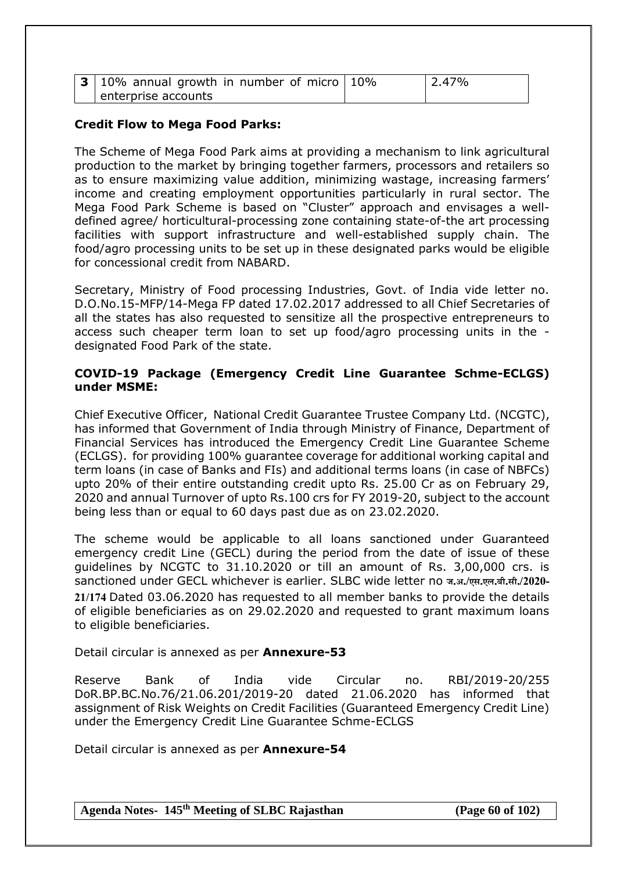| <b>3</b>   10% annual growth in number of micro   10% | 12.47% |
|-------------------------------------------------------|--------|
| enterprise accounts                                   |        |

## **Credit Flow to Mega Food Parks:**

The Scheme of Mega Food Park aims at providing a mechanism to link agricultural production to the market by bringing together farmers, processors and retailers so as to ensure maximizing value addition, minimizing wastage, increasing farmers' income and creating employment opportunities particularly in rural sector. The Mega Food Park Scheme is based on "Cluster" approach and envisages a welldefined agree/ horticultural-processing zone containing state-of-the art processing facilities with support infrastructure and well-established supply chain. The food/agro processing units to be set up in these designated parks would be eligible for concessional credit from NABARD.

Secretary, Ministry of Food processing Industries, Govt. of India vide letter no. D.O.No.15-MFP/14-Mega FP dated 17.02.2017 addressed to all Chief Secretaries of all the states has also requested to sensitize all the prospective entrepreneurs to access such cheaper term loan to set up food/agro processing units in the designated Food Park of the state.

#### **COVID-19 Package (Emergency Credit Line Guarantee Schme-ECLGS) under MSME:**

Chief Executive Officer, National Credit Guarantee Trustee Company Ltd. (NCGTC), has informed that Government of India through Ministry of Finance, Department of Financial Services has introduced the Emergency Credit Line Guarantee Scheme (ECLGS). for providing 100% guarantee coverage for additional working capital and term loans (in case of Banks and FIs) and additional terms loans (in case of NBFCs) upto 20% of their entire outstanding credit upto Rs. 25.00 Cr as on February 29, 2020 and annual Turnover of upto Rs.100 crs for FY 2019-20, subject to the account being less than or equal to 60 days past due as on 23.02.2020.

The scheme would be applicable to all loans sanctioned under Guaranteed emergency credit Line (GECL) during the period from the date of issue of these guidelines by NCGTC to 31.10.2020 or till an amount of Rs. 3,00,000 crs. is sanctioned under GECL whichever is earlier. SLBC wide letter no **ज.अ./एस.एल.बी.सी./2020- 21/174** Dated 03.06.2020 has requested to all member banks to provide the details of eligible beneficiaries as on 29.02.2020 and requested to grant maximum loans to eligible beneficiaries.

Detail circular is annexed as per **Annexure-53**

Reserve Bank of India vide Circular no. RBI/2019-20/255 DoR.BP.BC.No.76/21.06.201/2019-20 dated 21.06.2020 has informed that assignment of Risk Weights on Credit Facilities (Guaranteed Emergency Credit Line) under the Emergency Credit Line Guarantee Schme-ECLGS

Detail circular is annexed as per **Annexure-54**

**Agenda Notes- 145th Meeting of SLBC Rajasthan (Page 60 of 102)**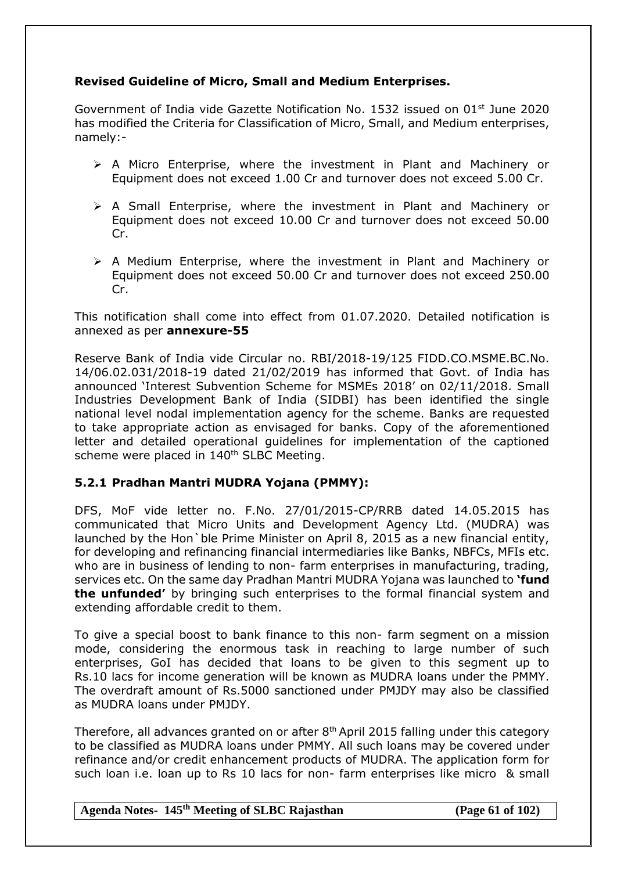## **Revised Guideline of Micro, Small and Medium Enterprises.**

Government of India vide Gazette Notification No. 1532 issued on  $01<sup>st</sup>$  June 2020 has modified the Criteria for Classification of Micro, Small, and Medium enterprises, namely:-

- $\triangleright$  A Micro Enterprise, where the investment in Plant and Machinery or Equipment does not exceed 1.00 Cr and turnover does not exceed 5.00 Cr.
- $\triangleright$  A Small Enterprise, where the investment in Plant and Machinery or Equipment does not exceed 10.00 Cr and turnover does not exceed 50.00 Cr.
- $\triangleright$  A Medium Enterprise, where the investment in Plant and Machinery or Equipment does not exceed 50.00 Cr and turnover does not exceed 250.00 Cr.

This notification shall come into effect from 01.07.2020. Detailed notification is annexed as per **annexure-55**

Reserve Bank of India vide Circular no. RBI/2018-19/125 FIDD.CO.MSME.BC.No. 14/06.02.031/2018-19 dated 21/02/2019 has informed that Govt. of India has announced 'Interest Subvention Scheme for MSMEs 2018' on 02/11/2018. Small Industries Development Bank of India (SIDBI) has been identified the single national level nodal implementation agency for the scheme. Banks are requested to take appropriate action as envisaged for banks. Copy of the aforementioned letter and detailed operational guidelines for implementation of the captioned scheme were placed in 140<sup>th</sup> SLBC Meeting.

## **5.2.1 Pradhan Mantri MUDRA Yojana (PMMY):**

DFS, MoF vide letter no. F.No. 27/01/2015-CP/RRB dated 14.05.2015 has communicated that Micro Units and Development Agency Ltd. (MUDRA) was launched by the Hon`ble Prime Minister on April 8, 2015 as a new financial entity, for developing and refinancing financial intermediaries like Banks, NBFCs, MFIs etc. who are in business of lending to non- farm enterprises in manufacturing, trading, services etc. On the same day Pradhan Mantri MUDRA Yojana was launched to **'fund the unfunded'** by bringing such enterprises to the formal financial system and extending affordable credit to them.

To give a special boost to bank finance to this non- farm segment on a mission mode, considering the enormous task in reaching to large number of such enterprises, GoI has decided that loans to be given to this segment up to Rs.10 lacs for income generation will be known as MUDRA loans under the PMMY. The overdraft amount of Rs.5000 sanctioned under PMJDY may also be classified as MUDRA loans under PMJDY.

Therefore, all advances granted on or after 8<sup>th</sup> April 2015 falling under this category to be classified as MUDRA loans under PMMY. All such loans may be covered under refinance and/or credit enhancement products of MUDRA. The application form for such loan i.e. loan up to Rs 10 lacs for non- farm enterprises like micro & small

## **Agenda Notes- 145th Meeting of SLBC Rajasthan (Page 61 of 102)**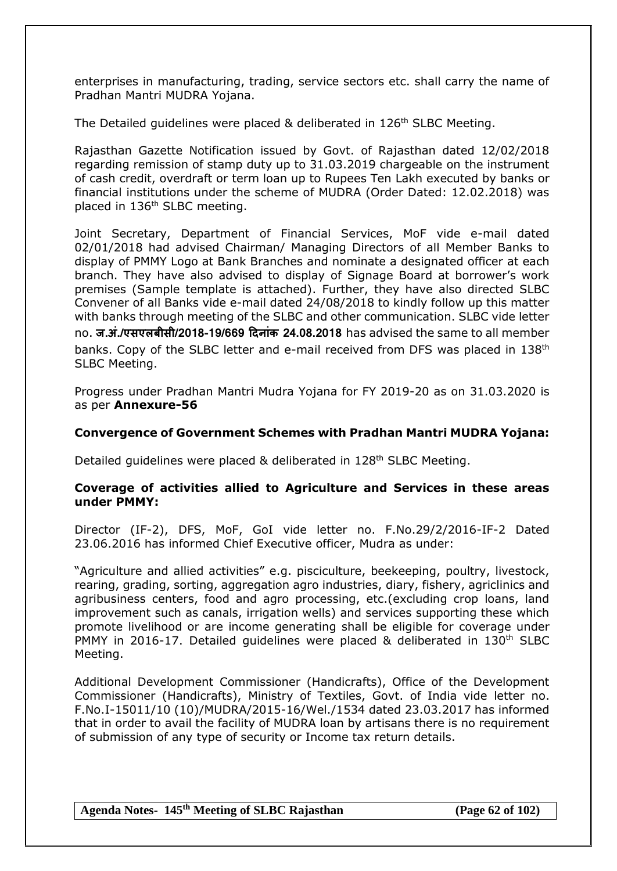enterprises in manufacturing, trading, service sectors etc. shall carry the name of Pradhan Mantri MUDRA Yojana.

The Detailed guidelines were placed & deliberated in 126<sup>th</sup> SLBC Meeting.

Rajasthan Gazette Notification issued by Govt. of Rajasthan dated 12/02/2018 regarding remission of stamp duty up to 31.03.2019 chargeable on the instrument of cash credit, overdraft or term loan up to Rupees Ten Lakh executed by banks or financial institutions under the scheme of MUDRA (Order Dated: 12.02.2018) was placed in 136<sup>th</sup> SLBC meeting.

Joint Secretary, Department of Financial Services, MoF vide e-mail dated 02/01/2018 had advised Chairman/ Managing Directors of all Member Banks to display of PMMY Logo at Bank Branches and nominate a designated officer at each branch. They have also advised to display of Signage Board at borrower's work premises (Sample template is attached). Further, they have also directed SLBC Convener of all Banks vide e-mail dated 24/08/2018 to kindly follow up this matter with banks through meeting of the SLBC and other communication. SLBC vide letter no. **ज.अां./एसएलबीसी/2018-19/669 दिनाांक 24.08.2018** has advised the same to all member banks. Copy of the SLBC letter and e-mail received from DFS was placed in 138<sup>th</sup> SLBC Meeting.

Progress under Pradhan Mantri Mudra Yojana for FY 2019-20 as on 31.03.2020 is as per **Annexure-56**

#### **Convergence of Government Schemes with Pradhan Mantri MUDRA Yojana:**

Detailed guidelines were placed & deliberated in 128<sup>th</sup> SLBC Meeting.

#### **Coverage of activities allied to Agriculture and Services in these areas under PMMY:**

Director (IF-2), DFS, MoF, GoI vide letter no. F.No.29/2/2016-IF-2 Dated 23.06.2016 has informed Chief Executive officer, Mudra as under:

"Agriculture and allied activities" e.g. pisciculture, beekeeping, poultry, livestock, rearing, grading, sorting, aggregation agro industries, diary, fishery, agriclinics and agribusiness centers, food and agro processing, etc.(excluding crop loans, land improvement such as canals, irrigation wells) and services supporting these which promote livelihood or are income generating shall be eligible for coverage under PMMY in 2016-17. Detailed quidelines were placed & deliberated in 130<sup>th</sup> SLBC Meeting.

Additional Development Commissioner (Handicrafts), Office of the Development Commissioner (Handicrafts), Ministry of Textiles, Govt. of India vide letter no. F.No.I-15011/10 (10)/MUDRA/2015-16/Wel./1534 dated 23.03.2017 has informed that in order to avail the facility of MUDRA loan by artisans there is no requirement of submission of any type of security or Income tax return details.

#### **Agenda Notes- 145th Meeting of SLBC Rajasthan (Page 62 of 102)**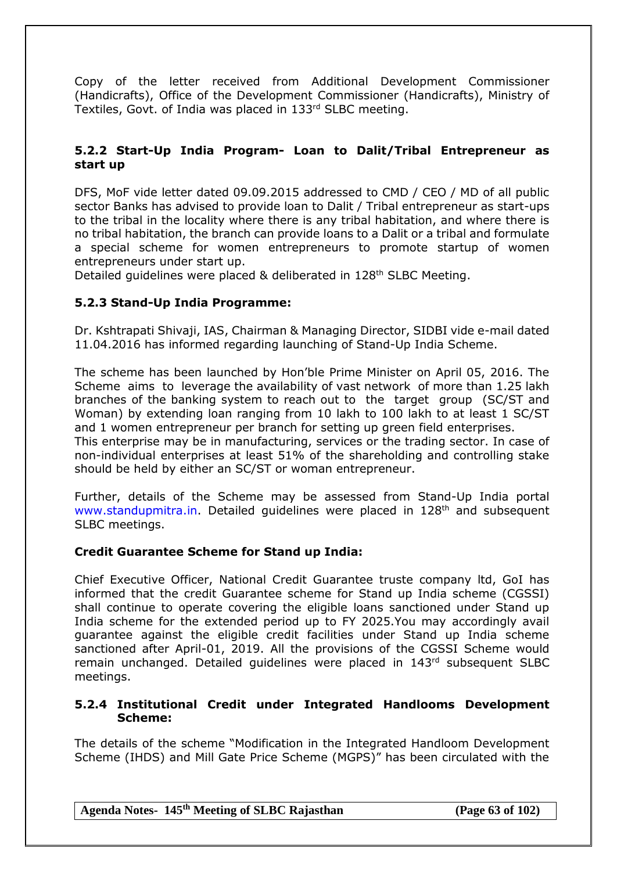Copy of the letter received from Additional Development Commissioner (Handicrafts), Office of the Development Commissioner (Handicrafts), Ministry of Textiles, Govt. of India was placed in 133rd SLBC meeting.

## **5.2.2 Start-Up India Program- Loan to Dalit/Tribal Entrepreneur as start up**

DFS, MoF vide letter dated 09.09.2015 addressed to CMD / CEO / MD of all public sector Banks has advised to provide loan to Dalit / Tribal entrepreneur as start-ups to the tribal in the locality where there is any tribal habitation, and where there is no tribal habitation, the branch can provide loans to a Dalit or a tribal and formulate a special scheme for women entrepreneurs to promote startup of women entrepreneurs under start up.

Detailed guidelines were placed & deliberated in 128<sup>th</sup> SLBC Meeting.

#### **5.2.3 Stand-Up India Programme:**

Dr. Kshtrapati Shivaji, IAS, Chairman & Managing Director, SIDBI vide e-mail dated 11.04.2016 has informed regarding launching of Stand-Up India Scheme.

The scheme has been launched by Hon'ble Prime Minister on April 05, 2016. The Scheme aims to leverage the availability of vast network of more than 1.25 lakh branches of the banking system to reach out to the target group (SC/ST and Woman) by extending loan ranging from 10 lakh to 100 lakh to at least 1 SC/ST and 1 women entrepreneur per branch for setting up green field enterprises.

This enterprise may be in manufacturing, services or the trading sector. In case of non-individual enterprises at least 51% of the shareholding and controlling stake should be held by either an SC/ST or woman entrepreneur.

Further, details of the Scheme may be assessed from Stand-Up India portal [www.standupmitra.in.](http://www.standupmitra.in/) Detailed guidelines were placed in 128<sup>th</sup> and subsequent SLBC meetings.

#### **Credit Guarantee Scheme for Stand up India:**

Chief Executive Officer, National Credit Guarantee truste company ltd, GoI has informed that the credit Guarantee scheme for Stand up India scheme (CGSSI) shall continue to operate covering the eligible loans sanctioned under Stand up India scheme for the extended period up to FY 2025.You may accordingly avail guarantee against the eligible credit facilities under Stand up India scheme sanctioned after April-01, 2019. All the provisions of the CGSSI Scheme would remain unchanged. Detailed quidelines were placed in 143<sup>rd</sup> subsequent SLBC meetings.

#### **5.2.4 Institutional Credit under Integrated Handlooms Development Scheme:**

The details of the scheme "Modification in the Integrated Handloom Development Scheme (IHDS) and Mill Gate Price Scheme (MGPS)" has been circulated with the

**Agenda Notes- 145th Meeting of SLBC Rajasthan (Page 63 of 102)**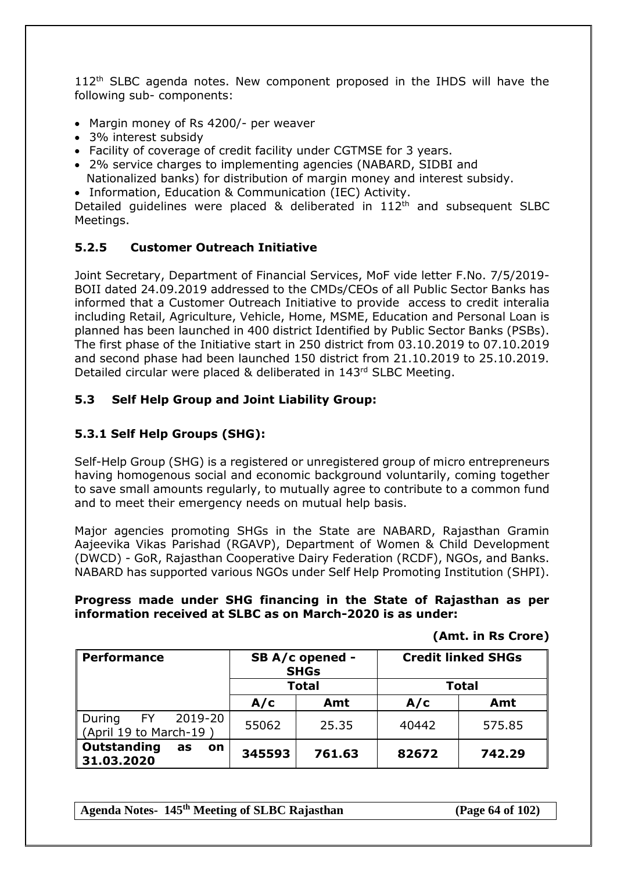112<sup>th</sup> SLBC agenda notes. New component proposed in the IHDS will have the following sub- components:

- Margin money of Rs 4200/- per weaver
- 3% interest subsidy
- Facility of coverage of credit facility under CGTMSE for 3 years.
- 2% service charges to implementing agencies (NABARD, SIDBI and Nationalized banks) for distribution of margin money and interest subsidy.
- Information, Education & Communication (IEC) Activity.

Detailed quidelines were placed & deliberated in 112<sup>th</sup> and subsequent SLBC Meetings.

## **5.2.5 Customer Outreach Initiative**

Joint Secretary, Department of Financial Services, MoF vide letter F.No. 7/5/2019- BOII dated 24.09.2019 addressed to the CMDs/CEOs of all Public Sector Banks has informed that a Customer Outreach Initiative to provide access to credit interalia including Retail, Agriculture, Vehicle, Home, MSME, Education and Personal Loan is planned has been launched in 400 district Identified by Public Sector Banks (PSBs). The first phase of the Initiative start in 250 district from 03.10.2019 to 07.10.2019 and second phase had been launched 150 district from 21.10.2019 to 25.10.2019. Detailed circular were placed & deliberated in 143<sup>rd</sup> SLBC Meeting.

## **5.3 Self Help Group and Joint Liability Group:**

# **5.3.1 Self Help Groups (SHG):**

Self-Help Group (SHG) is a registered or unregistered group of micro entrepreneurs having homogenous social and economic background voluntarily, coming together to save small amounts regularly, to mutually agree to contribute to a common fund and to meet their emergency needs on mutual help basis.

Major agencies promoting SHGs in the State are NABARD, Rajasthan Gramin Aajeevika Vikas Parishad (RGAVP), Department of Women & Child Development (DWCD) - GoR, Rajasthan Cooperative Dairy Federation (RCDF), NGOs, and Banks. NABARD has supported various NGOs under Self Help Promoting Institution (SHPI).

#### **Progress made under SHG financing in the State of Rajasthan as per information received at SLBC as on March-2020 is as under:**

**(Amt. in Rs Crore)**

| <b>Performance</b>                                  |              | SB A/c opened -<br><b>SHGs</b> | <b>Credit linked SHGs</b> |        |  |
|-----------------------------------------------------|--------------|--------------------------------|---------------------------|--------|--|
|                                                     | <b>Total</b> |                                | <b>Total</b>              |        |  |
|                                                     | A/c          | Amt                            | A/c                       | Amt    |  |
| 2019-20<br>During<br>FY 1<br>(April 19 to March-19) | 55062        | 25.35                          | 40442                     | 575.85 |  |
| Outstanding<br>as<br><b>on</b><br>31.03.2020        | 345593       | 761.63                         | 82672                     | 742.29 |  |

**Agenda Notes- 145th Meeting of SLBC Rajasthan (Page 64 of 102)**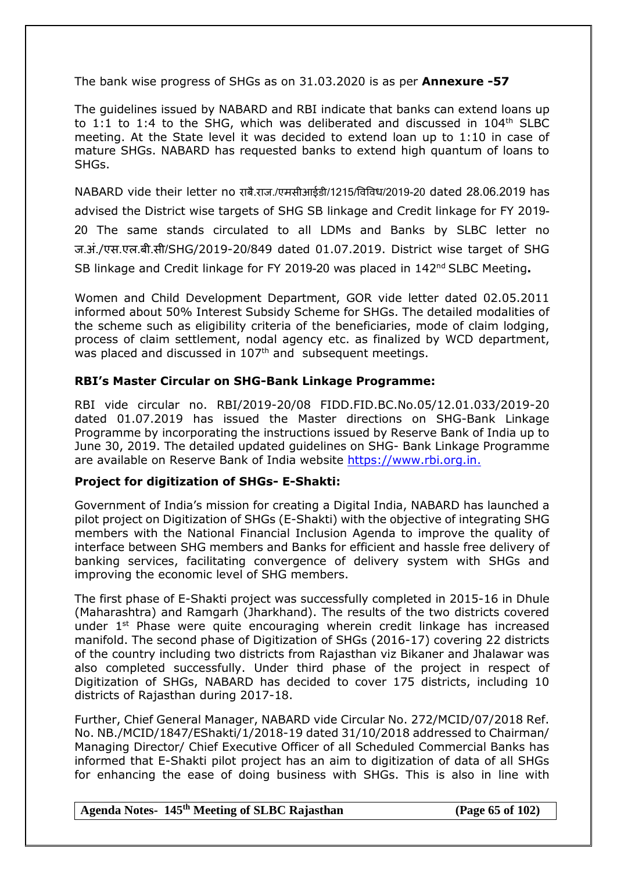The bank wise progress of SHGs as on 31.03.2020 is as per **Annexure -57**

The guidelines issued by NABARD and RBI indicate that banks can extend loans up to 1:1 to 1:4 to the SHG, which was deliberated and discussed in  $104<sup>th</sup>$  SLBC meeting. At the State level it was decided to extend loan up to 1:10 in case of mature SHGs. NABARD has requested banks to extend high quantum of loans to SHGs.

NABARD vide their letter no राबै.राज./एमसीआईडी/1215/षवषवि/2019-20 dated 28.06.2019 has advised the District wise targets of SHG SB linkage and Credit linkage for FY 2019- 20 The same stands circulated to all LDMs and Banks by SLBC letter no ज.अं./एस.एल.बी.सी/SHG/2019-20/849 dated 01.07.2019. District wise target of SHG SB linkage and Credit linkage for FY 2019-20 was placed in 142nd SLBC Meeting**.**

Women and Child Development Department, GOR vide letter dated 02.05.2011 informed about 50% Interest Subsidy Scheme for SHGs. The detailed modalities of the scheme such as eligibility criteria of the beneficiaries, mode of claim lodging, process of claim settlement, nodal agency etc. as finalized by WCD department, was placed and discussed in 107<sup>th</sup> and subsequent meetings.

## **RBI's Master Circular on SHG-Bank Linkage Programme:**

RBI vide circular no. RBI/2019-20/08 FIDD.FID.BC.No.05/12.01.033/2019-20 dated 01.07.2019 has issued the Master directions on SHG-Bank Linkage Programme by incorporating the instructions issued by Reserve Bank of India up to June 30, 2019. The detailed updated guidelines on SHG- Bank Linkage Programme are available on Reserve Bank of India website [https://www.rbi.org.in.](https://www.rbi.org.in./)

## **Project for digitization of SHGs- E-Shakti:**

Government of India's mission for creating a Digital India, NABARD has launched a pilot project on Digitization of SHGs (E-Shakti) with the objective of integrating SHG members with the National Financial Inclusion Agenda to improve the quality of interface between SHG members and Banks for efficient and hassle free delivery of banking services, facilitating convergence of delivery system with SHGs and improving the economic level of SHG members.

The first phase of E-Shakti project was successfully completed in 2015-16 in Dhule (Maharashtra) and Ramgarh (Jharkhand). The results of the two districts covered under 1<sup>st</sup> Phase were quite encouraging wherein credit linkage has increased manifold. The second phase of Digitization of SHGs (2016-17) covering 22 districts of the country including two districts from Rajasthan viz Bikaner and Jhalawar was also completed successfully. Under third phase of the project in respect of Digitization of SHGs, NABARD has decided to cover 175 districts, including 10 districts of Rajasthan during 2017-18.

Further, Chief General Manager, NABARD vide Circular No. 272/MCID/07/2018 Ref. No. NB./MCID/1847/EShakti/1/2018-19 dated 31/10/2018 addressed to Chairman/ Managing Director/ Chief Executive Officer of all Scheduled Commercial Banks has informed that E-Shakti pilot project has an aim to digitization of data of all SHGs for enhancing the ease of doing business with SHGs. This is also in line with

#### **Agenda Notes- 145th Meeting of SLBC Rajasthan (Page 65 of 102)**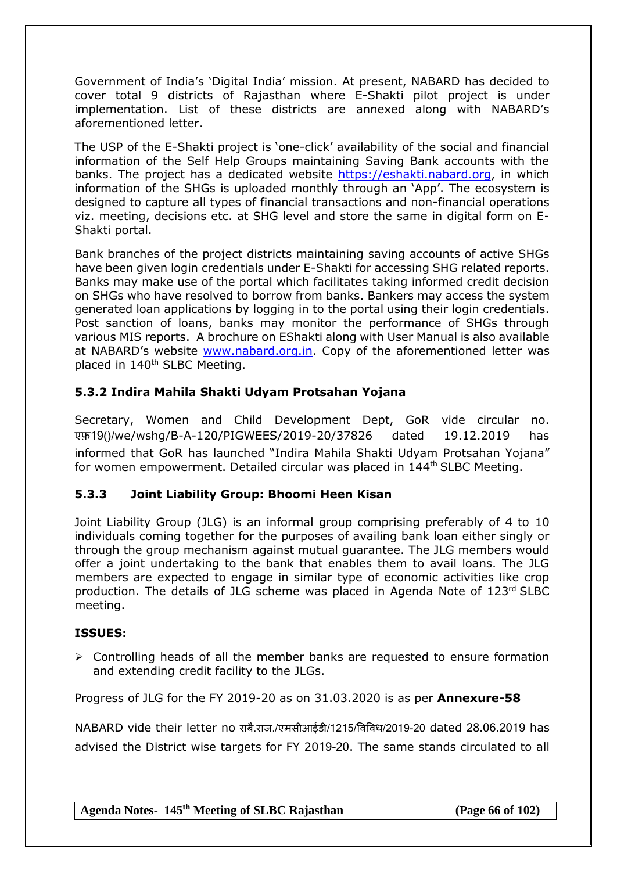Government of India's 'Digital India' mission. At present, NABARD has decided to cover total 9 districts of Rajasthan where E-Shakti pilot project is under implementation. List of these districts are annexed along with NABARD's aforementioned letter.

The USP of the E-Shakti project is 'one-click' availability of the social and financial information of the Self Help Groups maintaining Saving Bank accounts with the banks. The project has a dedicated website [https://eshakti.nabard.org,](https://eshakti.nabard.org/) in which information of the SHGs is uploaded monthly through an 'App'. The ecosystem is designed to capture all types of financial transactions and non-financial operations viz. meeting, decisions etc. at SHG level and store the same in digital form on E-Shakti portal.

Bank branches of the project districts maintaining saving accounts of active SHGs have been given login credentials under E-Shakti for accessing SHG related reports. Banks may make use of the portal which facilitates taking informed credit decision on SHGs who have resolved to borrow from banks. Bankers may access the system generated loan applications by logging in to the portal using their login credentials. Post sanction of loans, banks may monitor the performance of SHGs through various MIS reports. A brochure on EShakti along with User Manual is also available at NABARD's website [www.nabard.org.in.](http://www.nabard.org.in/) Copy of the aforementioned letter was placed in 140<sup>th</sup> SLBC Meeting.

# **5.3.2 Indira Mahila Shakti Udyam Protsahan Yojana**

Secretary, Women and Child Development Dept, GoR vide circular no. एफ़19()/we/wshg/B-A-120/PIGWEES/2019-20/37826 dated 19.12.2019 has informed that GoR has launched "Indira Mahila Shakti Udyam Protsahan Yojana" for women empowerment. Detailed circular was placed in 144th SLBC Meeting.

# **5.3.3 Joint Liability Group: Bhoomi Heen Kisan**

Joint Liability Group (JLG) is an informal group comprising preferably of 4 to 10 individuals coming together for the purposes of availing bank loan either singly or through the group mechanism against mutual guarantee. The JLG members would offer a joint undertaking to the bank that enables them to avail loans. The JLG members are expected to engage in similar type of economic activities like crop production. The details of JLG scheme was placed in Agenda Note of 123rd SLBC meeting.

## **ISSUES:**

 $\triangleright$  Controlling heads of all the member banks are requested to ensure formation and extending credit facility to the JLGs.

Progress of JLG for the FY 2019-20 as on 31.03.2020 is as per **Annexure-58**

NABARD vide their letter no राबै.राज./एमसीआईडी/1215/षवषवि/2019-20 dated 28.06.2019 has advised the District wise targets for FY 2019-20. The same stands circulated to all

**Agenda Notes- 145th Meeting of SLBC Rajasthan (Page 66 of 102)**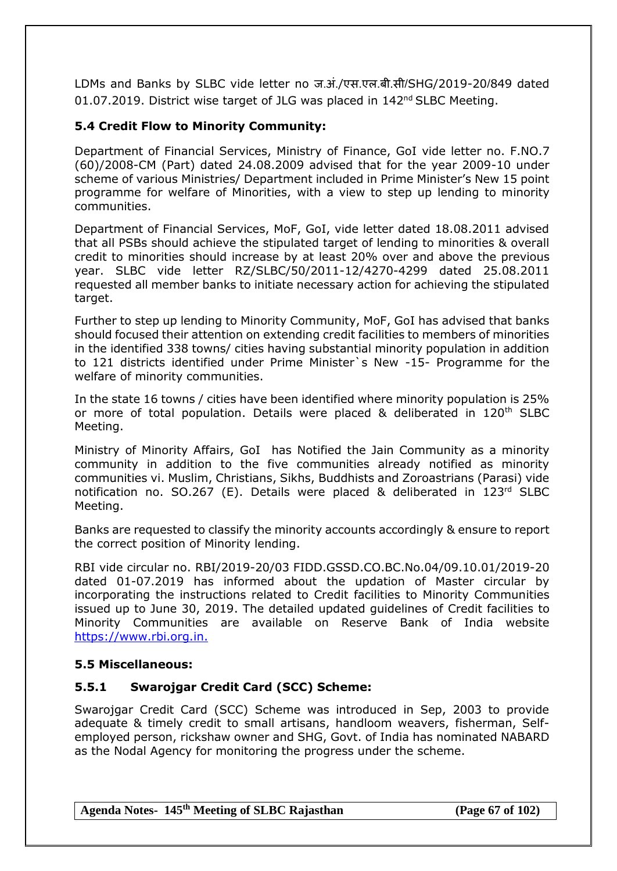LDMs and Banks by SLBC vide letter no ज.अं./एस.एल.बी.सी/SHG/2019-20/849 dated 01.07.2019. District wise target of JLG was placed in 142<sup>nd</sup> SLBC Meeting.

## **5.4 Credit Flow to Minority Community:**

Department of Financial Services, Ministry of Finance, GoI vide letter no. F.NO.7 (60)/2008-CM (Part) dated 24.08.2009 advised that for the year 2009-10 under scheme of various Ministries/ Department included in Prime Minister's New 15 point programme for welfare of Minorities, with a view to step up lending to minority communities.

Department of Financial Services, MoF, GoI, vide letter dated 18.08.2011 advised that all PSBs should achieve the stipulated target of lending to minorities & overall credit to minorities should increase by at least 20% over and above the previous year. SLBC vide letter RZ/SLBC/50/2011-12/4270-4299 dated 25.08.2011 requested all member banks to initiate necessary action for achieving the stipulated target.

Further to step up lending to Minority Community, MoF, GoI has advised that banks should focused their attention on extending credit facilities to members of minorities in the identified 338 towns/ cities having substantial minority population in addition to 121 districts identified under Prime Minister`s New -15- Programme for the welfare of minority communities.

In the state 16 towns / cities have been identified where minority population is 25% or more of total population. Details were placed & deliberated in 120<sup>th</sup> SLBC Meeting.

Ministry of Minority Affairs, GoI has Notified the Jain Community as a minority community in addition to the five communities already notified as minority communities vi. Muslim, Christians, Sikhs, Buddhists and Zoroastrians (Parasi) vide notification no. SO.267 (E). Details were placed & deliberated in 123<sup>rd</sup> SLBC Meeting.

Banks are requested to classify the minority accounts accordingly & ensure to report the correct position of Minority lending.

RBI vide circular no. RBI/2019-20/03 FIDD.GSSD.CO.BC.No.04/09.10.01/2019-20 dated 01-07.2019 has informed about the updation of Master circular by incorporating the instructions related to Credit facilities to Minority Communities issued up to June 30, 2019. The detailed updated guidelines of Credit facilities to Minority Communities are available on Reserve Bank of India website [https://www.rbi.org.in.](https://www.rbi.org.in./)

## **5.5 Miscellaneous:**

## **5.5.1 Swarojgar Credit Card (SCC) Scheme:**

Swarojgar Credit Card (SCC) Scheme was introduced in Sep, 2003 to provide adequate & timely credit to small artisans, handloom weavers, fisherman, Selfemployed person, rickshaw owner and SHG, Govt. of India has nominated NABARD as the Nodal Agency for monitoring the progress under the scheme.

**Agenda Notes- 145th Meeting of SLBC Rajasthan (Page 67 of 102)**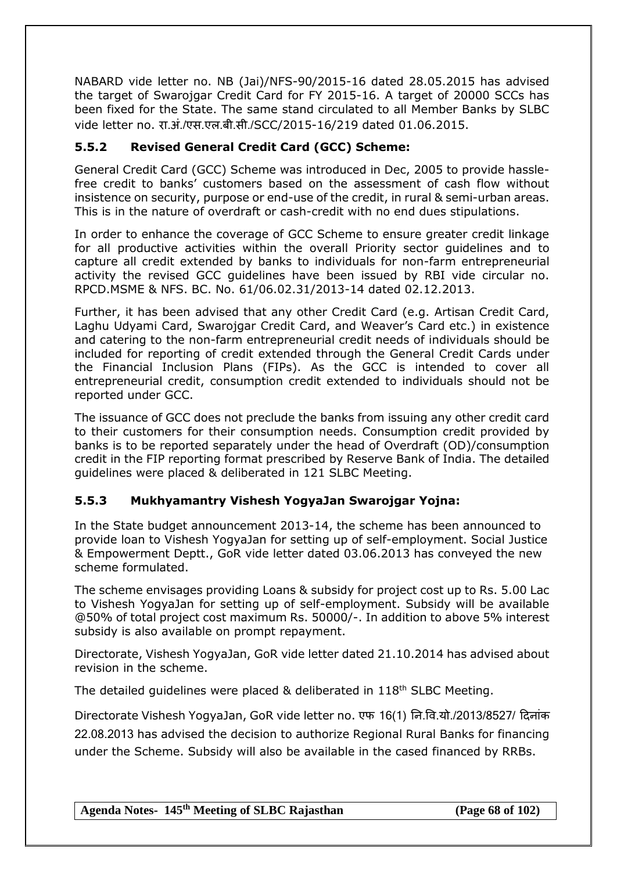NABARD vide letter no. NB (Jai)/NFS-90/2015-16 dated 28.05.2015 has advised the target of Swarojgar Credit Card for FY 2015-16. A target of 20000 SCCs has been fixed for the State. The same stand circulated to all Member Banks by SLBC vide letter no. रा.अं./एस.एल.बी.सी./SCC/2015-16/219 dated 01.06.2015.

# **5.5.2 Revised General Credit Card (GCC) Scheme:**

General Credit Card (GCC) Scheme was introduced in Dec, 2005 to provide hasslefree credit to banks' customers based on the assessment of cash flow without insistence on security, purpose or end-use of the credit, in rural & semi-urban areas. This is in the nature of overdraft or cash-credit with no end dues stipulations.

In order to enhance the coverage of GCC Scheme to ensure greater credit linkage for all productive activities within the overall Priority sector guidelines and to capture all credit extended by banks to individuals for non-farm entrepreneurial activity the revised GCC guidelines have been issued by RBI vide circular no. RPCD.MSME & NFS. BC. No. 61/06.02.31/2013-14 dated 02.12.2013.

Further, it has been advised that any other Credit Card (e.g. Artisan Credit Card, Laghu Udyami Card, Swarojgar Credit Card, and Weaver's Card etc.) in existence and catering to the non-farm entrepreneurial credit needs of individuals should be included for reporting of credit extended through the General Credit Cards under the Financial Inclusion Plans (FIPs). As the GCC is intended to cover all entrepreneurial credit, consumption credit extended to individuals should not be reported under GCC.

The issuance of GCC does not preclude the banks from issuing any other credit card to their customers for their consumption needs. Consumption credit provided by banks is to be reported separately under the head of Overdraft (OD)/consumption credit in the FIP reporting format prescribed by Reserve Bank of India. The detailed guidelines were placed & deliberated in 121 SLBC Meeting.

# **5.5.3 Mukhyamantry Vishesh YogyaJan Swarojgar Yojna:**

In the State budget announcement 2013-14, the scheme has been announced to provide loan to Vishesh YogyaJan for setting up of self-employment. Social Justice & Empowerment Deptt., GoR vide letter dated 03.06.2013 has conveyed the new scheme formulated.

The scheme envisages providing Loans & subsidy for project cost up to Rs. 5.00 Lac to Vishesh YogyaJan for setting up of self-employment. Subsidy will be available @50% of total project cost maximum Rs. 50000/-. In addition to above 5% interest subsidy is also available on prompt repayment.

Directorate, Vishesh YogyaJan, GoR vide letter dated 21.10.2014 has advised about revision in the scheme.

The detailed quidelines were placed & deliberated in 118<sup>th</sup> SLBC Meeting.

Directorate Vishesh YogyaJan, GoR vide letter no. एफ 16(1) नन.षव.यो./2013/8527/ दिनांक 22.08.2013 has advised the decision to authorize Regional Rural Banks for financing under the Scheme. Subsidy will also be available in the cased financed by RRBs.

**Agenda Notes- 145th Meeting of SLBC Rajasthan (Page 68 of 102)**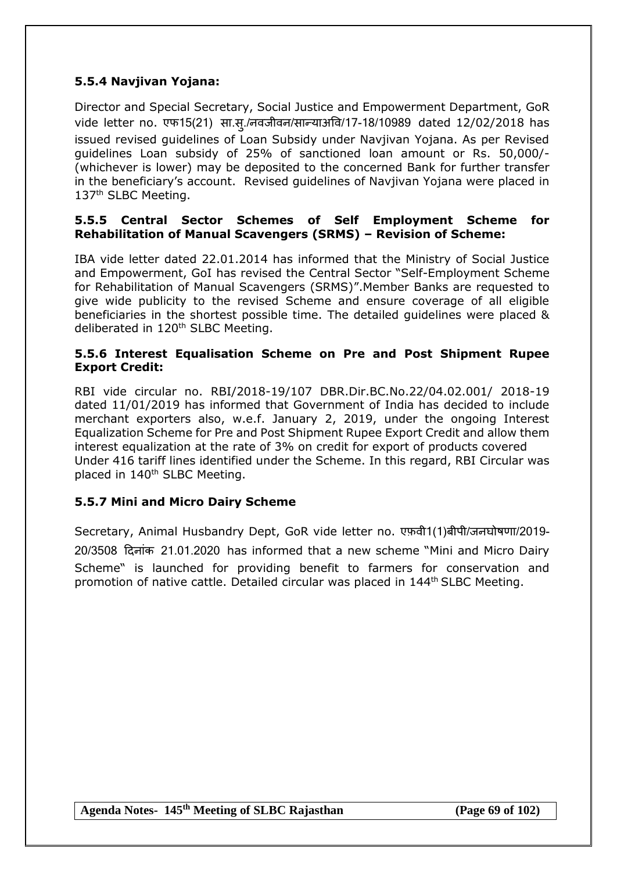## **5.5.4 Navjivan Yojana:**

Director and Special Secretary, Social Justice and Empowerment Department, GoR vide letter no. एफ15(21) सा.स्./नवजीवन/सान्याअवि/17-18/10989 dated 12/02/2018 has issued revised guidelines of Loan Subsidy under Navjivan Yojana. As per Revised guidelines Loan subsidy of 25% of sanctioned loan amount or Rs. 50,000/- (whichever is lower) may be deposited to the concerned Bank for further transfer in the beneficiary's account. Revised guidelines of Navjivan Yojana were placed in 137<sup>th</sup> SLBC Meeting.

#### **5.5.5 Central Sector Schemes of Self Employment Scheme for Rehabilitation of Manual Scavengers (SRMS) – Revision of Scheme:**

IBA vide letter dated 22.01.2014 has informed that the Ministry of Social Justice and Empowerment, GoI has revised the Central Sector "Self-Employment Scheme for Rehabilitation of Manual Scavengers (SRMS)".Member Banks are requested to give wide publicity to the revised Scheme and ensure coverage of all eligible beneficiaries in the shortest possible time. The detailed guidelines were placed & deliberated in 120<sup>th</sup> SLBC Meeting.

### **5.5.6 Interest Equalisation Scheme on Pre and Post Shipment Rupee Export Credit:**

RBI vide circular no. RBI/2018-19/107 DBR.Dir.BC.No.22/04.02.001/ 2018-19 dated 11/01/2019 has informed that Government of India has decided to include merchant exporters also, w.e.f. January 2, 2019, under the ongoing Interest Equalization Scheme for Pre and Post Shipment Rupee Export Credit and allow them interest equalization at the rate of 3% on credit for export of products covered Under 416 tariff lines identified under the Scheme. In this regard, RBI Circular was placed in 140<sup>th</sup> SLBC Meeting.

## **5.5.7 Mini and Micro Dairy Scheme**

Secretary, Animal Husbandry Dept, GoR vide letter no. एफ़वी1(1)बीपी/जनघोिणा/2019- 20/3508 दिनांक 21.01.2020 has informed that a new scheme "Mini and Micro Dairy Scheme" is launched for providing benefit to farmers for conservation and promotion of native cattle. Detailed circular was placed in 144<sup>th</sup> SLBC Meeting.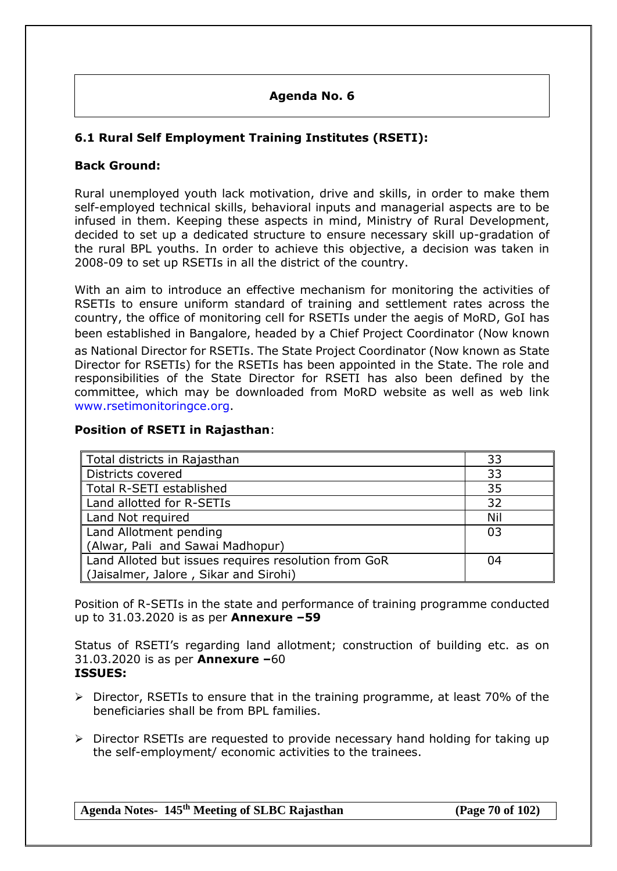## **Agenda No. 6**

# **6.1 Rural Self Employment Training Institutes (RSETI):**

## **Back Ground:**

Rural unemployed youth lack motivation, drive and skills, in order to make them self-employed technical skills, behavioral inputs and managerial aspects are to be infused in them. Keeping these aspects in mind, Ministry of Rural Development, decided to set up a dedicated structure to ensure necessary skill up-gradation of the rural BPL youths. In order to achieve this objective, a decision was taken in 2008-09 to set up RSETIs in all the district of the country.

With an aim to introduce an effective mechanism for monitoring the activities of RSETIs to ensure uniform standard of training and settlement rates across the country, the office of monitoring cell for RSETIs under the aegis of MoRD, GoI has been established in Bangalore, headed by a Chief Project Coordinator (Now known as National Director for RSETIs. The State Project Coordinator (Now known as State Director for RSETIs) for the RSETIs has been appointed in the State. The role and responsibilities of the State Director for RSETI has also been defined by the committee, which may be downloaded from MoRD website as well as web link [www.rsetimonitoringce.org.](http://www.rsetimonitoringce.org/)

### **Position of RSETI in Rajasthan**:

| Total districts in Rajasthan                         | 33  |
|------------------------------------------------------|-----|
| Districts covered                                    | 33  |
| Total R-SETI established                             | 35  |
| Land allotted for R-SETIs                            | 32  |
| Land Not required                                    | Nil |
| Land Allotment pending                               | 03  |
| (Alwar, Pali and Sawai Madhopur)                     |     |
| Land Alloted but issues requires resolution from GoR | 04  |
| (Jaisalmer, Jalore, Sikar and Sirohi)                |     |

Position of R-SETIs in the state and performance of training programme conducted up to 31.03.2020 is as per **Annexure –59**

Status of RSETI's regarding land allotment; construction of building etc. as on 31.03.2020 is as per **Annexure –**60 **ISSUES:**

- $\triangleright$  Director, RSETIs to ensure that in the training programme, at least 70% of the beneficiaries shall be from BPL families.
- Director RSETIs are requested to provide necessary hand holding for taking up the self-employment/ economic activities to the trainees.

**Agenda Notes- 145th Meeting of SLBC Rajasthan (Page 70 of 102)**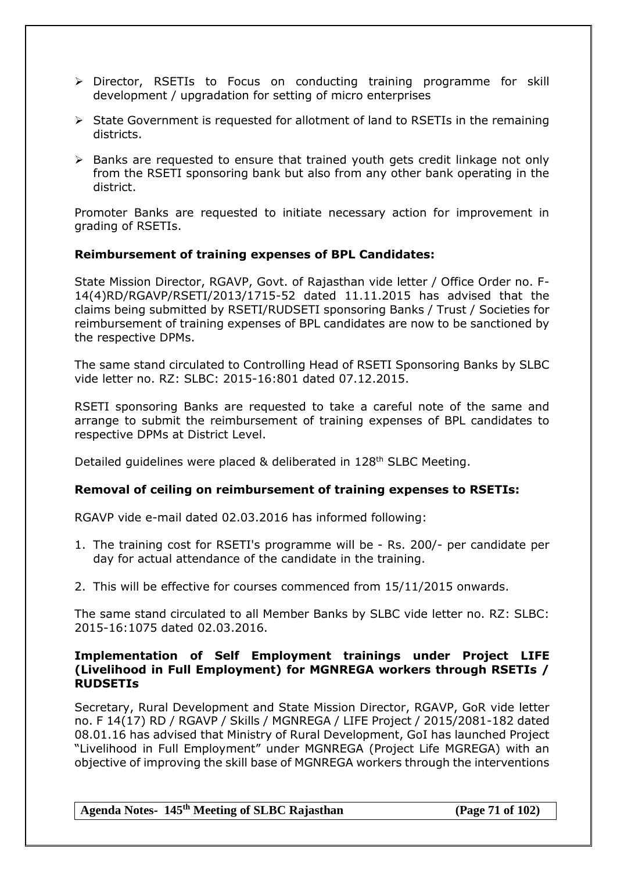- > Director, RSETIs to Focus on conducting training programme for skill development / upgradation for setting of micro enterprises
- $\triangleright$  State Government is requested for allotment of land to RSETIs in the remaining districts.
- $\triangleright$  Banks are requested to ensure that trained youth gets credit linkage not only from the RSETI sponsoring bank but also from any other bank operating in the district.

Promoter Banks are requested to initiate necessary action for improvement in grading of RSETIs.

#### **Reimbursement of training expenses of BPL Candidates:**

State Mission Director, RGAVP, Govt. of Rajasthan vide letter / Office Order no. F-14(4)RD/RGAVP/RSETI/2013/1715-52 dated 11.11.2015 has advised that the claims being submitted by RSETI/RUDSETI sponsoring Banks / Trust / Societies for reimbursement of training expenses of BPL candidates are now to be sanctioned by the respective DPMs.

The same stand circulated to Controlling Head of RSETI Sponsoring Banks by SLBC vide letter no. RZ: SLBC: 2015-16:801 dated 07.12.2015.

RSETI sponsoring Banks are requested to take a careful note of the same and arrange to submit the reimbursement of training expenses of BPL candidates to respective DPMs at District Level.

Detailed guidelines were placed & deliberated in 128<sup>th</sup> SLBC Meeting.

## **Removal of ceiling on reimbursement of training expenses to RSETIs:**

RGAVP vide e-mail dated 02.03.2016 has informed following:

- 1. The training cost for RSETI's programme will be Rs. 200/- per candidate per day for actual attendance of the candidate in the training.
- 2. This will be effective for courses commenced from 15/11/2015 onwards.

The same stand circulated to all Member Banks by SLBC vide letter no. RZ: SLBC: 2015-16:1075 dated 02.03.2016.

#### **Implementation of Self Employment trainings under Project LIFE (Livelihood in Full Employment) for MGNREGA workers through RSETIs / RUDSETIs**

Secretary, Rural Development and State Mission Director, RGAVP, GoR vide letter no. F 14(17) RD / RGAVP / Skills / MGNREGA / LIFE Project / 2015/2081-182 dated 08.01.16 has advised that Ministry of Rural Development, GoI has launched Project "Livelihood in Full Employment" under MGNREGA (Project Life MGREGA) with an objective of improving the skill base of MGNREGA workers through the interventions

**Agenda Notes- 145th Meeting of SLBC Rajasthan (Page 71 of 102)**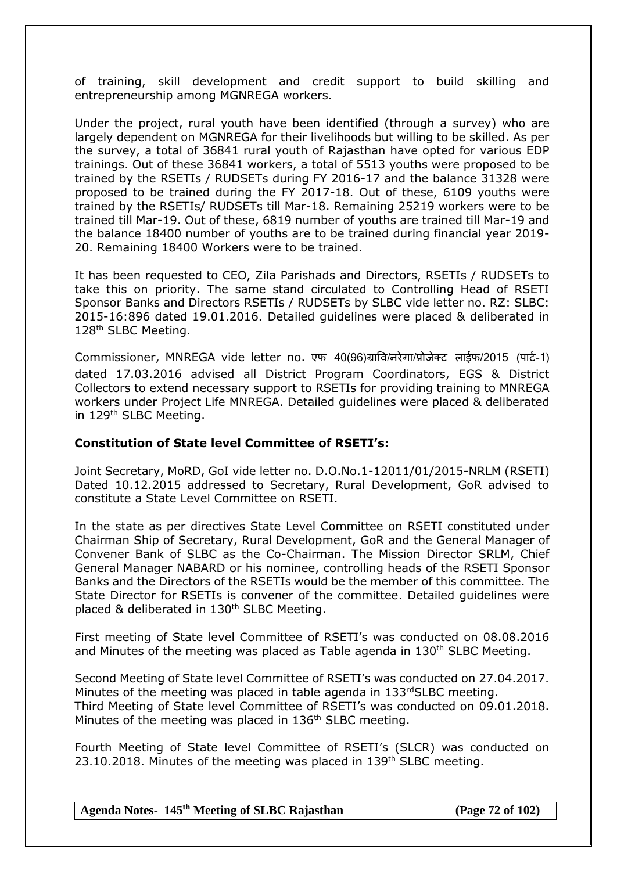of training, skill development and credit support to build skilling and entrepreneurship among MGNREGA workers.

Under the project, rural youth have been identified (through a survey) who are largely dependent on MGNREGA for their livelihoods but willing to be skilled. As per the survey, a total of 36841 rural youth of Rajasthan have opted for various EDP trainings. Out of these 36841 workers, a total of 5513 youths were proposed to be trained by the RSETIs / RUDSETs during FY 2016-17 and the balance 31328 were proposed to be trained during the FY 2017-18. Out of these, 6109 youths were trained by the RSETIs/ RUDSETs till Mar-18. Remaining 25219 workers were to be trained till Mar-19. Out of these, 6819 number of youths are trained till Mar-19 and the balance 18400 number of youths are to be trained during financial year 2019- 20. Remaining 18400 Workers were to be trained.

It has been requested to CEO, Zila Parishads and Directors, RSETIs / RUDSETs to take this on priority. The same stand circulated to Controlling Head of RSETI Sponsor Banks and Directors RSETIs / RUDSETs by SLBC vide letter no. RZ: SLBC: 2015-16:896 dated 19.01.2016. Detailed guidelines were placed & deliberated in 128<sup>th</sup> SLBC Meeting.

Commissioner, MNREGA vide letter no. एफ 40(96)ग्राषव/नरेगा/प्रोजेक्ट लाईफ/2015 (पाटि-1) dated 17.03.2016 advised all District Program Coordinators, EGS & District Collectors to extend necessary support to RSETIs for providing training to MNREGA workers under Project Life MNREGA. Detailed guidelines were placed & deliberated in 129<sup>th</sup> SLBC Meeting.

#### **Constitution of State level Committee of RSETI's:**

Joint Secretary, MoRD, GoI vide letter no. D.O.No.1-12011/01/2015-NRLM (RSETI) Dated 10.12.2015 addressed to Secretary, Rural Development, GoR advised to constitute a State Level Committee on RSETI.

In the state as per directives State Level Committee on RSETI constituted under Chairman Ship of Secretary, Rural Development, GoR and the General Manager of Convener Bank of SLBC as the Co-Chairman. The Mission Director SRLM, Chief General Manager NABARD or his nominee, controlling heads of the RSETI Sponsor Banks and the Directors of the RSETIs would be the member of this committee. The State Director for RSETIs is convener of the committee. Detailed guidelines were placed & deliberated in 130<sup>th</sup> SLBC Meeting.

First meeting of State level Committee of RSETI's was conducted on 08.08.2016 and Minutes of the meeting was placed as Table agenda in 130<sup>th</sup> SLBC Meeting.

Second Meeting of State level Committee of RSETI's was conducted on 27.04.2017. Minutes of the meeting was placed in table agenda in 133rdSLBC meeting. Third Meeting of State level Committee of RSETI's was conducted on 09.01.2018. Minutes of the meeting was placed in 136<sup>th</sup> SLBC meeting.

Fourth Meeting of State level Committee of RSETI's (SLCR) was conducted on 23.10.2018. Minutes of the meeting was placed in 139<sup>th</sup> SLBC meeting.

**Agenda Notes- 145th Meeting of SLBC Rajasthan (Page 72 of 102)**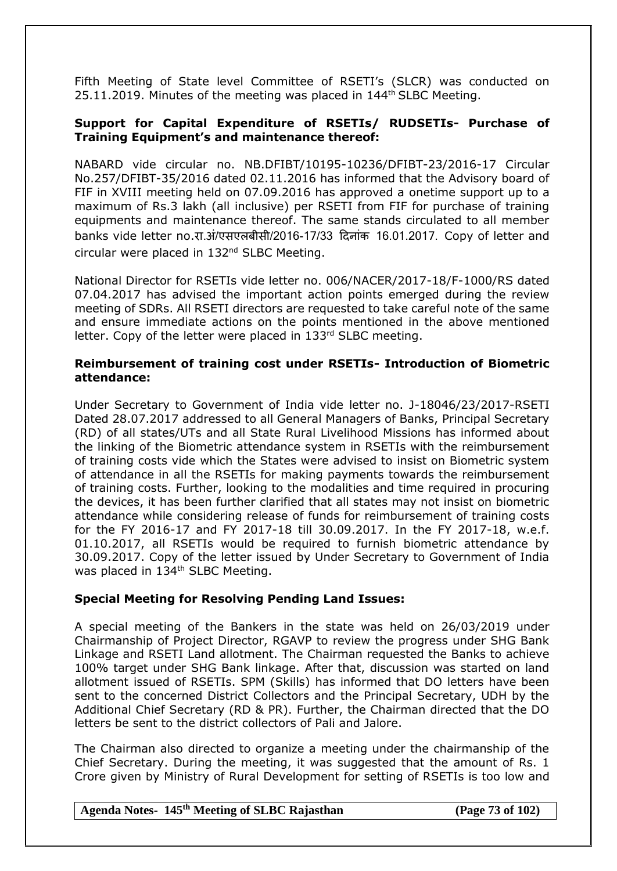Fifth Meeting of State level Committee of RSETI's (SLCR) was conducted on 25.11.2019. Minutes of the meeting was placed in  $144<sup>th</sup>$  SLBC Meeting.

#### **Support for Capital Expenditure of RSETIs/ RUDSETIs- Purchase of Training Equipment's and maintenance thereof:**

NABARD vide circular no. NB.DFIBT/10195-10236/DFIBT-23/2016-17 Circular No.257/DFIBT-35/2016 dated 02.11.2016 has informed that the Advisory board of FIF in XVIII meeting held on 07.09.2016 has approved a onetime support up to a maximum of Rs.3 lakh (all inclusive) per RSETI from FIF for purchase of training equipments and maintenance thereof. The same stands circulated to all member banks vide letter no.रा.अं/एसएलबीसी/2016-17/33 दिनांक 16.01.2017. Copy of letter and circular were placed in 132<sup>nd</sup> SLBC Meeting.

National Director for RSETIs vide letter no. 006/NACER/2017-18/F-1000/RS dated 07.04.2017 has advised the important action points emerged during the review meeting of SDRs. All RSETI directors are requested to take careful note of the same and ensure immediate actions on the points mentioned in the above mentioned letter. Copy of the letter were placed in 133rd SLBC meeting.

#### **Reimbursement of training cost under RSETIs- Introduction of Biometric attendance:**

Under Secretary to Government of India vide letter no. J-18046/23/2017-RSETI Dated 28.07.2017 addressed to all General Managers of Banks, Principal Secretary (RD) of all states/UTs and all State Rural Livelihood Missions has informed about the linking of the Biometric attendance system in RSETIs with the reimbursement of training costs vide which the States were advised to insist on Biometric system of attendance in all the RSETIs for making payments towards the reimbursement of training costs. Further, looking to the modalities and time required in procuring the devices, it has been further clarified that all states may not insist on biometric attendance while considering release of funds for reimbursement of training costs for the FY 2016-17 and FY 2017-18 till 30.09.2017. In the FY 2017-18, w.e.f. 01.10.2017, all RSETIs would be required to furnish biometric attendance by 30.09.2017. Copy of the letter issued by Under Secretary to Government of India was placed in 134<sup>th</sup> SLBC Meeting.

### **Special Meeting for Resolving Pending Land Issues:**

A special meeting of the Bankers in the state was held on 26/03/2019 under Chairmanship of Project Director, RGAVP to review the progress under SHG Bank Linkage and RSETI Land allotment. The Chairman requested the Banks to achieve 100% target under SHG Bank linkage. After that, discussion was started on land allotment issued of RSETIs. SPM (Skills) has informed that DO letters have been sent to the concerned District Collectors and the Principal Secretary, UDH by the Additional Chief Secretary (RD & PR). Further, the Chairman directed that the DO letters be sent to the district collectors of Pali and Jalore.

The Chairman also directed to organize a meeting under the chairmanship of the Chief Secretary. During the meeting, it was suggested that the amount of Rs. 1 Crore given by Ministry of Rural Development for setting of RSETIs is too low and

### **Agenda Notes- 145th Meeting of SLBC Rajasthan (Page 73 of 102)**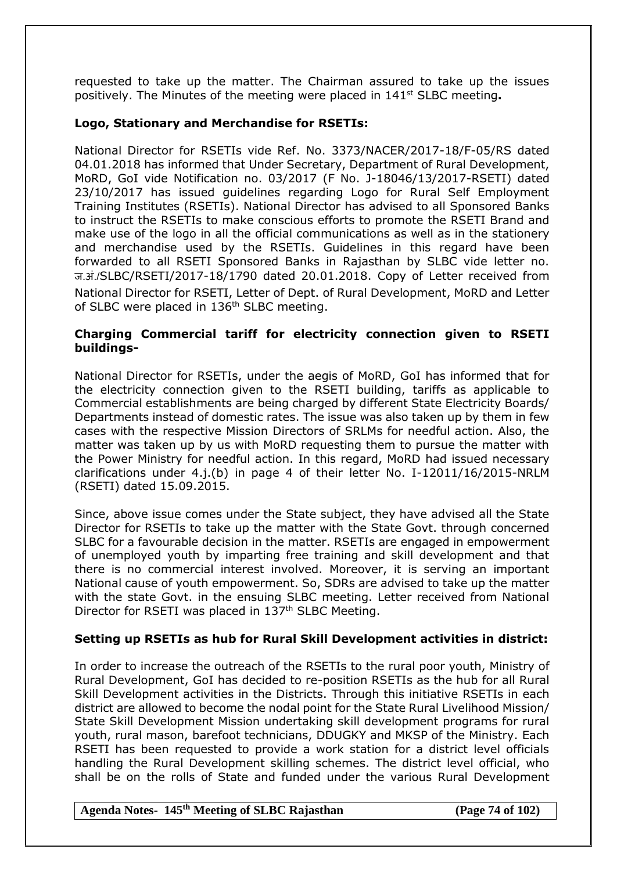requested to take up the matter. The Chairman assured to take up the issues positively. The Minutes of the meeting were placed in 141st SLBC meeting**.**

#### **Logo, Stationary and Merchandise for RSETIs:**

National Director for RSETIs vide Ref. No. 3373/NACER/2017-18/F-05/RS dated 04.01.2018 has informed that Under Secretary, Department of Rural Development, MoRD, GoI vide Notification no. 03/2017 (F No. J-18046/13/2017-RSETI) dated 23/10/2017 has issued guidelines regarding Logo for Rural Self Employment Training Institutes (RSETIs). National Director has advised to all Sponsored Banks to instruct the RSETIs to make conscious efforts to promote the RSETI Brand and make use of the logo in all the official communications as well as in the stationery and merchandise used by the RSETIs. Guidelines in this regard have been forwarded to all RSETI Sponsored Banks in Rajasthan by SLBC vide letter no. ज.अं./SLBC/RSETI/2017-18/1790 dated 20.01.2018. Copy of Letter received from National Director for RSETI, Letter of Dept. of Rural Development, MoRD and Letter of SLBC were placed in 136<sup>th</sup> SLBC meeting.

#### **Charging Commercial tariff for electricity connection given to RSETI buildings-**

National Director for RSETIs, under the aegis of MoRD, GoI has informed that for the electricity connection given to the RSETI building, tariffs as applicable to Commercial establishments are being charged by different State Electricity Boards/ Departments instead of domestic rates. The issue was also taken up by them in few cases with the respective Mission Directors of SRLMs for needful action. Also, the matter was taken up by us with MoRD requesting them to pursue the matter with the Power Ministry for needful action. In this regard, MoRD had issued necessary clarifications under 4.j.(b) in page 4 of their letter No. I-12011/16/2015-NRLM (RSETI) dated 15.09.2015.

Since, above issue comes under the State subject, they have advised all the State Director for RSETIs to take up the matter with the State Govt. through concerned SLBC for a favourable decision in the matter. RSETIs are engaged in empowerment of unemployed youth by imparting free training and skill development and that there is no commercial interest involved. Moreover, it is serving an important National cause of youth empowerment. So, SDRs are advised to take up the matter with the state Govt. in the ensuing SLBC meeting. Letter received from National Director for RSETI was placed in 137<sup>th</sup> SLBC Meeting.

### **Setting up RSETIs as hub for Rural Skill Development activities in district:**

In order to increase the outreach of the RSETIs to the rural poor youth, Ministry of Rural Development, GoI has decided to re-position RSETIs as the hub for all Rural Skill Development activities in the Districts. Through this initiative RSETIs in each district are allowed to become the nodal point for the State Rural Livelihood Mission/ State Skill Development Mission undertaking skill development programs for rural youth, rural mason, barefoot technicians, DDUGKY and MKSP of the Ministry. Each RSETI has been requested to provide a work station for a district level officials handling the Rural Development skilling schemes. The district level official, who shall be on the rolls of State and funded under the various Rural Development

#### **Agenda Notes- 145th Meeting of SLBC Rajasthan (Page 74 of 102)**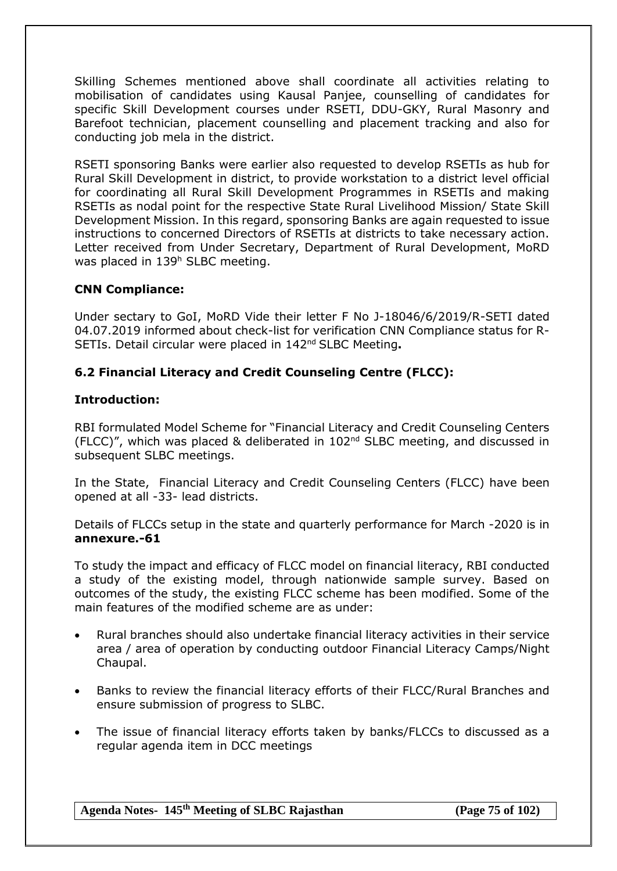Skilling Schemes mentioned above shall coordinate all activities relating to mobilisation of candidates using Kausal Panjee, counselling of candidates for specific Skill Development courses under RSETI, DDU-GKY, Rural Masonry and Barefoot technician, placement counselling and placement tracking and also for conducting job mela in the district.

RSETI sponsoring Banks were earlier also requested to develop RSETIs as hub for Rural Skill Development in district, to provide workstation to a district level official for coordinating all Rural Skill Development Programmes in RSETIs and making RSETIs as nodal point for the respective State Rural Livelihood Mission/ State Skill Development Mission. In this regard, sponsoring Banks are again requested to issue instructions to concerned Directors of RSETIs at districts to take necessary action. Letter received from Under Secretary, Department of Rural Development, MoRD was placed in 139<sup>h</sup> SLBC meeting.

### **CNN Compliance:**

Under sectary to GoI, MoRD Vide their letter F No J-18046/6/2019/R-SETI dated 04.07.2019 informed about check-list for verification CNN Compliance status for R-SETIs. Detail circular were placed in 142nd SLBC Meeting**.**

### **6.2 Financial Literacy and Credit Counseling Centre (FLCC):**

#### **Introduction:**

RBI formulated [Model Scheme for "Financial Literacy and Credit Counseling Centers](http://www.rbi.org.in/scripts/NotificationUser.aspx?Id=4822&Mode=0#A1#A1)  [\(FLCC\)"](http://www.rbi.org.in/scripts/NotificationUser.aspx?Id=4822&Mode=0#A1#A1), which was placed & deliberated in 102nd SLBC meeting, and discussed in subsequent SLBC meetings.

In the State, [Financial Literacy and Credit Counseling Centers \(FLCC\)](http://www.rbi.org.in/scripts/NotificationUser.aspx?Id=4822&Mode=0#A1#A1) have been opened at all -33- lead districts.

Details of FLCCs setup in the state and quarterly performance for March -2020 is in **annexure.-61**

To study the impact and efficacy of FLCC model on financial literacy, RBI conducted a study of the existing model, through nationwide sample survey. Based on outcomes of the study, the existing FLCC scheme has been modified. Some of the main features of the modified scheme are as under:

- Rural branches should also undertake financial literacy activities in their service area / area of operation by conducting outdoor Financial Literacy Camps/Night Chaupal.
- Banks to review the financial literacy efforts of their FLCC/Rural Branches and ensure submission of progress to SLBC.
- The issue of financial literacy efforts taken by banks/FLCCs to discussed as a regular agenda item in DCC meetings

**Agenda Notes- 145th Meeting of SLBC Rajasthan (Page 75 of 102)**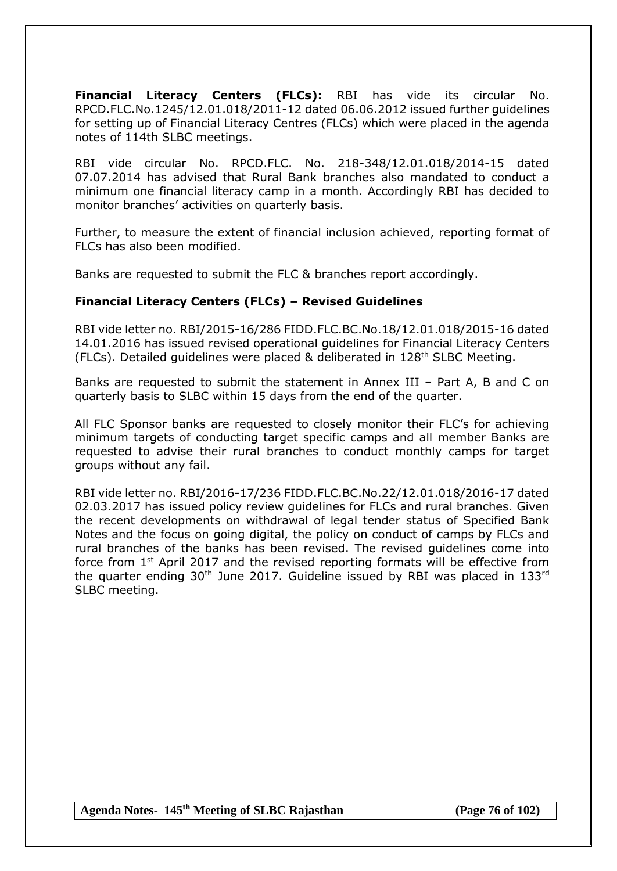**Financial Literacy Centers (FLCs):** RBI has vide its circular No. RPCD.FLC.No.1245/12.01.018/2011-12 dated 06.06.2012 issued further guidelines for setting up of Financial Literacy Centres (FLCs) which were placed in the agenda notes of 114th SLBC meetings.

RBI vide circular No. RPCD.FLC. No. 218-348/12.01.018/2014-15 dated 07.07.2014 has advised that Rural Bank branches also mandated to conduct a minimum one financial literacy camp in a month. Accordingly RBI has decided to monitor branches' activities on quarterly basis.

Further, to measure the extent of financial inclusion achieved, reporting format of FLCs has also been modified.

Banks are requested to submit the FLC & branches report accordingly.

### **Financial Literacy Centers (FLCs) – Revised Guidelines**

RBI vide letter no. RBI/2015-16/286 FIDD.FLC.BC.No.18/12.01.018/2015-16 dated 14.01.2016 has issued revised operational guidelines for Financial Literacy Centers (FLCs). Detailed quidelines were placed & deliberated in  $128<sup>th</sup>$  SLBC Meeting.

Banks are requested to submit the statement in Annex III – Part A, B and C on quarterly basis to SLBC within 15 days from the end of the quarter.

All FLC Sponsor banks are requested to closely monitor their FLC's for achieving minimum targets of conducting target specific camps and all member Banks are requested to advise their rural branches to conduct monthly camps for target groups without any fail.

RBI vide letter no. RBI/2016-17/236 FIDD.FLC.BC.No.22/12.01.018/2016-17 dated 02.03.2017 has issued policy review guidelines for FLCs and rural branches. Given the recent developments on withdrawal of legal tender status of Specified Bank Notes and the focus on going digital, the policy on conduct of camps by FLCs and rural branches of the banks has been revised. The revised guidelines come into force from 1<sup>st</sup> April 2017 and the revised reporting formats will be effective from the quarter ending  $30<sup>th</sup>$  June 2017. Guideline issued by RBI was placed in 133<sup>rd</sup> SLBC meeting.

**Agenda Notes- 145th Meeting of SLBC Rajasthan (Page 76 of 102)**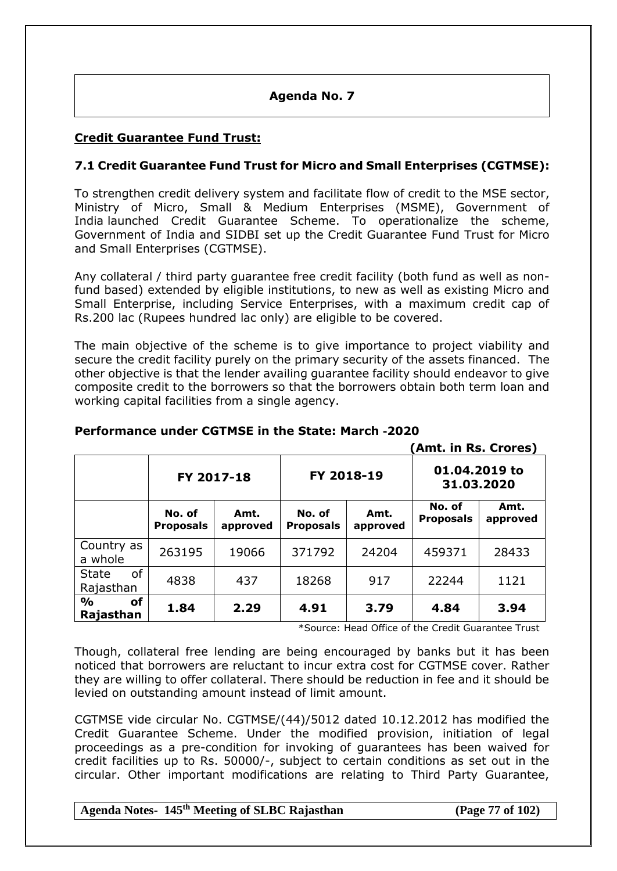## **Agenda No. 7**

# **Credit Guarantee Fund Trust:**

# **7.1 Credit Guarantee Fund Trust for Micro and Small Enterprises (CGTMSE):**

To strengthen credit delivery system and facilitate flow of credit to the MSE sector, Ministry of Micro, Small & Medium Enterprises (MSME), Government of India launched Credit Guarantee Scheme. To operationalize the scheme, Government of India and SIDBI set up the Credit Guarantee Fund Trust for Micro and Small Enterprises (CGTMSE).

Any collateral / third party guarantee free credit facility (both fund as well as nonfund based) extended by eligible institutions, to new as well as existing Micro and Small Enterprise, including Service Enterprises, with a maximum credit cap of Rs.200 lac (Rupees hundred lac only) are eligible to be covered.

The main objective of the scheme is to give importance to project viability and secure the credit facility purely on the primary security of the assets financed. The other objective is that the lender availing guarantee facility should endeavor to give composite credit to the borrowers so that the borrowers obtain both term loan and working capital facilities from a single agency.

|                                         |                            |                  | (Amt. in Rs. Crores)       |                  |                             |                  |
|-----------------------------------------|----------------------------|------------------|----------------------------|------------------|-----------------------------|------------------|
|                                         | FY 2017-18                 |                  | FY 2018-19                 |                  | 01.04.2019 to<br>31.03.2020 |                  |
|                                         | No. of<br><b>Proposals</b> | Amt.<br>approved | No. of<br><b>Proposals</b> | Amt.<br>approved | No. of<br><b>Proposals</b>  | Amt.<br>approved |
| Country as<br>a whole                   | 263195                     | 19066            | 371792                     | 24204            | 459371                      | 28433            |
| <b>of</b><br><b>State</b><br>Rajasthan  | 4838                       | 437              | 18268                      | 917              | 22244                       | 1121             |
| <b>of</b><br>$\frac{0}{0}$<br>Rajasthan | 1.84                       | 2.29             | 4.91                       | 3.79             | 4.84                        | 3.94             |

# **Performance under CGTMSE in the State: March -2020**

\*Source: Head Office of the Credit Guarantee Trust

Though, collateral free lending are being encouraged by banks but it has been noticed that borrowers are reluctant to incur extra cost for CGTMSE cover. Rather they are willing to offer collateral. There should be reduction in fee and it should be levied on outstanding amount instead of limit amount.

CGTMSE vide circular No. CGTMSE/(44)/5012 dated 10.12.2012 has modified the Credit Guarantee Scheme. Under the modified provision, initiation of legal proceedings as a pre-condition for invoking of guarantees has been waived for credit facilities up to Rs. 50000/-, subject to certain conditions as set out in the circular. Other important modifications are relating to Third Party Guarantee,

# **Agenda Notes- 145th Meeting of SLBC Rajasthan (Page 77 of 102)**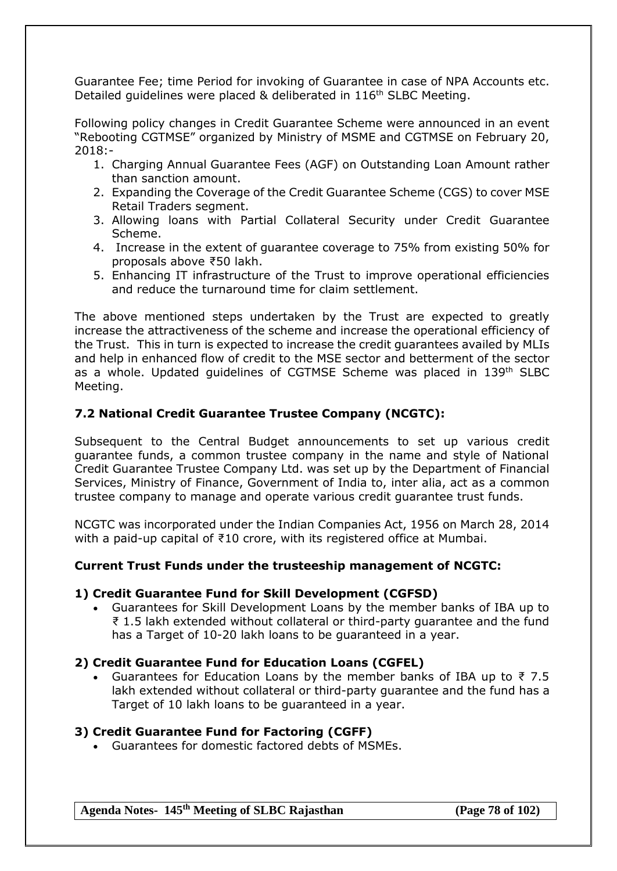Guarantee Fee; time Period for invoking of Guarantee in case of NPA Accounts etc. Detailed guidelines were placed & deliberated in 116<sup>th</sup> SLBC Meeting.

Following policy changes in Credit Guarantee Scheme were announced in an event "Rebooting CGTMSE" organized by Ministry of MSME and CGTMSE on February 20, 2018:-

- 1. Charging Annual Guarantee Fees (AGF) on Outstanding Loan Amount rather than sanction amount.
- 2. Expanding the Coverage of the Credit Guarantee Scheme (CGS) to cover MSE Retail Traders segment.
- 3. Allowing loans with Partial Collateral Security under Credit Guarantee Scheme.
- 4. Increase in the extent of guarantee coverage to 75% from existing 50% for proposals above ₹50 lakh.
- 5. Enhancing IT infrastructure of the Trust to improve operational efficiencies and reduce the turnaround time for claim settlement.

The above mentioned steps undertaken by the Trust are expected to greatly increase the attractiveness of the scheme and increase the operational efficiency of the Trust. This in turn is expected to increase the credit guarantees availed by MLIs and help in enhanced flow of credit to the MSE sector and betterment of the sector as a whole. Updated guidelines of CGTMSE Scheme was placed in 139th SLBC Meeting.

# **7.2 National Credit Guarantee Trustee Company (NCGTC):**

Subsequent to the Central Budget announcements to set up various credit guarantee funds, a common trustee company in the name and style of National Credit Guarantee Trustee Company Ltd. was set up by the Department of Financial Services, Ministry of Finance, Government of India to, inter alia, act as a common trustee company to manage and operate various credit guarantee trust funds.

NCGTC was incorporated under the Indian Companies Act, 1956 on March 28, 2014 with a paid-up capital of ₹10 crore, with its registered office at Mumbai.

### **Current Trust Funds under the trusteeship management of NCGTC:**

#### **1) Credit Guarantee Fund for Skill Development (CGFSD)**

 Guarantees for Skill Development Loans by the member banks of IBA up to ₹ 1.5 lakh extended without collateral or third-party guarantee and the fund has a Target of 10-20 lakh loans to be guaranteed in a year.

#### **2) Credit Guarantee Fund for Education Loans (CGFEL)**

Guarantees for Education Loans by the member banks of IBA up to  $\bar{\tau}$  7.5 lakh extended without collateral or third-party guarantee and the fund has a Target of 10 lakh loans to be guaranteed in a year.

#### **3) Credit Guarantee Fund for Factoring (CGFF)**

Guarantees for domestic factored debts of MSMEs.

**Agenda Notes- 145th Meeting of SLBC Rajasthan (Page 78 of 102)**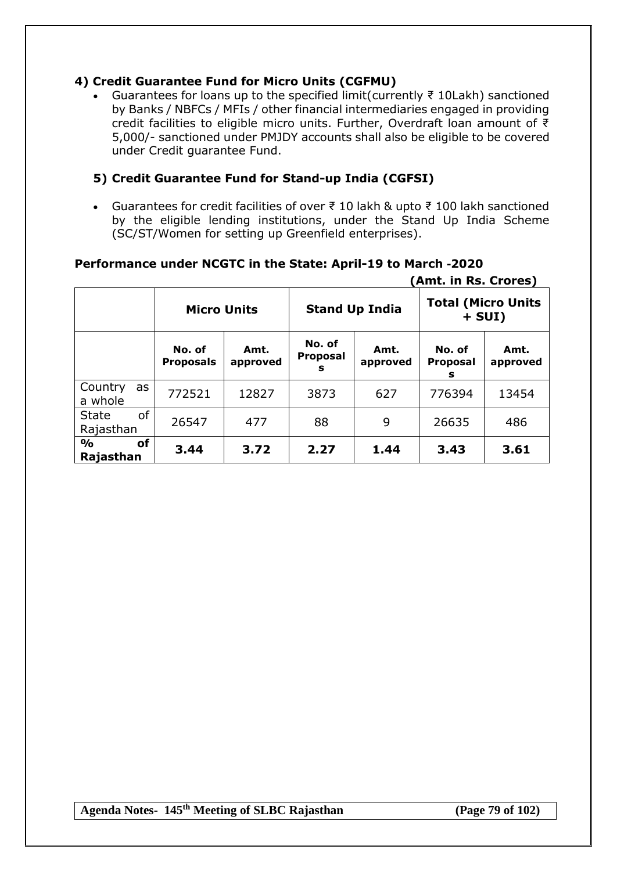# **4) Credit Guarantee Fund for Micro Units (CGFMU)**

 Guarantees for loans up to the specified limit(currently ₹ 10Lakh) sanctioned by Banks / NBFCs / MFIs / other financial intermediaries engaged in providing credit facilities to eligible micro units. Further, Overdraft loan amount of ₹ 5,000/- sanctioned under PMJDY accounts shall also be eligible to be covered under Credit guarantee Fund.

# **5) Credit Guarantee Fund for Stand-up India (CGFSI)**

 Guarantees for credit facilities of over ₹ 10 lakh & upto ₹ 100 lakh sanctioned by the eligible lending institutions, under the Stand Up India Scheme (SC/ST/Women for setting up Greenfield enterprises).

|                                        |                            |                  |                                |                  | (Amt. in Rs. Crores)                  |                  |
|----------------------------------------|----------------------------|------------------|--------------------------------|------------------|---------------------------------------|------------------|
|                                        | <b>Micro Units</b>         |                  | <b>Stand Up India</b>          |                  | <b>Total (Micro Units</b><br>$+ SUI)$ |                  |
|                                        | No. of<br><b>Proposals</b> | Amt.<br>approved | No. of<br><b>Proposal</b><br>s | Amt.<br>approved | No. of<br><b>Proposal</b><br>s        | Amt.<br>approved |
| Country<br>as<br>a whole               | 772521                     | 12827            | 3873                           | 627              | 776394                                | 13454            |
| <b>of</b><br><b>State</b><br>Rajasthan | 26547                      | 477              | 88                             | 9                | 26635                                 | 486              |
| $\frac{0}{0}$<br>οf<br>Rajasthan       | 3.44                       | 3.72             | 2.27                           | 1.44             | 3.43                                  | 3.61             |

# **Performance under NCGTC in the State: April-19 to March -2020**

**Agenda Notes- 145th Meeting of SLBC Rajasthan (Page 79 of 102)**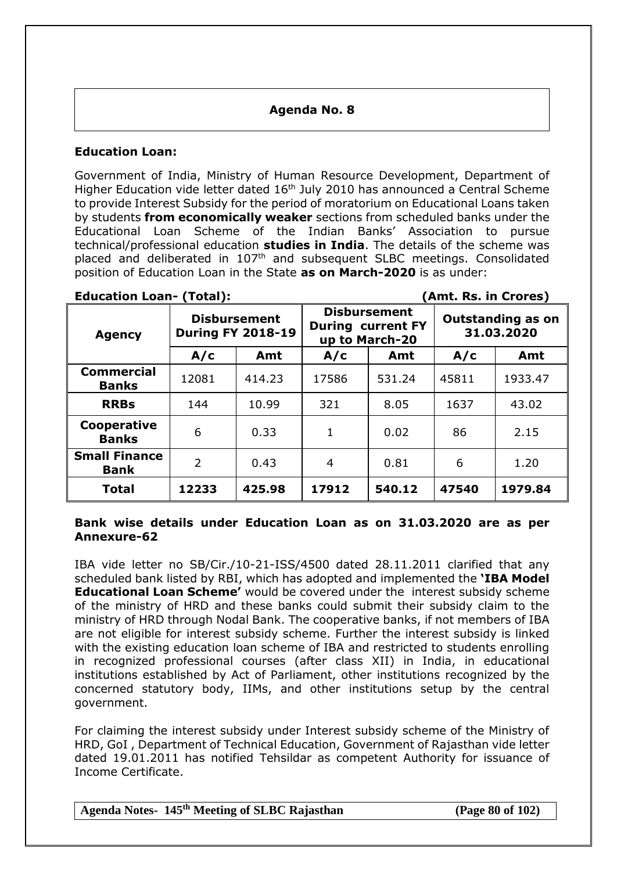## **Agenda No. 8**

#### **Education Loan:**

Government of India, Ministry of Human Resource Development, Department of Higher Education vide letter dated 16<sup>th</sup> July 2010 has announced a Central Scheme to provide Interest Subsidy for the period of moratorium on Educational Loans taken by students **from economically weaker** sections from scheduled banks under the Educational Loan Scheme of the Indian Banks' Association to pursue technical/professional education **studies in India**. The details of the scheme was placed and deliberated in 107<sup>th</sup> and subsequent SLBC meetings. Consolidated position of Education Loan in the State **as on March-2020** is as under:

#### **Education Loan- (Total): (Amt. Rs. in Crores)**

| <b>Agency</b>                       | <b>Disbursement</b><br><b>During FY 2018-19</b> |        | <b>Disbursement</b><br><b>During current FY</b><br>up to March-20 |        | <b>Outstanding as on</b><br>31.03.2020 |         |
|-------------------------------------|-------------------------------------------------|--------|-------------------------------------------------------------------|--------|----------------------------------------|---------|
|                                     | A/c                                             | Amt    | A/c                                                               | Amt    | A/c                                    | Amt     |
| <b>Commercial</b><br><b>Banks</b>   | 12081                                           | 414.23 | 17586                                                             | 531.24 | 45811                                  | 1933.47 |
| <b>RRBs</b>                         | 144                                             | 10.99  | 321                                                               | 8.05   | 1637                                   | 43.02   |
| Cooperative<br><b>Banks</b>         | 6                                               | 0.33   | $\mathbf{1}$                                                      | 0.02   | 86                                     | 2.15    |
| <b>Small Finance</b><br><b>Bank</b> | $\overline{2}$                                  | 0.43   | 4                                                                 | 0.81   | 6                                      | 1.20    |
| <b>Total</b>                        | 12233                                           | 425.98 | 17912                                                             | 540.12 | 47540                                  | 1979.84 |

#### **Bank wise details under Education Loan as on 31.03.2020 are as per Annexure-62**

IBA vide letter no SB/Cir./10-21-ISS/4500 dated 28.11.2011 clarified that any scheduled bank listed by RBI, which has adopted and implemented the **'IBA Model Educational Loan Scheme'** would be covered under the interest subsidy scheme of the ministry of HRD and these banks could submit their subsidy claim to the ministry of HRD through Nodal Bank. The cooperative banks, if not members of IBA are not eligible for interest subsidy scheme. Further the interest subsidy is linked with the existing education loan scheme of IBA and restricted to students enrolling in recognized professional courses (after class XII) in India, in educational institutions established by Act of Parliament, other institutions recognized by the concerned statutory body, IIMs, and other institutions setup by the central government.

For claiming the interest subsidy under Interest subsidy scheme of the Ministry of HRD, GoI , Department of Technical Education, Government of Rajasthan vide letter dated 19.01.2011 has notified Tehsildar as competent Authority for issuance of Income Certificate.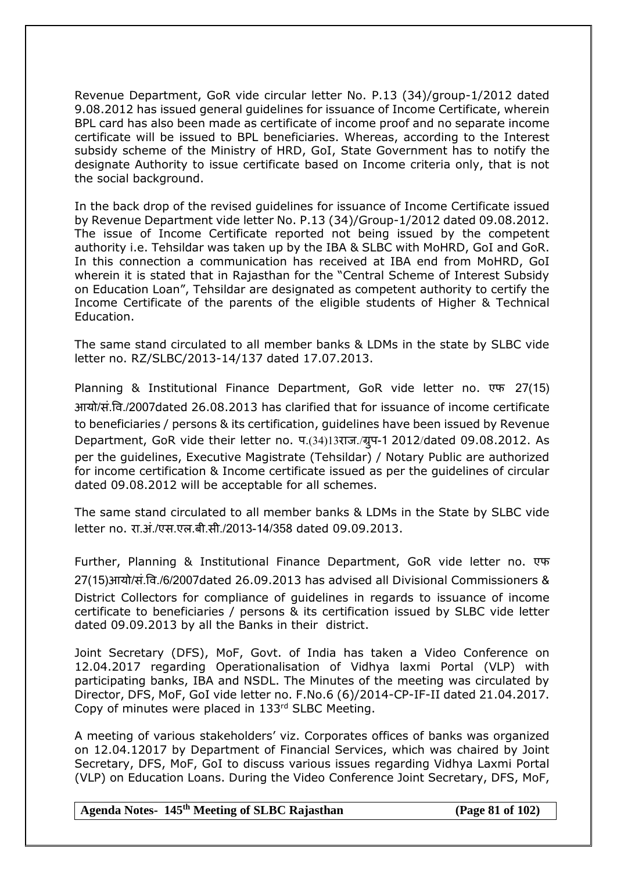Revenue Department, GoR vide circular letter No. P.13 (34)/group-1/2012 dated 9.08.2012 has issued general guidelines for issuance of Income Certificate, wherein BPL card has also been made as certificate of income proof and no separate income certificate will be issued to BPL beneficiaries. Whereas, according to the Interest subsidy scheme of the Ministry of HRD, GoI, State Government has to notify the designate Authority to issue certificate based on Income criteria only, that is not the social background.

In the back drop of the revised guidelines for issuance of Income Certificate issued by Revenue Department vide letter No. P.13 (34)/Group-1/2012 dated 09.08.2012. The issue of Income Certificate reported not being issued by the competent authority i.e. Tehsildar was taken up by the IBA & SLBC with MoHRD, GoI and GoR. In this connection a communication has received at IBA end from MoHRD, GoI wherein it is stated that in Rajasthan for the "Central Scheme of Interest Subsidy on Education Loan", Tehsildar are designated as competent authority to certify the Income Certificate of the parents of the eligible students of Higher & Technical Education.

The same stand circulated to all member banks & LDMs in the state by SLBC vide letter no. RZ/SLBC/2013-14/137 dated 17.07.2013.

Planning & Institutional Finance Department, GoR vide letter no. एफ 27(15) आयो/सं.षव./2007dated 26.08.2013 has clarified that for issuance of income certificate to beneficiaries / persons & its certification, guidelines have been issued by Revenue Department, GoR vide their letter no. प. (34) 13राज./ग्रुप-1 2012/dated 09.08.2012. As per the guidelines, Executive Magistrate (Tehsildar) / Notary Public are authorized for income certification & Income certificate issued as per the guidelines of circular dated 09.08.2012 will be acceptable for all schemes.

The same stand circulated to all member banks & LDMs in the State by SLBC vide letter no. रा.अं./एस.एल.बी.सी./2013-14/358 dated 09.09.2013.

Further, Planning & Institutional Finance Department, GoR vide letter no. एफ 27(15)आयो/सं.षव./6/2007dated 26.09.2013 has advised all Divisional Commissioners & District Collectors for compliance of guidelines in regards to issuance of income certificate to beneficiaries / persons & its certification issued by SLBC vide letter dated 09.09.2013 by all the Banks in their district.

Joint Secretary (DFS), MoF, Govt. of India has taken a Video Conference on 12.04.2017 regarding Operationalisation of Vidhya laxmi Portal (VLP) with participating banks, IBA and NSDL. The Minutes of the meeting was circulated by Director, DFS, MoF, GoI vide letter no. F.No.6 (6)/2014-CP-IF-II dated 21.04.2017. Copy of minutes were placed in 133rd SLBC Meeting.

A meeting of various stakeholders' viz. Corporates offices of banks was organized on 12.04.12017 by Department of Financial Services, which was chaired by Joint Secretary, DFS, MoF, GoI to discuss various issues regarding Vidhya Laxmi Portal (VLP) on Education Loans. During the Video Conference Joint Secretary, DFS, MoF,

**Agenda Notes- 145th Meeting of SLBC Rajasthan (Page 81 of 102)**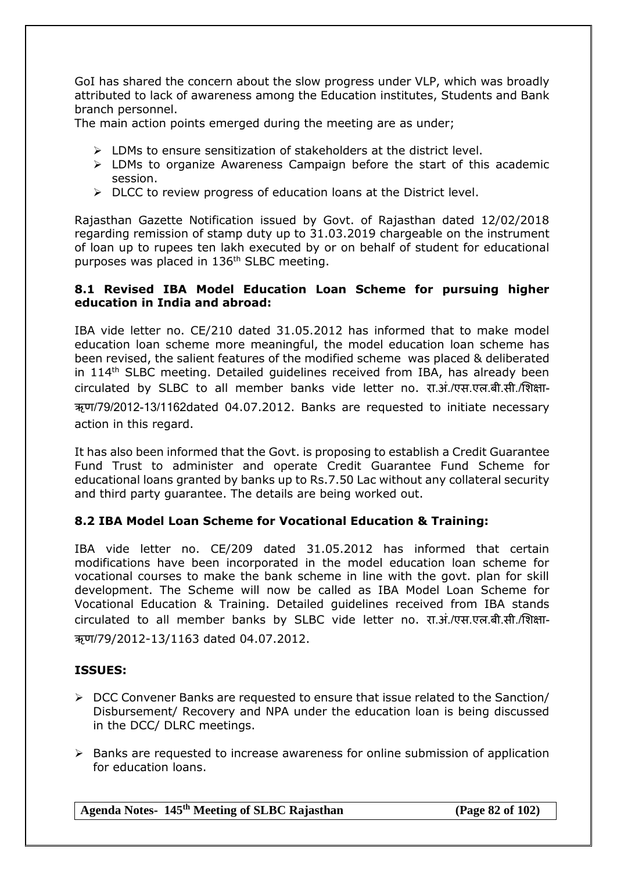GoI has shared the concern about the slow progress under VLP, which was broadly attributed to lack of awareness among the Education institutes, Students and Bank branch personnel.

The main action points emerged during the meeting are as under;

- $\triangleright$  LDMs to ensure sensitization of stakeholders at the district level.
- $\triangleright$  LDMs to organize Awareness Campaign before the start of this academic session.
- $\triangleright$  DLCC to review progress of education loans at the District level.

Rajasthan Gazette Notification issued by Govt. of Rajasthan dated 12/02/2018 regarding remission of stamp duty up to 31.03.2019 chargeable on the instrument of loan up to rupees ten lakh executed by or on behalf of student for educational purposes was placed in 136<sup>th</sup> SLBC meeting.

### **8.1 Revised IBA Model Education Loan Scheme for pursuing higher education in India and abroad:**

IBA vide letter no. CE/210 dated 31.05.2012 has informed that to make model education loan scheme more meaningful, the model education loan scheme has been revised, the salient features of the modified scheme was placed & deliberated in 114th SLBC meeting. Detailed guidelines received from IBA, has already been circulated by SLBC to all member banks vide letter no. रा.अं./एस.एल.बी.सी./सिक्षा- ऋण/79/2012-13/1162dated 04.07.2012. Banks are requested to initiate necessary action in this regard.

It has also been informed that the Govt. is proposing to establish a Credit Guarantee Fund Trust to administer and operate Credit Guarantee Fund Scheme for educational loans granted by banks up to Rs.7.50 Lac without any collateral security and third party guarantee. The details are being worked out.

### **8.2 IBA Model Loan Scheme for Vocational Education & Training:**

IBA vide letter no. CE/209 dated 31.05.2012 has informed that certain modifications have been incorporated in the model education loan scheme for vocational courses to make the bank scheme in line with the govt. plan for skill development. The Scheme will now be called as IBA Model Loan Scheme for Vocational Education & Training. Detailed guidelines received from IBA stands circulated to all member banks by SLBC vide letter no. रा.अं./एस.एल.बी.सी./सिक्षा- ऋण/79/2012-13/1163 dated 04.07.2012.

### **ISSUES:**

- DCC Convener Banks are requested to ensure that issue related to the Sanction/ Disbursement/ Recovery and NPA under the education loan is being discussed in the DCC/ DLRC meetings.
- $\triangleright$  Banks are requested to increase awareness for online submission of application for education loans.

**Agenda Notes- 145th Meeting of SLBC Rajasthan (Page 82 of 102)**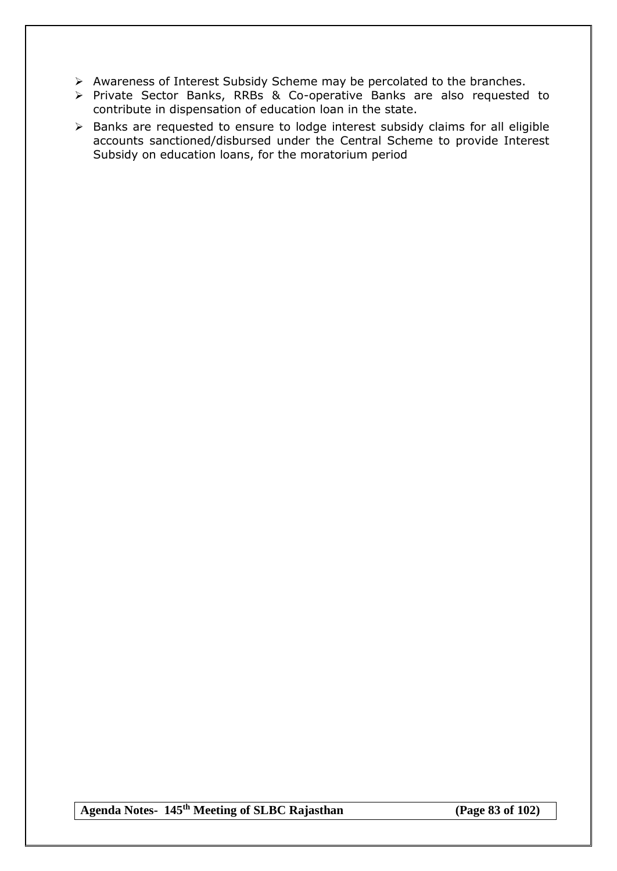- $\triangleright$  Awareness of Interest Subsidy Scheme may be percolated to the branches.
- $\triangleright$  Private Sector Banks, RRBs & Co-operative Banks are also requested to contribute in dispensation of education loan in the state.
- Banks are requested to ensure to lodge interest subsidy claims for all eligible accounts sanctioned/disbursed under the Central Scheme to provide Interest Subsidy on education loans, for the moratorium period

**Agenda Notes- 145th Meeting of SLBC Rajasthan (Page 83 of 102)**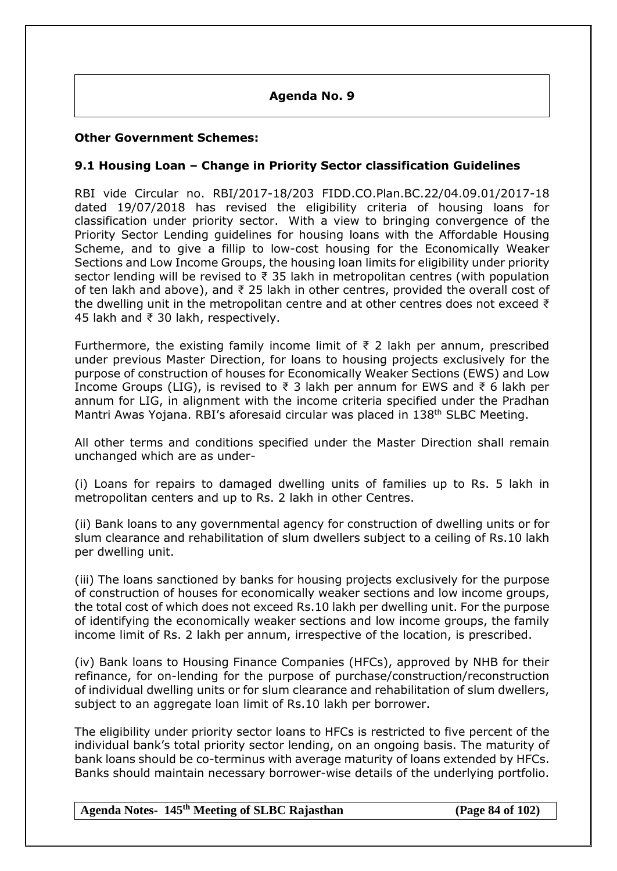#### **Agenda No. 9**

#### **Other Government Schemes:**

#### **9.1 Housing Loan – Change in Priority Sector classification Guidelines**

RBI vide Circular no. RBI/2017-18/203 FIDD.CO.Plan.BC.22/04.09.01/2017-18 dated 19/07/2018 has revised the eligibility criteria of housing loans for classification under priority sector. With a view to bringing convergence of the Priority Sector Lending guidelines for housing loans with the Affordable Housing Scheme, and to give a fillip to low-cost housing for the Economically Weaker Sections and Low Income Groups, the housing loan limits for eligibility under priority sector lending will be revised to ₹ 35 lakh in metropolitan centres (with population of ten lakh and above), and ₹ 25 lakh in other centres, provided the overall cost of the dwelling unit in the metropolitan centre and at other centres does not exceed ₹ 45 lakh and ₹ 30 lakh, respectively.

Furthermore, the existing family income limit of  $\bar{\tau}$  2 lakh per annum, prescribed under previous Master Direction, for loans to housing projects exclusively for the purpose of construction of houses for Economically Weaker Sections (EWS) and Low Income Groups (LIG), is revised to ₹ 3 lakh per annum for EWS and ₹ 6 lakh per annum for LIG, in alignment with the income criteria specified under the Pradhan Mantri Awas Yojana. RBI's aforesaid circular was placed in 138th SLBC Meeting.

All other terms and conditions specified under the Master Direction shall remain unchanged which are as under-

(i) Loans for repairs to damaged dwelling units of families up to Rs. 5 lakh in metropolitan centers and up to Rs. 2 lakh in other Centres.

(ii) Bank loans to any governmental agency for construction of dwelling units or for slum clearance and rehabilitation of slum dwellers subject to a ceiling of Rs.10 lakh per dwelling unit.

(iii) The loans sanctioned by banks for housing projects exclusively for the purpose of construction of houses for economically weaker sections and low income groups, the total cost of which does not exceed Rs.10 lakh per dwelling unit. For the purpose of identifying the economically weaker sections and low income groups, the family income limit of Rs. 2 lakh per annum, irrespective of the location, is prescribed.

(iv) Bank loans to Housing Finance Companies (HFCs), approved by NHB for their refinance, for on-lending for the purpose of purchase/construction/reconstruction of individual dwelling units or for slum clearance and rehabilitation of slum dwellers, subject to an aggregate loan limit of Rs.10 lakh per borrower.

The eligibility under priority sector loans to HFCs is restricted to five percent of the individual bank's total priority sector lending, on an ongoing basis. The maturity of bank loans should be co-terminus with average maturity of loans extended by HFCs. Banks should maintain necessary borrower-wise details of the underlying portfolio.

#### **Agenda Notes- 145th Meeting of SLBC Rajasthan (Page 84 of 102)**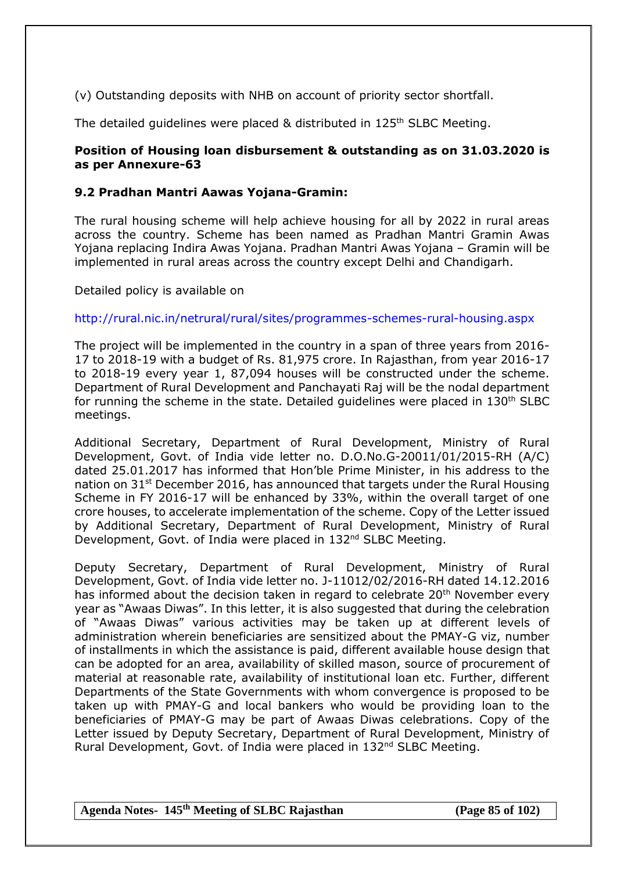(v) Outstanding deposits with NHB on account of priority sector shortfall.

The detailed quidelines were placed & distributed in 125<sup>th</sup> SLBC Meeting.

### **Position of Housing loan disbursement & outstanding as on 31.03.2020 is as per Annexure-63**

### **9.2 Pradhan Mantri Aawas Yojana-Gramin:**

The rural housing scheme will help achieve housing for all by 2022 in rural areas across the country. [Scheme has been named as Pradhan Mantri Gramin Awas](http://www.sarkariyojna.co.in/pradhan-mantri-gramin-awas-yojana-replaces-indira-awas-yojana/)  [Yojana replacing Indira Awas Yojana.](http://www.sarkariyojna.co.in/pradhan-mantri-gramin-awas-yojana-replaces-indira-awas-yojana/) Pradhan Mantri Awas Yojana – Gramin will be implemented in rural areas across the country except Delhi and Chandigarh.

Detailed policy is available on

<http://rural.nic.in/netrural/rural/sites/programmes-schemes-rural-housing.aspx>

The project will be implemented in the country in a span of three years from 2016- 17 to 2018-19 with a budget of Rs. 81,975 crore. In Rajasthan, from year 2016-17 to 2018-19 every year 1, 87,094 houses will be constructed under the scheme. Department of Rural Development and Panchayati Raj will be the nodal department for running the scheme in the state. Detailed guidelines were placed in 130<sup>th</sup> SLBC meetings.

Additional Secretary, Department of Rural Development, Ministry of Rural Development, Govt. of India vide letter no. D.O.No.G-20011/01/2015-RH (A/C) dated 25.01.2017 has informed that Hon'ble Prime Minister, in his address to the nation on 31<sup>st</sup> December 2016, has announced that targets under the Rural Housing Scheme in FY 2016-17 will be enhanced by 33%, within the overall target of one crore houses, to accelerate implementation of the scheme. Copy of the Letter issued by Additional Secretary, Department of Rural Development, Ministry of Rural Development, Govt. of India were placed in 132<sup>nd</sup> SLBC Meeting.

Deputy Secretary, Department of Rural Development, Ministry of Rural Development, Govt. of India vide letter no. J-11012/02/2016-RH dated 14.12.2016 has informed about the decision taken in regard to celebrate 20<sup>th</sup> November every year as "Awaas Diwas". In this letter, it is also suggested that during the celebration of "Awaas Diwas" various activities may be taken up at different levels of administration wherein beneficiaries are sensitized about the PMAY-G viz, number of installments in which the assistance is paid, different available house design that can be adopted for an area, availability of skilled mason, source of procurement of material at reasonable rate, availability of institutional loan etc. Further, different Departments of the State Governments with whom convergence is proposed to be taken up with PMAY-G and local bankers who would be providing loan to the beneficiaries of PMAY-G may be part of Awaas Diwas celebrations. Copy of the Letter issued by Deputy Secretary, Department of Rural Development, Ministry of Rural Development, Govt. of India were placed in 132<sup>nd</sup> SLBC Meeting.

**Agenda Notes- 145th Meeting of SLBC Rajasthan (Page 85 of 102)**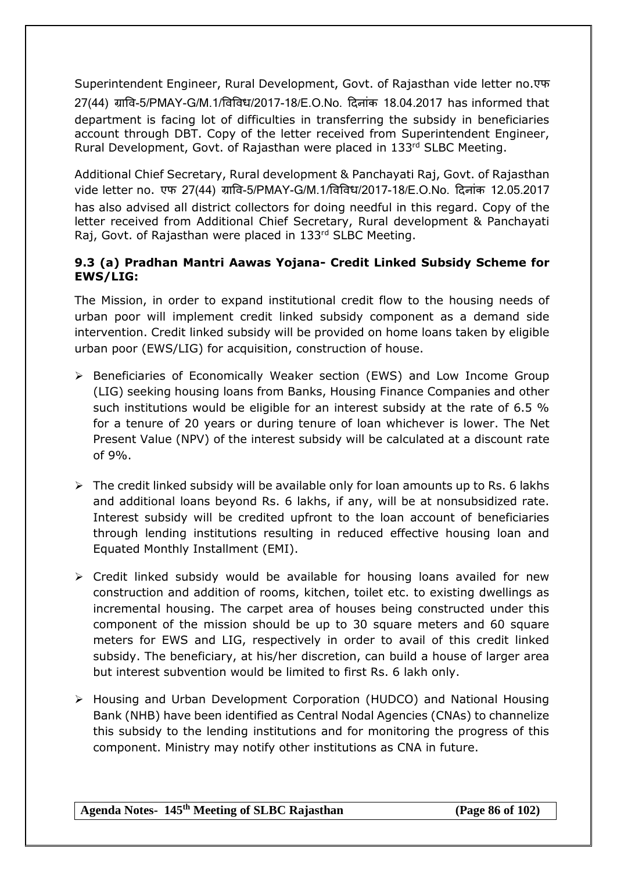Superintendent Engineer, Rural Development, Govt. of Rajasthan vide letter no.एफ 27(44) ग्रावि-5/PMAY-G/M.1/विविध/2017-18/E.O.No. दिनांक 18.04.2017 has informed that department is facing lot of difficulties in transferring the subsidy in beneficiaries account through DBT. Copy of the letter received from Superintendent Engineer, Rural Development, Govt. of Rajasthan were placed in 133rd SLBC Meeting.

Additional Chief Secretary, Rural development & Panchayati Raj, Govt. of Rajasthan vide letter no. एफ 27(44) ग्राषव-5/PMAY-G/M.1/षवषवि/2017-18/E.O.No. दिनांक 12.05.2017 has also advised all district collectors for doing needful in this regard. Copy of the letter received from Additional Chief Secretary, Rural development & Panchayati Raj, Govt. of Rajasthan were placed in 133rd SLBC Meeting.

# **9.3 (a) Pradhan Mantri Aawas Yojana- Credit Linked Subsidy Scheme for EWS/LIG:**

The Mission, in order to expand institutional credit flow to the housing needs of urban poor will implement credit linked subsidy component as a demand side intervention. Credit linked subsidy will be provided on home loans taken by eligible urban poor (EWS/LIG) for acquisition, construction of house.

- Beneficiaries of Economically Weaker section (EWS) and Low Income Group (LIG) seeking housing loans from Banks, Housing Finance Companies and other such institutions would be eligible for an interest subsidy at the rate of 6.5 % for a tenure of 20 years or during tenure of loan whichever is lower. The Net Present Value (NPV) of the interest subsidy will be calculated at a discount rate of 9%.
- $\triangleright$  The credit linked subsidy will be available only for loan amounts up to Rs. 6 lakhs and additional loans beyond Rs. 6 lakhs, if any, will be at nonsubsidized rate. Interest subsidy will be credited upfront to the loan account of beneficiaries through lending institutions resulting in reduced effective housing loan and Equated Monthly Installment (EMI).
- $\triangleright$  Credit linked subsidy would be available for housing loans availed for new construction and addition of rooms, kitchen, toilet etc. to existing dwellings as incremental housing. The carpet area of houses being constructed under this component of the mission should be up to 30 square meters and 60 square meters for EWS and LIG, respectively in order to avail of this credit linked subsidy. The beneficiary, at his/her discretion, can build a house of larger area but interest subvention would be limited to first Rs. 6 lakh only.
- Housing and Urban Development Corporation (HUDCO) and National Housing Bank (NHB) have been identified as Central Nodal Agencies (CNAs) to channelize this subsidy to the lending institutions and for monitoring the progress of this component. Ministry may notify other institutions as CNA in future.

**Agenda Notes- 145th Meeting of SLBC Rajasthan (Page 86 of 102)**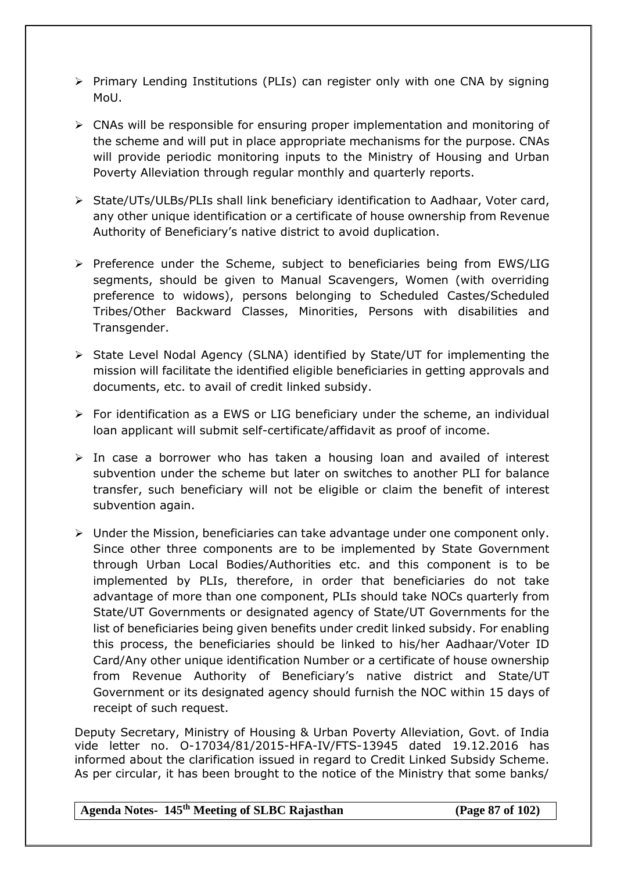- $\triangleright$  Primary Lending Institutions (PLIs) can register only with one CNA by signing MoU.
- $\triangleright$  CNAs will be responsible for ensuring proper implementation and monitoring of the scheme and will put in place appropriate mechanisms for the purpose. CNAs will provide periodic monitoring inputs to the Ministry of Housing and Urban Poverty Alleviation through regular monthly and quarterly reports.
- $\triangleright$  State/UTs/ULBs/PLIs shall link beneficiary identification to Aadhaar, Voter card, any other unique identification or a certificate of house ownership from Revenue Authority of Beneficiary's native district to avoid duplication.
- $\triangleright$  Preference under the Scheme, subject to beneficiaries being from EWS/LIG segments, should be given to Manual Scavengers, Women (with overriding preference to widows), persons belonging to Scheduled Castes/Scheduled Tribes/Other Backward Classes, Minorities, Persons with disabilities and Transgender.
- $\triangleright$  State Level Nodal Agency (SLNA) identified by State/UT for implementing the mission will facilitate the identified eligible beneficiaries in getting approvals and documents, etc. to avail of credit linked subsidy.
- $\triangleright$  For identification as a EWS or LIG beneficiary under the scheme, an individual loan applicant will submit self-certificate/affidavit as proof of income.
- $\triangleright$  In case a borrower who has taken a housing loan and availed of interest subvention under the scheme but later on switches to another PLI for balance transfer, such beneficiary will not be eligible or claim the benefit of interest subvention again.
- $\triangleright$  Under the Mission, beneficiaries can take advantage under one component only. Since other three components are to be implemented by State Government through Urban Local Bodies/Authorities etc. and this component is to be implemented by PLIs, therefore, in order that beneficiaries do not take advantage of more than one component, PLIs should take NOCs quarterly from State/UT Governments or designated agency of State/UT Governments for the list of beneficiaries being given benefits under credit linked subsidy. For enabling this process, the beneficiaries should be linked to his/her Aadhaar/Voter ID Card/Any other unique identification Number or a certificate of house ownership from Revenue Authority of Beneficiary's native district and State/UT Government or its designated agency should furnish the NOC within 15 days of receipt of such request.

Deputy Secretary, Ministry of Housing & Urban Poverty Alleviation, Govt. of India vide letter no. O-17034/81/2015-HFA-IV/FTS-13945 dated 19.12.2016 has informed about the clarification issued in regard to Credit Linked Subsidy Scheme. As per circular, it has been brought to the notice of the Ministry that some banks/

**Agenda Notes- 145th Meeting of SLBC Rajasthan (Page 87 of 102)**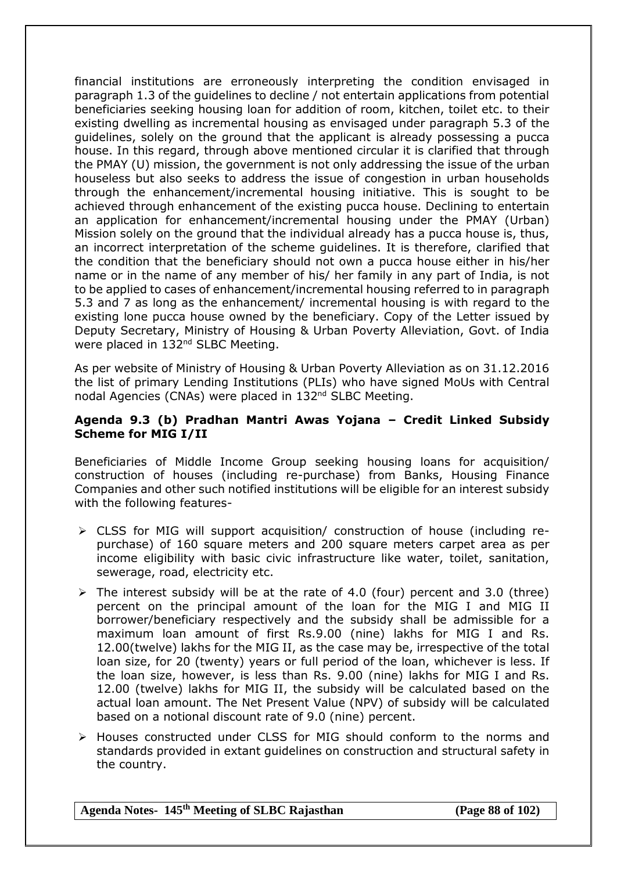financial institutions are erroneously interpreting the condition envisaged in paragraph 1.3 of the guidelines to decline / not entertain applications from potential beneficiaries seeking housing loan for addition of room, kitchen, toilet etc. to their existing dwelling as incremental housing as envisaged under paragraph 5.3 of the guidelines, solely on the ground that the applicant is already possessing a pucca house. In this regard, through above mentioned circular it is clarified that through the PMAY (U) mission, the government is not only addressing the issue of the urban houseless but also seeks to address the issue of congestion in urban households through the enhancement/incremental housing initiative. This is sought to be achieved through enhancement of the existing pucca house. Declining to entertain an application for enhancement/incremental housing under the PMAY (Urban) Mission solely on the ground that the individual already has a pucca house is, thus, an incorrect interpretation of the scheme guidelines. It is therefore, clarified that the condition that the beneficiary should not own a pucca house either in his/her name or in the name of any member of his/ her family in any part of India, is not to be applied to cases of enhancement/incremental housing referred to in paragraph 5.3 and 7 as long as the enhancement/ incremental housing is with regard to the existing lone pucca house owned by the beneficiary. Copy of the Letter issued by Deputy Secretary, Ministry of Housing & Urban Poverty Alleviation, Govt. of India were placed in 132<sup>nd</sup> SLBC Meeting.

As per website of Ministry of Housing & Urban Poverty Alleviation as on 31.12.2016 the list of primary Lending Institutions (PLIs) who have signed MoUs with Central nodal Agencies (CNAs) were placed in 132<sup>nd</sup> SLBC Meeting.

#### **Agenda 9.3 (b) Pradhan Mantri Awas Yojana – Credit Linked Subsidy Scheme for MIG I/II**

Beneficiaries of Middle Income Group seeking housing loans for acquisition/ construction of houses (including re-purchase) from Banks, Housing Finance Companies and other such notified institutions will be eligible for an interest subsidy with the following features-

- CLSS for MIG will support acquisition/ construction of house (including repurchase) of 160 square meters and 200 square meters carpet area as per income eligibility with basic civic infrastructure like water, toilet, sanitation, sewerage, road, electricity etc.
- $\triangleright$  The interest subsidy will be at the rate of 4.0 (four) percent and 3.0 (three) percent on the principal amount of the loan for the MIG I and MIG II borrower/beneficiary respectively and the subsidy shall be admissible for a maximum loan amount of first Rs.9.00 (nine) lakhs for MIG I and Rs. 12.00(twelve) lakhs for the MIG II, as the case may be, irrespective of the total loan size, for 20 (twenty) years or full period of the loan, whichever is less. If the loan size, however, is less than Rs. 9.00 (nine) lakhs for MIG I and Rs. 12.00 (twelve) lakhs for MIG II, the subsidy will be calculated based on the actual loan amount. The Net Present Value (NPV) of subsidy will be calculated based on a notional discount rate of 9.0 (nine) percent.
- Houses constructed under CLSS for MIG should conform to the norms and standards provided in extant guidelines on construction and structural safety in the country.

**Agenda Notes- 145th Meeting of SLBC Rajasthan (Page 88 of 102)**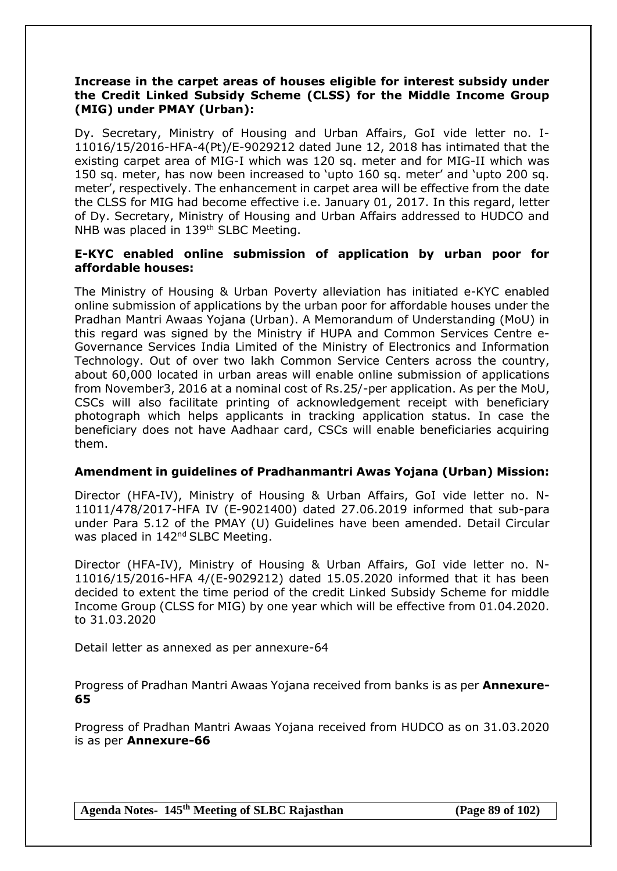#### **Increase in the carpet areas of houses eligible for interest subsidy under the Credit Linked Subsidy Scheme (CLSS) for the Middle Income Group (MIG) under PMAY (Urban):**

Dy. Secretary, Ministry of Housing and Urban Affairs, GoI vide letter no. I-11016/15/2016-HFA-4(Pt)/E-9029212 dated June 12, 2018 has intimated that the existing carpet area of MIG-I which was 120 sq. meter and for MIG-II which was 150 sq. meter, has now been increased to 'upto 160 sq. meter' and 'upto 200 sq. meter', respectively. The enhancement in carpet area will be effective from the date the CLSS for MIG had become effective i.e. January 01, 2017. In this regard, letter of Dy. Secretary, Ministry of Housing and Urban Affairs addressed to HUDCO and NHB was placed in 139<sup>th</sup> SLBC Meeting.

#### **E-KYC enabled online submission of application by urban poor for affordable houses:**

The Ministry of Housing & Urban Poverty alleviation has initiated e-KYC enabled online submission of applications by the urban poor for affordable houses under the Pradhan Mantri Awaas Yojana (Urban). A Memorandum of Understanding (MoU) in this regard was signed by the Ministry if HUPA and Common Services Centre e-Governance Services India Limited of the Ministry of Electronics and Information Technology. Out of over two lakh Common Service Centers across the country, about 60,000 located in urban areas will enable online submission of applications from November3, 2016 at a nominal cost of Rs.25/-per application. As per the MoU, CSCs will also facilitate printing of acknowledgement receipt with beneficiary photograph which helps applicants in tracking application status. In case the beneficiary does not have Aadhaar card, CSCs will enable beneficiaries acquiring them.

### **Amendment in guidelines of Pradhanmantri Awas Yojana (Urban) Mission:**

Director (HFA-IV), Ministry of Housing & Urban Affairs, GoI vide letter no. N-11011/478/2017-HFA IV (E-9021400) dated 27.06.2019 informed that sub-para under Para 5.12 of the PMAY (U) Guidelines have been amended. Detail Circular was placed in 142<sup>nd</sup> SLBC Meeting.

Director (HFA-IV), Ministry of Housing & Urban Affairs, GoI vide letter no. N-11016/15/2016-HFA 4/(E-9029212) dated 15.05.2020 informed that it has been decided to extent the time period of the credit Linked Subsidy Scheme for middle Income Group (CLSS for MIG) by one year which will be effective from 01.04.2020. to 31.03.2020

Detail letter as annexed as per annexure-64

Progress of Pradhan Mantri Awaas Yojana received from banks is as per **Annexure-65**

Progress of Pradhan Mantri Awaas Yojana received from HUDCO as on 31.03.2020 is as per **Annexure-66**

**Agenda Notes- 145th Meeting of SLBC Rajasthan (Page 89 of 102)**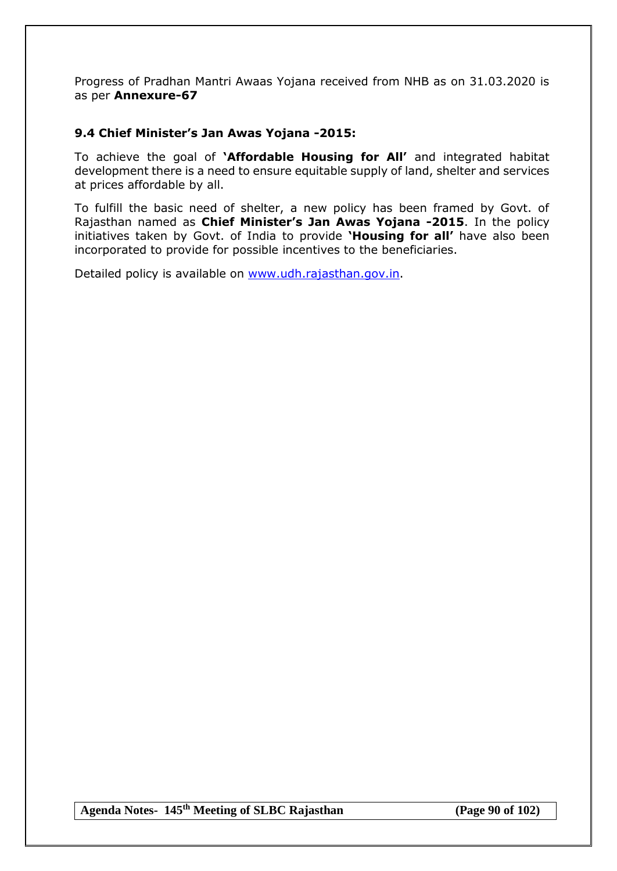Progress of Pradhan Mantri Awaas Yojana received from NHB as on 31.03.2020 is as per **Annexure-67**

### **9.4 Chief Minister's Jan Awas Yojana -2015:**

To achieve the goal of **'Affordable Housing for All'** and integrated habitat development there is a need to ensure equitable supply of land, shelter and services at prices affordable by all.

To fulfill the basic need of shelter, a new policy has been framed by Govt. of Rajasthan named as **Chief Minister's Jan Awas Yojana -2015**. In the policy initiatives taken by Govt. of India to provide **'Housing for all'** have also been incorporated to provide for possible incentives to the beneficiaries.

Detailed policy is available on [www.udh.rajasthan.gov.in.](http://www.udh.rajasthan.gov.in/)

**Agenda Notes- 145th Meeting of SLBC Rajasthan (Page 90 of 102)**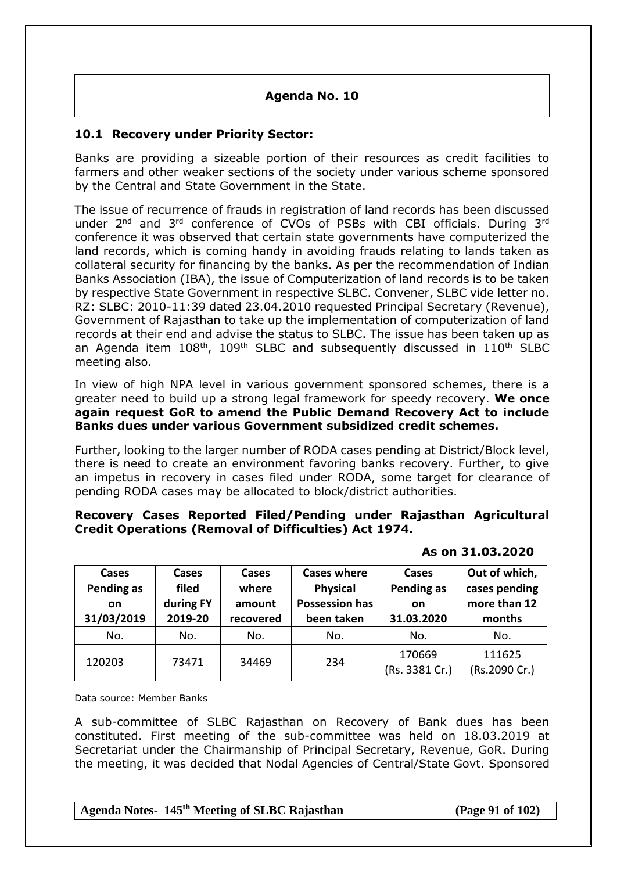# **Agenda No. 10**

### **10.1 Recovery under Priority Sector:**

Banks are providing a sizeable portion of their resources as credit facilities to farmers and other weaker sections of the society under various scheme sponsored by the Central and State Government in the State.

The issue of recurrence of frauds in registration of land records has been discussed under 2<sup>nd</sup> and 3<sup>rd</sup> conference of CVOs of PSBs with CBI officials. During 3<sup>rd</sup> conference it was observed that certain state governments have computerized the land records, which is coming handy in avoiding frauds relating to lands taken as collateral security for financing by the banks. As per the recommendation of Indian Banks Association (IBA), the issue of Computerization of land records is to be taken by respective State Government in respective SLBC. Convener, SLBC vide letter no. RZ: SLBC: 2010-11:39 dated 23.04.2010 requested Principal Secretary (Revenue), Government of Rajasthan to take up the implementation of computerization of land records at their end and advise the status to SLBC. The issue has been taken up as an Agenda item 108<sup>th</sup>, 109<sup>th</sup> SLBC and subsequently discussed in 110<sup>th</sup> SLBC meeting also.

In view of high NPA level in various government sponsored schemes, there is a greater need to build up a strong legal framework for speedy recovery. **We once again request GoR to amend the Public Demand Recovery Act to include Banks dues under various Government subsidized credit schemes.**

Further, looking to the larger number of RODA cases pending at District/Block level, there is need to create an environment favoring banks recovery. Further, to give an impetus in recovery in cases filed under RODA, some target for clearance of pending RODA cases may be allocated to block/district authorities.

#### **Recovery Cases Reported Filed/Pending under Rajasthan Agricultural Credit Operations (Removal of Difficulties) Act 1974.**

| Cases<br>Pending as<br>on<br>31/03/2019 | Cases<br>filed<br>during FY<br>2019-20 | Cases<br>where<br>amount<br>recovered | <b>Cases where</b><br><b>Physical</b><br><b>Possession has</b><br>been taken | Cases<br>Pending as<br>on<br>31.03.2020 | Out of which,<br>cases pending<br>more than 12<br>months |
|-----------------------------------------|----------------------------------------|---------------------------------------|------------------------------------------------------------------------------|-----------------------------------------|----------------------------------------------------------|
| No.                                     | No.                                    | No.                                   | No.                                                                          | No.                                     | No.                                                      |
| 120203                                  | 73471                                  | 34469                                 | 234                                                                          | 170669<br>(Rs. 3381 Cr.)                | 111625<br>(Rs.2090 Cr.)                                  |

 **As on 31.03.2020**

Data source: Member Banks

A sub-committee of SLBC Rajasthan on Recovery of Bank dues has been constituted. First meeting of the sub-committee was held on 18.03.2019 at Secretariat under the Chairmanship of Principal Secretary, Revenue, GoR. During the meeting, it was decided that Nodal Agencies of Central/State Govt. Sponsored

**Agenda Notes- 145th Meeting of SLBC Rajasthan (Page 91 of 102)**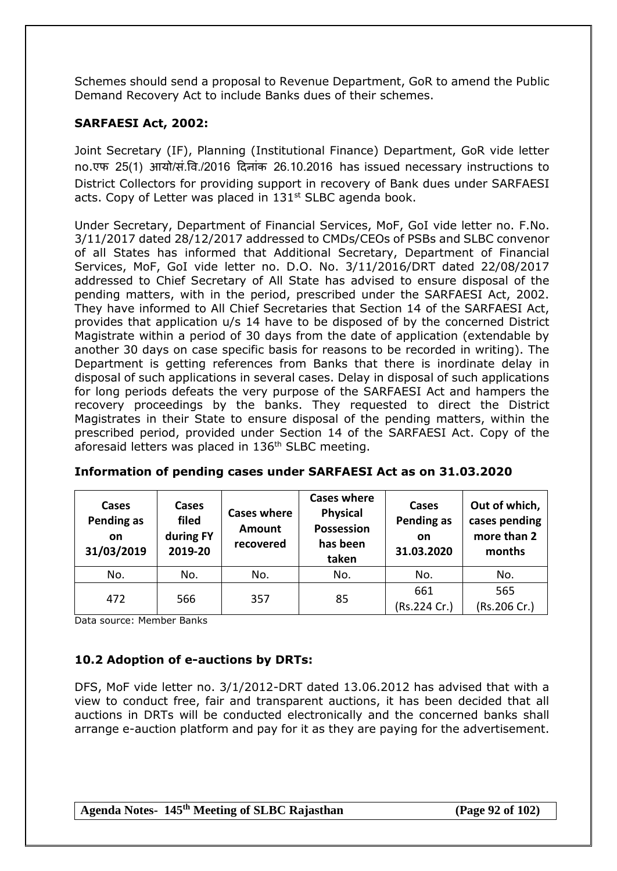Schemes should send a proposal to Revenue Department, GoR to amend the Public Demand Recovery Act to include Banks dues of their schemes.

# **SARFAESI Act, 2002:**

Joint Secretary (IF), Planning (Institutional Finance) Department, GoR vide letter no.एफ 25(1) आयो/सं.षव./2016 दिनांक 26.10.2016 has issued necessary instructions to District Collectors for providing support in recovery of Bank dues under SARFAESI acts. Copy of Letter was placed in 131st SLBC agenda book.

Under Secretary, Department of Financial Services, MoF, GoI vide letter no. F.No. 3/11/2017 dated 28/12/2017 addressed to CMDs/CEOs of PSBs and SLBC convenor of all States has informed that Additional Secretary, Department of Financial Services, MoF, GoI vide letter no. D.O. No. 3/11/2016/DRT dated 22/08/2017 addressed to Chief Secretary of All State has advised to ensure disposal of the pending matters, with in the period, prescribed under the SARFAESI Act, 2002. They have informed to All Chief Secretaries that Section 14 of the SARFAESI Act, provides that application u/s 14 have to be disposed of by the concerned District Magistrate within a period of 30 days from the date of application (extendable by another 30 days on case specific basis for reasons to be recorded in writing). The Department is getting references from Banks that there is inordinate delay in disposal of such applications in several cases. Delay in disposal of such applications for long periods defeats the very purpose of the SARFAESI Act and hampers the recovery proceedings by the banks. They requested to direct the District Magistrates in their State to ensure disposal of the pending matters, within the prescribed period, provided under Section 14 of the SARFAESI Act. Copy of the aforesaid letters was placed in 136<sup>th</sup> SLBC meeting.

| Cases<br>Pending as<br>on<br>31/03/2019 | Cases<br>filed<br>during FY<br>2019-20 | <b>Cases where</b><br><b>Amount</b><br>recovered | <b>Cases where</b><br><b>Physical</b><br><b>Possession</b><br>has been<br>taken | Cases<br>Pending as<br><b>on</b><br>31.03.2020 | Out of which,<br>cases pending<br>more than 2<br>months |
|-----------------------------------------|----------------------------------------|--------------------------------------------------|---------------------------------------------------------------------------------|------------------------------------------------|---------------------------------------------------------|
| No.                                     | No.                                    | No.                                              | No.                                                                             | No.                                            | No.                                                     |
| 472                                     | 566                                    | 357                                              | 85                                                                              | 661<br>(Rs.224 Cr.)                            | 565<br>(Rs.206 Cr.)                                     |

**Information of pending cases under SARFAESI Act as on 31.03.2020**

Data source: Member Banks

# **10.2 Adoption of e-auctions by DRTs:**

DFS, MoF vide letter no. 3/1/2012-DRT dated 13.06.2012 has advised that with a view to conduct free, fair and transparent auctions, it has been decided that all auctions in DRTs will be conducted electronically and the concerned banks shall arrange e-auction platform and pay for it as they are paying for the advertisement.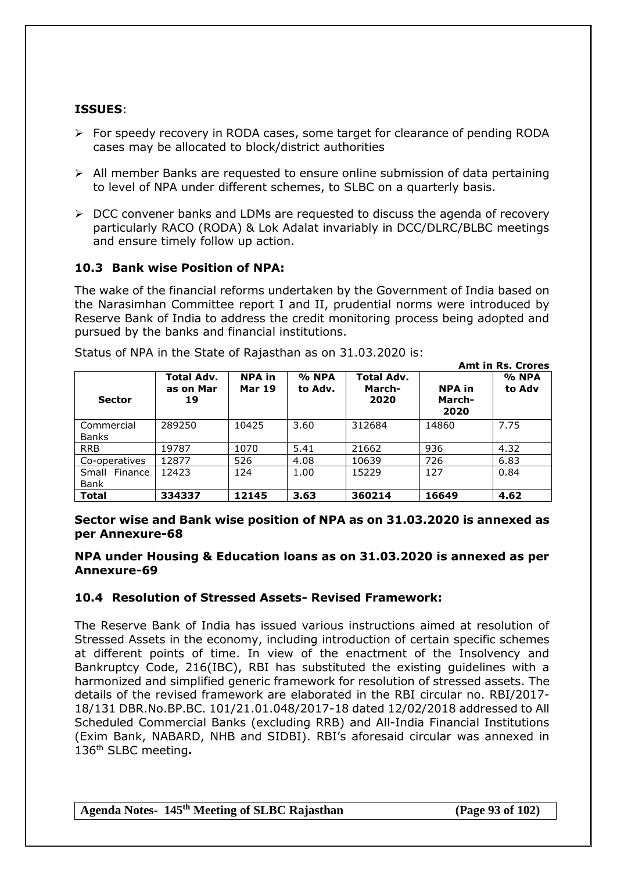# **ISSUES**:

- $\triangleright$  For speedy recovery in RODA cases, some target for clearance of pending RODA cases may be allocated to block/district authorities
- $\triangleright$  All member Banks are requested to ensure online submission of data pertaining to level of NPA under different schemes, to SLBC on a quarterly basis.
- $\triangleright$  DCC convener banks and LDMs are requested to discuss the agenda of recovery particularly RACO (RODA) & Lok Adalat invariably in DCC/DLRC/BLBC meetings and ensure timely follow up action.

### **10.3 Bank wise Position of NPA:**

The wake of the financial reforms undertaken by the Government of India based on the Narasimhan Committee report I and II, prudential norms were introduced by Reserve Bank of India to address the credit monitoring process being adopted and pursued by the banks and financial institutions.

|                              |                               |                                |                  | <b>Amt in Rs. Crores</b>            |                                 |                 |  |  |
|------------------------------|-------------------------------|--------------------------------|------------------|-------------------------------------|---------------------------------|-----------------|--|--|
| <b>Sector</b>                | Total Adv.<br>as on Mar<br>19 | <b>NPA</b> in<br><b>Mar 19</b> | % NPA<br>to Adv. | <b>Total Adv.</b><br>March-<br>2020 | <b>NPA</b> in<br>March-<br>2020 | % NPA<br>to Adv |  |  |
| Commercial<br><b>Banks</b>   | 289250                        | 10425                          | 3.60             | 312684                              | 14860                           | 7.75            |  |  |
| <b>RRB</b>                   | 19787                         | 1070                           | 5.41             | 21662                               | 936                             | 4.32            |  |  |
| Co-operatives                | 12877                         | 526                            | 4.08             | 10639                               | 726                             | 6.83            |  |  |
| Small Finance<br><b>Bank</b> | 12423                         | 124                            | 1.00             | 15229                               | 127                             | 0.84            |  |  |
| <b>Total</b>                 | 334337                        | 12145                          | 3.63             | 360214                              | 16649                           | 4.62            |  |  |

Status of NPA in the State of Rajasthan as on 31.03.2020 is:

**Sector wise and Bank wise position of NPA as on 31.03.2020 is annexed as per Annexure-68**

#### **NPA under Housing & Education loans as on 31.03.2020 is annexed as per Annexure-69**

#### **10.4 Resolution of Stressed Assets- Revised Framework:**

The Reserve Bank of India has issued various instructions aimed at resolution of Stressed Assets in the economy, including introduction of certain specific schemes at different points of time. In view of the enactment of the Insolvency and Bankruptcy Code, 216(IBC), RBI has substituted the existing guidelines with a harmonized and simplified generic framework for resolution of stressed assets. The details of the revised framework are elaborated in the RBI circular no. RBI/2017- 18/131 DBR.No.BP.BC. 101/21.01.048/2017-18 dated 12/02/2018 addressed to All Scheduled Commercial Banks (excluding RRB) and All-India Financial Institutions (Exim Bank, NABARD, NHB and SIDBI). RBI's aforesaid circular was annexed in 136th SLBC meeting**.**

**Agenda Notes- 145th Meeting of SLBC Rajasthan (Page 93 of 102)**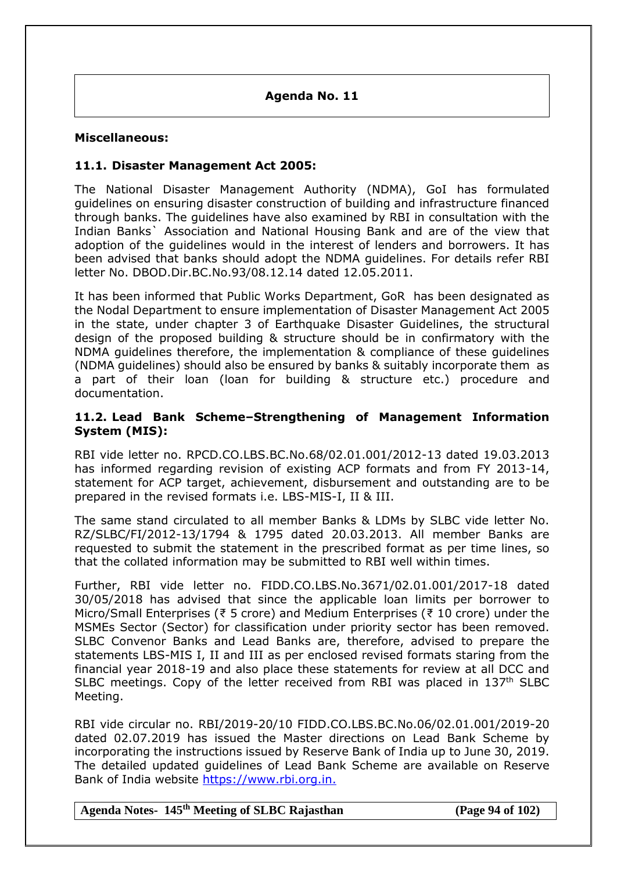**Agenda No. 11**

#### **Miscellaneous:**

### **11.1. Disaster Management Act 2005:**

The National Disaster Management Authority (NDMA), GoI has formulated guidelines on ensuring disaster construction of building and infrastructure financed through banks. The guidelines have also examined by RBI in consultation with the Indian Banks` Association and National Housing Bank and are of the view that adoption of the guidelines would in the interest of lenders and borrowers. It has been advised that banks should adopt the NDMA guidelines. For details refer RBI letter No. DBOD.Dir.BC.No.93/08.12.14 dated 12.05.2011.

It has been informed that Public Works Department, GoR has been designated as the Nodal Department to ensure implementation of Disaster Management Act 2005 in the state, under chapter 3 of Earthquake Disaster Guidelines, the structural design of the proposed building & structure should be in confirmatory with the NDMA guidelines therefore, the implementation & compliance of these guidelines (NDMA guidelines) should also be ensured by banks & suitably incorporate them as a part of their loan (loan for building & structure etc.) procedure and documentation.

#### **11.2. Lead Bank Scheme–Strengthening of Management Information System (MIS):**

RBI vide letter no. RPCD.CO.LBS.BC.No.68/02.01.001/2012-13 dated 19.03.2013 has informed regarding revision of existing ACP formats and from FY 2013-14, statement for ACP target, achievement, disbursement and outstanding are to be prepared in the revised formats i.e. LBS-MIS-I, II & III.

The same stand circulated to all member Banks & LDMs by SLBC vide letter No. RZ/SLBC/FI/2012-13/1794 & 1795 dated 20.03.2013. All member Banks are requested to submit the statement in the prescribed format as per time lines, so that the collated information may be submitted to RBI well within times.

Further, RBI vide letter no. FIDD.CO.LBS.No.3671/02.01.001/2017-18 dated 30/05/2018 has advised that since the applicable loan limits per borrower to Micro/Small Enterprises (₹ 5 crore) and Medium Enterprises (₹ 10 crore) under the MSMEs Sector (Sector) for classification under priority sector has been removed. SLBC Convenor Banks and Lead Banks are, therefore, advised to prepare the statements LBS-MIS I, II and III as per enclosed revised formats staring from the financial year 2018-19 and also place these statements for review at all DCC and SLBC meetings. Copy of the letter received from RBI was placed in 137<sup>th</sup> SLBC Meeting.

RBI vide circular no. RBI/2019-20/10 FIDD.CO.LBS.BC.No.06/02.01.001/2019-20 dated 02.07.2019 has issued the Master directions on Lead Bank Scheme by incorporating the instructions issued by Reserve Bank of India up to June 30, 2019. The detailed updated guidelines of Lead Bank Scheme are available on Reserve Bank of India website https://www.rbi.org.in.

**Agenda Notes- 145th Meeting of SLBC Rajasthan (Page 94 of 102)**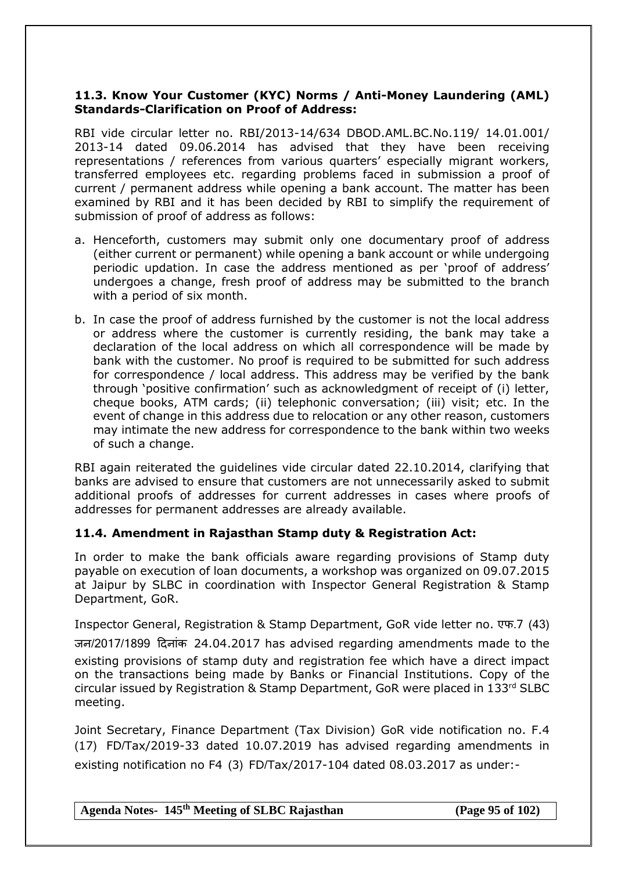### **11.3. Know Your Customer (KYC) Norms / Anti-Money Laundering (AML) Standards-Clarification on Proof of Address:**

RBI vide circular letter no. RBI/2013-14/634 DBOD.AML.BC.No.119/ 14.01.001/ 2013-14 dated 09.06.2014 has advised that they have been receiving representations / references from various quarters' especially migrant workers, transferred employees etc. regarding problems faced in submission a proof of current / permanent address while opening a bank account. The matter has been examined by RBI and it has been decided by RBI to simplify the requirement of submission of proof of address as follows:

- a. Henceforth, customers may submit only one documentary proof of address (either current or permanent) while opening a bank account or while undergoing periodic updation. In case the address mentioned as per 'proof of address' undergoes a change, fresh proof of address may be submitted to the branch with a period of six month.
- b. In case the proof of address furnished by the customer is not the local address or address where the customer is currently residing, the bank may take a declaration of the local address on which all correspondence will be made by bank with the customer. No proof is required to be submitted for such address for correspondence / local address. This address may be verified by the bank through 'positive confirmation' such as acknowledgment of receipt of (i) letter, cheque books, ATM cards; (ii) telephonic conversation; (iii) visit; etc. In the event of change in this address due to relocation or any other reason, customers may intimate the new address for correspondence to the bank within two weeks of such a change.

RBI again reiterated the guidelines vide circular dated 22.10.2014, clarifying that banks are advised to ensure that customers are not unnecessarily asked to submit additional proofs of addresses for current addresses in cases where proofs of addresses for permanent addresses are already available.

### **11.4. Amendment in Rajasthan Stamp duty & Registration Act:**

In order to make the bank officials aware regarding provisions of Stamp duty payable on execution of loan documents, a workshop was organized on 09.07.2015 at Jaipur by SLBC in coordination with Inspector General Registration & Stamp Department, GoR.

Inspector General, Registration & Stamp Department, GoR vide letter no. एफ.7 (43) जन/2017/1899 दिनांक 24.04.2017 has advised regarding amendments made to the existing provisions of stamp duty and registration fee which have a direct impact on the transactions being made by Banks or Financial Institutions. Copy of the circular issued by Registration & Stamp Department, GoR were placed in 133rd SLBC meeting.

Joint Secretary, Finance Department (Tax Division) GoR vide notification no. F.4 (17) FD/Tax/2019-33 dated 10.07.2019 has advised regarding amendments in existing notification no F4 (3) FD/Tax/2017-104 dated 08.03.2017 as under:-

**Agenda Notes- 145th Meeting of SLBC Rajasthan (Page 95 of 102)**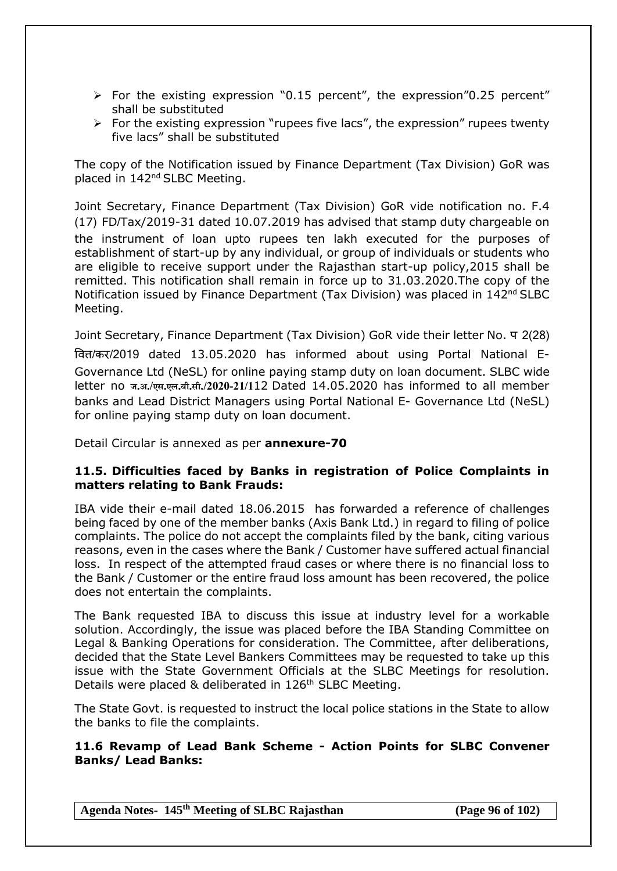- $\triangleright$  For the existing expression "0.15 percent", the expression "0.25 percent" shall be substituted
- $\triangleright$  For the existing expression "rupees five lacs", the expression" rupees twenty five lacs" shall be substituted

The copy of the Notification issued by Finance Department (Tax Division) GoR was placed in 142<sup>nd</sup> SLBC Meeting.

Joint Secretary, Finance Department (Tax Division) GoR vide notification no. F.4 (17) FD/Tax/2019-31 dated 10.07.2019 has advised that stamp duty chargeable on the instrument of loan upto rupees ten lakh executed for the purposes of establishment of start-up by any individual, or group of individuals or students who are eligible to receive support under the Rajasthan start-up policy,2015 shall be remitted. This notification shall remain in force up to 31.03.2020.The copy of the Notification issued by Finance Department (Tax Division) was placed in 142<sup>nd</sup> SLBC Meeting.

Joint Secretary, Finance Department (Tax Division) GoR vide their letter No. प 2(28) षवत्त/कर/2019 dated 13.05.2020 has informed about using Portal National E-Governance Ltd (NeSL) for online paying stamp duty on loan document. SLBC wide letter no **ज.अ./एस.एल.बी.सी./2020-21/1**12 Dated 14.05.2020 has informed to all member banks and Lead District Managers using Portal National E- Governance Ltd (NeSL) for online paying stamp duty on loan document.

Detail Circular is annexed as per **annexure-70**

#### **11.5. Difficulties faced by Banks in registration of Police Complaints in matters relating to Bank Frauds:**

IBA vide their e-mail dated 18.06.2015 has forwarded a reference of challenges being faced by one of the member banks (Axis Bank Ltd.) in regard to filing of police complaints. The police do not accept the complaints filed by the bank, citing various reasons, even in the cases where the Bank / Customer have suffered actual financial loss. In respect of the attempted fraud cases or where there is no financial loss to the Bank / Customer or the entire fraud loss amount has been recovered, the police does not entertain the complaints.

The Bank requested IBA to discuss this issue at industry level for a workable solution. Accordingly, the issue was placed before the IBA Standing Committee on Legal & Banking Operations for consideration. The Committee, after deliberations, decided that the State Level Bankers Committees may be requested to take up this issue with the State Government Officials at the SLBC Meetings for resolution. Details were placed & deliberated in 126<sup>th</sup> SLBC Meeting.

The State Govt. is requested to instruct the local police stations in the State to allow the banks to file the complaints.

**11.6 Revamp of Lead Bank Scheme - Action Points for SLBC Convener Banks/ Lead Banks:**

**Agenda Notes- 145th Meeting of SLBC Rajasthan (Page 96 of 102)**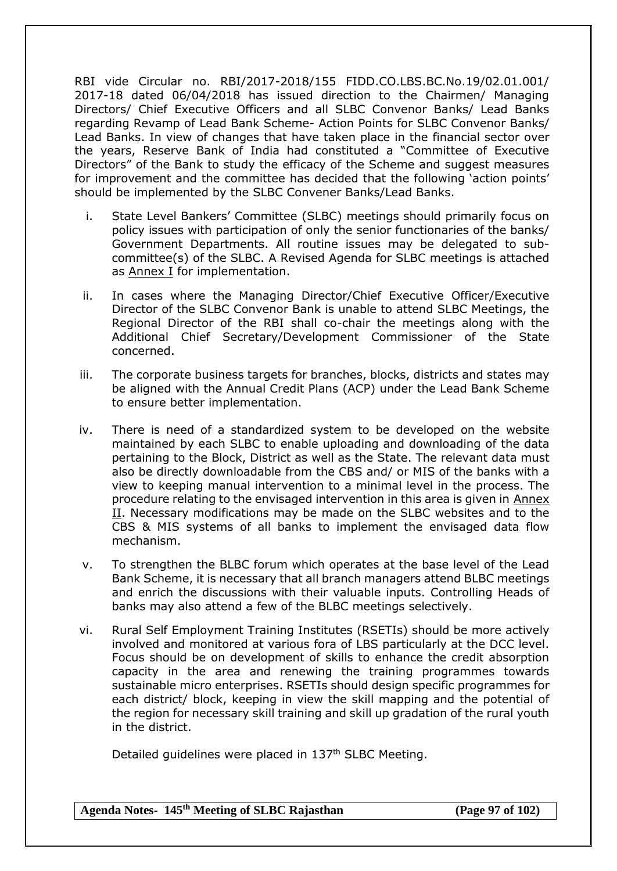RBI vide Circular no. RBI/2017-2018/155 FIDD.CO.LBS.BC.No.19/02.01.001/ 2017-18 dated 06/04/2018 has issued direction to the Chairmen/ Managing Directors/ Chief Executive Officers and all SLBC Convenor Banks/ Lead Banks regarding Revamp of Lead Bank Scheme- Action Points for SLBC Convenor Banks/ Lead Banks. In view of changes that have taken place in the financial sector over the years, Reserve Bank of India had constituted a "Committee of Executive Directors" of the Bank to study the efficacy of the Scheme and suggest measures for improvement and the committee has decided that the following 'action points' should be implemented by the SLBC Convener Banks/Lead Banks.

- i. State Level Bankers' Committee (SLBC) meetings should primarily focus on policy issues with participation of only the senior functionaries of the banks/ Government Departments. All routine issues may be delegated to subcommittee(s) of the SLBC. A Revised Agenda for SLBC meetings is attached as [Annex I](https://www.rbi.org.in/Scripts/NotificationUser.aspx?Id=11246&Mode=0#A_1) for implementation.
- ii. In cases where the Managing Director/Chief Executive Officer/Executive Director of the SLBC Convenor Bank is unable to attend SLBC Meetings, the Regional Director of the RBI shall co-chair the meetings along with the Additional Chief Secretary/Development Commissioner of the State concerned.
- iii. The corporate business targets for branches, blocks, districts and states may be aligned with the Annual Credit Plans (ACP) under the Lead Bank Scheme to ensure better implementation.
- iv. There is need of a standardized system to be developed on the website maintained by each SLBC to enable uploading and downloading of the data pertaining to the Block, District as well as the State. The relevant data must also be directly downloadable from the CBS and/ or MIS of the banks with a view to keeping manual intervention to a minimal level in the process. The procedure relating to the envisaged intervention in this area is given in [Annex](https://www.rbi.org.in/Scripts/NotificationUser.aspx?Id=11246&Mode=0#A_2)  [II.](https://www.rbi.org.in/Scripts/NotificationUser.aspx?Id=11246&Mode=0#A_2) Necessary modifications may be made on the SLBC websites and to the CBS & MIS systems of all banks to implement the envisaged data flow mechanism.
- v. To strengthen the BLBC forum which operates at the base level of the Lead Bank Scheme, it is necessary that all branch managers attend BLBC meetings and enrich the discussions with their valuable inputs. Controlling Heads of banks may also attend a few of the BLBC meetings selectively.
- vi. Rural Self Employment Training Institutes (RSETIs) should be more actively involved and monitored at various fora of LBS particularly at the DCC level. Focus should be on development of skills to enhance the credit absorption capacity in the area and renewing the training programmes towards sustainable micro enterprises. RSETIs should design specific programmes for each district/ block, keeping in view the skill mapping and the potential of the region for necessary skill training and skill up gradation of the rural youth in the district.

Detailed guidelines were placed in 137<sup>th</sup> SLBC Meeting.

**Agenda Notes- 145th Meeting of SLBC Rajasthan (Page 97 of 102)**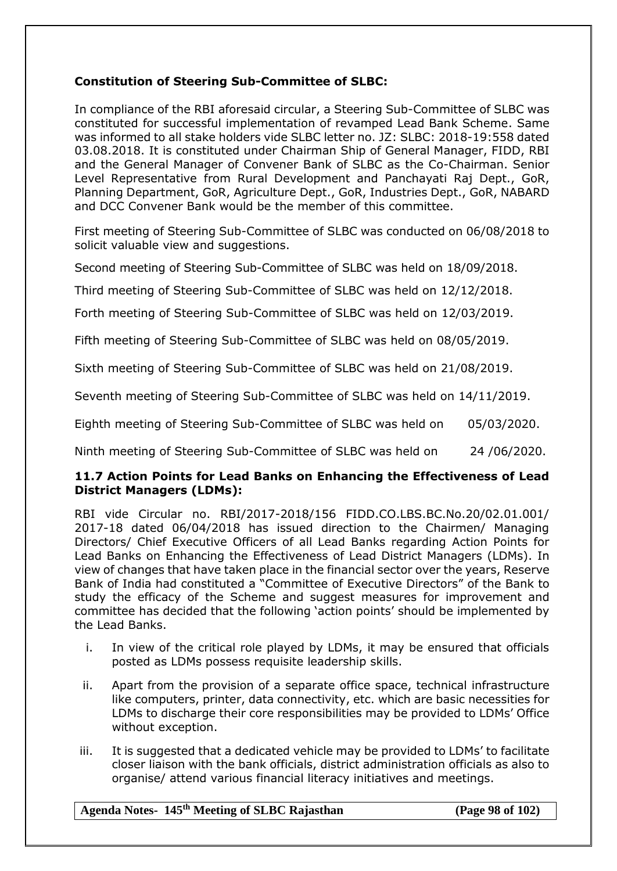# **Constitution of Steering Sub-Committee of SLBC:**

In compliance of the RBI aforesaid circular, a Steering Sub-Committee of SLBC was constituted for successful implementation of revamped Lead Bank Scheme. Same was informed to all stake holders vide SLBC letter no. JZ: SLBC: 2018-19:558 dated 03.08.2018. It is constituted under Chairman Ship of General Manager, FIDD, RBI and the General Manager of Convener Bank of SLBC as the Co-Chairman. Senior Level Representative from Rural Development and Panchayati Raj Dept., GoR, Planning Department, GoR, Agriculture Dept., GoR, Industries Dept., GoR, NABARD and DCC Convener Bank would be the member of this committee.

First meeting of Steering Sub-Committee of SLBC was conducted on 06/08/2018 to solicit valuable view and suggestions.

Second meeting of Steering Sub-Committee of SLBC was held on 18/09/2018.

Third meeting of Steering Sub-Committee of SLBC was held on 12/12/2018.

Forth meeting of Steering Sub-Committee of SLBC was held on 12/03/2019.

Fifth meeting of Steering Sub-Committee of SLBC was held on 08/05/2019.

Sixth meeting of Steering Sub-Committee of SLBC was held on 21/08/2019.

Seventh meeting of Steering Sub-Committee of SLBC was held on 14/11/2019.

Eighth meeting of Steering Sub-Committee of SLBC was held on 05/03/2020.

Ninth meeting of Steering Sub-Committee of SLBC was held on 24 /06/2020.

#### **11.7 Action Points for Lead Banks on Enhancing the Effectiveness of Lead District Managers (LDMs):**

RBI vide Circular no. RBI/2017-2018/156 FIDD.CO.LBS.BC.No.20/02.01.001/ 2017-18 dated 06/04/2018 has issued direction to the Chairmen/ Managing Directors/ Chief Executive Officers of all Lead Banks regarding Action Points for Lead Banks on Enhancing the Effectiveness of Lead District Managers (LDMs). In view of changes that have taken place in the financial sector over the years, Reserve Bank of India had constituted a "Committee of Executive Directors" of the Bank to study the efficacy of the Scheme and suggest measures for improvement and committee has decided that the following 'action points' should be implemented by the Lead Banks.

- i. In view of the critical role played by LDMs, it may be ensured that officials posted as LDMs possess requisite leadership skills.
- ii. Apart from the provision of a separate office space, technical infrastructure like computers, printer, data connectivity, etc. which are basic necessities for LDMs to discharge their core responsibilities may be provided to LDMs' Office without exception.
- iii. It is suggested that a dedicated vehicle may be provided to LDMs' to facilitate closer liaison with the bank officials, district administration officials as also to organise/ attend various financial literacy initiatives and meetings.

#### **Agenda Notes- 145th Meeting of SLBC Rajasthan (Page 98 of 102)**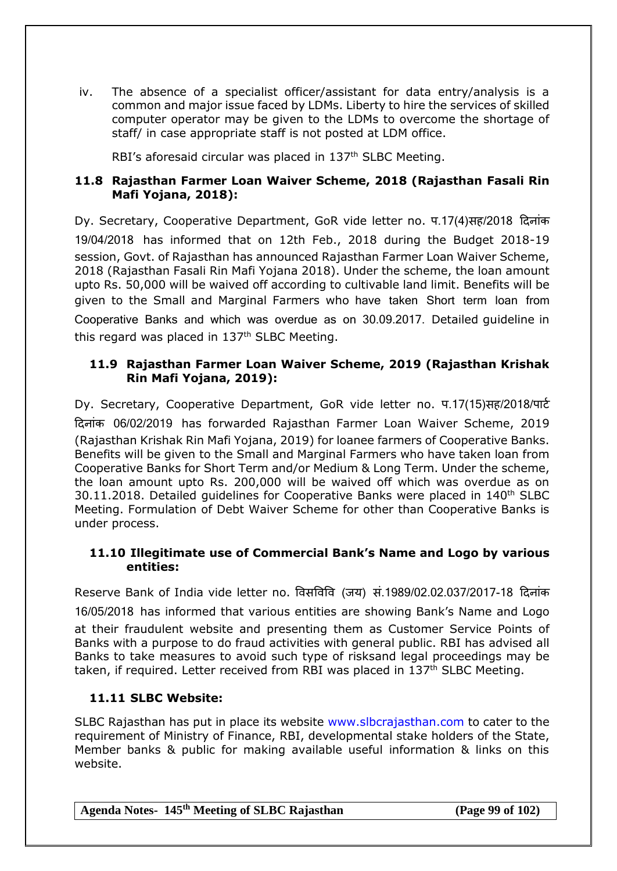iv. The absence of a specialist officer/assistant for data entry/analysis is a common and major issue faced by LDMs. Liberty to hire the services of skilled computer operator may be given to the LDMs to overcome the shortage of staff/ in case appropriate staff is not posted at LDM office.

RBI's aforesaid circular was placed in 137<sup>th</sup> SLBC Meeting.

# **11.8 Rajasthan Farmer Loan Waiver Scheme, 2018 (Rajasthan Fasali Rin Mafi Yojana, 2018):**

Dy. Secretary, Cooperative Department, GoR vide letter no. प.17(4)सह/2018 दिनांक 19/04/2018 has informed that on 12th Feb., 2018 during the Budget 2018-19 session, Govt. of Rajasthan has announced Rajasthan Farmer Loan Waiver Scheme, 2018 (Rajasthan Fasali Rin Mafi Yojana 2018). Under the scheme, the loan amount upto Rs. 50,000 will be waived off according to cultivable land limit. Benefits will be given to the Small and Marginal Farmers who have taken Short term loan from Cooperative Banks and which was overdue as on 30.09.2017. Detailed guideline in this regard was placed in 137<sup>th</sup> SLBC Meeting.

# **11.9 Rajasthan Farmer Loan Waiver Scheme, 2019 (Rajasthan Krishak Rin Mafi Yojana, 2019):**

Dy. Secretary, Cooperative Department, GoR vide letter no. प.17(15)सह/2018/पाटि दिनांक 06/02/2019 has forwarded Rajasthan Farmer Loan Waiver Scheme, 2019 (Rajasthan Krishak Rin Mafi Yojana, 2019) for loanee farmers of Cooperative Banks. Benefits will be given to the Small and Marginal Farmers who have taken loan from Cooperative Banks for Short Term and/or Medium & Long Term. Under the scheme, the loan amount upto Rs. 200,000 will be waived off which was overdue as on  $30.11.2018$ . Detailed quidelines for Cooperative Banks were placed in  $140<sup>th</sup>$  SLBC Meeting. Formulation of Debt Waiver Scheme for other than Cooperative Banks is under process.

# **11.10 Illegitimate use of Commercial Bank's Name and Logo by various entities:**

Reserve Bank of India vide letter no. षवसषवषव (जय) सं.1989/02.02.037/2017-18 दिनांक

16/05/2018 has informed that various entities are showing Bank's Name and Logo at their fraudulent website and presenting them as Customer Service Points of Banks with a purpose to do fraud activities with general public. RBI has advised all Banks to take measures to avoid such type of risksand legal proceedings may be taken, if required. Letter received from RBI was placed in 137<sup>th</sup> SLBC Meeting.

# **11.11 SLBC Website:**

SLBC Rajasthan has put in place its website [www.slbcrajasthan.com](http://www.slbcrajasthan.com/) to cater to the requirement of Ministry of Finance, RBI, developmental stake holders of the State, Member banks & public for making available useful information & links on this website.

|  | Agenda Notes- 145 <sup>th</sup> Meeting of SLBC Rajasthan |  |
|--|-----------------------------------------------------------|--|
|--|-----------------------------------------------------------|--|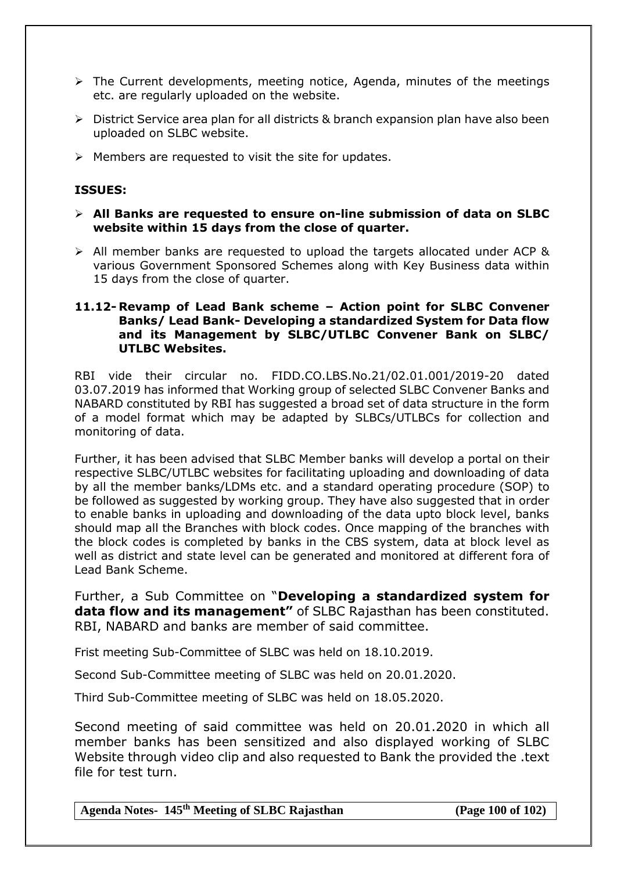- $\triangleright$  The Current developments, meeting notice, Agenda, minutes of the meetings etc. are regularly uploaded on the website.
- $\triangleright$  District Service area plan for all districts & branch expansion plan have also been uploaded on SLBC website.
- $\triangleright$  Members are requested to visit the site for updates.

#### **ISSUES:**

- **All Banks are requested to ensure on-line submission of data on SLBC website within 15 days from the close of quarter.**
- $\triangleright$  All member banks are requested to upload the targets allocated under ACP & various Government Sponsored Schemes along with Key Business data within 15 days from the close of quarter.

#### **11.12- Revamp of Lead Bank scheme – Action point for SLBC Convener Banks/ Lead Bank- Developing a standardized System for Data flow and its Management by SLBC/UTLBC Convener Bank on SLBC/ UTLBC Websites.**

RBI vide their circular no. FIDD.CO.LBS.No.21/02.01.001/2019-20 dated 03.07.2019 has informed that Working group of selected SLBC Convener Banks and NABARD constituted by RBI has suggested a broad set of data structure in the form of a model format which may be adapted by SLBCs/UTLBCs for collection and monitoring of data.

Further, it has been advised that SLBC Member banks will develop a portal on their respective SLBC/UTLBC websites for facilitating uploading and downloading of data by all the member banks/LDMs etc. and a standard operating procedure (SOP) to be followed as suggested by working group. They have also suggested that in order to enable banks in uploading and downloading of the data upto block level, banks should map all the Branches with block codes. Once mapping of the branches with the block codes is completed by banks in the CBS system, data at block level as well as district and state level can be generated and monitored at different fora of Lead Bank Scheme.

Further, a Sub Committee on "**Developing a standardized system for data flow and its management"** of SLBC Rajasthan has been constituted. RBI, NABARD and banks are member of said committee.

Frist meeting Sub-Committee of SLBC was held on 18.10.2019.

Second Sub-Committee meeting of SLBC was held on 20.01.2020.

Third Sub-Committee meeting of SLBC was held on 18.05.2020.

Second meeting of said committee was held on 20.01.2020 in which all member banks has been sensitized and also displayed working of SLBC Website through video clip and also requested to Bank the provided the .text file for test turn.

**Agenda Notes- 145th Meeting of SLBC Rajasthan (Page 100 of 102)**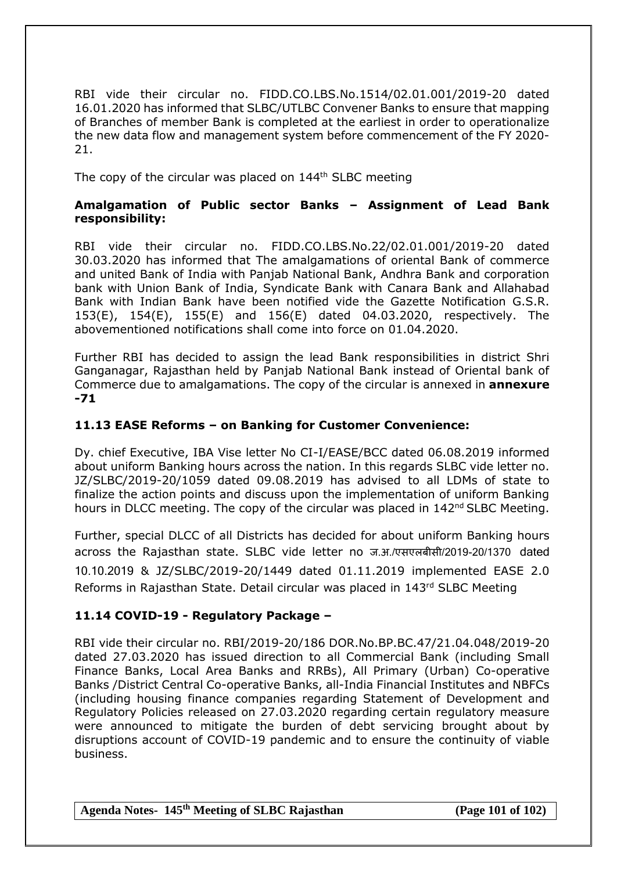RBI vide their circular no. FIDD.CO.LBS.No.1514/02.01.001/2019-20 dated 16.01.2020 has informed that SLBC/UTLBC Convener Banks to ensure that mapping of Branches of member Bank is completed at the earliest in order to operationalize the new data flow and management system before commencement of the FY 2020- 21.

The copy of the circular was placed on  $144<sup>th</sup>$  SLBC meeting

#### **Amalgamation of Public sector Banks – Assignment of Lead Bank responsibility:**

RBI vide their circular no. FIDD.CO.LBS.No.22/02.01.001/2019-20 dated 30.03.2020 has informed that The amalgamations of oriental Bank of commerce and united Bank of India with Panjab National Bank, Andhra Bank and corporation bank with Union Bank of India, Syndicate Bank with Canara Bank and Allahabad Bank with Indian Bank have been notified vide the Gazette Notification G.S.R. 153(E), 154(E), 155(E) and 156(E) dated 04.03.2020, respectively. The abovementioned notifications shall come into force on 01.04.2020.

Further RBI has decided to assign the lead Bank responsibilities in district Shri Ganganagar, Rajasthan held by Panjab National Bank instead of Oriental bank of Commerce due to amalgamations. The copy of the circular is annexed in **annexure -71**

### **11.13 EASE Reforms – on Banking for Customer Convenience:**

Dy. chief Executive, IBA Vise letter No CI-I/EASE/BCC dated 06.08.2019 informed about uniform Banking hours across the nation. In this regards SLBC vide letter no. JZ/SLBC/2019-20/1059 dated 09.08.2019 has advised to all LDMs of state to finalize the action points and discuss upon the implementation of uniform Banking hours in DLCC meeting. The copy of the circular was placed in 142<sup>nd</sup> SLBC Meeting.

Further, special DLCC of all Districts has decided for about uniform Banking hours across the Rajasthan state. SLBC vide letter no ज.अ./एसएलबीसी/2019-20/1370 dated 10.10.2019 & JZ/SLBC/2019-20/1449 dated 01.11.2019 implemented EASE 2.0 Reforms in Rajasthan State. Detail circular was placed in 143rd SLBC Meeting

### **11.14 COVID-19 - Regulatory Package –**

RBI vide their circular no. RBI/2019-20/186 DOR.No.BP.BC.47/21.04.048/2019-20 dated 27.03.2020 has issued direction to all Commercial Bank (including Small Finance Banks, Local Area Banks and RRBs), All Primary (Urban) Co-operative Banks /District Central Co-operative Banks, all-India Financial Institutes and NBFCs (including housing finance companies regarding Statement of Development and Regulatory Policies released on 27.03.2020 regarding certain regulatory measure were announced to mitigate the burden of debt servicing brought about by disruptions account of COVID-19 pandemic and to ensure the continuity of viable business.

**Agenda Notes- 145th Meeting of SLBC Rajasthan (Page 101 of 102)**